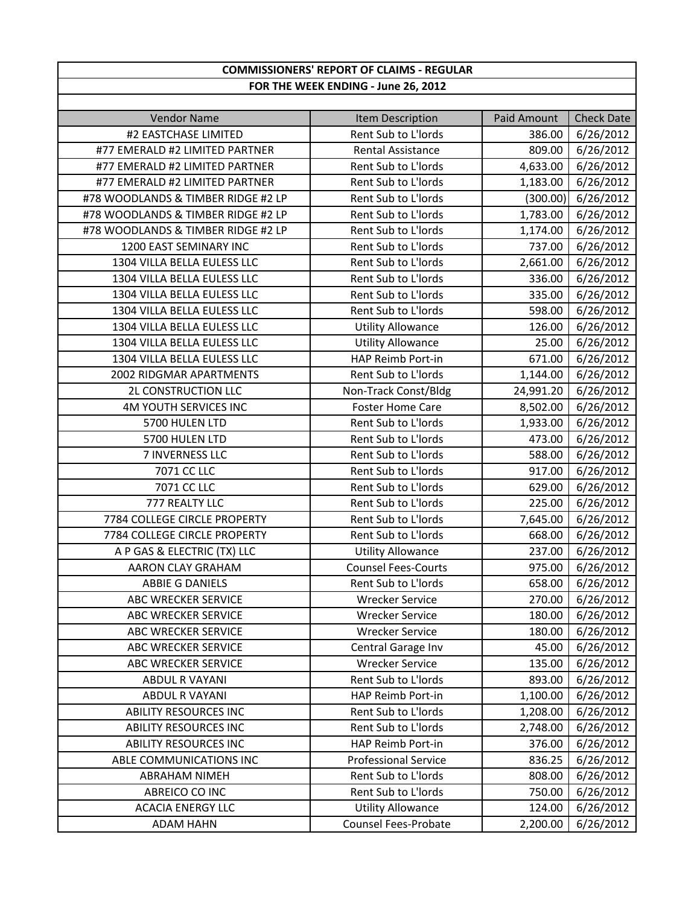## **COMMISSIONERS' REPORT OF CLAIMS ‐ REGULAR FOR THE WEEK ENDING ‐ June 26, 2012**

| <b>Vendor Name</b>                 | Item Description            | <b>Paid Amount</b> | <b>Check Date</b> |
|------------------------------------|-----------------------------|--------------------|-------------------|
| #2 EASTCHASE LIMITED               | Rent Sub to L'Iords         | 386.00             | 6/26/2012         |
| #77 EMERALD #2 LIMITED PARTNER     | Rental Assistance           | 809.00             | 6/26/2012         |
| #77 EMERALD #2 LIMITED PARTNER     | Rent Sub to L'Iords         | 4,633.00           | 6/26/2012         |
| #77 EMERALD #2 LIMITED PARTNER     | Rent Sub to L'Iords         | 1,183.00           | 6/26/2012         |
| #78 WOODLANDS & TIMBER RIDGE #2 LP | Rent Sub to L'Iords         | (300.00)           | 6/26/2012         |
| #78 WOODLANDS & TIMBER RIDGE #2 LP | Rent Sub to L'Iords         | 1,783.00           | 6/26/2012         |
| #78 WOODLANDS & TIMBER RIDGE #2 LP | Rent Sub to L'Iords         | 1,174.00           | 6/26/2012         |
| 1200 EAST SEMINARY INC             | Rent Sub to L'Iords         | 737.00             | 6/26/2012         |
| 1304 VILLA BELLA EULESS LLC        | Rent Sub to L'Iords         | 2,661.00           | 6/26/2012         |
| 1304 VILLA BELLA EULESS LLC        | Rent Sub to L'Iords         | 336.00             | 6/26/2012         |
| 1304 VILLA BELLA EULESS LLC        | Rent Sub to L'Iords         | 335.00             | 6/26/2012         |
| 1304 VILLA BELLA EULESS LLC        | Rent Sub to L'Iords         | 598.00             | 6/26/2012         |
| 1304 VILLA BELLA EULESS LLC        | <b>Utility Allowance</b>    | 126.00             | 6/26/2012         |
| 1304 VILLA BELLA EULESS LLC        | <b>Utility Allowance</b>    | 25.00              | 6/26/2012         |
| 1304 VILLA BELLA EULESS LLC        | HAP Reimb Port-in           | 671.00             | 6/26/2012         |
| 2002 RIDGMAR APARTMENTS            | Rent Sub to L'Iords         | 1,144.00           | 6/26/2012         |
| 2L CONSTRUCTION LLC                | Non-Track Const/Bldg        | 24,991.20          | 6/26/2012         |
| <b>4M YOUTH SERVICES INC</b>       | <b>Foster Home Care</b>     | 8,502.00           | 6/26/2012         |
| 5700 HULEN LTD                     | Rent Sub to L'Iords         | 1,933.00           | 6/26/2012         |
| 5700 HULEN LTD                     | Rent Sub to L'Iords         | 473.00             | 6/26/2012         |
| 7 INVERNESS LLC                    | Rent Sub to L'Iords         | 588.00             | 6/26/2012         |
| 7071 CC LLC                        | Rent Sub to L'Iords         | 917.00             | 6/26/2012         |
| 7071 CC LLC                        | Rent Sub to L'Iords         | 629.00             | 6/26/2012         |
| 777 REALTY LLC                     | Rent Sub to L'Iords         | 225.00             | 6/26/2012         |
| 7784 COLLEGE CIRCLE PROPERTY       | Rent Sub to L'Iords         | 7,645.00           | 6/26/2012         |
| 7784 COLLEGE CIRCLE PROPERTY       | Rent Sub to L'Iords         | 668.00             | 6/26/2012         |
| A P GAS & ELECTRIC (TX) LLC        | <b>Utility Allowance</b>    | 237.00             | 6/26/2012         |
| AARON CLAY GRAHAM                  | <b>Counsel Fees-Courts</b>  | 975.00             | 6/26/2012         |
| <b>ABBIE G DANIELS</b>             | Rent Sub to L'Iords         | 658.00             | 6/26/2012         |
| <b>ABC WRECKER SERVICE</b>         | <b>Wrecker Service</b>      | 270.00             | 6/26/2012         |
| ABC WRECKER SERVICE                | <b>Wrecker Service</b>      | 180.00             | 6/26/2012         |
| ABC WRECKER SERVICE                | <b>Wrecker Service</b>      | 180.00             | 6/26/2012         |
| ABC WRECKER SERVICE                | Central Garage Inv          | 45.00              | 6/26/2012         |
| ABC WRECKER SERVICE                | <b>Wrecker Service</b>      | 135.00             | 6/26/2012         |
| <b>ABDUL R VAYANI</b>              | Rent Sub to L'Iords         | 893.00             | 6/26/2012         |
| <b>ABDUL R VAYANI</b>              | HAP Reimb Port-in           | 1,100.00           | 6/26/2012         |
| <b>ABILITY RESOURCES INC</b>       | Rent Sub to L'Iords         | 1,208.00           | 6/26/2012         |
| <b>ABILITY RESOURCES INC</b>       | Rent Sub to L'Iords         | 2,748.00           | 6/26/2012         |
| <b>ABILITY RESOURCES INC</b>       | HAP Reimb Port-in           | 376.00             | 6/26/2012         |
| ABLE COMMUNICATIONS INC            | <b>Professional Service</b> | 836.25             | 6/26/2012         |
| <b>ABRAHAM NIMEH</b>               | Rent Sub to L'Iords         | 808.00             | 6/26/2012         |
| ABREICO CO INC                     | Rent Sub to L'Iords         | 750.00             | 6/26/2012         |
| <b>ACACIA ENERGY LLC</b>           | <b>Utility Allowance</b>    | 124.00             | 6/26/2012         |
| <b>ADAM HAHN</b>                   | Counsel Fees-Probate        | 2,200.00           | 6/26/2012         |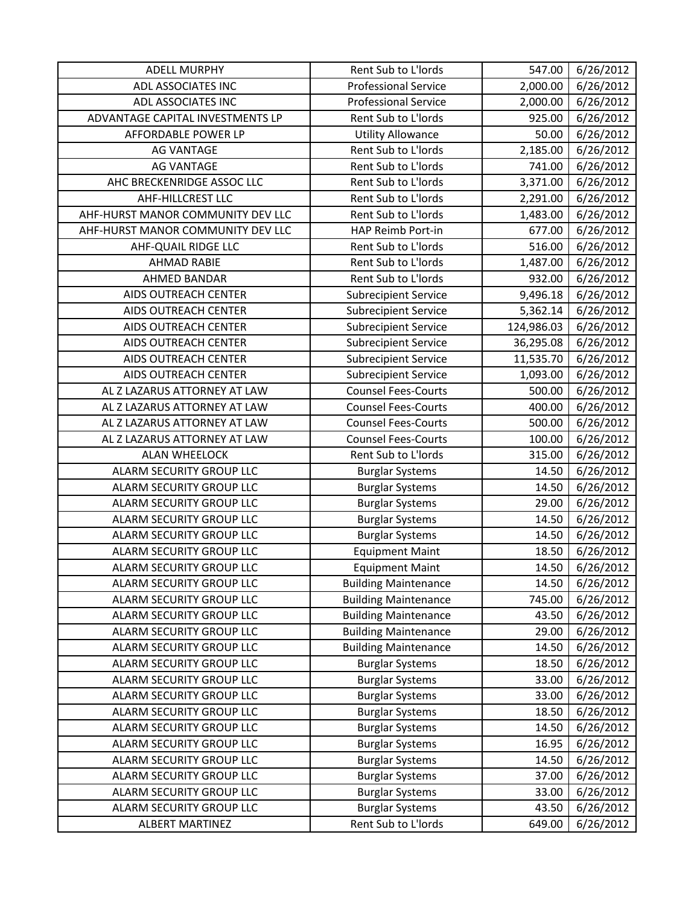| <b>ADELL MURPHY</b>               | Rent Sub to L'Iords         | 547.00     | 6/26/2012 |
|-----------------------------------|-----------------------------|------------|-----------|
| ADL ASSOCIATES INC                | <b>Professional Service</b> | 2,000.00   | 6/26/2012 |
| ADL ASSOCIATES INC                | <b>Professional Service</b> | 2,000.00   | 6/26/2012 |
| ADVANTAGE CAPITAL INVESTMENTS LP  | Rent Sub to L'Iords         | 925.00     | 6/26/2012 |
| AFFORDABLE POWER LP               | <b>Utility Allowance</b>    | 50.00      | 6/26/2012 |
| <b>AG VANTAGE</b>                 | Rent Sub to L'Iords         | 2,185.00   | 6/26/2012 |
| <b>AG VANTAGE</b>                 | Rent Sub to L'Iords         | 741.00     | 6/26/2012 |
| AHC BRECKENRIDGE ASSOC LLC        | Rent Sub to L'Iords         | 3,371.00   | 6/26/2012 |
| AHF-HILLCREST LLC                 | Rent Sub to L'Iords         | 2,291.00   | 6/26/2012 |
| AHF-HURST MANOR COMMUNITY DEV LLC | Rent Sub to L'Iords         | 1,483.00   | 6/26/2012 |
| AHF-HURST MANOR COMMUNITY DEV LLC | HAP Reimb Port-in           | 677.00     | 6/26/2012 |
| <b>AHF-QUAIL RIDGE LLC</b>        | Rent Sub to L'Iords         | 516.00     | 6/26/2012 |
| <b>AHMAD RABIE</b>                | Rent Sub to L'Iords         | 1,487.00   | 6/26/2012 |
| <b>AHMED BANDAR</b>               | Rent Sub to L'Iords         | 932.00     | 6/26/2012 |
| AIDS OUTREACH CENTER              | <b>Subrecipient Service</b> | 9,496.18   | 6/26/2012 |
| AIDS OUTREACH CENTER              | <b>Subrecipient Service</b> | 5,362.14   | 6/26/2012 |
| AIDS OUTREACH CENTER              | <b>Subrecipient Service</b> | 124,986.03 | 6/26/2012 |
| AIDS OUTREACH CENTER              | <b>Subrecipient Service</b> | 36,295.08  | 6/26/2012 |
| AIDS OUTREACH CENTER              | <b>Subrecipient Service</b> | 11,535.70  | 6/26/2012 |
| AIDS OUTREACH CENTER              | <b>Subrecipient Service</b> | 1,093.00   | 6/26/2012 |
| AL Z LAZARUS ATTORNEY AT LAW      | <b>Counsel Fees-Courts</b>  | 500.00     | 6/26/2012 |
| AL Z LAZARUS ATTORNEY AT LAW      | <b>Counsel Fees-Courts</b>  | 400.00     | 6/26/2012 |
| AL Z LAZARUS ATTORNEY AT LAW      | <b>Counsel Fees-Courts</b>  | 500.00     | 6/26/2012 |
| AL Z LAZARUS ATTORNEY AT LAW      | <b>Counsel Fees-Courts</b>  | 100.00     | 6/26/2012 |
| <b>ALAN WHEELOCK</b>              | Rent Sub to L'Iords         | 315.00     | 6/26/2012 |
| ALARM SECURITY GROUP LLC          | <b>Burglar Systems</b>      | 14.50      | 6/26/2012 |
| ALARM SECURITY GROUP LLC          | <b>Burglar Systems</b>      | 14.50      | 6/26/2012 |
| ALARM SECURITY GROUP LLC          | <b>Burglar Systems</b>      | 29.00      | 6/26/2012 |
| ALARM SECURITY GROUP LLC          | <b>Burglar Systems</b>      | 14.50      | 6/26/2012 |
| ALARM SECURITY GROUP LLC          | <b>Burglar Systems</b>      | 14.50      | 6/26/2012 |
| ALARM SECURITY GROUP LLC          | <b>Equipment Maint</b>      | 18.50      | 6/26/2012 |
| ALARM SECURITY GROUP LLC          | <b>Equipment Maint</b>      | 14.50      | 6/26/2012 |
| ALARM SECURITY GROUP LLC          | <b>Building Maintenance</b> | 14.50      | 6/26/2012 |
| ALARM SECURITY GROUP LLC          | <b>Building Maintenance</b> | 745.00     | 6/26/2012 |
| ALARM SECURITY GROUP LLC          | <b>Building Maintenance</b> | 43.50      | 6/26/2012 |
| ALARM SECURITY GROUP LLC          | <b>Building Maintenance</b> | 29.00      | 6/26/2012 |
| ALARM SECURITY GROUP LLC          | <b>Building Maintenance</b> | 14.50      | 6/26/2012 |
| ALARM SECURITY GROUP LLC          | <b>Burglar Systems</b>      | 18.50      | 6/26/2012 |
| ALARM SECURITY GROUP LLC          | <b>Burglar Systems</b>      | 33.00      | 6/26/2012 |
| ALARM SECURITY GROUP LLC          | <b>Burglar Systems</b>      | 33.00      | 6/26/2012 |
| ALARM SECURITY GROUP LLC          | <b>Burglar Systems</b>      | 18.50      | 6/26/2012 |
| ALARM SECURITY GROUP LLC          | <b>Burglar Systems</b>      | 14.50      | 6/26/2012 |
| ALARM SECURITY GROUP LLC          | <b>Burglar Systems</b>      | 16.95      | 6/26/2012 |
| ALARM SECURITY GROUP LLC          | <b>Burglar Systems</b>      | 14.50      | 6/26/2012 |
| ALARM SECURITY GROUP LLC          | <b>Burglar Systems</b>      | 37.00      | 6/26/2012 |
| ALARM SECURITY GROUP LLC          | <b>Burglar Systems</b>      | 33.00      | 6/26/2012 |
| ALARM SECURITY GROUP LLC          | <b>Burglar Systems</b>      | 43.50      | 6/26/2012 |
| <b>ALBERT MARTINEZ</b>            | Rent Sub to L'Iords         | 649.00     | 6/26/2012 |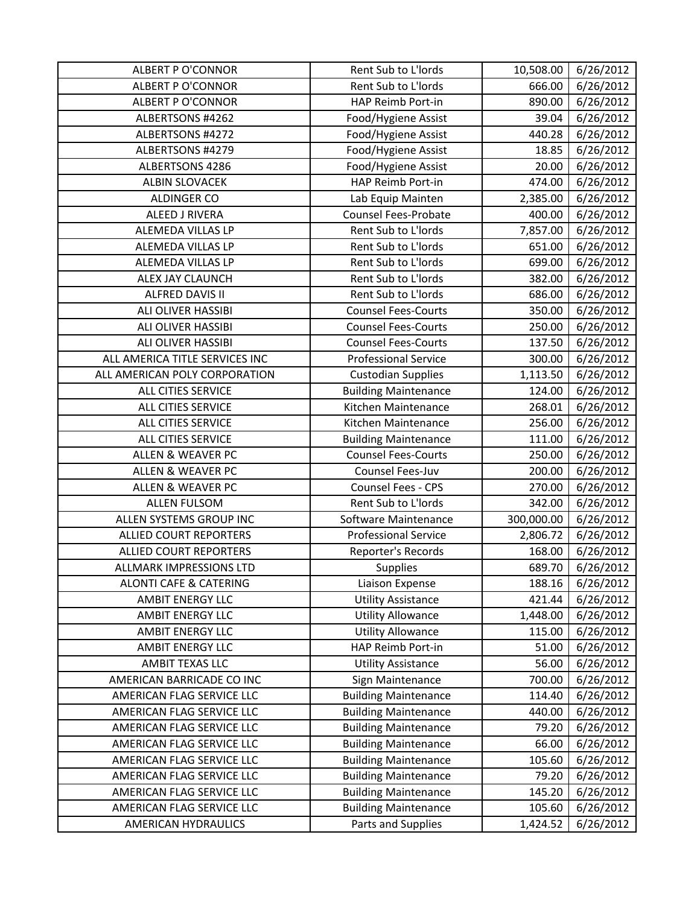| <b>ALBERT P O'CONNOR</b>          | Rent Sub to L'Iords         | 10,508.00  | 6/26/2012 |
|-----------------------------------|-----------------------------|------------|-----------|
| <b>ALBERT P O'CONNOR</b>          | Rent Sub to L'Iords         | 666.00     | 6/26/2012 |
| <b>ALBERT P O'CONNOR</b>          | HAP Reimb Port-in           | 890.00     | 6/26/2012 |
| ALBERTSONS #4262                  | Food/Hygiene Assist         | 39.04      | 6/26/2012 |
| ALBERTSONS #4272                  | Food/Hygiene Assist         | 440.28     | 6/26/2012 |
| ALBERTSONS #4279                  | Food/Hygiene Assist         | 18.85      | 6/26/2012 |
| ALBERTSONS 4286                   | Food/Hygiene Assist         | 20.00      | 6/26/2012 |
| <b>ALBIN SLOVACEK</b>             | HAP Reimb Port-in           | 474.00     | 6/26/2012 |
| ALDINGER CO                       | Lab Equip Mainten           | 2,385.00   | 6/26/2012 |
| ALEED J RIVERA                    | <b>Counsel Fees-Probate</b> | 400.00     | 6/26/2012 |
| ALEMEDA VILLAS LP                 | Rent Sub to L'Iords         | 7,857.00   | 6/26/2012 |
| ALEMEDA VILLAS LP                 | Rent Sub to L'Iords         | 651.00     | 6/26/2012 |
| ALEMEDA VILLAS LP                 | Rent Sub to L'Iords         | 699.00     | 6/26/2012 |
| ALEX JAY CLAUNCH                  | Rent Sub to L'Iords         | 382.00     | 6/26/2012 |
| <b>ALFRED DAVIS II</b>            | Rent Sub to L'Iords         | 686.00     | 6/26/2012 |
| ALI OLIVER HASSIBI                | <b>Counsel Fees-Courts</b>  | 350.00     | 6/26/2012 |
| ALI OLIVER HASSIBI                | <b>Counsel Fees-Courts</b>  | 250.00     | 6/26/2012 |
| ALI OLIVER HASSIBI                | <b>Counsel Fees-Courts</b>  | 137.50     | 6/26/2012 |
| ALL AMERICA TITLE SERVICES INC    | <b>Professional Service</b> | 300.00     | 6/26/2012 |
| ALL AMERICAN POLY CORPORATION     | <b>Custodian Supplies</b>   | 1,113.50   | 6/26/2012 |
| ALL CITIES SERVICE                | <b>Building Maintenance</b> | 124.00     | 6/26/2012 |
| ALL CITIES SERVICE                | Kitchen Maintenance         | 268.01     | 6/26/2012 |
| ALL CITIES SERVICE                | Kitchen Maintenance         | 256.00     | 6/26/2012 |
| ALL CITIES SERVICE                | <b>Building Maintenance</b> | 111.00     | 6/26/2012 |
| <b>ALLEN &amp; WEAVER PC</b>      | <b>Counsel Fees-Courts</b>  | 250.00     | 6/26/2012 |
| ALLEN & WEAVER PC                 | Counsel Fees-Juv            | 200.00     | 6/26/2012 |
| <b>ALLEN &amp; WEAVER PC</b>      | Counsel Fees - CPS          | 270.00     | 6/26/2012 |
| <b>ALLEN FULSOM</b>               | Rent Sub to L'Iords         | 342.00     | 6/26/2012 |
| ALLEN SYSTEMS GROUP INC           | Software Maintenance        | 300,000.00 | 6/26/2012 |
| <b>ALLIED COURT REPORTERS</b>     | <b>Professional Service</b> | 2,806.72   | 6/26/2012 |
| <b>ALLIED COURT REPORTERS</b>     | Reporter's Records          | 168.00     | 6/26/2012 |
| <b>ALLMARK IMPRESSIONS LTD</b>    | <b>Supplies</b>             | 689.70     | 6/26/2012 |
| <b>ALONTI CAFE &amp; CATERING</b> | Liaison Expense             | 188.16     | 6/26/2012 |
| <b>AMBIT ENERGY LLC</b>           | <b>Utility Assistance</b>   | 421.44     | 6/26/2012 |
| <b>AMBIT ENERGY LLC</b>           | <b>Utility Allowance</b>    | 1,448.00   | 6/26/2012 |
| AMBIT ENERGY LLC                  | <b>Utility Allowance</b>    | 115.00     | 6/26/2012 |
| AMBIT ENERGY LLC                  | HAP Reimb Port-in           | 51.00      | 6/26/2012 |
| AMBIT TEXAS LLC                   | <b>Utility Assistance</b>   | 56.00      | 6/26/2012 |
| AMERICAN BARRICADE CO INC         | Sign Maintenance            | 700.00     | 6/26/2012 |
| AMERICAN FLAG SERVICE LLC         | <b>Building Maintenance</b> | 114.40     | 6/26/2012 |
| AMERICAN FLAG SERVICE LLC         | <b>Building Maintenance</b> | 440.00     | 6/26/2012 |
| AMERICAN FLAG SERVICE LLC         | <b>Building Maintenance</b> | 79.20      | 6/26/2012 |
| AMERICAN FLAG SERVICE LLC         | <b>Building Maintenance</b> | 66.00      | 6/26/2012 |
| AMERICAN FLAG SERVICE LLC         | <b>Building Maintenance</b> | 105.60     | 6/26/2012 |
| AMERICAN FLAG SERVICE LLC         | <b>Building Maintenance</b> | 79.20      | 6/26/2012 |
| AMERICAN FLAG SERVICE LLC         | <b>Building Maintenance</b> | 145.20     | 6/26/2012 |
| AMERICAN FLAG SERVICE LLC         | <b>Building Maintenance</b> | 105.60     | 6/26/2012 |
| AMERICAN HYDRAULICS               | Parts and Supplies          | 1,424.52   | 6/26/2012 |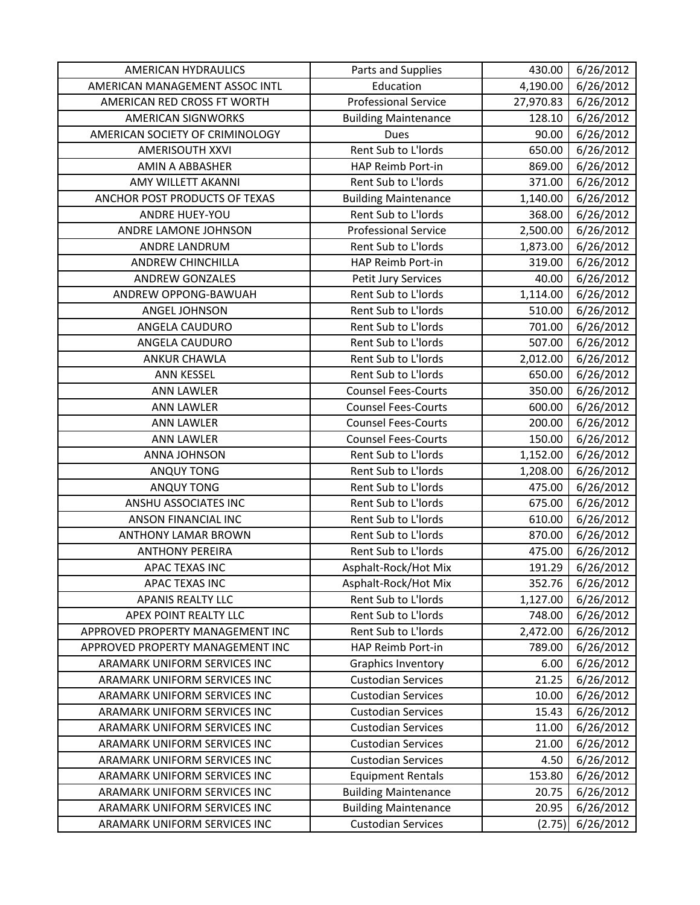| <b>AMERICAN HYDRAULICS</b>       | Parts and Supplies          | 430.00    | 6/26/2012 |
|----------------------------------|-----------------------------|-----------|-----------|
| AMERICAN MANAGEMENT ASSOC INTL   | Education                   | 4,190.00  | 6/26/2012 |
| AMERICAN RED CROSS FT WORTH      | <b>Professional Service</b> | 27,970.83 | 6/26/2012 |
| <b>AMERICAN SIGNWORKS</b>        | <b>Building Maintenance</b> | 128.10    | 6/26/2012 |
| AMERICAN SOCIETY OF CRIMINOLOGY  | <b>Dues</b>                 | 90.00     | 6/26/2012 |
| <b>AMERISOUTH XXVI</b>           | Rent Sub to L'Iords         | 650.00    | 6/26/2012 |
| AMIN A ABBASHER                  | HAP Reimb Port-in           | 869.00    | 6/26/2012 |
| AMY WILLETT AKANNI               | Rent Sub to L'Iords         | 371.00    | 6/26/2012 |
| ANCHOR POST PRODUCTS OF TEXAS    | <b>Building Maintenance</b> | 1,140.00  | 6/26/2012 |
| ANDRE HUEY-YOU                   | Rent Sub to L'Iords         | 368.00    | 6/26/2012 |
| ANDRE LAMONE JOHNSON             | <b>Professional Service</b> | 2,500.00  | 6/26/2012 |
| ANDRE LANDRUM                    | Rent Sub to L'Iords         | 1,873.00  | 6/26/2012 |
| <b>ANDREW CHINCHILLA</b>         | HAP Reimb Port-in           | 319.00    | 6/26/2012 |
| <b>ANDREW GONZALES</b>           | Petit Jury Services         | 40.00     | 6/26/2012 |
| ANDREW OPPONG-BAWUAH             | Rent Sub to L'Iords         | 1,114.00  | 6/26/2012 |
| ANGEL JOHNSON                    | Rent Sub to L'Iords         | 510.00    | 6/26/2012 |
| ANGELA CAUDURO                   | Rent Sub to L'Iords         | 701.00    | 6/26/2012 |
| ANGELA CAUDURO                   | Rent Sub to L'Iords         | 507.00    | 6/26/2012 |
| <b>ANKUR CHAWLA</b>              | Rent Sub to L'Iords         | 2,012.00  | 6/26/2012 |
| <b>ANN KESSEL</b>                | Rent Sub to L'Iords         | 650.00    | 6/26/2012 |
| <b>ANN LAWLER</b>                | <b>Counsel Fees-Courts</b>  | 350.00    | 6/26/2012 |
| <b>ANN LAWLER</b>                | <b>Counsel Fees-Courts</b>  | 600.00    | 6/26/2012 |
| <b>ANN LAWLER</b>                | <b>Counsel Fees-Courts</b>  | 200.00    | 6/26/2012 |
| <b>ANN LAWLER</b>                | <b>Counsel Fees-Courts</b>  | 150.00    | 6/26/2012 |
| <b>ANNA JOHNSON</b>              | Rent Sub to L'Iords         | 1,152.00  | 6/26/2012 |
| <b>ANQUY TONG</b>                | Rent Sub to L'Iords         | 1,208.00  | 6/26/2012 |
| <b>ANQUY TONG</b>                | Rent Sub to L'Iords         | 475.00    | 6/26/2012 |
| ANSHU ASSOCIATES INC             | Rent Sub to L'Iords         | 675.00    | 6/26/2012 |
| <b>ANSON FINANCIAL INC</b>       | Rent Sub to L'Iords         | 610.00    | 6/26/2012 |
| <b>ANTHONY LAMAR BROWN</b>       | Rent Sub to L'Iords         | 870.00    | 6/26/2012 |
| <b>ANTHONY PEREIRA</b>           | Rent Sub to L'Iords         | 475.00    | 6/26/2012 |
| <b>APAC TEXAS INC</b>            | Asphalt-Rock/Hot Mix        | 191.29    | 6/26/2012 |
| APAC TEXAS INC                   | Asphalt-Rock/Hot Mix        | 352.76    | 6/26/2012 |
| <b>APANIS REALTY LLC</b>         | Rent Sub to L'Iords         | 1,127.00  | 6/26/2012 |
| APEX POINT REALTY LLC            | Rent Sub to L'Iords         | 748.00    | 6/26/2012 |
| APPROVED PROPERTY MANAGEMENT INC | Rent Sub to L'Iords         | 2,472.00  | 6/26/2012 |
| APPROVED PROPERTY MANAGEMENT INC | HAP Reimb Port-in           | 789.00    | 6/26/2012 |
| ARAMARK UNIFORM SERVICES INC     | <b>Graphics Inventory</b>   | 6.00      | 6/26/2012 |
| ARAMARK UNIFORM SERVICES INC     | <b>Custodian Services</b>   | 21.25     | 6/26/2012 |
| ARAMARK UNIFORM SERVICES INC     | <b>Custodian Services</b>   | 10.00     | 6/26/2012 |
| ARAMARK UNIFORM SERVICES INC     | <b>Custodian Services</b>   | 15.43     | 6/26/2012 |
| ARAMARK UNIFORM SERVICES INC     | <b>Custodian Services</b>   | 11.00     | 6/26/2012 |
| ARAMARK UNIFORM SERVICES INC     | <b>Custodian Services</b>   | 21.00     | 6/26/2012 |
| ARAMARK UNIFORM SERVICES INC     | <b>Custodian Services</b>   | 4.50      | 6/26/2012 |
| ARAMARK UNIFORM SERVICES INC     | <b>Equipment Rentals</b>    | 153.80    | 6/26/2012 |
| ARAMARK UNIFORM SERVICES INC     | <b>Building Maintenance</b> | 20.75     | 6/26/2012 |
| ARAMARK UNIFORM SERVICES INC     | <b>Building Maintenance</b> | 20.95     | 6/26/2012 |
| ARAMARK UNIFORM SERVICES INC     | <b>Custodian Services</b>   | (2.75)    | 6/26/2012 |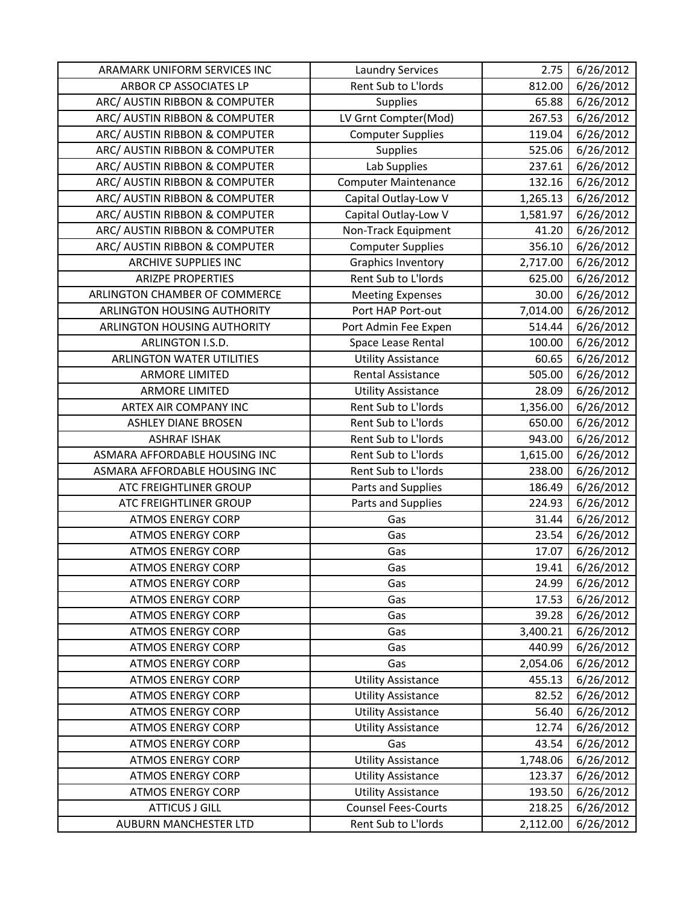| ARAMARK UNIFORM SERVICES INC     | <b>Laundry Services</b>     | 2.75     | 6/26/2012 |
|----------------------------------|-----------------------------|----------|-----------|
| ARBOR CP ASSOCIATES LP           | Rent Sub to L'Iords         | 812.00   | 6/26/2012 |
| ARC/ AUSTIN RIBBON & COMPUTER    | Supplies                    | 65.88    | 6/26/2012 |
| ARC/ AUSTIN RIBBON & COMPUTER    | LV Grnt Compter(Mod)        | 267.53   | 6/26/2012 |
| ARC/ AUSTIN RIBBON & COMPUTER    | <b>Computer Supplies</b>    | 119.04   | 6/26/2012 |
| ARC/ AUSTIN RIBBON & COMPUTER    | Supplies                    | 525.06   | 6/26/2012 |
| ARC/ AUSTIN RIBBON & COMPUTER    | Lab Supplies                | 237.61   | 6/26/2012 |
| ARC/ AUSTIN RIBBON & COMPUTER    | <b>Computer Maintenance</b> | 132.16   | 6/26/2012 |
| ARC/ AUSTIN RIBBON & COMPUTER    | Capital Outlay-Low V        | 1,265.13 | 6/26/2012 |
| ARC/ AUSTIN RIBBON & COMPUTER    | Capital Outlay-Low V        | 1,581.97 | 6/26/2012 |
| ARC/ AUSTIN RIBBON & COMPUTER    | Non-Track Equipment         | 41.20    | 6/26/2012 |
| ARC/ AUSTIN RIBBON & COMPUTER    | <b>Computer Supplies</b>    | 356.10   | 6/26/2012 |
| <b>ARCHIVE SUPPLIES INC</b>      | <b>Graphics Inventory</b>   | 2,717.00 | 6/26/2012 |
| <b>ARIZPE PROPERTIES</b>         | Rent Sub to L'Iords         | 625.00   | 6/26/2012 |
| ARLINGTON CHAMBER OF COMMERCE    | <b>Meeting Expenses</b>     | 30.00    | 6/26/2012 |
| ARLINGTON HOUSING AUTHORITY      | Port HAP Port-out           | 7,014.00 | 6/26/2012 |
| ARLINGTON HOUSING AUTHORITY      | Port Admin Fee Expen        | 514.44   | 6/26/2012 |
| ARLINGTON I.S.D.                 | Space Lease Rental          | 100.00   | 6/26/2012 |
| <b>ARLINGTON WATER UTILITIES</b> | <b>Utility Assistance</b>   | 60.65    | 6/26/2012 |
| <b>ARMORE LIMITED</b>            | <b>Rental Assistance</b>    | 505.00   | 6/26/2012 |
| <b>ARMORE LIMITED</b>            | <b>Utility Assistance</b>   | 28.09    | 6/26/2012 |
| ARTEX AIR COMPANY INC            | Rent Sub to L'Iords         | 1,356.00 | 6/26/2012 |
| <b>ASHLEY DIANE BROSEN</b>       | Rent Sub to L'Iords         | 650.00   | 6/26/2012 |
| <b>ASHRAF ISHAK</b>              | Rent Sub to L'Iords         | 943.00   | 6/26/2012 |
| ASMARA AFFORDABLE HOUSING INC    | Rent Sub to L'Iords         | 1,615.00 | 6/26/2012 |
| ASMARA AFFORDABLE HOUSING INC    | Rent Sub to L'Iords         | 238.00   | 6/26/2012 |
| ATC FREIGHTLINER GROUP           | Parts and Supplies          | 186.49   | 6/26/2012 |
| ATC FREIGHTLINER GROUP           | Parts and Supplies          | 224.93   | 6/26/2012 |
| <b>ATMOS ENERGY CORP</b>         | Gas                         | 31.44    | 6/26/2012 |
| <b>ATMOS ENERGY CORP</b>         | Gas                         | 23.54    | 6/26/2012 |
| <b>ATMOS ENERGY CORP</b>         | Gas                         | 17.07    | 6/26/2012 |
| <b>ATMOS ENERGY CORP</b>         | Gas                         | 19.41    | 6/26/2012 |
| <b>ATMOS ENERGY CORP</b>         | Gas                         | 24.99    | 6/26/2012 |
| <b>ATMOS ENERGY CORP</b>         | Gas                         | 17.53    | 6/26/2012 |
| <b>ATMOS ENERGY CORP</b>         | Gas                         | 39.28    | 6/26/2012 |
| <b>ATMOS ENERGY CORP</b>         | Gas                         | 3,400.21 | 6/26/2012 |
| <b>ATMOS ENERGY CORP</b>         | Gas                         | 440.99   | 6/26/2012 |
| <b>ATMOS ENERGY CORP</b>         | Gas                         | 2,054.06 | 6/26/2012 |
| <b>ATMOS ENERGY CORP</b>         | <b>Utility Assistance</b>   | 455.13   | 6/26/2012 |
| <b>ATMOS ENERGY CORP</b>         | <b>Utility Assistance</b>   | 82.52    | 6/26/2012 |
| <b>ATMOS ENERGY CORP</b>         | <b>Utility Assistance</b>   | 56.40    | 6/26/2012 |
| <b>ATMOS ENERGY CORP</b>         | <b>Utility Assistance</b>   | 12.74    | 6/26/2012 |
| <b>ATMOS ENERGY CORP</b>         | Gas                         | 43.54    | 6/26/2012 |
| <b>ATMOS ENERGY CORP</b>         | <b>Utility Assistance</b>   | 1,748.06 | 6/26/2012 |
| <b>ATMOS ENERGY CORP</b>         | <b>Utility Assistance</b>   | 123.37   | 6/26/2012 |
| <b>ATMOS ENERGY CORP</b>         | <b>Utility Assistance</b>   | 193.50   | 6/26/2012 |
| <b>ATTICUS J GILL</b>            | <b>Counsel Fees-Courts</b>  | 218.25   | 6/26/2012 |
| <b>AUBURN MANCHESTER LTD</b>     | Rent Sub to L'Iords         | 2,112.00 | 6/26/2012 |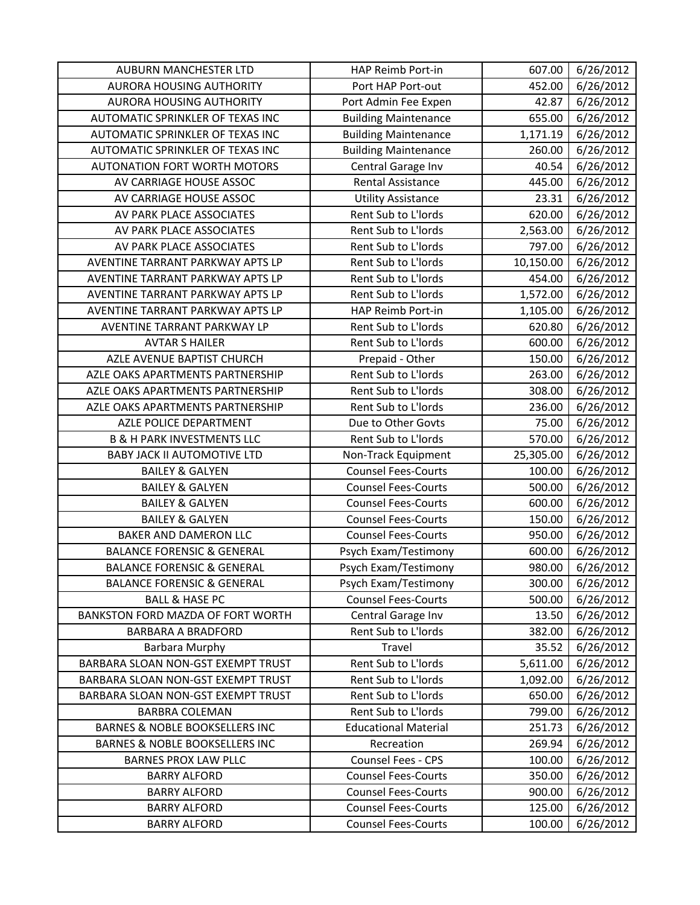| <b>AUBURN MANCHESTER LTD</b>              | HAP Reimb Port-in           | 607.00    | 6/26/2012 |
|-------------------------------------------|-----------------------------|-----------|-----------|
| <b>AURORA HOUSING AUTHORITY</b>           | Port HAP Port-out           | 452.00    | 6/26/2012 |
| AURORA HOUSING AUTHORITY                  | Port Admin Fee Expen        | 42.87     | 6/26/2012 |
| AUTOMATIC SPRINKLER OF TEXAS INC          | <b>Building Maintenance</b> | 655.00    | 6/26/2012 |
| AUTOMATIC SPRINKLER OF TEXAS INC          | <b>Building Maintenance</b> | 1,171.19  | 6/26/2012 |
| AUTOMATIC SPRINKLER OF TEXAS INC          | <b>Building Maintenance</b> | 260.00    | 6/26/2012 |
| <b>AUTONATION FORT WORTH MOTORS</b>       | Central Garage Inv          | 40.54     | 6/26/2012 |
| AV CARRIAGE HOUSE ASSOC                   | <b>Rental Assistance</b>    | 445.00    | 6/26/2012 |
| AV CARRIAGE HOUSE ASSOC                   | <b>Utility Assistance</b>   | 23.31     | 6/26/2012 |
| AV PARK PLACE ASSOCIATES                  | Rent Sub to L'Iords         | 620.00    | 6/26/2012 |
| AV PARK PLACE ASSOCIATES                  | Rent Sub to L'Iords         | 2,563.00  | 6/26/2012 |
| AV PARK PLACE ASSOCIATES                  | Rent Sub to L'Iords         | 797.00    | 6/26/2012 |
| AVENTINE TARRANT PARKWAY APTS LP          | Rent Sub to L'Iords         | 10,150.00 | 6/26/2012 |
| AVENTINE TARRANT PARKWAY APTS LP          | Rent Sub to L'Iords         | 454.00    | 6/26/2012 |
| AVENTINE TARRANT PARKWAY APTS LP          | Rent Sub to L'Iords         | 1,572.00  | 6/26/2012 |
| AVENTINE TARRANT PARKWAY APTS LP          | HAP Reimb Port-in           | 1,105.00  | 6/26/2012 |
| AVENTINE TARRANT PARKWAY LP               | Rent Sub to L'Iords         | 620.80    | 6/26/2012 |
| <b>AVTAR S HAILER</b>                     | Rent Sub to L'Iords         | 600.00    | 6/26/2012 |
| AZLE AVENUE BAPTIST CHURCH                | Prepaid - Other             | 150.00    | 6/26/2012 |
| AZLE OAKS APARTMENTS PARTNERSHIP          | Rent Sub to L'Iords         | 263.00    | 6/26/2012 |
| AZLE OAKS APARTMENTS PARTNERSHIP          | Rent Sub to L'Iords         | 308.00    | 6/26/2012 |
| AZLE OAKS APARTMENTS PARTNERSHIP          | Rent Sub to L'Iords         | 236.00    | 6/26/2012 |
| AZLE POLICE DEPARTMENT                    | Due to Other Govts          | 75.00     | 6/26/2012 |
| <b>B &amp; H PARK INVESTMENTS LLC</b>     | Rent Sub to L'Iords         | 570.00    | 6/26/2012 |
| <b>BABY JACK II AUTOMOTIVE LTD</b>        | Non-Track Equipment         | 25,305.00 | 6/26/2012 |
| <b>BAILEY &amp; GALYEN</b>                | <b>Counsel Fees-Courts</b>  | 100.00    | 6/26/2012 |
| <b>BAILEY &amp; GALYEN</b>                | <b>Counsel Fees-Courts</b>  | 500.00    | 6/26/2012 |
| <b>BAILEY &amp; GALYEN</b>                | <b>Counsel Fees-Courts</b>  | 600.00    | 6/26/2012 |
| <b>BAILEY &amp; GALYEN</b>                | <b>Counsel Fees-Courts</b>  | 150.00    | 6/26/2012 |
| <b>BAKER AND DAMERON LLC</b>              | <b>Counsel Fees-Courts</b>  | 950.00    | 6/26/2012 |
| <b>BALANCE FORENSIC &amp; GENERAL</b>     | Psych Exam/Testimony        | 600.00    | 6/26/2012 |
| <b>BALANCE FORENSIC &amp; GENERAL</b>     | Psych Exam/Testimony        | 980.00    | 6/26/2012 |
| <b>BALANCE FORENSIC &amp; GENERAL</b>     | Psych Exam/Testimony        | 300.00    | 6/26/2012 |
| <b>BALL &amp; HASE PC</b>                 | <b>Counsel Fees-Courts</b>  | 500.00    | 6/26/2012 |
| BANKSTON FORD MAZDA OF FORT WORTH         | Central Garage Inv          | 13.50     | 6/26/2012 |
| <b>BARBARA A BRADFORD</b>                 | Rent Sub to L'Iords         | 382.00    | 6/26/2012 |
| Barbara Murphy                            | Travel                      | 35.52     | 6/26/2012 |
| BARBARA SLOAN NON-GST EXEMPT TRUST        | Rent Sub to L'Iords         | 5,611.00  | 6/26/2012 |
| BARBARA SLOAN NON-GST EXEMPT TRUST        | Rent Sub to L'Iords         | 1,092.00  | 6/26/2012 |
| BARBARA SLOAN NON-GST EXEMPT TRUST        | Rent Sub to L'Iords         | 650.00    | 6/26/2012 |
| <b>BARBRA COLEMAN</b>                     | Rent Sub to L'Iords         | 799.00    | 6/26/2012 |
| <b>BARNES &amp; NOBLE BOOKSELLERS INC</b> | <b>Educational Material</b> | 251.73    | 6/26/2012 |
| <b>BARNES &amp; NOBLE BOOKSELLERS INC</b> | Recreation                  | 269.94    | 6/26/2012 |
| <b>BARNES PROX LAW PLLC</b>               | Counsel Fees - CPS          | 100.00    | 6/26/2012 |
| <b>BARRY ALFORD</b>                       | <b>Counsel Fees-Courts</b>  | 350.00    | 6/26/2012 |
| <b>BARRY ALFORD</b>                       | <b>Counsel Fees-Courts</b>  | 900.00    | 6/26/2012 |
| <b>BARRY ALFORD</b>                       | <b>Counsel Fees-Courts</b>  | 125.00    | 6/26/2012 |
| <b>BARRY ALFORD</b>                       | <b>Counsel Fees-Courts</b>  | 100.00    | 6/26/2012 |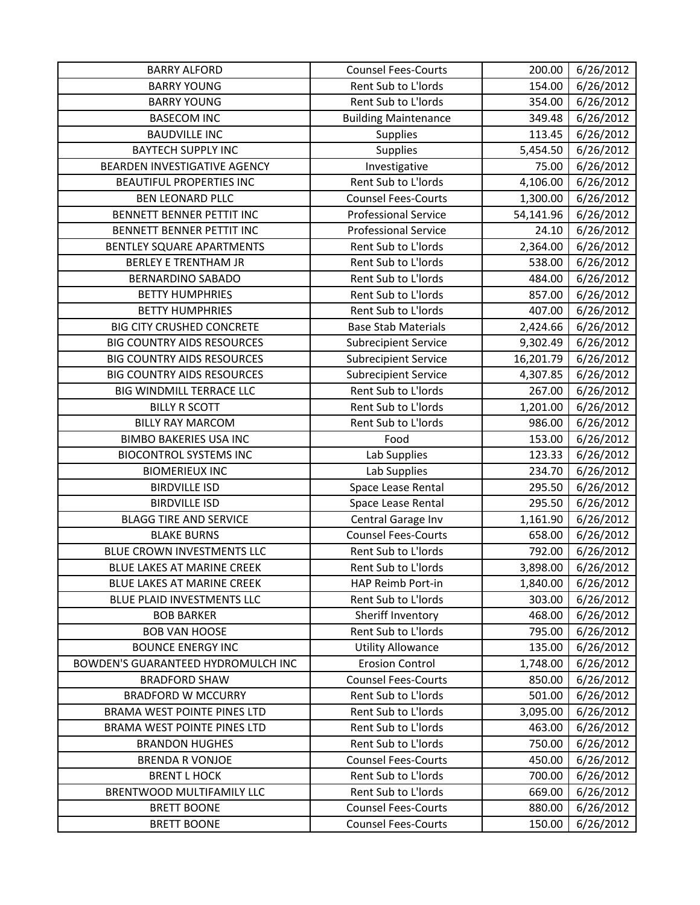| <b>BARRY ALFORD</b>                | <b>Counsel Fees-Courts</b>  | 200.00    | 6/26/2012 |
|------------------------------------|-----------------------------|-----------|-----------|
| <b>BARRY YOUNG</b>                 | Rent Sub to L'Iords         | 154.00    | 6/26/2012 |
| <b>BARRY YOUNG</b>                 | Rent Sub to L'Iords         | 354.00    | 6/26/2012 |
| <b>BASECOM INC</b>                 | <b>Building Maintenance</b> | 349.48    | 6/26/2012 |
| <b>BAUDVILLE INC</b>               | <b>Supplies</b>             | 113.45    | 6/26/2012 |
| <b>BAYTECH SUPPLY INC</b>          | Supplies                    | 5,454.50  | 6/26/2012 |
| BEARDEN INVESTIGATIVE AGENCY       | Investigative               | 75.00     | 6/26/2012 |
| <b>BEAUTIFUL PROPERTIES INC</b>    | Rent Sub to L'Iords         | 4,106.00  | 6/26/2012 |
| <b>BEN LEONARD PLLC</b>            | <b>Counsel Fees-Courts</b>  | 1,300.00  | 6/26/2012 |
| BENNETT BENNER PETTIT INC          | <b>Professional Service</b> | 54,141.96 | 6/26/2012 |
| BENNETT BENNER PETTIT INC          | <b>Professional Service</b> | 24.10     | 6/26/2012 |
| BENTLEY SQUARE APARTMENTS          | Rent Sub to L'Iords         | 2,364.00  | 6/26/2012 |
| <b>BERLEY E TRENTHAM JR</b>        | Rent Sub to L'Iords         | 538.00    | 6/26/2012 |
| <b>BERNARDINO SABADO</b>           | Rent Sub to L'Iords         | 484.00    | 6/26/2012 |
| <b>BETTY HUMPHRIES</b>             | Rent Sub to L'Iords         | 857.00    | 6/26/2012 |
| <b>BETTY HUMPHRIES</b>             | Rent Sub to L'Iords         | 407.00    | 6/26/2012 |
| <b>BIG CITY CRUSHED CONCRETE</b>   | <b>Base Stab Materials</b>  | 2,424.66  | 6/26/2012 |
| <b>BIG COUNTRY AIDS RESOURCES</b>  | <b>Subrecipient Service</b> | 9,302.49  | 6/26/2012 |
| <b>BIG COUNTRY AIDS RESOURCES</b>  | <b>Subrecipient Service</b> | 16,201.79 | 6/26/2012 |
| <b>BIG COUNTRY AIDS RESOURCES</b>  | <b>Subrecipient Service</b> | 4,307.85  | 6/26/2012 |
| BIG WINDMILL TERRACE LLC           | Rent Sub to L'Iords         | 267.00    | 6/26/2012 |
| <b>BILLY R SCOTT</b>               | Rent Sub to L'Iords         | 1,201.00  | 6/26/2012 |
| <b>BILLY RAY MARCOM</b>            | Rent Sub to L'Iords         | 986.00    | 6/26/2012 |
| <b>BIMBO BAKERIES USA INC</b>      | Food                        | 153.00    | 6/26/2012 |
| <b>BIOCONTROL SYSTEMS INC</b>      | Lab Supplies                | 123.33    | 6/26/2012 |
| <b>BIOMERIEUX INC</b>              | Lab Supplies                | 234.70    | 6/26/2012 |
| <b>BIRDVILLE ISD</b>               | Space Lease Rental          | 295.50    | 6/26/2012 |
| <b>BIRDVILLE ISD</b>               | Space Lease Rental          | 295.50    | 6/26/2012 |
| <b>BLAGG TIRE AND SERVICE</b>      | Central Garage Inv          | 1,161.90  | 6/26/2012 |
| <b>BLAKE BURNS</b>                 | <b>Counsel Fees-Courts</b>  | 658.00    | 6/26/2012 |
| BLUE CROWN INVESTMENTS LLC         | Rent Sub to L'Iords         | 792.00    | 6/26/2012 |
| BLUE LAKES AT MARINE CREEK         | Rent Sub to L'Iords         | 3,898.00  | 6/26/2012 |
| BLUE LAKES AT MARINE CREEK         | HAP Reimb Port-in           | 1,840.00  | 6/26/2012 |
| BLUE PLAID INVESTMENTS LLC         | Rent Sub to L'Iords         | 303.00    | 6/26/2012 |
| <b>BOB BARKER</b>                  | Sheriff Inventory           | 468.00    | 6/26/2012 |
| <b>BOB VAN HOOSE</b>               | Rent Sub to L'Iords         | 795.00    | 6/26/2012 |
| <b>BOUNCE ENERGY INC</b>           | <b>Utility Allowance</b>    | 135.00    | 6/26/2012 |
| BOWDEN'S GUARANTEED HYDROMULCH INC | <b>Erosion Control</b>      | 1,748.00  | 6/26/2012 |
| <b>BRADFORD SHAW</b>               | <b>Counsel Fees-Courts</b>  | 850.00    | 6/26/2012 |
| <b>BRADFORD W MCCURRY</b>          | Rent Sub to L'Iords         | 501.00    | 6/26/2012 |
| BRAMA WEST POINTE PINES LTD        | Rent Sub to L'Iords         | 3,095.00  | 6/26/2012 |
| BRAMA WEST POINTE PINES LTD        | Rent Sub to L'Iords         | 463.00    | 6/26/2012 |
| <b>BRANDON HUGHES</b>              | Rent Sub to L'Iords         | 750.00    | 6/26/2012 |
| <b>BRENDA R VONJOE</b>             | <b>Counsel Fees-Courts</b>  | 450.00    | 6/26/2012 |
| <b>BRENT L HOCK</b>                | Rent Sub to L'Iords         | 700.00    | 6/26/2012 |
| BRENTWOOD MULTIFAMILY LLC          | Rent Sub to L'Iords         | 669.00    | 6/26/2012 |
| <b>BRETT BOONE</b>                 | <b>Counsel Fees-Courts</b>  | 880.00    | 6/26/2012 |
| <b>BRETT BOONE</b>                 | <b>Counsel Fees-Courts</b>  | 150.00    | 6/26/2012 |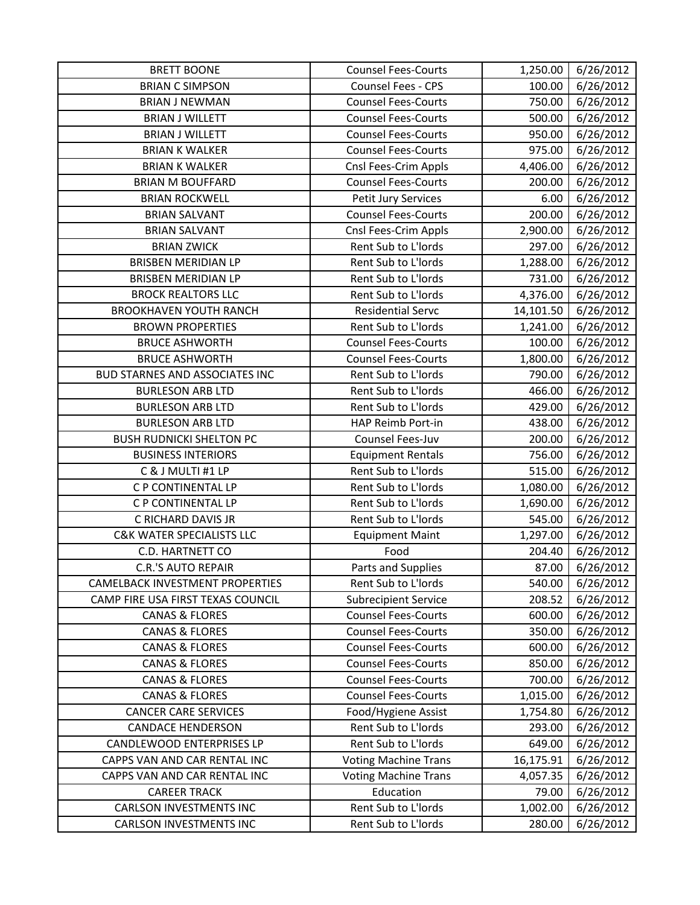| <b>BRETT BOONE</b>                     | <b>Counsel Fees-Courts</b>  | 1,250.00  | 6/26/2012 |
|----------------------------------------|-----------------------------|-----------|-----------|
| <b>BRIAN C SIMPSON</b>                 | Counsel Fees - CPS          | 100.00    | 6/26/2012 |
| <b>BRIAN J NEWMAN</b>                  | <b>Counsel Fees-Courts</b>  | 750.00    | 6/26/2012 |
| <b>BRIAN J WILLETT</b>                 | <b>Counsel Fees-Courts</b>  | 500.00    | 6/26/2012 |
| <b>BRIAN J WILLETT</b>                 | <b>Counsel Fees-Courts</b>  | 950.00    | 6/26/2012 |
| <b>BRIAN K WALKER</b>                  | <b>Counsel Fees-Courts</b>  | 975.00    | 6/26/2012 |
| <b>BRIAN K WALKER</b>                  | Cnsl Fees-Crim Appls        | 4,406.00  | 6/26/2012 |
| <b>BRIAN M BOUFFARD</b>                | <b>Counsel Fees-Courts</b>  | 200.00    | 6/26/2012 |
| <b>BRIAN ROCKWELL</b>                  | Petit Jury Services         | 6.00      | 6/26/2012 |
| <b>BRIAN SALVANT</b>                   | <b>Counsel Fees-Courts</b>  | 200.00    | 6/26/2012 |
| <b>BRIAN SALVANT</b>                   | Cnsl Fees-Crim Appls        | 2,900.00  | 6/26/2012 |
| <b>BRIAN ZWICK</b>                     | Rent Sub to L'Iords         | 297.00    | 6/26/2012 |
| <b>BRISBEN MERIDIAN LP</b>             | Rent Sub to L'Iords         | 1,288.00  | 6/26/2012 |
| <b>BRISBEN MERIDIAN LP</b>             | Rent Sub to L'Iords         | 731.00    | 6/26/2012 |
| <b>BROCK REALTORS LLC</b>              | Rent Sub to L'Iords         | 4,376.00  | 6/26/2012 |
| <b>BROOKHAVEN YOUTH RANCH</b>          | <b>Residential Servc</b>    | 14,101.50 | 6/26/2012 |
| <b>BROWN PROPERTIES</b>                | Rent Sub to L'Iords         | 1,241.00  | 6/26/2012 |
| <b>BRUCE ASHWORTH</b>                  | <b>Counsel Fees-Courts</b>  | 100.00    | 6/26/2012 |
| <b>BRUCE ASHWORTH</b>                  | <b>Counsel Fees-Courts</b>  | 1,800.00  | 6/26/2012 |
| <b>BUD STARNES AND ASSOCIATES INC</b>  | Rent Sub to L'Iords         | 790.00    | 6/26/2012 |
| <b>BURLESON ARB LTD</b>                | Rent Sub to L'Iords         | 466.00    | 6/26/2012 |
| <b>BURLESON ARB LTD</b>                | Rent Sub to L'Iords         | 429.00    | 6/26/2012 |
| <b>BURLESON ARB LTD</b>                | HAP Reimb Port-in           | 438.00    | 6/26/2012 |
| <b>BUSH RUDNICKI SHELTON PC</b>        | Counsel Fees-Juv            | 200.00    | 6/26/2012 |
| <b>BUSINESS INTERIORS</b>              | <b>Equipment Rentals</b>    | 756.00    | 6/26/2012 |
| C & J MULTI #1 LP                      | Rent Sub to L'Iords         | 515.00    | 6/26/2012 |
| C P CONTINENTAL LP                     | Rent Sub to L'Iords         | 1,080.00  | 6/26/2012 |
| C P CONTINENTAL LP                     | Rent Sub to L'Iords         | 1,690.00  | 6/26/2012 |
| C RICHARD DAVIS JR                     | Rent Sub to L'Iords         | 545.00    | 6/26/2012 |
| <b>C&amp;K WATER SPECIALISTS LLC</b>   | <b>Equipment Maint</b>      | 1,297.00  | 6/26/2012 |
| C.D. HARTNETT CO                       | Food                        | 204.40    | 6/26/2012 |
| <b>C.R.'S AUTO REPAIR</b>              | Parts and Supplies          | 87.00     | 6/26/2012 |
| <b>CAMELBACK INVESTMENT PROPERTIES</b> | Rent Sub to L'Iords         | 540.00    | 6/26/2012 |
| CAMP FIRE USA FIRST TEXAS COUNCIL      | <b>Subrecipient Service</b> | 208.52    | 6/26/2012 |
| <b>CANAS &amp; FLORES</b>              | <b>Counsel Fees-Courts</b>  | 600.00    | 6/26/2012 |
| <b>CANAS &amp; FLORES</b>              | <b>Counsel Fees-Courts</b>  | 350.00    | 6/26/2012 |
| <b>CANAS &amp; FLORES</b>              | <b>Counsel Fees-Courts</b>  | 600.00    | 6/26/2012 |
| <b>CANAS &amp; FLORES</b>              | <b>Counsel Fees-Courts</b>  | 850.00    | 6/26/2012 |
| <b>CANAS &amp; FLORES</b>              | <b>Counsel Fees-Courts</b>  | 700.00    | 6/26/2012 |
| <b>CANAS &amp; FLORES</b>              | <b>Counsel Fees-Courts</b>  | 1,015.00  | 6/26/2012 |
| <b>CANCER CARE SERVICES</b>            | Food/Hygiene Assist         | 1,754.80  | 6/26/2012 |
| <b>CANDACE HENDERSON</b>               | Rent Sub to L'Iords         | 293.00    | 6/26/2012 |
| CANDLEWOOD ENTERPRISES LP              | Rent Sub to L'Iords         | 649.00    | 6/26/2012 |
| CAPPS VAN AND CAR RENTAL INC           | <b>Voting Machine Trans</b> | 16,175.91 | 6/26/2012 |
| CAPPS VAN AND CAR RENTAL INC           | <b>Voting Machine Trans</b> | 4,057.35  | 6/26/2012 |
| <b>CAREER TRACK</b>                    | Education                   | 79.00     | 6/26/2012 |
| <b>CARLSON INVESTMENTS INC</b>         | Rent Sub to L'Iords         | 1,002.00  | 6/26/2012 |
| <b>CARLSON INVESTMENTS INC</b>         | Rent Sub to L'Iords         | 280.00    | 6/26/2012 |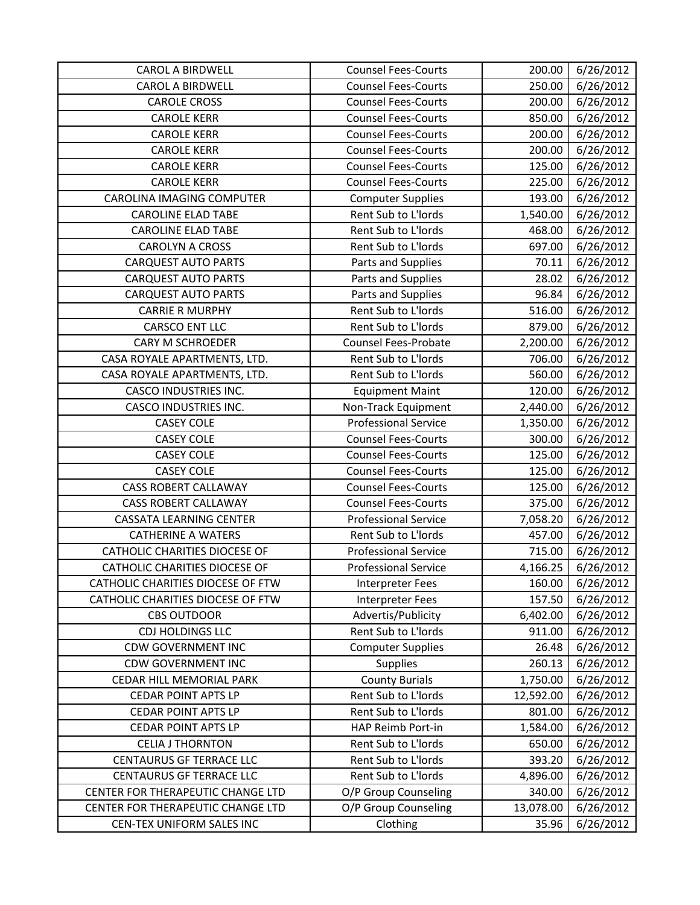| <b>CAROL A BIRDWELL</b>              | <b>Counsel Fees-Courts</b>  | 200.00    | 6/26/2012 |
|--------------------------------------|-----------------------------|-----------|-----------|
| <b>CAROL A BIRDWELL</b>              | <b>Counsel Fees-Courts</b>  | 250.00    | 6/26/2012 |
| <b>CAROLE CROSS</b>                  | <b>Counsel Fees-Courts</b>  | 200.00    | 6/26/2012 |
| <b>CAROLE KERR</b>                   | <b>Counsel Fees-Courts</b>  | 850.00    | 6/26/2012 |
| <b>CAROLE KERR</b>                   | <b>Counsel Fees-Courts</b>  | 200.00    | 6/26/2012 |
| <b>CAROLE KERR</b>                   | <b>Counsel Fees-Courts</b>  | 200.00    | 6/26/2012 |
| <b>CAROLE KERR</b>                   | <b>Counsel Fees-Courts</b>  | 125.00    | 6/26/2012 |
| <b>CAROLE KERR</b>                   | <b>Counsel Fees-Courts</b>  | 225.00    | 6/26/2012 |
| <b>CAROLINA IMAGING COMPUTER</b>     | <b>Computer Supplies</b>    | 193.00    | 6/26/2012 |
| <b>CAROLINE ELAD TABE</b>            | Rent Sub to L'Iords         | 1,540.00  | 6/26/2012 |
| <b>CAROLINE ELAD TABE</b>            | Rent Sub to L'Iords         | 468.00    | 6/26/2012 |
| <b>CAROLYN A CROSS</b>               | Rent Sub to L'Iords         | 697.00    | 6/26/2012 |
| <b>CARQUEST AUTO PARTS</b>           | Parts and Supplies          | 70.11     | 6/26/2012 |
| <b>CARQUEST AUTO PARTS</b>           | Parts and Supplies          | 28.02     | 6/26/2012 |
| <b>CARQUEST AUTO PARTS</b>           | Parts and Supplies          | 96.84     | 6/26/2012 |
| <b>CARRIE R MURPHY</b>               | Rent Sub to L'Iords         | 516.00    | 6/26/2012 |
| <b>CARSCO ENT LLC</b>                | Rent Sub to L'Iords         | 879.00    | 6/26/2012 |
| <b>CARY M SCHROEDER</b>              | Counsel Fees-Probate        | 2,200.00  | 6/26/2012 |
| CASA ROYALE APARTMENTS, LTD.         | Rent Sub to L'Iords         | 706.00    | 6/26/2012 |
| CASA ROYALE APARTMENTS, LTD.         | Rent Sub to L'Iords         | 560.00    | 6/26/2012 |
| <b>CASCO INDUSTRIES INC.</b>         | <b>Equipment Maint</b>      | 120.00    | 6/26/2012 |
| CASCO INDUSTRIES INC.                | Non-Track Equipment         | 2,440.00  | 6/26/2012 |
| <b>CASEY COLE</b>                    | <b>Professional Service</b> | 1,350.00  | 6/26/2012 |
| <b>CASEY COLE</b>                    | <b>Counsel Fees-Courts</b>  | 300.00    | 6/26/2012 |
| <b>CASEY COLE</b>                    | <b>Counsel Fees-Courts</b>  | 125.00    | 6/26/2012 |
| <b>CASEY COLE</b>                    | <b>Counsel Fees-Courts</b>  | 125.00    | 6/26/2012 |
| <b>CASS ROBERT CALLAWAY</b>          | <b>Counsel Fees-Courts</b>  | 125.00    | 6/26/2012 |
| <b>CASS ROBERT CALLAWAY</b>          | <b>Counsel Fees-Courts</b>  | 375.00    | 6/26/2012 |
| <b>CASSATA LEARNING CENTER</b>       | <b>Professional Service</b> | 7,058.20  | 6/26/2012 |
| <b>CATHERINE A WATERS</b>            | Rent Sub to L'Iords         | 457.00    | 6/26/2012 |
| <b>CATHOLIC CHARITIES DIOCESE OF</b> | <b>Professional Service</b> | 715.00    | 6/26/2012 |
| CATHOLIC CHARITIES DIOCESE OF        | <b>Professional Service</b> | 4,166.25  | 6/26/2012 |
| CATHOLIC CHARITIES DIOCESE OF FTW    | <b>Interpreter Fees</b>     | 160.00    | 6/26/2012 |
| CATHOLIC CHARITIES DIOCESE OF FTW    | <b>Interpreter Fees</b>     | 157.50    | 6/26/2012 |
| <b>CBS OUTDOOR</b>                   | Advertis/Publicity          | 6,402.00  | 6/26/2012 |
| CDJ HOLDINGS LLC                     | Rent Sub to L'Iords         | 911.00    | 6/26/2012 |
| <b>CDW GOVERNMENT INC</b>            | <b>Computer Supplies</b>    | 26.48     | 6/26/2012 |
| <b>CDW GOVERNMENT INC</b>            | <b>Supplies</b>             | 260.13    | 6/26/2012 |
| CEDAR HILL MEMORIAL PARK             | <b>County Burials</b>       | 1,750.00  | 6/26/2012 |
| <b>CEDAR POINT APTS LP</b>           | Rent Sub to L'Iords         | 12,592.00 | 6/26/2012 |
| <b>CEDAR POINT APTS LP</b>           | Rent Sub to L'Iords         | 801.00    | 6/26/2012 |
| <b>CEDAR POINT APTS LP</b>           | HAP Reimb Port-in           | 1,584.00  | 6/26/2012 |
| <b>CELIA J THORNTON</b>              | Rent Sub to L'Iords         | 650.00    | 6/26/2012 |
| <b>CENTAURUS GF TERRACE LLC</b>      | Rent Sub to L'Iords         | 393.20    | 6/26/2012 |
| <b>CENTAURUS GF TERRACE LLC</b>      | Rent Sub to L'Iords         | 4,896.00  | 6/26/2012 |
| CENTER FOR THERAPEUTIC CHANGE LTD    | O/P Group Counseling        | 340.00    | 6/26/2012 |
| CENTER FOR THERAPEUTIC CHANGE LTD    | O/P Group Counseling        | 13,078.00 | 6/26/2012 |
| CEN-TEX UNIFORM SALES INC            | Clothing                    | 35.96     | 6/26/2012 |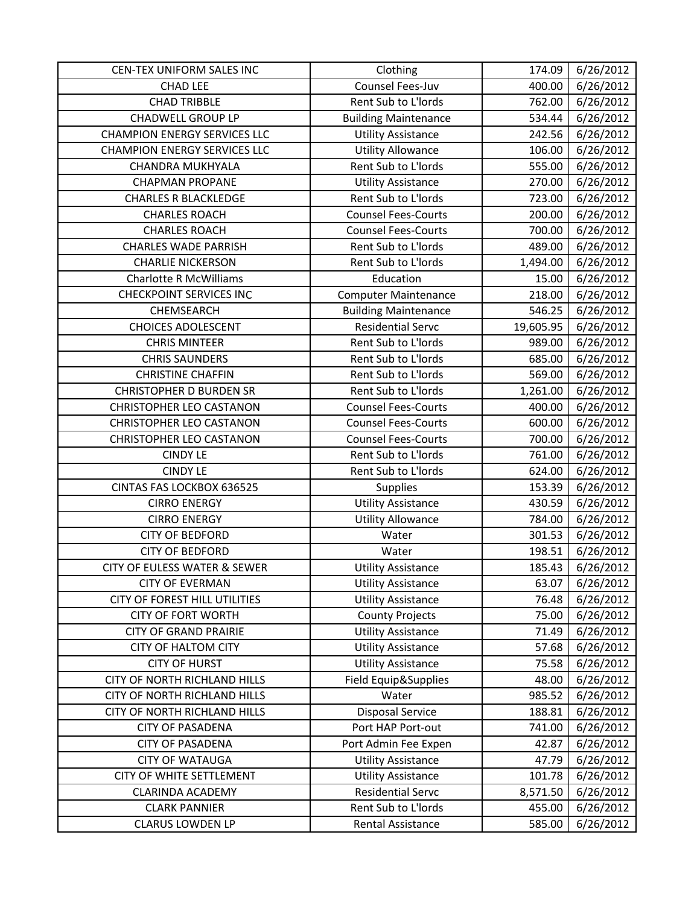| CEN-TEX UNIFORM SALES INC               | Clothing                    | 174.09    | 6/26/2012 |
|-----------------------------------------|-----------------------------|-----------|-----------|
| <b>CHAD LEE</b>                         | Counsel Fees-Juv            | 400.00    | 6/26/2012 |
| <b>CHAD TRIBBLE</b>                     | Rent Sub to L'Iords         | 762.00    | 6/26/2012 |
| <b>CHADWELL GROUP LP</b>                | <b>Building Maintenance</b> | 534.44    | 6/26/2012 |
| <b>CHAMPION ENERGY SERVICES LLC</b>     | <b>Utility Assistance</b>   | 242.56    | 6/26/2012 |
| <b>CHAMPION ENERGY SERVICES LLC</b>     | <b>Utility Allowance</b>    | 106.00    | 6/26/2012 |
| CHANDRA MUKHYALA                        | Rent Sub to L'Iords         | 555.00    | 6/26/2012 |
| <b>CHAPMAN PROPANE</b>                  | <b>Utility Assistance</b>   | 270.00    | 6/26/2012 |
| <b>CHARLES R BLACKLEDGE</b>             | Rent Sub to L'Iords         | 723.00    | 6/26/2012 |
| <b>CHARLES ROACH</b>                    | <b>Counsel Fees-Courts</b>  | 200.00    | 6/26/2012 |
| <b>CHARLES ROACH</b>                    | <b>Counsel Fees-Courts</b>  | 700.00    | 6/26/2012 |
| <b>CHARLES WADE PARRISH</b>             | Rent Sub to L'Iords         | 489.00    | 6/26/2012 |
| <b>CHARLIE NICKERSON</b>                | Rent Sub to L'Iords         | 1,494.00  | 6/26/2012 |
| <b>Charlotte R McWilliams</b>           | Education                   | 15.00     | 6/26/2012 |
| <b>CHECKPOINT SERVICES INC</b>          | <b>Computer Maintenance</b> | 218.00    | 6/26/2012 |
| CHEMSEARCH                              | <b>Building Maintenance</b> | 546.25    | 6/26/2012 |
| <b>CHOICES ADOLESCENT</b>               | <b>Residential Servc</b>    | 19,605.95 | 6/26/2012 |
| <b>CHRIS MINTEER</b>                    | Rent Sub to L'Iords         | 989.00    | 6/26/2012 |
| <b>CHRIS SAUNDERS</b>                   | Rent Sub to L'Iords         | 685.00    | 6/26/2012 |
| <b>CHRISTINE CHAFFIN</b>                | Rent Sub to L'Iords         | 569.00    | 6/26/2012 |
| <b>CHRISTOPHER D BURDEN SR</b>          | Rent Sub to L'Iords         | 1,261.00  | 6/26/2012 |
| <b>CHRISTOPHER LEO CASTANON</b>         | <b>Counsel Fees-Courts</b>  | 400.00    | 6/26/2012 |
| <b>CHRISTOPHER LEO CASTANON</b>         | <b>Counsel Fees-Courts</b>  | 600.00    | 6/26/2012 |
| <b>CHRISTOPHER LEO CASTANON</b>         | <b>Counsel Fees-Courts</b>  | 700.00    | 6/26/2012 |
| <b>CINDY LE</b>                         | Rent Sub to L'Iords         | 761.00    | 6/26/2012 |
| <b>CINDY LE</b>                         | Rent Sub to L'Iords         | 624.00    | 6/26/2012 |
| CINTAS FAS LOCKBOX 636525               | <b>Supplies</b>             | 153.39    | 6/26/2012 |
| <b>CIRRO ENERGY</b>                     | <b>Utility Assistance</b>   | 430.59    | 6/26/2012 |
| <b>CIRRO ENERGY</b>                     | <b>Utility Allowance</b>    | 784.00    | 6/26/2012 |
| <b>CITY OF BEDFORD</b>                  | Water                       | 301.53    | 6/26/2012 |
| <b>CITY OF BEDFORD</b>                  | Water                       | 198.51    | 6/26/2012 |
| <b>CITY OF EULESS WATER &amp; SEWER</b> | <b>Utility Assistance</b>   | 185.43    | 6/26/2012 |
| <b>CITY OF EVERMAN</b>                  | <b>Utility Assistance</b>   | 63.07     | 6/26/2012 |
| CITY OF FOREST HILL UTILITIES           | <b>Utility Assistance</b>   | 76.48     | 6/26/2012 |
| <b>CITY OF FORT WORTH</b>               | <b>County Projects</b>      | 75.00     | 6/26/2012 |
| <b>CITY OF GRAND PRAIRIE</b>            | <b>Utility Assistance</b>   | 71.49     | 6/26/2012 |
| <b>CITY OF HALTOM CITY</b>              | <b>Utility Assistance</b>   | 57.68     | 6/26/2012 |
| <b>CITY OF HURST</b>                    | <b>Utility Assistance</b>   | 75.58     | 6/26/2012 |
| CITY OF NORTH RICHLAND HILLS            | Field Equip&Supplies        | 48.00     | 6/26/2012 |
| <b>CITY OF NORTH RICHLAND HILLS</b>     | Water                       | 985.52    | 6/26/2012 |
| CITY OF NORTH RICHLAND HILLS            | <b>Disposal Service</b>     | 188.81    | 6/26/2012 |
| <b>CITY OF PASADENA</b>                 | Port HAP Port-out           | 741.00    | 6/26/2012 |
| <b>CITY OF PASADENA</b>                 | Port Admin Fee Expen        | 42.87     | 6/26/2012 |
| <b>CITY OF WATAUGA</b>                  | <b>Utility Assistance</b>   | 47.79     | 6/26/2012 |
| CITY OF WHITE SETTLEMENT                | <b>Utility Assistance</b>   | 101.78    | 6/26/2012 |
| <b>CLARINDA ACADEMY</b>                 | <b>Residential Servc</b>    | 8,571.50  | 6/26/2012 |
| <b>CLARK PANNIER</b>                    | Rent Sub to L'Iords         | 455.00    | 6/26/2012 |
| <b>CLARUS LOWDEN LP</b>                 | Rental Assistance           | 585.00    | 6/26/2012 |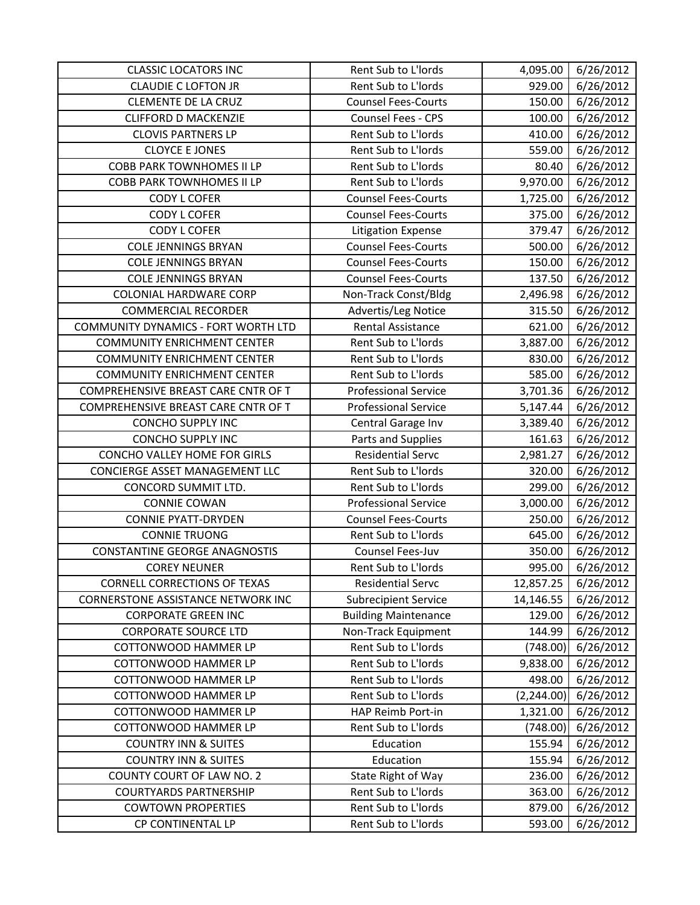| <b>CLASSIC LOCATORS INC</b>          | Rent Sub to L'Iords         | 4,095.00    | 6/26/2012 |
|--------------------------------------|-----------------------------|-------------|-----------|
| <b>CLAUDIE C LOFTON JR</b>           | Rent Sub to L'Iords         | 929.00      | 6/26/2012 |
| <b>CLEMENTE DE LA CRUZ</b>           | <b>Counsel Fees-Courts</b>  | 150.00      | 6/26/2012 |
| <b>CLIFFORD D MACKENZIE</b>          | Counsel Fees - CPS          | 100.00      | 6/26/2012 |
| <b>CLOVIS PARTNERS LP</b>            | Rent Sub to L'Iords         | 410.00      | 6/26/2012 |
| <b>CLOYCE E JONES</b>                | Rent Sub to L'Iords         | 559.00      | 6/26/2012 |
| <b>COBB PARK TOWNHOMES II LP</b>     | Rent Sub to L'Iords         | 80.40       | 6/26/2012 |
| <b>COBB PARK TOWNHOMES II LP</b>     | Rent Sub to L'Iords         | 9,970.00    | 6/26/2012 |
| <b>CODY L COFER</b>                  | <b>Counsel Fees-Courts</b>  | 1,725.00    | 6/26/2012 |
| <b>CODY L COFER</b>                  | <b>Counsel Fees-Courts</b>  | 375.00      | 6/26/2012 |
| <b>CODY L COFER</b>                  | <b>Litigation Expense</b>   | 379.47      | 6/26/2012 |
| <b>COLE JENNINGS BRYAN</b>           | <b>Counsel Fees-Courts</b>  | 500.00      | 6/26/2012 |
| <b>COLE JENNINGS BRYAN</b>           | <b>Counsel Fees-Courts</b>  | 150.00      | 6/26/2012 |
| <b>COLE JENNINGS BRYAN</b>           | <b>Counsel Fees-Courts</b>  | 137.50      | 6/26/2012 |
| <b>COLONIAL HARDWARE CORP</b>        | Non-Track Const/Bldg        | 2,496.98    | 6/26/2012 |
| <b>COMMERCIAL RECORDER</b>           | Advertis/Leg Notice         | 315.50      | 6/26/2012 |
| COMMUNITY DYNAMICS - FORT WORTH LTD  | Rental Assistance           | 621.00      | 6/26/2012 |
| <b>COMMUNITY ENRICHMENT CENTER</b>   | Rent Sub to L'Iords         | 3,887.00    | 6/26/2012 |
| <b>COMMUNITY ENRICHMENT CENTER</b>   | Rent Sub to L'Iords         | 830.00      | 6/26/2012 |
| <b>COMMUNITY ENRICHMENT CENTER</b>   | Rent Sub to L'Iords         | 585.00      | 6/26/2012 |
| COMPREHENSIVE BREAST CARE CNTR OF T  | <b>Professional Service</b> | 3,701.36    | 6/26/2012 |
| COMPREHENSIVE BREAST CARE CNTR OF T  | <b>Professional Service</b> | 5,147.44    | 6/26/2012 |
| <b>CONCHO SUPPLY INC</b>             | Central Garage Inv          | 3,389.40    | 6/26/2012 |
| <b>CONCHO SUPPLY INC</b>             | Parts and Supplies          | 161.63      | 6/26/2012 |
| CONCHO VALLEY HOME FOR GIRLS         | <b>Residential Servc</b>    | 2,981.27    | 6/26/2012 |
| CONCIERGE ASSET MANAGEMENT LLC       | Rent Sub to L'Iords         | 320.00      | 6/26/2012 |
| CONCORD SUMMIT LTD.                  | Rent Sub to L'Iords         | 299.00      | 6/26/2012 |
| <b>CONNIE COWAN</b>                  | <b>Professional Service</b> | 3,000.00    | 6/26/2012 |
| <b>CONNIE PYATT-DRYDEN</b>           | <b>Counsel Fees-Courts</b>  | 250.00      | 6/26/2012 |
| <b>CONNIE TRUONG</b>                 | Rent Sub to L'Iords         | 645.00      | 6/26/2012 |
| <b>CONSTANTINE GEORGE ANAGNOSTIS</b> | Counsel Fees-Juv            | 350.00      | 6/26/2012 |
| <b>COREY NEUNER</b>                  | Rent Sub to L'Iords         | 995.00      | 6/26/2012 |
| <b>CORNELL CORRECTIONS OF TEXAS</b>  | <b>Residential Servc</b>    | 12,857.25   | 6/26/2012 |
| CORNERSTONE ASSISTANCE NETWORK INC   | <b>Subrecipient Service</b> | 14,146.55   | 6/26/2012 |
| <b>CORPORATE GREEN INC</b>           | <b>Building Maintenance</b> | 129.00      | 6/26/2012 |
| <b>CORPORATE SOURCE LTD</b>          | Non-Track Equipment         | 144.99      | 6/26/2012 |
| <b>COTTONWOOD HAMMER LP</b>          | Rent Sub to L'Iords         | (748.00)    | 6/26/2012 |
| <b>COTTONWOOD HAMMER LP</b>          | Rent Sub to L'Iords         | 9,838.00    | 6/26/2012 |
| <b>COTTONWOOD HAMMER LP</b>          | Rent Sub to L'Iords         | 498.00      | 6/26/2012 |
| COTTONWOOD HAMMER LP                 | Rent Sub to L'Iords         | (2, 244.00) | 6/26/2012 |
| <b>COTTONWOOD HAMMER LP</b>          | HAP Reimb Port-in           | 1,321.00    | 6/26/2012 |
| <b>COTTONWOOD HAMMER LP</b>          | Rent Sub to L'Iords         | (748.00)    | 6/26/2012 |
| <b>COUNTRY INN &amp; SUITES</b>      | Education                   | 155.94      | 6/26/2012 |
| <b>COUNTRY INN &amp; SUITES</b>      | Education                   | 155.94      | 6/26/2012 |
| COUNTY COURT OF LAW NO. 2            | State Right of Way          | 236.00      | 6/26/2012 |
| <b>COURTYARDS PARTNERSHIP</b>        | Rent Sub to L'Iords         | 363.00      | 6/26/2012 |
| <b>COWTOWN PROPERTIES</b>            | Rent Sub to L'Iords         | 879.00      | 6/26/2012 |
| CP CONTINENTAL LP                    | Rent Sub to L'Iords         | 593.00      | 6/26/2012 |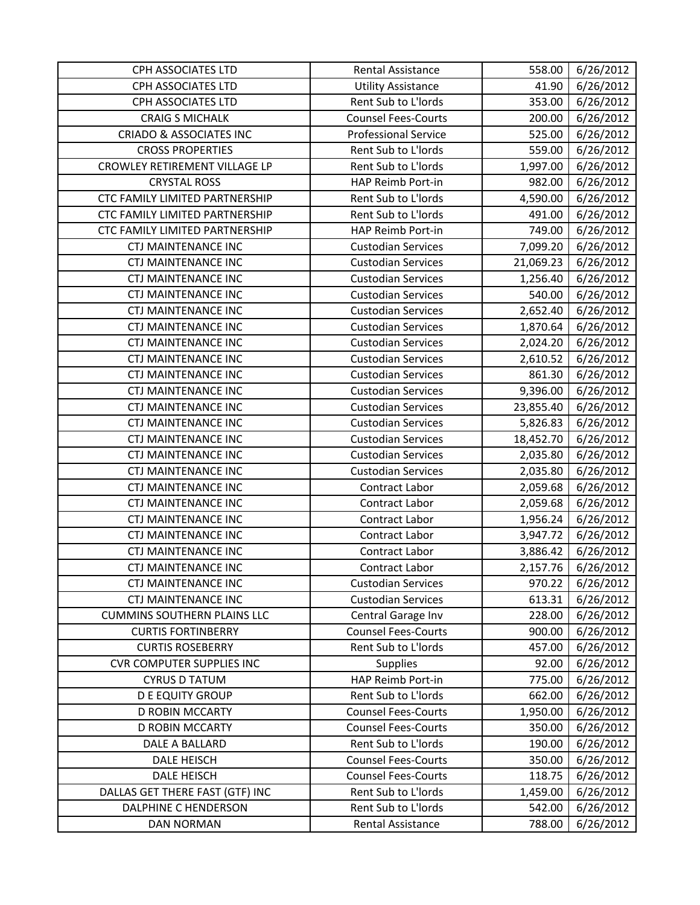| <b>CPH ASSOCIATES LTD</b>          | Rental Assistance           | 558.00    | 6/26/2012 |
|------------------------------------|-----------------------------|-----------|-----------|
| CPH ASSOCIATES LTD                 | <b>Utility Assistance</b>   | 41.90     | 6/26/2012 |
| CPH ASSOCIATES LTD                 | Rent Sub to L'Iords         | 353.00    | 6/26/2012 |
| <b>CRAIG S MICHALK</b>             | <b>Counsel Fees-Courts</b>  | 200.00    | 6/26/2012 |
| <b>CRIADO &amp; ASSOCIATES INC</b> | <b>Professional Service</b> | 525.00    | 6/26/2012 |
| <b>CROSS PROPERTIES</b>            | Rent Sub to L'Iords         | 559.00    | 6/26/2012 |
| CROWLEY RETIREMENT VILLAGE LP      | Rent Sub to L'Iords         | 1,997.00  | 6/26/2012 |
| <b>CRYSTAL ROSS</b>                | HAP Reimb Port-in           | 982.00    | 6/26/2012 |
| CTC FAMILY LIMITED PARTNERSHIP     | Rent Sub to L'Iords         | 4,590.00  | 6/26/2012 |
| CTC FAMILY LIMITED PARTNERSHIP     | Rent Sub to L'Iords         | 491.00    | 6/26/2012 |
| CTC FAMILY LIMITED PARTNERSHIP     | HAP Reimb Port-in           | 749.00    | 6/26/2012 |
| <b>CTJ MAINTENANCE INC</b>         | <b>Custodian Services</b>   | 7,099.20  | 6/26/2012 |
| <b>CTJ MAINTENANCE INC</b>         | <b>Custodian Services</b>   | 21,069.23 | 6/26/2012 |
| <b>CTJ MAINTENANCE INC</b>         | <b>Custodian Services</b>   | 1,256.40  | 6/26/2012 |
| <b>CTJ MAINTENANCE INC</b>         | <b>Custodian Services</b>   | 540.00    | 6/26/2012 |
| <b>CTJ MAINTENANCE INC</b>         | <b>Custodian Services</b>   | 2,652.40  | 6/26/2012 |
| <b>CTJ MAINTENANCE INC</b>         | <b>Custodian Services</b>   | 1,870.64  | 6/26/2012 |
| <b>CTJ MAINTENANCE INC</b>         | <b>Custodian Services</b>   | 2,024.20  | 6/26/2012 |
| <b>CTJ MAINTENANCE INC</b>         | <b>Custodian Services</b>   | 2,610.52  | 6/26/2012 |
| <b>CTJ MAINTENANCE INC</b>         | <b>Custodian Services</b>   | 861.30    | 6/26/2012 |
| CTJ MAINTENANCE INC                | <b>Custodian Services</b>   | 9,396.00  | 6/26/2012 |
| <b>CTJ MAINTENANCE INC</b>         | <b>Custodian Services</b>   | 23,855.40 | 6/26/2012 |
| <b>CTJ MAINTENANCE INC</b>         | <b>Custodian Services</b>   | 5,826.83  | 6/26/2012 |
| CTJ MAINTENANCE INC                | <b>Custodian Services</b>   | 18,452.70 | 6/26/2012 |
| <b>CTJ MAINTENANCE INC</b>         | <b>Custodian Services</b>   | 2,035.80  | 6/26/2012 |
| <b>CTJ MAINTENANCE INC</b>         | <b>Custodian Services</b>   | 2,035.80  | 6/26/2012 |
| CTJ MAINTENANCE INC                | Contract Labor              | 2,059.68  | 6/26/2012 |
| <b>CTJ MAINTENANCE INC</b>         | Contract Labor              | 2,059.68  | 6/26/2012 |
| <b>CTJ MAINTENANCE INC</b>         | Contract Labor              | 1,956.24  | 6/26/2012 |
| <b>CTJ MAINTENANCE INC</b>         | Contract Labor              | 3,947.72  | 6/26/2012 |
| <b>CTJ MAINTENANCE INC</b>         | Contract Labor              | 3,886.42  | 6/26/2012 |
| <b>CTJ MAINTENANCE INC</b>         | Contract Labor              | 2,157.76  | 6/26/2012 |
| <b>CTJ MAINTENANCE INC</b>         | <b>Custodian Services</b>   | 970.22    | 6/26/2012 |
| <b>CTJ MAINTENANCE INC</b>         | <b>Custodian Services</b>   | 613.31    | 6/26/2012 |
| <b>CUMMINS SOUTHERN PLAINS LLC</b> | Central Garage Inv          | 228.00    | 6/26/2012 |
| <b>CURTIS FORTINBERRY</b>          | <b>Counsel Fees-Courts</b>  | 900.00    | 6/26/2012 |
| <b>CURTIS ROSEBERRY</b>            | Rent Sub to L'Iords         | 457.00    | 6/26/2012 |
| <b>CVR COMPUTER SUPPLIES INC</b>   | <b>Supplies</b>             | 92.00     | 6/26/2012 |
| <b>CYRUS D TATUM</b>               | HAP Reimb Port-in           | 775.00    | 6/26/2012 |
| <b>D E EQUITY GROUP</b>            | Rent Sub to L'Iords         | 662.00    | 6/26/2012 |
| <b>D ROBIN MCCARTY</b>             | <b>Counsel Fees-Courts</b>  | 1,950.00  | 6/26/2012 |
| <b>D ROBIN MCCARTY</b>             | <b>Counsel Fees-Courts</b>  | 350.00    | 6/26/2012 |
| DALE A BALLARD                     | Rent Sub to L'Iords         | 190.00    | 6/26/2012 |
| <b>DALE HEISCH</b>                 | <b>Counsel Fees-Courts</b>  | 350.00    | 6/26/2012 |
| <b>DALE HEISCH</b>                 | <b>Counsel Fees-Courts</b>  | 118.75    | 6/26/2012 |
| DALLAS GET THERE FAST (GTF) INC    | Rent Sub to L'Iords         | 1,459.00  | 6/26/2012 |
| <b>DALPHINE C HENDERSON</b>        | Rent Sub to L'Iords         | 542.00    | 6/26/2012 |
| DAN NORMAN                         | Rental Assistance           | 788.00    | 6/26/2012 |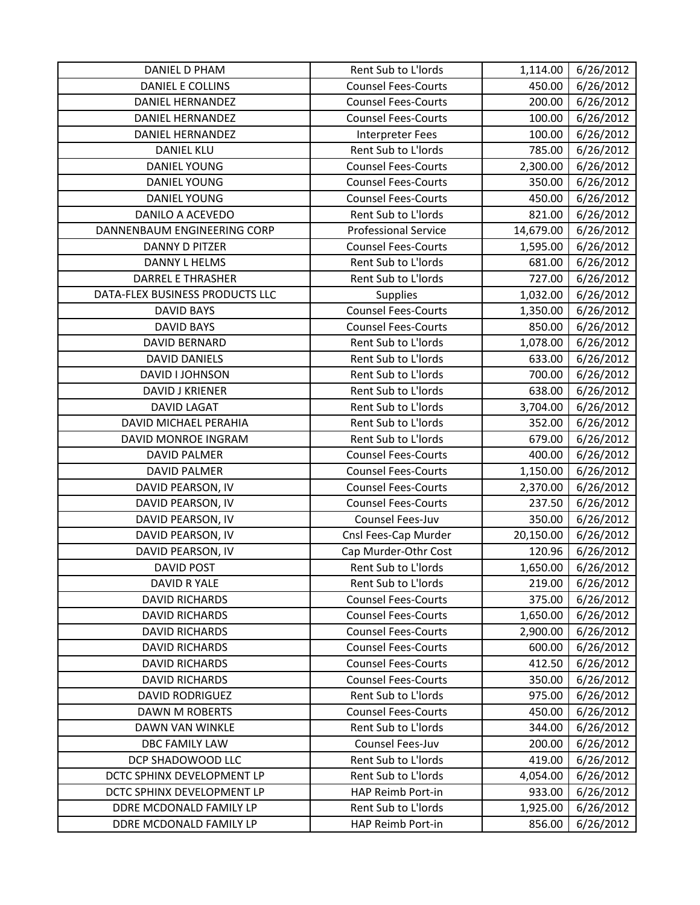| <b>DANIEL D PHAM</b>            | Rent Sub to L'Iords         | 1,114.00  | 6/26/2012 |
|---------------------------------|-----------------------------|-----------|-----------|
| DANIEL E COLLINS                | <b>Counsel Fees-Courts</b>  | 450.00    | 6/26/2012 |
| <b>DANIEL HERNANDEZ</b>         | <b>Counsel Fees-Courts</b>  | 200.00    | 6/26/2012 |
| <b>DANIEL HERNANDEZ</b>         | <b>Counsel Fees-Courts</b>  | 100.00    | 6/26/2012 |
| <b>DANIEL HERNANDEZ</b>         | <b>Interpreter Fees</b>     | 100.00    | 6/26/2012 |
| <b>DANIEL KLU</b>               | Rent Sub to L'Iords         | 785.00    | 6/26/2012 |
| DANIEL YOUNG                    | <b>Counsel Fees-Courts</b>  | 2,300.00  | 6/26/2012 |
| <b>DANIEL YOUNG</b>             | <b>Counsel Fees-Courts</b>  | 350.00    | 6/26/2012 |
| <b>DANIEL YOUNG</b>             | <b>Counsel Fees-Courts</b>  | 450.00    | 6/26/2012 |
| DANILO A ACEVEDO                | Rent Sub to L'Iords         | 821.00    | 6/26/2012 |
| DANNENBAUM ENGINEERING CORP     | <b>Professional Service</b> | 14,679.00 | 6/26/2012 |
| <b>DANNY D PITZER</b>           | <b>Counsel Fees-Courts</b>  | 1,595.00  | 6/26/2012 |
| DANNY L HELMS                   | Rent Sub to L'Iords         | 681.00    | 6/26/2012 |
| <b>DARREL E THRASHER</b>        | Rent Sub to L'Iords         | 727.00    | 6/26/2012 |
| DATA-FLEX BUSINESS PRODUCTS LLC | <b>Supplies</b>             | 1,032.00  | 6/26/2012 |
| <b>DAVID BAYS</b>               | <b>Counsel Fees-Courts</b>  | 1,350.00  | 6/26/2012 |
| <b>DAVID BAYS</b>               | <b>Counsel Fees-Courts</b>  | 850.00    | 6/26/2012 |
| DAVID BERNARD                   | Rent Sub to L'Iords         | 1,078.00  | 6/26/2012 |
| <b>DAVID DANIELS</b>            | Rent Sub to L'Iords         | 633.00    | 6/26/2012 |
| DAVID I JOHNSON                 | Rent Sub to L'Iords         | 700.00    | 6/26/2012 |
| <b>DAVID J KRIENER</b>          | Rent Sub to L'Iords         | 638.00    | 6/26/2012 |
| <b>DAVID LAGAT</b>              | Rent Sub to L'Iords         | 3,704.00  | 6/26/2012 |
| DAVID MICHAEL PERAHIA           | Rent Sub to L'Iords         | 352.00    | 6/26/2012 |
| DAVID MONROE INGRAM             | Rent Sub to L'Iords         | 679.00    | 6/26/2012 |
| <b>DAVID PALMER</b>             | <b>Counsel Fees-Courts</b>  | 400.00    | 6/26/2012 |
| <b>DAVID PALMER</b>             | <b>Counsel Fees-Courts</b>  | 1,150.00  | 6/26/2012 |
| DAVID PEARSON, IV               | <b>Counsel Fees-Courts</b>  | 2,370.00  | 6/26/2012 |
| DAVID PEARSON, IV               | <b>Counsel Fees-Courts</b>  | 237.50    | 6/26/2012 |
| DAVID PEARSON, IV               | Counsel Fees-Juv            | 350.00    | 6/26/2012 |
| DAVID PEARSON, IV               | Cnsl Fees-Cap Murder        | 20,150.00 | 6/26/2012 |
| DAVID PEARSON, IV               | Cap Murder-Othr Cost        | 120.96    | 6/26/2012 |
| <b>DAVID POST</b>               | Rent Sub to L'Iords         | 1,650.00  | 6/26/2012 |
| DAVID R YALE                    | Rent Sub to L'Iords         | 219.00    | 6/26/2012 |
| <b>DAVID RICHARDS</b>           | <b>Counsel Fees-Courts</b>  | 375.00    | 6/26/2012 |
| <b>DAVID RICHARDS</b>           | <b>Counsel Fees-Courts</b>  | 1,650.00  | 6/26/2012 |
| <b>DAVID RICHARDS</b>           | <b>Counsel Fees-Courts</b>  | 2,900.00  | 6/26/2012 |
| <b>DAVID RICHARDS</b>           | <b>Counsel Fees-Courts</b>  | 600.00    | 6/26/2012 |
| <b>DAVID RICHARDS</b>           | <b>Counsel Fees-Courts</b>  | 412.50    | 6/26/2012 |
| <b>DAVID RICHARDS</b>           | <b>Counsel Fees-Courts</b>  | 350.00    | 6/26/2012 |
| <b>DAVID RODRIGUEZ</b>          | Rent Sub to L'Iords         | 975.00    | 6/26/2012 |
| DAWN M ROBERTS                  | <b>Counsel Fees-Courts</b>  | 450.00    | 6/26/2012 |
| DAWN VAN WINKLE                 | Rent Sub to L'Iords         | 344.00    | 6/26/2012 |
| <b>DBC FAMILY LAW</b>           | Counsel Fees-Juv            | 200.00    | 6/26/2012 |
| DCP SHADOWOOD LLC               | Rent Sub to L'Iords         | 419.00    | 6/26/2012 |
| DCTC SPHINX DEVELOPMENT LP      | Rent Sub to L'Iords         | 4,054.00  | 6/26/2012 |
| DCTC SPHINX DEVELOPMENT LP      | HAP Reimb Port-in           | 933.00    | 6/26/2012 |
| DDRE MCDONALD FAMILY LP         | Rent Sub to L'Iords         | 1,925.00  | 6/26/2012 |
| DDRE MCDONALD FAMILY LP         | HAP Reimb Port-in           | 856.00    | 6/26/2012 |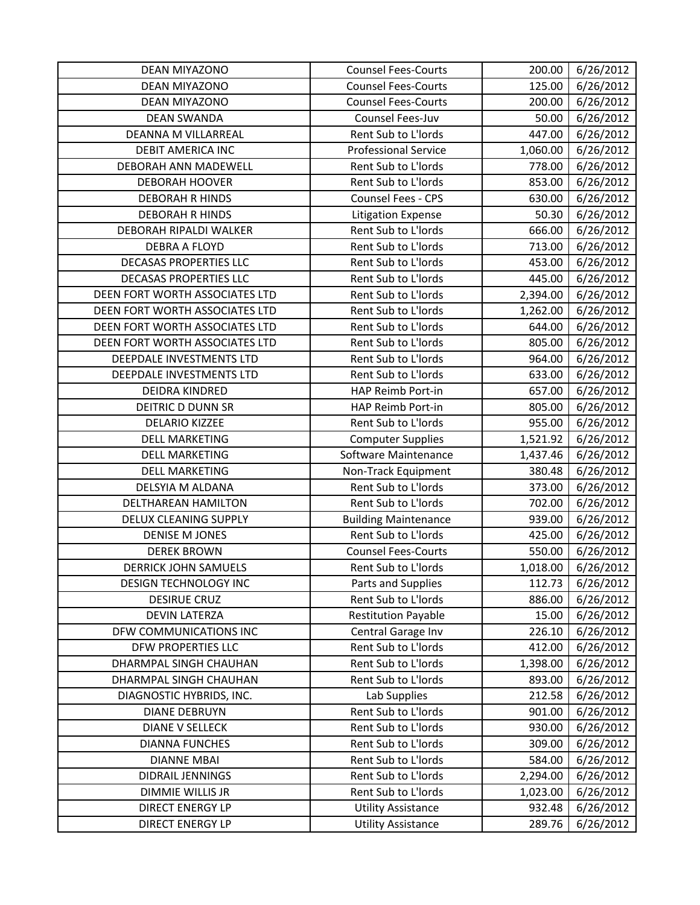| <b>DEAN MIYAZONO</b>           | <b>Counsel Fees-Courts</b>  | 200.00   | 6/26/2012 |
|--------------------------------|-----------------------------|----------|-----------|
| <b>DEAN MIYAZONO</b>           | <b>Counsel Fees-Courts</b>  | 125.00   | 6/26/2012 |
| DEAN MIYAZONO                  | <b>Counsel Fees-Courts</b>  | 200.00   | 6/26/2012 |
| <b>DEAN SWANDA</b>             | Counsel Fees-Juv            | 50.00    | 6/26/2012 |
| DEANNA M VILLARREAL            | Rent Sub to L'Iords         | 447.00   | 6/26/2012 |
| <b>DEBIT AMERICA INC</b>       | <b>Professional Service</b> | 1,060.00 | 6/26/2012 |
| DEBORAH ANN MADEWELL           | Rent Sub to L'Iords         | 778.00   | 6/26/2012 |
| <b>DEBORAH HOOVER</b>          | Rent Sub to L'Iords         | 853.00   | 6/26/2012 |
| <b>DEBORAH R HINDS</b>         | Counsel Fees - CPS          | 630.00   | 6/26/2012 |
| <b>DEBORAH R HINDS</b>         | <b>Litigation Expense</b>   | 50.30    | 6/26/2012 |
| DEBORAH RIPALDI WALKER         | Rent Sub to L'Iords         | 666.00   | 6/26/2012 |
| <b>DEBRA A FLOYD</b>           | Rent Sub to L'Iords         | 713.00   | 6/26/2012 |
| <b>DECASAS PROPERTIES LLC</b>  | Rent Sub to L'Iords         | 453.00   | 6/26/2012 |
| DECASAS PROPERTIES LLC         | Rent Sub to L'Iords         | 445.00   | 6/26/2012 |
| DEEN FORT WORTH ASSOCIATES LTD | Rent Sub to L'Iords         | 2,394.00 | 6/26/2012 |
| DEEN FORT WORTH ASSOCIATES LTD | Rent Sub to L'Iords         | 1,262.00 | 6/26/2012 |
| DEEN FORT WORTH ASSOCIATES LTD | Rent Sub to L'Iords         | 644.00   | 6/26/2012 |
| DEEN FORT WORTH ASSOCIATES LTD | Rent Sub to L'Iords         | 805.00   | 6/26/2012 |
| DEEPDALE INVESTMENTS LTD       | Rent Sub to L'Iords         | 964.00   | 6/26/2012 |
| DEEPDALE INVESTMENTS LTD       | Rent Sub to L'Iords         | 633.00   | 6/26/2012 |
| DEIDRA KINDRED                 | HAP Reimb Port-in           | 657.00   | 6/26/2012 |
| DEITRIC D DUNN SR              | HAP Reimb Port-in           | 805.00   | 6/26/2012 |
| <b>DELARIO KIZZEE</b>          | Rent Sub to L'Iords         | 955.00   | 6/26/2012 |
| <b>DELL MARKETING</b>          | <b>Computer Supplies</b>    | 1,521.92 | 6/26/2012 |
| <b>DELL MARKETING</b>          | Software Maintenance        | 1,437.46 | 6/26/2012 |
| <b>DELL MARKETING</b>          | Non-Track Equipment         | 380.48   | 6/26/2012 |
| DELSYIA M ALDANA               | Rent Sub to L'Iords         | 373.00   | 6/26/2012 |
| DELTHAREAN HAMILTON            | Rent Sub to L'Iords         | 702.00   | 6/26/2012 |
| <b>DELUX CLEANING SUPPLY</b>   | <b>Building Maintenance</b> | 939.00   | 6/26/2012 |
| <b>DENISE M JONES</b>          | Rent Sub to L'Iords         | 425.00   | 6/26/2012 |
| <b>DEREK BROWN</b>             | <b>Counsel Fees-Courts</b>  | 550.00   | 6/26/2012 |
| <b>DERRICK JOHN SAMUELS</b>    | Rent Sub to L'Iords         | 1,018.00 | 6/26/2012 |
| <b>DESIGN TECHNOLOGY INC</b>   | Parts and Supplies          | 112.73   | 6/26/2012 |
| <b>DESIRUE CRUZ</b>            | Rent Sub to L'Iords         | 886.00   | 6/26/2012 |
| <b>DEVIN LATERZA</b>           | <b>Restitution Payable</b>  | 15.00    | 6/26/2012 |
| DFW COMMUNICATIONS INC         | Central Garage Inv          | 226.10   | 6/26/2012 |
| DFW PROPERTIES LLC             | Rent Sub to L'Iords         | 412.00   | 6/26/2012 |
| DHARMPAL SINGH CHAUHAN         | Rent Sub to L'Iords         | 1,398.00 | 6/26/2012 |
| DHARMPAL SINGH CHAUHAN         | Rent Sub to L'Iords         | 893.00   | 6/26/2012 |
| DIAGNOSTIC HYBRIDS, INC.       | Lab Supplies                | 212.58   | 6/26/2012 |
| <b>DIANE DEBRUYN</b>           | Rent Sub to L'Iords         | 901.00   | 6/26/2012 |
| <b>DIANE V SELLECK</b>         | Rent Sub to L'Iords         | 930.00   | 6/26/2012 |
| <b>DIANNA FUNCHES</b>          | Rent Sub to L'Iords         | 309.00   | 6/26/2012 |
| <b>DIANNE MBAI</b>             | Rent Sub to L'Iords         | 584.00   | 6/26/2012 |
| DIDRAIL JENNINGS               | Rent Sub to L'Iords         | 2,294.00 | 6/26/2012 |
| DIMMIE WILLIS JR               | Rent Sub to L'Iords         | 1,023.00 | 6/26/2012 |
| <b>DIRECT ENERGY LP</b>        | <b>Utility Assistance</b>   | 932.48   | 6/26/2012 |
| <b>DIRECT ENERGY LP</b>        | <b>Utility Assistance</b>   | 289.76   | 6/26/2012 |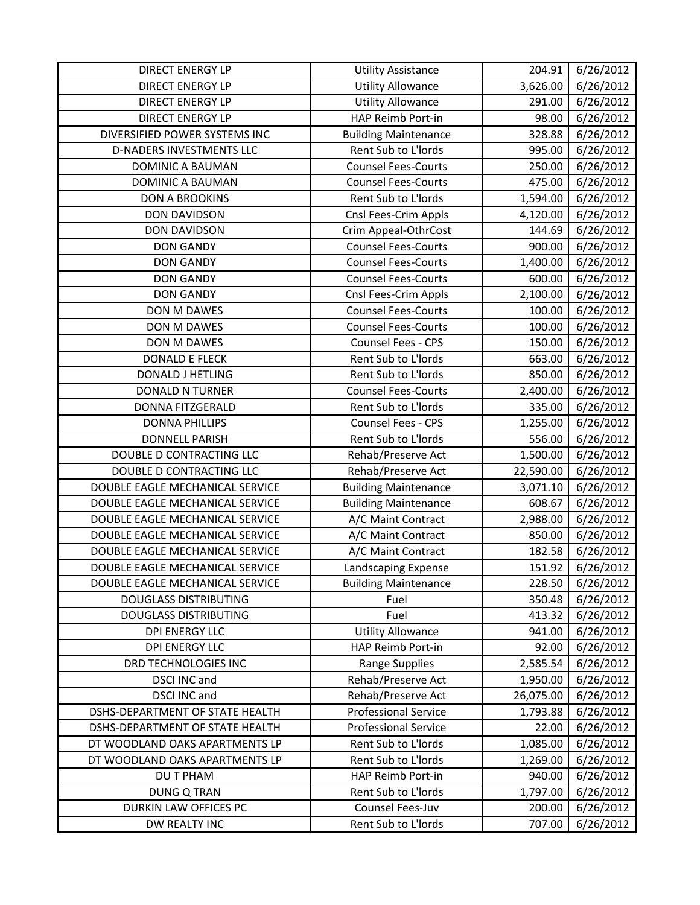| <b>DIRECT ENERGY LP</b>         | <b>Utility Assistance</b>   | 204.91    | 6/26/2012 |
|---------------------------------|-----------------------------|-----------|-----------|
| <b>DIRECT ENERGY LP</b>         | <b>Utility Allowance</b>    | 3,626.00  | 6/26/2012 |
| <b>DIRECT ENERGY LP</b>         | <b>Utility Allowance</b>    | 291.00    | 6/26/2012 |
| <b>DIRECT ENERGY LP</b>         | HAP Reimb Port-in           | 98.00     | 6/26/2012 |
| DIVERSIFIED POWER SYSTEMS INC   | <b>Building Maintenance</b> | 328.88    | 6/26/2012 |
| <b>D-NADERS INVESTMENTS LLC</b> | Rent Sub to L'Iords         | 995.00    | 6/26/2012 |
| DOMINIC A BAUMAN                | <b>Counsel Fees-Courts</b>  | 250.00    | 6/26/2012 |
| <b>DOMINIC A BAUMAN</b>         | <b>Counsel Fees-Courts</b>  | 475.00    | 6/26/2012 |
| <b>DON A BROOKINS</b>           | Rent Sub to L'Iords         | 1,594.00  | 6/26/2012 |
| <b>DON DAVIDSON</b>             | Cnsl Fees-Crim Appls        | 4,120.00  | 6/26/2012 |
| <b>DON DAVIDSON</b>             | Crim Appeal-OthrCost        | 144.69    | 6/26/2012 |
| <b>DON GANDY</b>                | <b>Counsel Fees-Courts</b>  | 900.00    | 6/26/2012 |
| <b>DON GANDY</b>                | <b>Counsel Fees-Courts</b>  | 1,400.00  | 6/26/2012 |
| <b>DON GANDY</b>                | <b>Counsel Fees-Courts</b>  | 600.00    | 6/26/2012 |
| <b>DON GANDY</b>                | Cnsl Fees-Crim Appls        | 2,100.00  | 6/26/2012 |
| DON M DAWES                     | <b>Counsel Fees-Courts</b>  | 100.00    | 6/26/2012 |
| DON M DAWES                     | <b>Counsel Fees-Courts</b>  | 100.00    | 6/26/2012 |
| DON M DAWES                     | Counsel Fees - CPS          | 150.00    | 6/26/2012 |
| <b>DONALD E FLECK</b>           | Rent Sub to L'Iords         | 663.00    | 6/26/2012 |
| DONALD J HETLING                | Rent Sub to L'Iords         | 850.00    | 6/26/2012 |
| <b>DONALD N TURNER</b>          | <b>Counsel Fees-Courts</b>  | 2,400.00  | 6/26/2012 |
| <b>DONNA FITZGERALD</b>         | Rent Sub to L'Iords         | 335.00    | 6/26/2012 |
| <b>DONNA PHILLIPS</b>           | Counsel Fees - CPS          | 1,255.00  | 6/26/2012 |
| <b>DONNELL PARISH</b>           | Rent Sub to L'Iords         | 556.00    | 6/26/2012 |
| DOUBLE D CONTRACTING LLC        | Rehab/Preserve Act          | 1,500.00  | 6/26/2012 |
| DOUBLE D CONTRACTING LLC        | Rehab/Preserve Act          | 22,590.00 | 6/26/2012 |
| DOUBLE EAGLE MECHANICAL SERVICE | <b>Building Maintenance</b> | 3,071.10  | 6/26/2012 |
| DOUBLE EAGLE MECHANICAL SERVICE | <b>Building Maintenance</b> | 608.67    | 6/26/2012 |
| DOUBLE EAGLE MECHANICAL SERVICE | A/C Maint Contract          | 2,988.00  | 6/26/2012 |
| DOUBLE EAGLE MECHANICAL SERVICE | A/C Maint Contract          | 850.00    | 6/26/2012 |
| DOUBLE EAGLE MECHANICAL SERVICE | A/C Maint Contract          | 182.58    | 6/26/2012 |
| DOUBLE EAGLE MECHANICAL SERVICE | Landscaping Expense         | 151.92    | 6/26/2012 |
| DOUBLE EAGLE MECHANICAL SERVICE | <b>Building Maintenance</b> | 228.50    | 6/26/2012 |
| <b>DOUGLASS DISTRIBUTING</b>    | Fuel                        | 350.48    | 6/26/2012 |
| <b>DOUGLASS DISTRIBUTING</b>    | Fuel                        | 413.32    | 6/26/2012 |
| <b>DPI ENERGY LLC</b>           | <b>Utility Allowance</b>    | 941.00    | 6/26/2012 |
| <b>DPI ENERGY LLC</b>           | HAP Reimb Port-in           | 92.00     | 6/26/2012 |
| DRD TECHNOLOGIES INC            | Range Supplies              | 2,585.54  | 6/26/2012 |
| DSCI INC and                    | Rehab/Preserve Act          | 1,950.00  | 6/26/2012 |
| <b>DSCI INC and</b>             | Rehab/Preserve Act          | 26,075.00 | 6/26/2012 |
| DSHS-DEPARTMENT OF STATE HEALTH | <b>Professional Service</b> | 1,793.88  | 6/26/2012 |
| DSHS-DEPARTMENT OF STATE HEALTH | <b>Professional Service</b> | 22.00     | 6/26/2012 |
| DT WOODLAND OAKS APARTMENTS LP  | Rent Sub to L'Iords         | 1,085.00  | 6/26/2012 |
| DT WOODLAND OAKS APARTMENTS LP  | Rent Sub to L'Iords         | 1,269.00  | 6/26/2012 |
| DU T PHAM                       | HAP Reimb Port-in           | 940.00    | 6/26/2012 |
| <b>DUNG Q TRAN</b>              | Rent Sub to L'Iords         | 1,797.00  | 6/26/2012 |
| DURKIN LAW OFFICES PC           | Counsel Fees-Juv            | 200.00    | 6/26/2012 |
| DW REALTY INC                   | Rent Sub to L'Iords         | 707.00    | 6/26/2012 |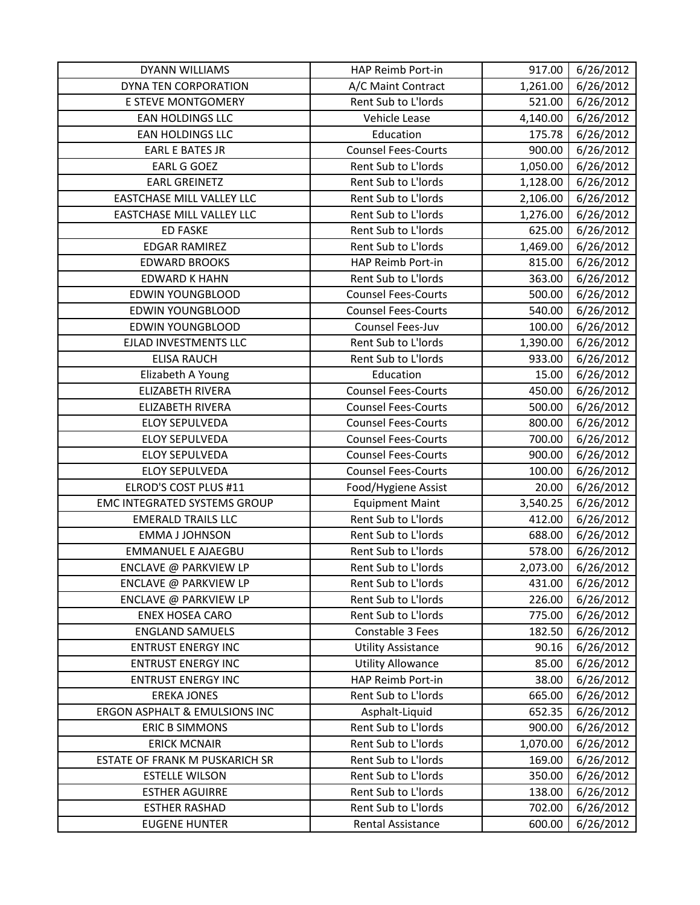| <b>DYANN WILLIAMS</b>               | HAP Reimb Port-in          | 917.00   | 6/26/2012 |
|-------------------------------------|----------------------------|----------|-----------|
| DYNA TEN CORPORATION                | A/C Maint Contract         | 1,261.00 | 6/26/2012 |
| E STEVE MONTGOMERY                  | Rent Sub to L'Iords        | 521.00   | 6/26/2012 |
| EAN HOLDINGS LLC                    | Vehicle Lease              | 4,140.00 | 6/26/2012 |
| <b>EAN HOLDINGS LLC</b>             | Education                  | 175.78   | 6/26/2012 |
| <b>EARL E BATES JR</b>              | <b>Counsel Fees-Courts</b> | 900.00   | 6/26/2012 |
| EARL G GOEZ                         | Rent Sub to L'Iords        | 1,050.00 | 6/26/2012 |
| <b>EARL GREINETZ</b>                | Rent Sub to L'Iords        | 1,128.00 | 6/26/2012 |
| EASTCHASE MILL VALLEY LLC           | Rent Sub to L'Iords        | 2,106.00 | 6/26/2012 |
| <b>EASTCHASE MILL VALLEY LLC</b>    | Rent Sub to L'Iords        | 1,276.00 | 6/26/2012 |
| <b>ED FASKE</b>                     | Rent Sub to L'Iords        | 625.00   | 6/26/2012 |
| <b>EDGAR RAMIREZ</b>                | Rent Sub to L'Iords        | 1,469.00 | 6/26/2012 |
| <b>EDWARD BROOKS</b>                | HAP Reimb Port-in          | 815.00   | 6/26/2012 |
| <b>EDWARD K HAHN</b>                | Rent Sub to L'Iords        | 363.00   | 6/26/2012 |
| <b>EDWIN YOUNGBLOOD</b>             | <b>Counsel Fees-Courts</b> | 500.00   | 6/26/2012 |
| <b>EDWIN YOUNGBLOOD</b>             | <b>Counsel Fees-Courts</b> | 540.00   | 6/26/2012 |
| <b>EDWIN YOUNGBLOOD</b>             | Counsel Fees-Juv           | 100.00   | 6/26/2012 |
| EJLAD INVESTMENTS LLC               | Rent Sub to L'Iords        | 1,390.00 | 6/26/2012 |
| <b>ELISA RAUCH</b>                  | Rent Sub to L'Iords        | 933.00   | 6/26/2012 |
| Elizabeth A Young                   | Education                  | 15.00    | 6/26/2012 |
| <b>ELIZABETH RIVERA</b>             | <b>Counsel Fees-Courts</b> | 450.00   | 6/26/2012 |
| <b>ELIZABETH RIVERA</b>             | <b>Counsel Fees-Courts</b> | 500.00   | 6/26/2012 |
| <b>ELOY SEPULVEDA</b>               | <b>Counsel Fees-Courts</b> | 800.00   | 6/26/2012 |
| <b>ELOY SEPULVEDA</b>               | <b>Counsel Fees-Courts</b> | 700.00   | 6/26/2012 |
| <b>ELOY SEPULVEDA</b>               | <b>Counsel Fees-Courts</b> | 900.00   | 6/26/2012 |
| <b>ELOY SEPULVEDA</b>               | <b>Counsel Fees-Courts</b> | 100.00   | 6/26/2012 |
| ELROD'S COST PLUS #11               | Food/Hygiene Assist        | 20.00    | 6/26/2012 |
| <b>EMC INTEGRATED SYSTEMS GROUP</b> | <b>Equipment Maint</b>     | 3,540.25 | 6/26/2012 |
| <b>EMERALD TRAILS LLC</b>           | Rent Sub to L'Iords        | 412.00   | 6/26/2012 |
| <b>EMMA J JOHNSON</b>               | Rent Sub to L'Iords        | 688.00   | 6/26/2012 |
| <b>EMMANUEL E AJAEGBU</b>           | Rent Sub to L'Iords        | 578.00   | 6/26/2012 |
| ENCLAVE @ PARKVIEW LP               | Rent Sub to L'Iords        | 2,073.00 | 6/26/2012 |
| ENCLAVE @ PARKVIEW LP               | Rent Sub to L'Iords        | 431.00   | 6/26/2012 |
| ENCLAVE @ PARKVIEW LP               | Rent Sub to L'Iords        | 226.00   | 6/26/2012 |
| <b>ENEX HOSEA CARO</b>              | Rent Sub to L'Iords        | 775.00   | 6/26/2012 |
| <b>ENGLAND SAMUELS</b>              | Constable 3 Fees           | 182.50   | 6/26/2012 |
| <b>ENTRUST ENERGY INC</b>           | <b>Utility Assistance</b>  | 90.16    | 6/26/2012 |
| <b>ENTRUST ENERGY INC</b>           | <b>Utility Allowance</b>   | 85.00    | 6/26/2012 |
| <b>ENTRUST ENERGY INC</b>           | HAP Reimb Port-in          | 38.00    | 6/26/2012 |
| <b>EREKA JONES</b>                  | Rent Sub to L'Iords        | 665.00   | 6/26/2012 |
| ERGON ASPHALT & EMULSIONS INC       | Asphalt-Liquid             | 652.35   | 6/26/2012 |
| <b>ERIC B SIMMONS</b>               | Rent Sub to L'Iords        | 900.00   | 6/26/2012 |
| <b>ERICK MCNAIR</b>                 | Rent Sub to L'Iords        | 1,070.00 | 6/26/2012 |
| ESTATE OF FRANK M PUSKARICH SR      | Rent Sub to L'Iords        | 169.00   | 6/26/2012 |
| <b>ESTELLE WILSON</b>               | Rent Sub to L'Iords        | 350.00   | 6/26/2012 |
| <b>ESTHER AGUIRRE</b>               | Rent Sub to L'Iords        | 138.00   | 6/26/2012 |
| <b>ESTHER RASHAD</b>                | Rent Sub to L'Iords        | 702.00   | 6/26/2012 |
| <b>EUGENE HUNTER</b>                | Rental Assistance          | 600.00   | 6/26/2012 |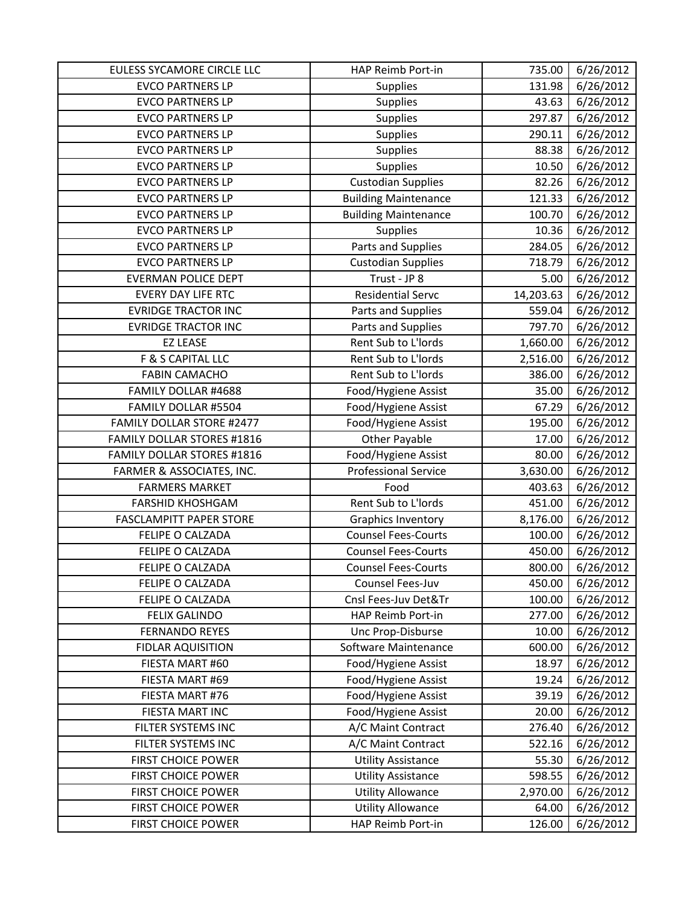| EULESS SYCAMORE CIRCLE LLC        | HAP Reimb Port-in           | 735.00    | 6/26/2012 |
|-----------------------------------|-----------------------------|-----------|-----------|
| <b>EVCO PARTNERS LP</b>           | Supplies                    | 131.98    | 6/26/2012 |
| <b>EVCO PARTNERS LP</b>           | Supplies                    | 43.63     | 6/26/2012 |
| <b>EVCO PARTNERS LP</b>           | Supplies                    | 297.87    | 6/26/2012 |
| <b>EVCO PARTNERS LP</b>           | Supplies                    | 290.11    | 6/26/2012 |
| <b>EVCO PARTNERS LP</b>           | Supplies                    | 88.38     | 6/26/2012 |
| <b>EVCO PARTNERS LP</b>           | Supplies                    | 10.50     | 6/26/2012 |
| <b>EVCO PARTNERS LP</b>           | <b>Custodian Supplies</b>   | 82.26     | 6/26/2012 |
| <b>EVCO PARTNERS LP</b>           | <b>Building Maintenance</b> | 121.33    | 6/26/2012 |
| <b>EVCO PARTNERS LP</b>           | <b>Building Maintenance</b> | 100.70    | 6/26/2012 |
| <b>EVCO PARTNERS LP</b>           | Supplies                    | 10.36     | 6/26/2012 |
| <b>EVCO PARTNERS LP</b>           | Parts and Supplies          | 284.05    | 6/26/2012 |
| <b>EVCO PARTNERS LP</b>           | <b>Custodian Supplies</b>   | 718.79    | 6/26/2012 |
| <b>EVERMAN POLICE DEPT</b>        | Trust - JP 8                | 5.00      | 6/26/2012 |
| <b>EVERY DAY LIFE RTC</b>         | <b>Residential Servc</b>    | 14,203.63 | 6/26/2012 |
| <b>EVRIDGE TRACTOR INC</b>        | Parts and Supplies          | 559.04    | 6/26/2012 |
| <b>EVRIDGE TRACTOR INC</b>        | Parts and Supplies          | 797.70    | 6/26/2012 |
| <b>EZ LEASE</b>                   | Rent Sub to L'Iords         | 1,660.00  | 6/26/2012 |
| F & S CAPITAL LLC                 | Rent Sub to L'Iords         | 2,516.00  | 6/26/2012 |
| <b>FABIN CAMACHO</b>              | Rent Sub to L'Iords         | 386.00    | 6/26/2012 |
| FAMILY DOLLAR #4688               | Food/Hygiene Assist         | 35.00     | 6/26/2012 |
| FAMILY DOLLAR #5504               | Food/Hygiene Assist         | 67.29     | 6/26/2012 |
| FAMILY DOLLAR STORE #2477         | Food/Hygiene Assist         | 195.00    | 6/26/2012 |
| <b>FAMILY DOLLAR STORES #1816</b> | Other Payable               | 17.00     | 6/26/2012 |
| <b>FAMILY DOLLAR STORES #1816</b> | Food/Hygiene Assist         | 80.00     | 6/26/2012 |
| FARMER & ASSOCIATES, INC.         | <b>Professional Service</b> | 3,630.00  | 6/26/2012 |
| <b>FARMERS MARKET</b>             | Food                        | 403.63    | 6/26/2012 |
| <b>FARSHID KHOSHGAM</b>           | Rent Sub to L'Iords         | 451.00    | 6/26/2012 |
| <b>FASCLAMPITT PAPER STORE</b>    | Graphics Inventory          | 8,176.00  | 6/26/2012 |
| FELIPE O CALZADA                  | <b>Counsel Fees-Courts</b>  | 100.00    | 6/26/2012 |
| FELIPE O CALZADA                  | <b>Counsel Fees-Courts</b>  | 450.00    | 6/26/2012 |
| FELIPE O CALZADA                  | <b>Counsel Fees-Courts</b>  | 800.00    | 6/26/2012 |
| FELIPE O CALZADA                  | Counsel Fees-Juv            | 450.00    | 6/26/2012 |
| FELIPE O CALZADA                  | Cnsl Fees-Juv Det&Tr        | 100.00    | 6/26/2012 |
| <b>FELIX GALINDO</b>              | HAP Reimb Port-in           | 277.00    | 6/26/2012 |
| <b>FERNANDO REYES</b>             | Unc Prop-Disburse           | 10.00     | 6/26/2012 |
| <b>FIDLAR AQUISITION</b>          | Software Maintenance        | 600.00    | 6/26/2012 |
| FIESTA MART #60                   | Food/Hygiene Assist         | 18.97     | 6/26/2012 |
| FIESTA MART #69                   | Food/Hygiene Assist         | 19.24     | 6/26/2012 |
| FIESTA MART #76                   | Food/Hygiene Assist         | 39.19     | 6/26/2012 |
| FIESTA MART INC                   | Food/Hygiene Assist         | 20.00     | 6/26/2012 |
| FILTER SYSTEMS INC                | A/C Maint Contract          | 276.40    | 6/26/2012 |
| FILTER SYSTEMS INC                | A/C Maint Contract          | 522.16    | 6/26/2012 |
| <b>FIRST CHOICE POWER</b>         | <b>Utility Assistance</b>   | 55.30     | 6/26/2012 |
| <b>FIRST CHOICE POWER</b>         | <b>Utility Assistance</b>   | 598.55    | 6/26/2012 |
| <b>FIRST CHOICE POWER</b>         | <b>Utility Allowance</b>    | 2,970.00  | 6/26/2012 |
| <b>FIRST CHOICE POWER</b>         | <b>Utility Allowance</b>    | 64.00     | 6/26/2012 |
| FIRST CHOICE POWER                | HAP Reimb Port-in           | 126.00    | 6/26/2012 |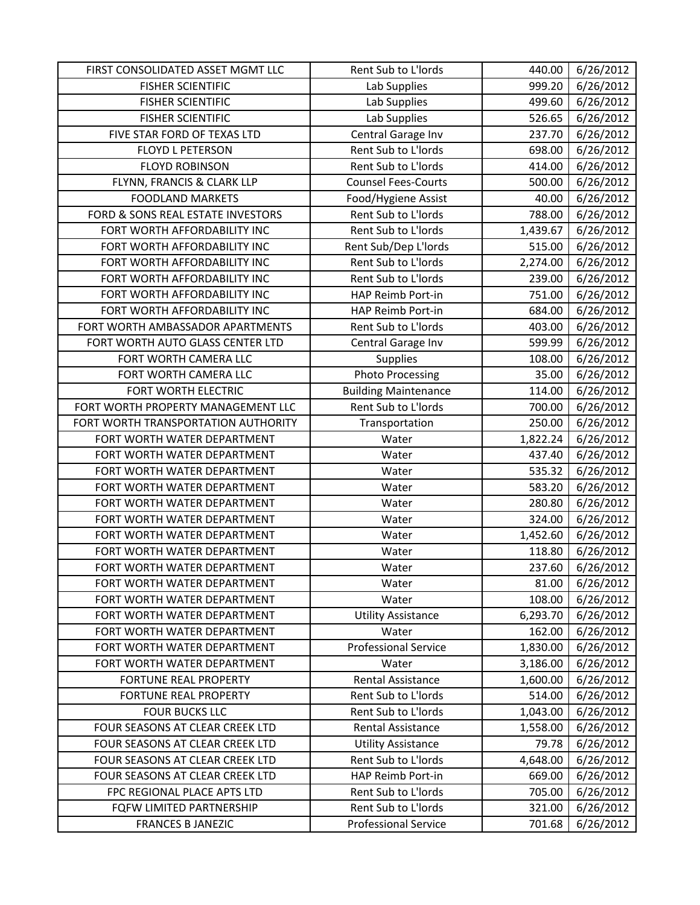| FIRST CONSOLIDATED ASSET MGMT LLC   | Rent Sub to L'Iords         | 440.00   | 6/26/2012 |
|-------------------------------------|-----------------------------|----------|-----------|
| <b>FISHER SCIENTIFIC</b>            | Lab Supplies                | 999.20   | 6/26/2012 |
| <b>FISHER SCIENTIFIC</b>            | Lab Supplies                | 499.60   | 6/26/2012 |
| <b>FISHER SCIENTIFIC</b>            | Lab Supplies                | 526.65   | 6/26/2012 |
| FIVE STAR FORD OF TEXAS LTD         | Central Garage Inv          | 237.70   | 6/26/2012 |
| <b>FLOYD L PETERSON</b>             | Rent Sub to L'Iords         | 698.00   | 6/26/2012 |
| <b>FLOYD ROBINSON</b>               | Rent Sub to L'Iords         | 414.00   | 6/26/2012 |
| FLYNN, FRANCIS & CLARK LLP          | <b>Counsel Fees-Courts</b>  | 500.00   | 6/26/2012 |
| <b>FOODLAND MARKETS</b>             | Food/Hygiene Assist         | 40.00    | 6/26/2012 |
| FORD & SONS REAL ESTATE INVESTORS   | Rent Sub to L'Iords         | 788.00   | 6/26/2012 |
| FORT WORTH AFFORDABILITY INC        | Rent Sub to L'Iords         | 1,439.67 | 6/26/2012 |
| FORT WORTH AFFORDABILITY INC        | Rent Sub/Dep L'Iords        | 515.00   | 6/26/2012 |
| FORT WORTH AFFORDABILITY INC        | Rent Sub to L'Iords         | 2,274.00 | 6/26/2012 |
| FORT WORTH AFFORDABILITY INC        | Rent Sub to L'Iords         | 239.00   | 6/26/2012 |
| FORT WORTH AFFORDABILITY INC        | HAP Reimb Port-in           | 751.00   | 6/26/2012 |
| FORT WORTH AFFORDABILITY INC        | HAP Reimb Port-in           | 684.00   | 6/26/2012 |
| FORT WORTH AMBASSADOR APARTMENTS    | Rent Sub to L'Iords         | 403.00   | 6/26/2012 |
| FORT WORTH AUTO GLASS CENTER LTD    | Central Garage Inv          | 599.99   | 6/26/2012 |
| FORT WORTH CAMERA LLC               | Supplies                    | 108.00   | 6/26/2012 |
| FORT WORTH CAMERA LLC               | <b>Photo Processing</b>     | 35.00    | 6/26/2012 |
| FORT WORTH ELECTRIC                 | <b>Building Maintenance</b> | 114.00   | 6/26/2012 |
| FORT WORTH PROPERTY MANAGEMENT LLC  | Rent Sub to L'Iords         | 700.00   | 6/26/2012 |
| FORT WORTH TRANSPORTATION AUTHORITY | Transportation              | 250.00   | 6/26/2012 |
| FORT WORTH WATER DEPARTMENT         | Water                       | 1,822.24 | 6/26/2012 |
| FORT WORTH WATER DEPARTMENT         | Water                       | 437.40   | 6/26/2012 |
| FORT WORTH WATER DEPARTMENT         | Water                       | 535.32   | 6/26/2012 |
| FORT WORTH WATER DEPARTMENT         | Water                       | 583.20   | 6/26/2012 |
| FORT WORTH WATER DEPARTMENT         | Water                       | 280.80   | 6/26/2012 |
| FORT WORTH WATER DEPARTMENT         | Water                       | 324.00   | 6/26/2012 |
| FORT WORTH WATER DEPARTMENT         | Water                       | 1,452.60 | 6/26/2012 |
| FORT WORTH WATER DEPARTMENT         | Water                       | 118.80   | 6/26/2012 |
| FORT WORTH WATER DEPARTMENT         | Water                       | 237.60   | 6/26/2012 |
| FORT WORTH WATER DEPARTMENT         | Water                       | 81.00    | 6/26/2012 |
| FORT WORTH WATER DEPARTMENT         | Water                       | 108.00   | 6/26/2012 |
| FORT WORTH WATER DEPARTMENT         | <b>Utility Assistance</b>   | 6,293.70 | 6/26/2012 |
| FORT WORTH WATER DEPARTMENT         | Water                       | 162.00   | 6/26/2012 |
| FORT WORTH WATER DEPARTMENT         | <b>Professional Service</b> | 1,830.00 | 6/26/2012 |
| FORT WORTH WATER DEPARTMENT         | Water                       | 3,186.00 | 6/26/2012 |
| <b>FORTUNE REAL PROPERTY</b>        | Rental Assistance           | 1,600.00 | 6/26/2012 |
| FORTUNE REAL PROPERTY               | Rent Sub to L'Iords         | 514.00   | 6/26/2012 |
| <b>FOUR BUCKS LLC</b>               | Rent Sub to L'Iords         | 1,043.00 | 6/26/2012 |
| FOUR SEASONS AT CLEAR CREEK LTD     | Rental Assistance           | 1,558.00 | 6/26/2012 |
| FOUR SEASONS AT CLEAR CREEK LTD     | <b>Utility Assistance</b>   | 79.78    | 6/26/2012 |
| FOUR SEASONS AT CLEAR CREEK LTD     | Rent Sub to L'Iords         | 4,648.00 | 6/26/2012 |
| FOUR SEASONS AT CLEAR CREEK LTD     | HAP Reimb Port-in           | 669.00   | 6/26/2012 |
| FPC REGIONAL PLACE APTS LTD         | Rent Sub to L'Iords         | 705.00   | 6/26/2012 |
| FQFW LIMITED PARTNERSHIP            | Rent Sub to L'Iords         | 321.00   | 6/26/2012 |
| <b>FRANCES B JANEZIC</b>            | <b>Professional Service</b> | 701.68   | 6/26/2012 |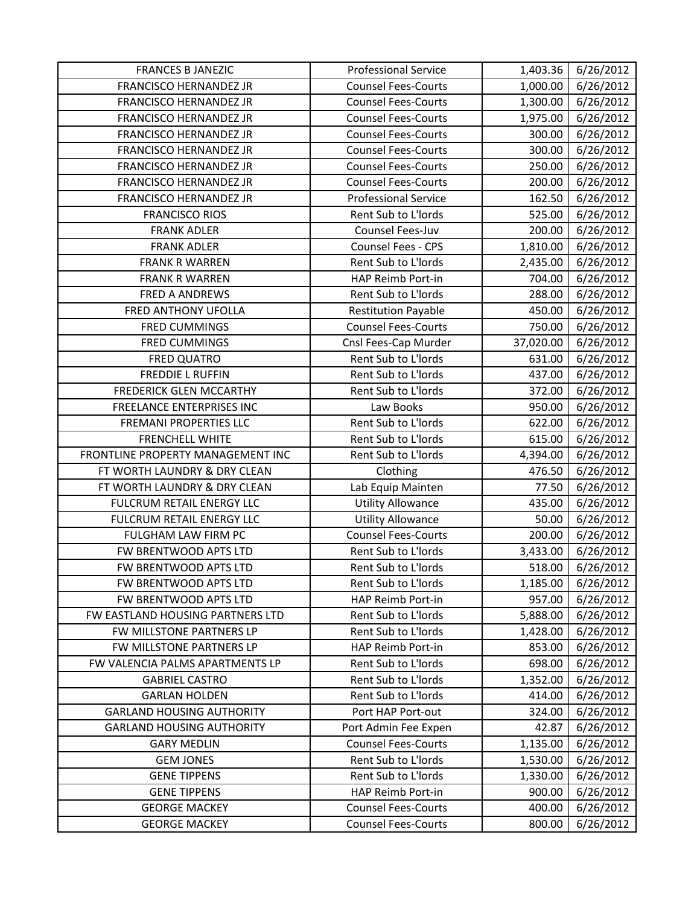| <b>FRANCES B JANEZIC</b>          | <b>Professional Service</b> | 1,403.36  | 6/26/2012 |
|-----------------------------------|-----------------------------|-----------|-----------|
| <b>FRANCISCO HERNANDEZ JR</b>     | <b>Counsel Fees-Courts</b>  | 1,000.00  | 6/26/2012 |
| FRANCISCO HERNANDEZ JR            | <b>Counsel Fees-Courts</b>  | 1,300.00  | 6/26/2012 |
| FRANCISCO HERNANDEZ JR            | <b>Counsel Fees-Courts</b>  | 1,975.00  | 6/26/2012 |
| <b>FRANCISCO HERNANDEZ JR</b>     | <b>Counsel Fees-Courts</b>  | 300.00    | 6/26/2012 |
| FRANCISCO HERNANDEZ JR            | <b>Counsel Fees-Courts</b>  | 300.00    | 6/26/2012 |
| <b>FRANCISCO HERNANDEZ JR</b>     | <b>Counsel Fees-Courts</b>  | 250.00    | 6/26/2012 |
| <b>FRANCISCO HERNANDEZ JR</b>     | <b>Counsel Fees-Courts</b>  | 200.00    | 6/26/2012 |
| FRANCISCO HERNANDEZ JR            | <b>Professional Service</b> | 162.50    | 6/26/2012 |
| <b>FRANCISCO RIOS</b>             | Rent Sub to L'Iords         | 525.00    | 6/26/2012 |
| <b>FRANK ADLER</b>                | Counsel Fees-Juv            | 200.00    | 6/26/2012 |
| <b>FRANK ADLER</b>                | Counsel Fees - CPS          | 1,810.00  | 6/26/2012 |
| <b>FRANK R WARREN</b>             | Rent Sub to L'Iords         | 2,435.00  | 6/26/2012 |
| <b>FRANK R WARREN</b>             | HAP Reimb Port-in           | 704.00    | 6/26/2012 |
| FRED A ANDREWS                    | Rent Sub to L'Iords         | 288.00    | 6/26/2012 |
| FRED ANTHONY UFOLLA               | <b>Restitution Payable</b>  | 450.00    | 6/26/2012 |
| <b>FRED CUMMINGS</b>              | <b>Counsel Fees-Courts</b>  | 750.00    | 6/26/2012 |
| <b>FRED CUMMINGS</b>              | Cnsl Fees-Cap Murder        | 37,020.00 | 6/26/2012 |
| <b>FRED QUATRO</b>                | Rent Sub to L'Iords         | 631.00    | 6/26/2012 |
| <b>FREDDIE L RUFFIN</b>           | Rent Sub to L'Iords         | 437.00    | 6/26/2012 |
| <b>FREDERICK GLEN MCCARTHY</b>    | Rent Sub to L'Iords         | 372.00    | 6/26/2012 |
| FREELANCE ENTERPRISES INC         | Law Books                   | 950.00    | 6/26/2012 |
| <b>FREMANI PROPERTIES LLC</b>     | Rent Sub to L'Iords         | 622.00    | 6/26/2012 |
| <b>FRENCHELL WHITE</b>            | Rent Sub to L'Iords         | 615.00    | 6/26/2012 |
| FRONTLINE PROPERTY MANAGEMENT INC | Rent Sub to L'Iords         | 4,394.00  | 6/26/2012 |
| FT WORTH LAUNDRY & DRY CLEAN      | Clothing                    | 476.50    | 6/26/2012 |
| FT WORTH LAUNDRY & DRY CLEAN      | Lab Equip Mainten           | 77.50     | 6/26/2012 |
| FULCRUM RETAIL ENERGY LLC         | <b>Utility Allowance</b>    | 435.00    | 6/26/2012 |
| FULCRUM RETAIL ENERGY LLC         | <b>Utility Allowance</b>    | 50.00     | 6/26/2012 |
| FULGHAM LAW FIRM PC               | <b>Counsel Fees-Courts</b>  | 200.00    | 6/26/2012 |
| FW BRENTWOOD APTS LTD             | Rent Sub to L'Iords         | 3,433.00  | 6/26/2012 |
| FW BRENTWOOD APTS LTD             | Rent Sub to L'Iords         | 518.00    | 6/26/2012 |
| FW BRENTWOOD APTS LTD             | Rent Sub to L'Iords         | 1,185.00  | 6/26/2012 |
| FW BRENTWOOD APTS LTD             | HAP Reimb Port-in           | 957.00    | 6/26/2012 |
| FW EASTLAND HOUSING PARTNERS LTD  | Rent Sub to L'Iords         | 5,888.00  | 6/26/2012 |
| FW MILLSTONE PARTNERS LP          | Rent Sub to L'Iords         | 1,428.00  | 6/26/2012 |
| FW MILLSTONE PARTNERS LP          | HAP Reimb Port-in           | 853.00    | 6/26/2012 |
| FW VALENCIA PALMS APARTMENTS LP   | Rent Sub to L'Iords         | 698.00    | 6/26/2012 |
| <b>GABRIEL CASTRO</b>             | Rent Sub to L'Iords         | 1,352.00  | 6/26/2012 |
| <b>GARLAN HOLDEN</b>              | Rent Sub to L'Iords         | 414.00    | 6/26/2012 |
| <b>GARLAND HOUSING AUTHORITY</b>  | Port HAP Port-out           | 324.00    | 6/26/2012 |
| <b>GARLAND HOUSING AUTHORITY</b>  | Port Admin Fee Expen        | 42.87     | 6/26/2012 |
| <b>GARY MEDLIN</b>                | <b>Counsel Fees-Courts</b>  | 1,135.00  | 6/26/2012 |
| <b>GEM JONES</b>                  | Rent Sub to L'Iords         | 1,530.00  | 6/26/2012 |
| <b>GENE TIPPENS</b>               | Rent Sub to L'Iords         | 1,330.00  | 6/26/2012 |
| <b>GENE TIPPENS</b>               | HAP Reimb Port-in           | 900.00    | 6/26/2012 |
| <b>GEORGE MACKEY</b>              | <b>Counsel Fees-Courts</b>  | 400.00    | 6/26/2012 |
| <b>GEORGE MACKEY</b>              | <b>Counsel Fees-Courts</b>  | 800.00    | 6/26/2012 |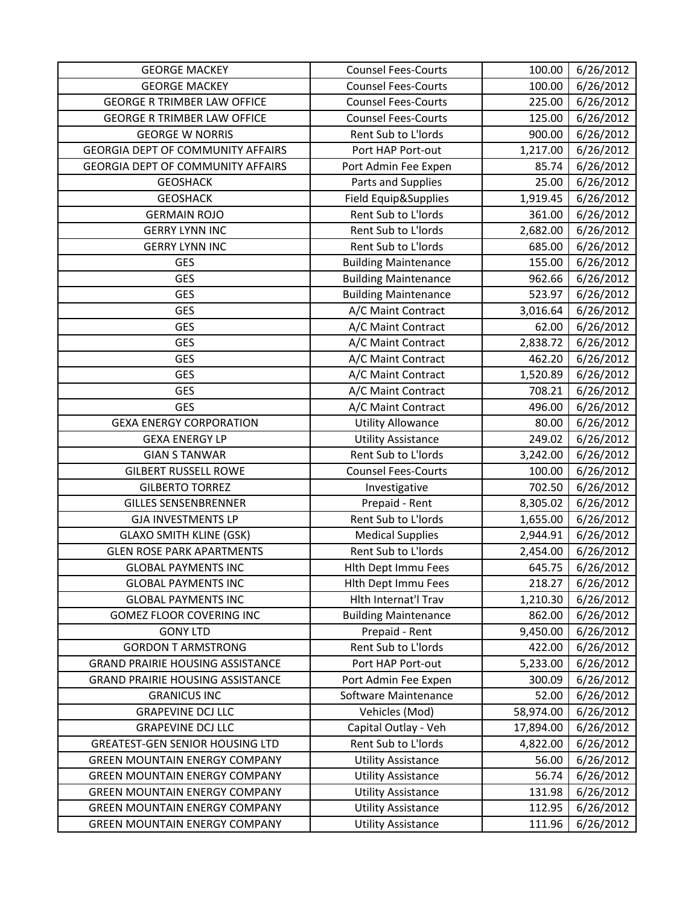| <b>GEORGE MACKEY</b>                     | <b>Counsel Fees-Courts</b>  | 100.00    | 6/26/2012 |
|------------------------------------------|-----------------------------|-----------|-----------|
| <b>GEORGE MACKEY</b>                     | <b>Counsel Fees-Courts</b>  | 100.00    | 6/26/2012 |
| <b>GEORGE R TRIMBER LAW OFFICE</b>       | <b>Counsel Fees-Courts</b>  | 225.00    | 6/26/2012 |
| <b>GEORGE R TRIMBER LAW OFFICE</b>       | <b>Counsel Fees-Courts</b>  | 125.00    | 6/26/2012 |
| <b>GEORGE W NORRIS</b>                   | Rent Sub to L'Iords         | 900.00    | 6/26/2012 |
| <b>GEORGIA DEPT OF COMMUNITY AFFAIRS</b> | Port HAP Port-out           | 1,217.00  | 6/26/2012 |
| GEORGIA DEPT OF COMMUNITY AFFAIRS        | Port Admin Fee Expen        | 85.74     | 6/26/2012 |
| <b>GEOSHACK</b>                          | Parts and Supplies          | 25.00     | 6/26/2012 |
| <b>GEOSHACK</b>                          | Field Equip&Supplies        | 1,919.45  | 6/26/2012 |
| <b>GERMAIN ROJO</b>                      | Rent Sub to L'Iords         | 361.00    | 6/26/2012 |
| <b>GERRY LYNN INC</b>                    | Rent Sub to L'Iords         | 2,682.00  | 6/26/2012 |
| <b>GERRY LYNN INC</b>                    | Rent Sub to L'Iords         | 685.00    | 6/26/2012 |
| <b>GES</b>                               | <b>Building Maintenance</b> | 155.00    | 6/26/2012 |
| <b>GES</b>                               | <b>Building Maintenance</b> | 962.66    | 6/26/2012 |
| <b>GES</b>                               | <b>Building Maintenance</b> | 523.97    | 6/26/2012 |
| <b>GES</b>                               | A/C Maint Contract          | 3,016.64  | 6/26/2012 |
| <b>GES</b>                               | A/C Maint Contract          | 62.00     | 6/26/2012 |
| <b>GES</b>                               | A/C Maint Contract          | 2,838.72  | 6/26/2012 |
| <b>GES</b>                               | A/C Maint Contract          | 462.20    | 6/26/2012 |
| <b>GES</b>                               | A/C Maint Contract          | 1,520.89  | 6/26/2012 |
| <b>GES</b>                               | A/C Maint Contract          | 708.21    | 6/26/2012 |
| <b>GES</b>                               | A/C Maint Contract          | 496.00    | 6/26/2012 |
| <b>GEXA ENERGY CORPORATION</b>           | <b>Utility Allowance</b>    | 80.00     | 6/26/2012 |
| <b>GEXA ENERGY LP</b>                    | <b>Utility Assistance</b>   | 249.02    | 6/26/2012 |
| <b>GIAN S TANWAR</b>                     | Rent Sub to L'Iords         | 3,242.00  | 6/26/2012 |
| <b>GILBERT RUSSELL ROWE</b>              | <b>Counsel Fees-Courts</b>  | 100.00    | 6/26/2012 |
| <b>GILBERTO TORREZ</b>                   | Investigative               | 702.50    | 6/26/2012 |
| <b>GILLES SENSENBRENNER</b>              | Prepaid - Rent              | 8,305.02  | 6/26/2012 |
| <b>GJA INVESTMENTS LP</b>                | Rent Sub to L'Iords         | 1,655.00  | 6/26/2012 |
| <b>GLAXO SMITH KLINE (GSK)</b>           | <b>Medical Supplies</b>     | 2,944.91  | 6/26/2012 |
| <b>GLEN ROSE PARK APARTMENTS</b>         | Rent Sub to L'Iords         | 2,454.00  | 6/26/2012 |
| <b>GLOBAL PAYMENTS INC</b>               | Hith Dept Immu Fees         | 645.75    | 6/26/2012 |
| <b>GLOBAL PAYMENTS INC</b>               | Hith Dept Immu Fees         | 218.27    | 6/26/2012 |
| <b>GLOBAL PAYMENTS INC</b>               | Hith Internat'l Trav        | 1,210.30  | 6/26/2012 |
| <b>GOMEZ FLOOR COVERING INC</b>          | <b>Building Maintenance</b> | 862.00    | 6/26/2012 |
| <b>GONY LTD</b>                          | Prepaid - Rent              | 9,450.00  | 6/26/2012 |
| <b>GORDON T ARMSTRONG</b>                | Rent Sub to L'Iords         | 422.00    | 6/26/2012 |
| <b>GRAND PRAIRIE HOUSING ASSISTANCE</b>  | Port HAP Port-out           | 5,233.00  | 6/26/2012 |
| <b>GRAND PRAIRIE HOUSING ASSISTANCE</b>  | Port Admin Fee Expen        | 300.09    | 6/26/2012 |
| <b>GRANICUS INC</b>                      | Software Maintenance        | 52.00     | 6/26/2012 |
| <b>GRAPEVINE DCJ LLC</b>                 | Vehicles (Mod)              | 58,974.00 | 6/26/2012 |
| <b>GRAPEVINE DCJ LLC</b>                 | Capital Outlay - Veh        | 17,894.00 | 6/26/2012 |
| <b>GREATEST-GEN SENIOR HOUSING LTD</b>   | Rent Sub to L'Iords         | 4,822.00  | 6/26/2012 |
| <b>GREEN MOUNTAIN ENERGY COMPANY</b>     | <b>Utility Assistance</b>   | 56.00     | 6/26/2012 |
| <b>GREEN MOUNTAIN ENERGY COMPANY</b>     | <b>Utility Assistance</b>   | 56.74     | 6/26/2012 |
| <b>GREEN MOUNTAIN ENERGY COMPANY</b>     | <b>Utility Assistance</b>   | 131.98    | 6/26/2012 |
| <b>GREEN MOUNTAIN ENERGY COMPANY</b>     | <b>Utility Assistance</b>   | 112.95    | 6/26/2012 |
| <b>GREEN MOUNTAIN ENERGY COMPANY</b>     | <b>Utility Assistance</b>   | 111.96    | 6/26/2012 |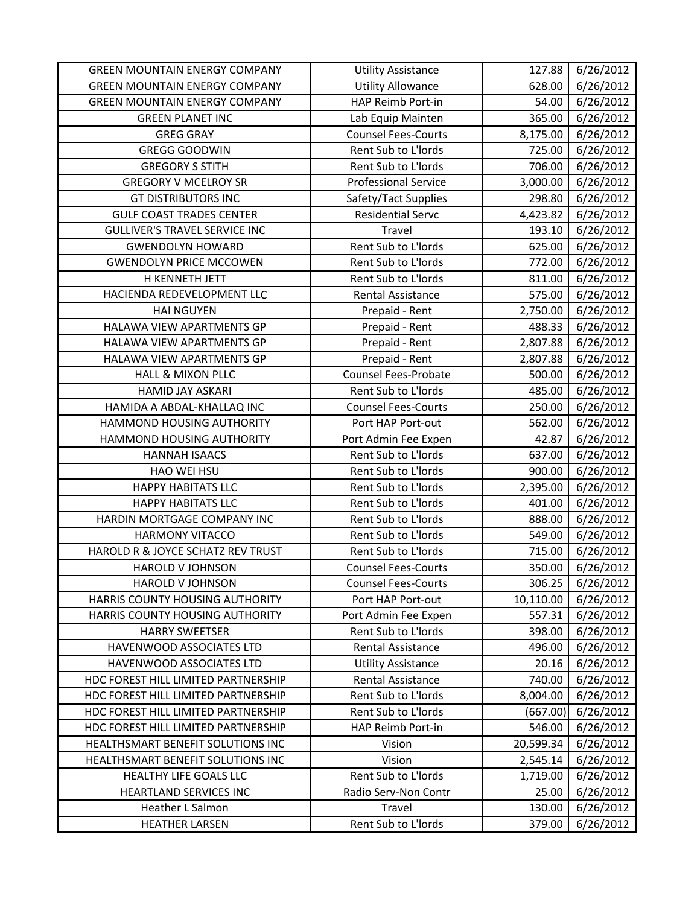| <b>GREEN MOUNTAIN ENERGY COMPANY</b> | <b>Utility Assistance</b>   | 127.88    | 6/26/2012 |
|--------------------------------------|-----------------------------|-----------|-----------|
| <b>GREEN MOUNTAIN ENERGY COMPANY</b> | <b>Utility Allowance</b>    | 628.00    | 6/26/2012 |
| <b>GREEN MOUNTAIN ENERGY COMPANY</b> | HAP Reimb Port-in           | 54.00     | 6/26/2012 |
| <b>GREEN PLANET INC</b>              | Lab Equip Mainten           | 365.00    | 6/26/2012 |
| <b>GREG GRAY</b>                     | <b>Counsel Fees-Courts</b>  | 8,175.00  | 6/26/2012 |
| <b>GREGG GOODWIN</b>                 | Rent Sub to L'Iords         | 725.00    | 6/26/2012 |
| <b>GREGORY S STITH</b>               | Rent Sub to L'Iords         | 706.00    | 6/26/2012 |
| <b>GREGORY V MCELROY SR</b>          | <b>Professional Service</b> | 3,000.00  | 6/26/2012 |
| <b>GT DISTRIBUTORS INC</b>           | Safety/Tact Supplies        | 298.80    | 6/26/2012 |
| <b>GULF COAST TRADES CENTER</b>      | <b>Residential Servc</b>    | 4,423.82  | 6/26/2012 |
| <b>GULLIVER'S TRAVEL SERVICE INC</b> | Travel                      | 193.10    | 6/26/2012 |
| <b>GWENDOLYN HOWARD</b>              | Rent Sub to L'Iords         | 625.00    | 6/26/2012 |
| <b>GWENDOLYN PRICE MCCOWEN</b>       | Rent Sub to L'Iords         | 772.00    | 6/26/2012 |
| H KENNETH JETT                       | Rent Sub to L'Iords         | 811.00    | 6/26/2012 |
| HACIENDA REDEVELOPMENT LLC           | Rental Assistance           | 575.00    | 6/26/2012 |
| <b>HAI NGUYEN</b>                    | Prepaid - Rent              | 2,750.00  | 6/26/2012 |
| HALAWA VIEW APARTMENTS GP            | Prepaid - Rent              | 488.33    | 6/26/2012 |
| HALAWA VIEW APARTMENTS GP            | Prepaid - Rent              | 2,807.88  | 6/26/2012 |
| HALAWA VIEW APARTMENTS GP            | Prepaid - Rent              | 2,807.88  | 6/26/2012 |
| <b>HALL &amp; MIXON PLLC</b>         | <b>Counsel Fees-Probate</b> | 500.00    | 6/26/2012 |
| <b>HAMID JAY ASKARI</b>              | Rent Sub to L'Iords         | 485.00    | 6/26/2012 |
| HAMIDA A ABDAL-KHALLAQ INC           | <b>Counsel Fees-Courts</b>  | 250.00    | 6/26/2012 |
| HAMMOND HOUSING AUTHORITY            | Port HAP Port-out           | 562.00    | 6/26/2012 |
| HAMMOND HOUSING AUTHORITY            | Port Admin Fee Expen        | 42.87     | 6/26/2012 |
| <b>HANNAH ISAACS</b>                 | Rent Sub to L'Iords         | 637.00    | 6/26/2012 |
| HAO WEI HSU                          | Rent Sub to L'Iords         | 900.00    | 6/26/2012 |
| <b>HAPPY HABITATS LLC</b>            | Rent Sub to L'Iords         | 2,395.00  | 6/26/2012 |
| <b>HAPPY HABITATS LLC</b>            | Rent Sub to L'Iords         | 401.00    | 6/26/2012 |
| HARDIN MORTGAGE COMPANY INC          | Rent Sub to L'Iords         | 888.00    | 6/26/2012 |
| <b>HARMONY VITACCO</b>               | Rent Sub to L'Iords         | 549.00    | 6/26/2012 |
| HAROLD R & JOYCE SCHATZ REV TRUST    | Rent Sub to L'Iords         | 715.00    | 6/26/2012 |
| <b>HAROLD V JOHNSON</b>              | <b>Counsel Fees-Courts</b>  | 350.00    | 6/26/2012 |
| <b>HAROLD V JOHNSON</b>              | <b>Counsel Fees-Courts</b>  | 306.25    | 6/26/2012 |
| HARRIS COUNTY HOUSING AUTHORITY      | Port HAP Port-out           | 10,110.00 | 6/26/2012 |
| HARRIS COUNTY HOUSING AUTHORITY      | Port Admin Fee Expen        | 557.31    | 6/26/2012 |
| <b>HARRY SWEETSER</b>                | Rent Sub to L'Iords         | 398.00    | 6/26/2012 |
| HAVENWOOD ASSOCIATES LTD             | Rental Assistance           | 496.00    | 6/26/2012 |
| HAVENWOOD ASSOCIATES LTD             | <b>Utility Assistance</b>   | 20.16     | 6/26/2012 |
| HDC FOREST HILL LIMITED PARTNERSHIP  | <b>Rental Assistance</b>    | 740.00    | 6/26/2012 |
| HDC FOREST HILL LIMITED PARTNERSHIP  | Rent Sub to L'Iords         | 8,004.00  | 6/26/2012 |
| HDC FOREST HILL LIMITED PARTNERSHIP  | Rent Sub to L'Iords         | (667.00)  | 6/26/2012 |
| HDC FOREST HILL LIMITED PARTNERSHIP  | HAP Reimb Port-in           | 546.00    | 6/26/2012 |
| HEALTHSMART BENEFIT SOLUTIONS INC    | Vision                      | 20,599.34 | 6/26/2012 |
| HEALTHSMART BENEFIT SOLUTIONS INC    | Vision                      | 2,545.14  | 6/26/2012 |
| HEALTHY LIFE GOALS LLC               | Rent Sub to L'Iords         | 1,719.00  | 6/26/2012 |
| <b>HEARTLAND SERVICES INC</b>        | Radio Serv-Non Contr        | 25.00     | 6/26/2012 |
| Heather L Salmon                     | Travel                      | 130.00    | 6/26/2012 |
| <b>HEATHER LARSEN</b>                | Rent Sub to L'Iords         | 379.00    | 6/26/2012 |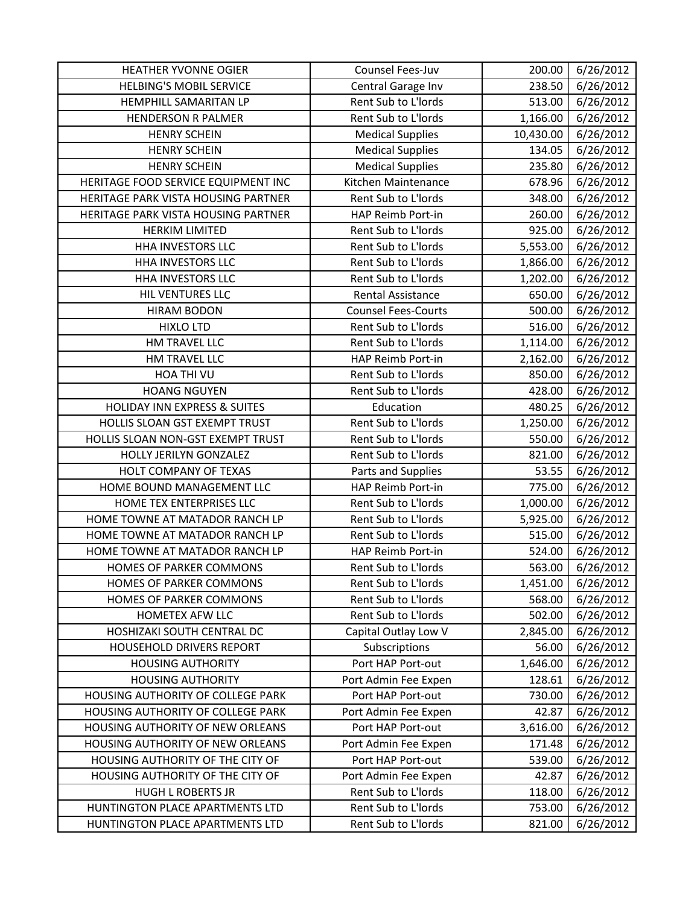| HEATHER YVONNE OGIER                    | Counsel Fees-Juv           | 200.00    | 6/26/2012 |
|-----------------------------------------|----------------------------|-----------|-----------|
| <b>HELBING'S MOBIL SERVICE</b>          | Central Garage Inv         | 238.50    | 6/26/2012 |
| HEMPHILL SAMARITAN LP                   | Rent Sub to L'Iords        | 513.00    | 6/26/2012 |
| <b>HENDERSON R PALMER</b>               | Rent Sub to L'Iords        | 1,166.00  | 6/26/2012 |
| <b>HENRY SCHEIN</b>                     | <b>Medical Supplies</b>    | 10,430.00 | 6/26/2012 |
| <b>HENRY SCHEIN</b>                     | <b>Medical Supplies</b>    | 134.05    | 6/26/2012 |
| <b>HENRY SCHEIN</b>                     | <b>Medical Supplies</b>    | 235.80    | 6/26/2012 |
| HERITAGE FOOD SERVICE EQUIPMENT INC     | Kitchen Maintenance        | 678.96    | 6/26/2012 |
| HERITAGE PARK VISTA HOUSING PARTNER     | Rent Sub to L'Iords        | 348.00    | 6/26/2012 |
| HERITAGE PARK VISTA HOUSING PARTNER     | HAP Reimb Port-in          | 260.00    | 6/26/2012 |
| <b>HERKIM LIMITED</b>                   | Rent Sub to L'Iords        | 925.00    | 6/26/2012 |
| <b>HHA INVESTORS LLC</b>                | Rent Sub to L'Iords        | 5,553.00  | 6/26/2012 |
| HHA INVESTORS LLC                       | Rent Sub to L'Iords        | 1,866.00  | 6/26/2012 |
| <b>HHA INVESTORS LLC</b>                | Rent Sub to L'Iords        | 1,202.00  | 6/26/2012 |
| HIL VENTURES LLC                        | Rental Assistance          | 650.00    | 6/26/2012 |
| <b>HIRAM BODON</b>                      | <b>Counsel Fees-Courts</b> | 500.00    | 6/26/2012 |
| <b>HIXLO LTD</b>                        | Rent Sub to L'Iords        | 516.00    | 6/26/2012 |
| HM TRAVEL LLC                           | Rent Sub to L'Iords        | 1,114.00  | 6/26/2012 |
| HM TRAVEL LLC                           | HAP Reimb Port-in          | 2,162.00  | 6/26/2012 |
| HOA THI VU                              | Rent Sub to L'Iords        | 850.00    | 6/26/2012 |
| <b>HOANG NGUYEN</b>                     | Rent Sub to L'Iords        | 428.00    | 6/26/2012 |
| <b>HOLIDAY INN EXPRESS &amp; SUITES</b> | Education                  | 480.25    | 6/26/2012 |
| HOLLIS SLOAN GST EXEMPT TRUST           | Rent Sub to L'Iords        | 1,250.00  | 6/26/2012 |
| HOLLIS SLOAN NON-GST EXEMPT TRUST       | Rent Sub to L'Iords        | 550.00    | 6/26/2012 |
| HOLLY JERILYN GONZALEZ                  | Rent Sub to L'Iords        | 821.00    | 6/26/2012 |
| HOLT COMPANY OF TEXAS                   | Parts and Supplies         | 53.55     | 6/26/2012 |
| HOME BOUND MANAGEMENT LLC               | HAP Reimb Port-in          | 775.00    | 6/26/2012 |
| HOME TEX ENTERPRISES LLC                | Rent Sub to L'Iords        | 1,000.00  | 6/26/2012 |
| HOME TOWNE AT MATADOR RANCH LP          | Rent Sub to L'Iords        | 5,925.00  | 6/26/2012 |
| HOME TOWNE AT MATADOR RANCH LP          | Rent Sub to L'Iords        | 515.00    | 6/26/2012 |
| HOME TOWNE AT MATADOR RANCH LP          | HAP Reimb Port-in          | 524.00    | 6/26/2012 |
| <b>HOMES OF PARKER COMMONS</b>          | Rent Sub to L'Iords        | 563.00    | 6/26/2012 |
| HOMES OF PARKER COMMONS                 | Rent Sub to L'Iords        | 1,451.00  | 6/26/2012 |
| HOMES OF PARKER COMMONS                 | Rent Sub to L'Iords        | 568.00    | 6/26/2012 |
| HOMETEX AFW LLC                         | Rent Sub to L'Iords        | 502.00    | 6/26/2012 |
| HOSHIZAKI SOUTH CENTRAL DC              | Capital Outlay Low V       | 2,845.00  | 6/26/2012 |
| <b>HOUSEHOLD DRIVERS REPORT</b>         | Subscriptions              | 56.00     | 6/26/2012 |
| <b>HOUSING AUTHORITY</b>                | Port HAP Port-out          | 1,646.00  | 6/26/2012 |
| <b>HOUSING AUTHORITY</b>                | Port Admin Fee Expen       | 128.61    | 6/26/2012 |
| HOUSING AUTHORITY OF COLLEGE PARK       | Port HAP Port-out          | 730.00    | 6/26/2012 |
| HOUSING AUTHORITY OF COLLEGE PARK       | Port Admin Fee Expen       | 42.87     | 6/26/2012 |
| HOUSING AUTHORITY OF NEW ORLEANS        | Port HAP Port-out          | 3,616.00  | 6/26/2012 |
| HOUSING AUTHORITY OF NEW ORLEANS        | Port Admin Fee Expen       | 171.48    | 6/26/2012 |
| HOUSING AUTHORITY OF THE CITY OF        | Port HAP Port-out          | 539.00    | 6/26/2012 |
| HOUSING AUTHORITY OF THE CITY OF        | Port Admin Fee Expen       | 42.87     | 6/26/2012 |
| <b>HUGH L ROBERTS JR</b>                | Rent Sub to L'Iords        | 118.00    | 6/26/2012 |
| HUNTINGTON PLACE APARTMENTS LTD         | Rent Sub to L'Iords        | 753.00    | 6/26/2012 |
| HUNTINGTON PLACE APARTMENTS LTD         | Rent Sub to L'Iords        | 821.00    | 6/26/2012 |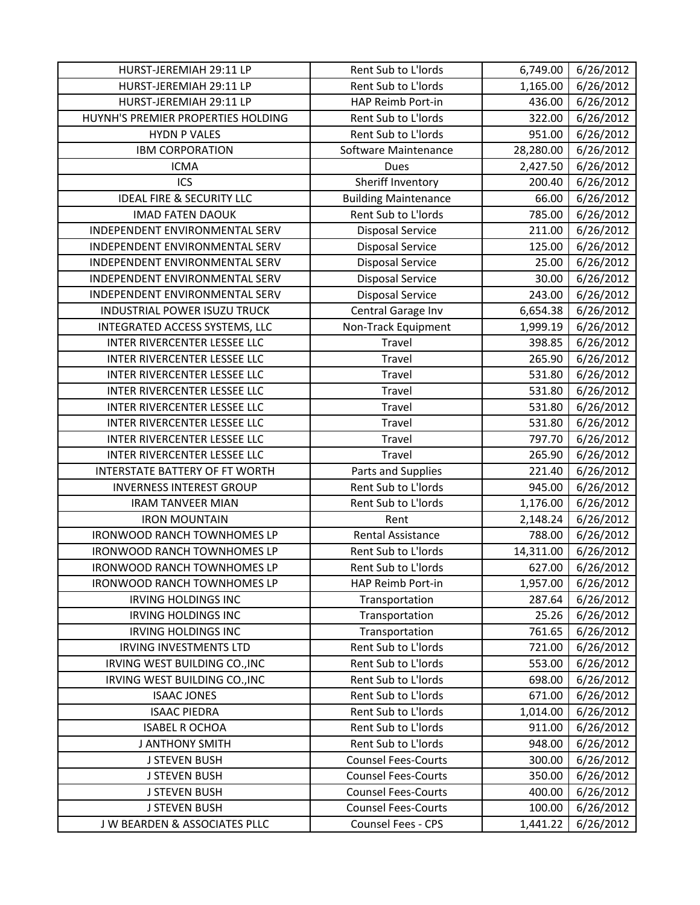| HURST-JEREMIAH 29:11 LP               | Rent Sub to L'Iords         | 6,749.00  | 6/26/2012 |
|---------------------------------------|-----------------------------|-----------|-----------|
| HURST-JEREMIAH 29:11 LP               | Rent Sub to L'Iords         | 1,165.00  | 6/26/2012 |
| HURST-JEREMIAH 29:11 LP               | HAP Reimb Port-in           | 436.00    | 6/26/2012 |
| HUYNH'S PREMIER PROPERTIES HOLDING    | Rent Sub to L'Iords         | 322.00    | 6/26/2012 |
| <b>HYDN P VALES</b>                   | Rent Sub to L'Iords         | 951.00    | 6/26/2012 |
| <b>IBM CORPORATION</b>                | Software Maintenance        | 28,280.00 | 6/26/2012 |
| <b>ICMA</b>                           | <b>Dues</b>                 | 2,427.50  | 6/26/2012 |
| <b>ICS</b>                            | Sheriff Inventory           | 200.40    | 6/26/2012 |
| <b>IDEAL FIRE &amp; SECURITY LLC</b>  | <b>Building Maintenance</b> | 66.00     | 6/26/2012 |
| <b>IMAD FATEN DAOUK</b>               | Rent Sub to L'Iords         | 785.00    | 6/26/2012 |
| INDEPENDENT ENVIRONMENTAL SERV        | <b>Disposal Service</b>     | 211.00    | 6/26/2012 |
| INDEPENDENT ENVIRONMENTAL SERV        | <b>Disposal Service</b>     | 125.00    | 6/26/2012 |
| INDEPENDENT ENVIRONMENTAL SERV        | <b>Disposal Service</b>     | 25.00     | 6/26/2012 |
| INDEPENDENT ENVIRONMENTAL SERV        | <b>Disposal Service</b>     | 30.00     | 6/26/2012 |
| INDEPENDENT ENVIRONMENTAL SERV        | <b>Disposal Service</b>     | 243.00    | 6/26/2012 |
| INDUSTRIAL POWER ISUZU TRUCK          | Central Garage Inv          | 6,654.38  | 6/26/2012 |
| INTEGRATED ACCESS SYSTEMS, LLC        | Non-Track Equipment         | 1,999.19  | 6/26/2012 |
| INTER RIVERCENTER LESSEE LLC          | Travel                      | 398.85    | 6/26/2012 |
| INTER RIVERCENTER LESSEE LLC          | Travel                      | 265.90    | 6/26/2012 |
| INTER RIVERCENTER LESSEE LLC          | Travel                      | 531.80    | 6/26/2012 |
| INTER RIVERCENTER LESSEE LLC          | Travel                      | 531.80    | 6/26/2012 |
| INTER RIVERCENTER LESSEE LLC          | Travel                      | 531.80    | 6/26/2012 |
| INTER RIVERCENTER LESSEE LLC          | Travel                      | 531.80    | 6/26/2012 |
| INTER RIVERCENTER LESSEE LLC          | Travel                      | 797.70    | 6/26/2012 |
| INTER RIVERCENTER LESSEE LLC          | Travel                      | 265.90    | 6/26/2012 |
| <b>INTERSTATE BATTERY OF FT WORTH</b> | Parts and Supplies          | 221.40    | 6/26/2012 |
| <b>INVERNESS INTEREST GROUP</b>       | Rent Sub to L'Iords         | 945.00    | 6/26/2012 |
| <b>IRAM TANVEER MIAN</b>              | Rent Sub to L'Iords         | 1,176.00  | 6/26/2012 |
| <b>IRON MOUNTAIN</b>                  | Rent                        | 2,148.24  | 6/26/2012 |
| <b>IRONWOOD RANCH TOWNHOMES LP</b>    | <b>Rental Assistance</b>    | 788.00    | 6/26/2012 |
| <b>IRONWOOD RANCH TOWNHOMES LP</b>    | Rent Sub to L'Iords         | 14,311.00 | 6/26/2012 |
| <b>IRONWOOD RANCH TOWNHOMES LP</b>    | Rent Sub to L'Iords         | 627.00    | 6/26/2012 |
| <b>IRONWOOD RANCH TOWNHOMES LP</b>    | HAP Reimb Port-in           | 1,957.00  | 6/26/2012 |
| <b>IRVING HOLDINGS INC</b>            | Transportation              | 287.64    | 6/26/2012 |
| <b>IRVING HOLDINGS INC</b>            | Transportation              | 25.26     | 6/26/2012 |
| <b>IRVING HOLDINGS INC</b>            | Transportation              | 761.65    | 6/26/2012 |
| <b>IRVING INVESTMENTS LTD</b>         | Rent Sub to L'Iords         | 721.00    | 6/26/2012 |
| IRVING WEST BUILDING CO., INC         | Rent Sub to L'Iords         | 553.00    | 6/26/2012 |
| IRVING WEST BUILDING CO., INC         | Rent Sub to L'Iords         | 698.00    | 6/26/2012 |
| <b>ISAAC JONES</b>                    | Rent Sub to L'Iords         | 671.00    | 6/26/2012 |
| <b>ISAAC PIEDRA</b>                   | Rent Sub to L'Iords         | 1,014.00  | 6/26/2012 |
| <b>ISABEL R OCHOA</b>                 | Rent Sub to L'Iords         | 911.00    | 6/26/2012 |
| <b>J ANTHONY SMITH</b>                | Rent Sub to L'Iords         | 948.00    | 6/26/2012 |
| <b>J STEVEN BUSH</b>                  | <b>Counsel Fees-Courts</b>  | 300.00    | 6/26/2012 |
| <b>J STEVEN BUSH</b>                  | <b>Counsel Fees-Courts</b>  | 350.00    | 6/26/2012 |
| <b>J STEVEN BUSH</b>                  | <b>Counsel Fees-Courts</b>  | 400.00    | 6/26/2012 |
| <b>J STEVEN BUSH</b>                  | <b>Counsel Fees-Courts</b>  | 100.00    | 6/26/2012 |
| J W BEARDEN & ASSOCIATES PLLC         | Counsel Fees - CPS          | 1,441.22  | 6/26/2012 |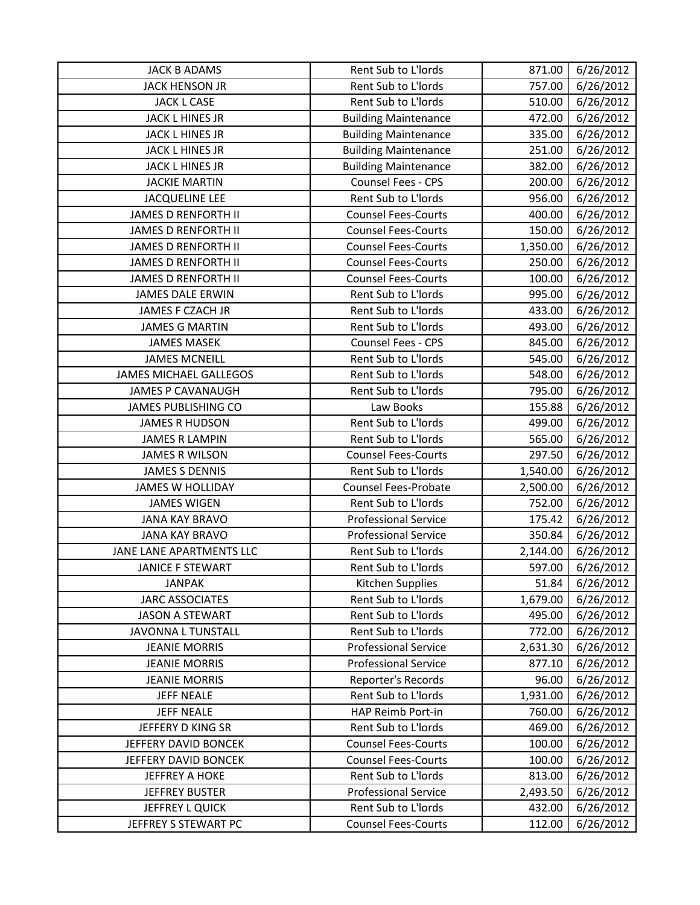| <b>JACK B ADAMS</b>           | Rent Sub to L'Iords         | 871.00   | 6/26/2012 |
|-------------------------------|-----------------------------|----------|-----------|
| JACK HENSON JR                | Rent Sub to L'Iords         | 757.00   | 6/26/2012 |
| <b>JACK L CASE</b>            | Rent Sub to L'Iords         | 510.00   | 6/26/2012 |
| <b>JACK L HINES JR</b>        | <b>Building Maintenance</b> | 472.00   | 6/26/2012 |
| <b>JACK L HINES JR</b>        | <b>Building Maintenance</b> | 335.00   | 6/26/2012 |
| JACK L HINES JR               | <b>Building Maintenance</b> | 251.00   | 6/26/2012 |
| <b>JACK L HINES JR</b>        | <b>Building Maintenance</b> | 382.00   | 6/26/2012 |
| <b>JACKIE MARTIN</b>          | Counsel Fees - CPS          | 200.00   | 6/26/2012 |
| <b>JACQUELINE LEE</b>         | Rent Sub to L'Iords         | 956.00   | 6/26/2012 |
| <b>JAMES D RENFORTH II</b>    | <b>Counsel Fees-Courts</b>  | 400.00   | 6/26/2012 |
| <b>JAMES D RENFORTH II</b>    | <b>Counsel Fees-Courts</b>  | 150.00   | 6/26/2012 |
| <b>JAMES D RENFORTH II</b>    | <b>Counsel Fees-Courts</b>  | 1,350.00 | 6/26/2012 |
| <b>JAMES D RENFORTH II</b>    | <b>Counsel Fees-Courts</b>  | 250.00   | 6/26/2012 |
| <b>JAMES D RENFORTH II</b>    | <b>Counsel Fees-Courts</b>  | 100.00   | 6/26/2012 |
| <b>JAMES DALE ERWIN</b>       | Rent Sub to L'Iords         | 995.00   | 6/26/2012 |
| JAMES F CZACH JR              | Rent Sub to L'Iords         | 433.00   | 6/26/2012 |
| <b>JAMES G MARTIN</b>         | Rent Sub to L'Iords         | 493.00   | 6/26/2012 |
| <b>JAMES MASEK</b>            | Counsel Fees - CPS          | 845.00   | 6/26/2012 |
| <b>JAMES MCNEILL</b>          | Rent Sub to L'Iords         | 545.00   | 6/26/2012 |
| <b>JAMES MICHAEL GALLEGOS</b> | Rent Sub to L'Iords         | 548.00   | 6/26/2012 |
| <b>JAMES P CAVANAUGH</b>      | Rent Sub to L'Iords         | 795.00   | 6/26/2012 |
| <b>JAMES PUBLISHING CO</b>    | Law Books                   | 155.88   | 6/26/2012 |
| <b>JAMES R HUDSON</b>         | Rent Sub to L'Iords         | 499.00   | 6/26/2012 |
| <b>JAMES R LAMPIN</b>         | Rent Sub to L'Iords         | 565.00   | 6/26/2012 |
| <b>JAMES R WILSON</b>         | <b>Counsel Fees-Courts</b>  | 297.50   | 6/26/2012 |
| <b>JAMES S DENNIS</b>         | Rent Sub to L'Iords         | 1,540.00 | 6/26/2012 |
| <b>JAMES W HOLLIDAY</b>       | Counsel Fees-Probate        | 2,500.00 | 6/26/2012 |
| <b>JAMES WIGEN</b>            | Rent Sub to L'Iords         | 752.00   | 6/26/2012 |
| <b>JANA KAY BRAVO</b>         | <b>Professional Service</b> | 175.42   | 6/26/2012 |
| <b>JANA KAY BRAVO</b>         | <b>Professional Service</b> | 350.84   | 6/26/2012 |
| JANE LANE APARTMENTS LLC      | Rent Sub to L'Iords         | 2,144.00 | 6/26/2012 |
| <b>JANICE F STEWART</b>       | Rent Sub to L'Iords         | 597.00   | 6/26/2012 |
| <b>JANPAK</b>                 | Kitchen Supplies            | 51.84    | 6/26/2012 |
| <b>JARC ASSOCIATES</b>        | Rent Sub to L'Iords         | 1,679.00 | 6/26/2012 |
| <b>JASON A STEWART</b>        | Rent Sub to L'Iords         | 495.00   | 6/26/2012 |
| JAVONNA L TUNSTALL            | Rent Sub to L'Iords         | 772.00   | 6/26/2012 |
| <b>JEANIE MORRIS</b>          | <b>Professional Service</b> | 2,631.30 | 6/26/2012 |
| <b>JEANIE MORRIS</b>          | <b>Professional Service</b> | 877.10   | 6/26/2012 |
| <b>JEANIE MORRIS</b>          | Reporter's Records          | 96.00    | 6/26/2012 |
| <b>JEFF NEALE</b>             | Rent Sub to L'Iords         | 1,931.00 | 6/26/2012 |
| <b>JEFF NEALE</b>             | HAP Reimb Port-in           | 760.00   | 6/26/2012 |
| JEFFERY D KING SR             | Rent Sub to L'Iords         | 469.00   | 6/26/2012 |
| JEFFERY DAVID BONCEK          | <b>Counsel Fees-Courts</b>  | 100.00   | 6/26/2012 |
| JEFFERY DAVID BONCEK          | <b>Counsel Fees-Courts</b>  | 100.00   | 6/26/2012 |
| <b>JEFFREY A HOKE</b>         | Rent Sub to L'Iords         | 813.00   | 6/26/2012 |
| <b>JEFFREY BUSTER</b>         | <b>Professional Service</b> | 2,493.50 | 6/26/2012 |
| JEFFREY L QUICK               | Rent Sub to L'Iords         | 432.00   | 6/26/2012 |
| JEFFREY S STEWART PC          | <b>Counsel Fees-Courts</b>  | 112.00   | 6/26/2012 |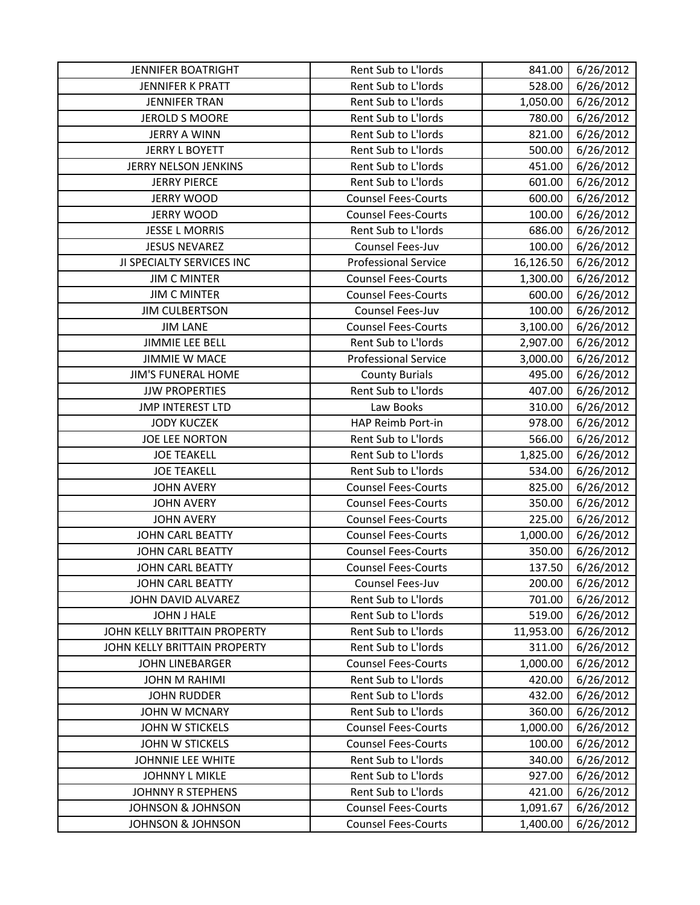| <b>JENNIFER BOATRIGHT</b>    | Rent Sub to L'Iords         | 841.00    | 6/26/2012 |
|------------------------------|-----------------------------|-----------|-----------|
| <b>JENNIFER K PRATT</b>      | Rent Sub to L'Iords         | 528.00    | 6/26/2012 |
| <b>JENNIFER TRAN</b>         | Rent Sub to L'Iords         | 1,050.00  | 6/26/2012 |
| JEROLD S MOORE               | Rent Sub to L'Iords         | 780.00    | 6/26/2012 |
| <b>JERRY A WINN</b>          | Rent Sub to L'Iords         | 821.00    | 6/26/2012 |
| <b>JERRY L BOYETT</b>        | Rent Sub to L'Iords         | 500.00    | 6/26/2012 |
| JERRY NELSON JENKINS         | Rent Sub to L'Iords         | 451.00    | 6/26/2012 |
| <b>JERRY PIERCE</b>          | Rent Sub to L'Iords         | 601.00    | 6/26/2012 |
| <b>JERRY WOOD</b>            | <b>Counsel Fees-Courts</b>  | 600.00    | 6/26/2012 |
| <b>JERRY WOOD</b>            | <b>Counsel Fees-Courts</b>  | 100.00    | 6/26/2012 |
| <b>JESSE L MORRIS</b>        | Rent Sub to L'Iords         | 686.00    | 6/26/2012 |
| <b>JESUS NEVAREZ</b>         | Counsel Fees-Juv            | 100.00    | 6/26/2012 |
| JI SPECIALTY SERVICES INC    | <b>Professional Service</b> | 16,126.50 | 6/26/2012 |
| <b>JIM C MINTER</b>          | <b>Counsel Fees-Courts</b>  | 1,300.00  | 6/26/2012 |
| <b>JIM C MINTER</b>          | <b>Counsel Fees-Courts</b>  | 600.00    | 6/26/2012 |
| <b>JIM CULBERTSON</b>        | Counsel Fees-Juv            | 100.00    | 6/26/2012 |
| <b>JIM LANE</b>              | <b>Counsel Fees-Courts</b>  | 3,100.00  | 6/26/2012 |
| <b>JIMMIE LEE BELL</b>       | Rent Sub to L'Iords         | 2,907.00  | 6/26/2012 |
| <b>JIMMIE W MACE</b>         | <b>Professional Service</b> | 3,000.00  | 6/26/2012 |
| <b>JIM'S FUNERAL HOME</b>    | <b>County Burials</b>       | 495.00    | 6/26/2012 |
| <b>JJW PROPERTIES</b>        | Rent Sub to L'Iords         | 407.00    | 6/26/2012 |
| <b>JMP INTEREST LTD</b>      | Law Books                   | 310.00    | 6/26/2012 |
| <b>JODY KUCZEK</b>           | HAP Reimb Port-in           | 978.00    | 6/26/2012 |
| JOE LEE NORTON               | Rent Sub to L'Iords         | 566.00    | 6/26/2012 |
| <b>JOE TEAKELL</b>           | Rent Sub to L'Iords         | 1,825.00  | 6/26/2012 |
| <b>JOE TEAKELL</b>           | Rent Sub to L'Iords         | 534.00    | 6/26/2012 |
| <b>JOHN AVERY</b>            | <b>Counsel Fees-Courts</b>  | 825.00    | 6/26/2012 |
| <b>JOHN AVERY</b>            | <b>Counsel Fees-Courts</b>  | 350.00    | 6/26/2012 |
| <b>JOHN AVERY</b>            | <b>Counsel Fees-Courts</b>  | 225.00    | 6/26/2012 |
| <b>JOHN CARL BEATTY</b>      | <b>Counsel Fees-Courts</b>  | 1,000.00  | 6/26/2012 |
| <b>JOHN CARL BEATTY</b>      | <b>Counsel Fees-Courts</b>  | 350.00    | 6/26/2012 |
| <b>JOHN CARL BEATTY</b>      | <b>Counsel Fees-Courts</b>  | 137.50    | 6/26/2012 |
| JOHN CARL BEATTY             | Counsel Fees-Juv            | 200.00    | 6/26/2012 |
| JOHN DAVID ALVAREZ           | Rent Sub to L'Iords         | 701.00    | 6/26/2012 |
| JOHN J HALE                  | Rent Sub to L'Iords         | 519.00    | 6/26/2012 |
| JOHN KELLY BRITTAIN PROPERTY | Rent Sub to L'Iords         | 11,953.00 | 6/26/2012 |
| JOHN KELLY BRITTAIN PROPERTY | Rent Sub to L'Iords         | 311.00    | 6/26/2012 |
| <b>JOHN LINEBARGER</b>       | <b>Counsel Fees-Courts</b>  | 1,000.00  | 6/26/2012 |
| <b>JOHN M RAHIMI</b>         | Rent Sub to L'Iords         | 420.00    | 6/26/2012 |
| <b>JOHN RUDDER</b>           | Rent Sub to L'Iords         | 432.00    | 6/26/2012 |
| <b>JOHN W MCNARY</b>         | Rent Sub to L'Iords         | 360.00    | 6/26/2012 |
| <b>JOHN W STICKELS</b>       | <b>Counsel Fees-Courts</b>  | 1,000.00  | 6/26/2012 |
| <b>JOHN W STICKELS</b>       | <b>Counsel Fees-Courts</b>  | 100.00    | 6/26/2012 |
| JOHNNIE LEE WHITE            | Rent Sub to L'Iords         | 340.00    | 6/26/2012 |
| JOHNNY L MIKLE               | Rent Sub to L'Iords         | 927.00    | 6/26/2012 |
| <b>JOHNNY R STEPHENS</b>     | Rent Sub to L'Iords         | 421.00    | 6/26/2012 |
| <b>JOHNSON &amp; JOHNSON</b> | <b>Counsel Fees-Courts</b>  | 1,091.67  | 6/26/2012 |
| JOHNSON & JOHNSON            | <b>Counsel Fees-Courts</b>  | 1,400.00  | 6/26/2012 |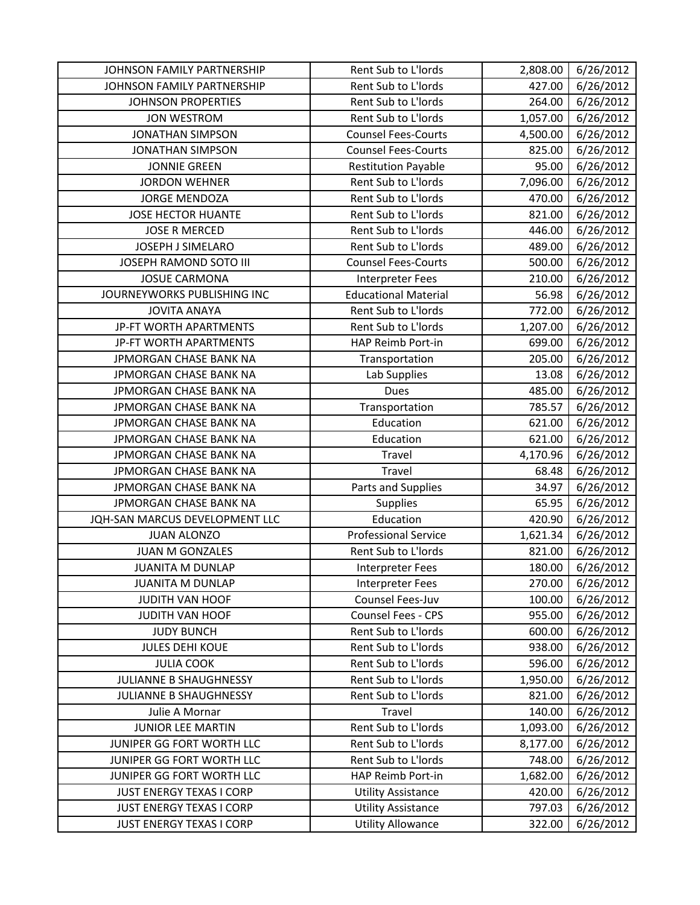| JOHNSON FAMILY PARTNERSHIP      | Rent Sub to L'Iords         | 2,808.00 | 6/26/2012 |
|---------------------------------|-----------------------------|----------|-----------|
| JOHNSON FAMILY PARTNERSHIP      | Rent Sub to L'Iords         | 427.00   | 6/26/2012 |
| <b>JOHNSON PROPERTIES</b>       | Rent Sub to L'Iords         | 264.00   | 6/26/2012 |
| <b>JON WESTROM</b>              | Rent Sub to L'Iords         | 1,057.00 | 6/26/2012 |
| <b>JONATHAN SIMPSON</b>         | <b>Counsel Fees-Courts</b>  | 4,500.00 | 6/26/2012 |
| <b>JONATHAN SIMPSON</b>         | <b>Counsel Fees-Courts</b>  | 825.00   | 6/26/2012 |
| <b>JONNIE GREEN</b>             | <b>Restitution Payable</b>  | 95.00    | 6/26/2012 |
| <b>JORDON WEHNER</b>            | Rent Sub to L'Iords         | 7,096.00 | 6/26/2012 |
| JORGE MENDOZA                   | Rent Sub to L'Iords         | 470.00   | 6/26/2012 |
| <b>JOSE HECTOR HUANTE</b>       | Rent Sub to L'Iords         | 821.00   | 6/26/2012 |
| <b>JOSE R MERCED</b>            | Rent Sub to L'Iords         | 446.00   | 6/26/2012 |
| <b>JOSEPH J SIMELARO</b>        | Rent Sub to L'Iords         | 489.00   | 6/26/2012 |
| JOSEPH RAMOND SOTO III          | <b>Counsel Fees-Courts</b>  | 500.00   | 6/26/2012 |
| <b>JOSUE CARMONA</b>            | <b>Interpreter Fees</b>     | 210.00   | 6/26/2012 |
| JOURNEYWORKS PUBLISHING INC     | <b>Educational Material</b> | 56.98    | 6/26/2012 |
| <b>JOVITA ANAYA</b>             | Rent Sub to L'Iords         | 772.00   | 6/26/2012 |
| JP-FT WORTH APARTMENTS          | Rent Sub to L'Iords         | 1,207.00 | 6/26/2012 |
| JP-FT WORTH APARTMENTS          | HAP Reimb Port-in           | 699.00   | 6/26/2012 |
| JPMORGAN CHASE BANK NA          | Transportation              | 205.00   | 6/26/2012 |
| JPMORGAN CHASE BANK NA          | Lab Supplies                | 13.08    | 6/26/2012 |
| JPMORGAN CHASE BANK NA          | Dues                        | 485.00   | 6/26/2012 |
| JPMORGAN CHASE BANK NA          | Transportation              | 785.57   | 6/26/2012 |
| JPMORGAN CHASE BANK NA          | Education                   | 621.00   | 6/26/2012 |
| JPMORGAN CHASE BANK NA          | Education                   | 621.00   | 6/26/2012 |
| JPMORGAN CHASE BANK NA          | Travel                      | 4,170.96 | 6/26/2012 |
| JPMORGAN CHASE BANK NA          | Travel                      | 68.48    | 6/26/2012 |
| JPMORGAN CHASE BANK NA          | Parts and Supplies          | 34.97    | 6/26/2012 |
| JPMORGAN CHASE BANK NA          | Supplies                    | 65.95    | 6/26/2012 |
| JQH-SAN MARCUS DEVELOPMENT LLC  | Education                   | 420.90   | 6/26/2012 |
| <b>JUAN ALONZO</b>              | <b>Professional Service</b> | 1,621.34 | 6/26/2012 |
| JUAN M GONZALES                 | Rent Sub to L'Iords         | 821.00   | 6/26/2012 |
| <b>JUANITA M DUNLAP</b>         | Interpreter Fees            | 180.00   | 6/26/2012 |
| <b>JUANITA M DUNLAP</b>         | <b>Interpreter Fees</b>     | 270.00   | 6/26/2012 |
| JUDITH VAN HOOF                 | Counsel Fees-Juv            | 100.00   | 6/26/2012 |
| <b>JUDITH VAN HOOF</b>          | Counsel Fees - CPS          | 955.00   | 6/26/2012 |
| <b>JUDY BUNCH</b>               | Rent Sub to L'Iords         | 600.00   | 6/26/2012 |
| <b>JULES DEHI KOUE</b>          | Rent Sub to L'Iords         | 938.00   | 6/26/2012 |
| <b>JULIA COOK</b>               | Rent Sub to L'Iords         | 596.00   | 6/26/2012 |
| JULIANNE B SHAUGHNESSY          | Rent Sub to L'Iords         | 1,950.00 | 6/26/2012 |
| JULIANNE B SHAUGHNESSY          | Rent Sub to L'Iords         | 821.00   | 6/26/2012 |
| Julie A Mornar                  | Travel                      | 140.00   | 6/26/2012 |
| <b>JUNIOR LEE MARTIN</b>        | Rent Sub to L'Iords         | 1,093.00 | 6/26/2012 |
| JUNIPER GG FORT WORTH LLC       | Rent Sub to L'Iords         | 8,177.00 | 6/26/2012 |
| JUNIPER GG FORT WORTH LLC       | Rent Sub to L'Iords         | 748.00   | 6/26/2012 |
| JUNIPER GG FORT WORTH LLC       | HAP Reimb Port-in           | 1,682.00 | 6/26/2012 |
| <b>JUST ENERGY TEXAS I CORP</b> | <b>Utility Assistance</b>   | 420.00   | 6/26/2012 |
| <b>JUST ENERGY TEXAS I CORP</b> | <b>Utility Assistance</b>   | 797.03   | 6/26/2012 |
| <b>JUST ENERGY TEXAS I CORP</b> | <b>Utility Allowance</b>    | 322.00   | 6/26/2012 |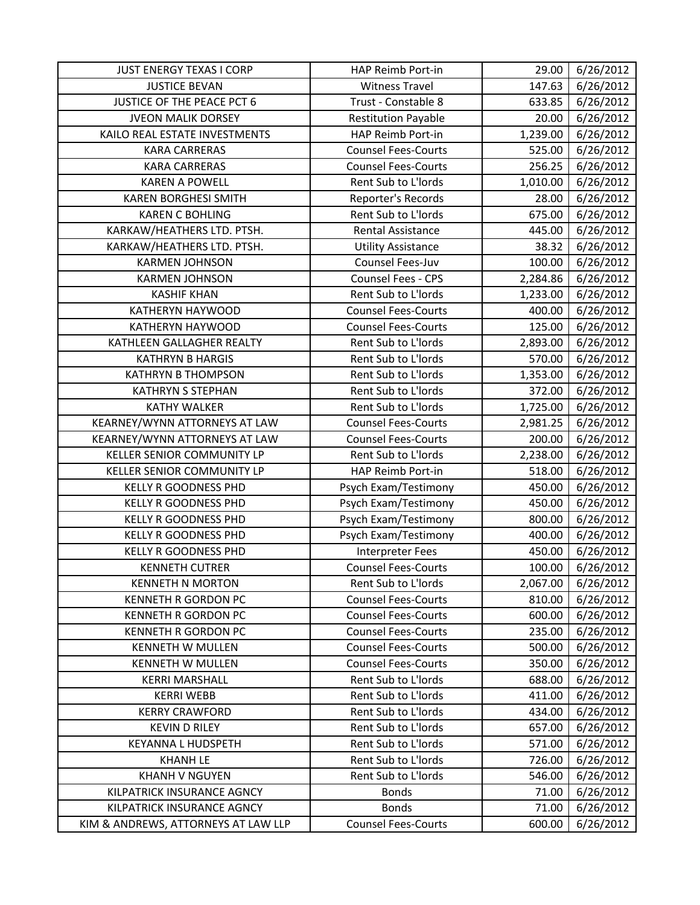| <b>JUST ENERGY TEXAS I CORP</b>     | HAP Reimb Port-in          | 29.00    | 6/26/2012 |
|-------------------------------------|----------------------------|----------|-----------|
| <b>JUSTICE BEVAN</b>                | <b>Witness Travel</b>      | 147.63   | 6/26/2012 |
| JUSTICE OF THE PEACE PCT 6          | Trust - Constable 8        | 633.85   | 6/26/2012 |
| <b>JVEON MALIK DORSEY</b>           | <b>Restitution Payable</b> | 20.00    | 6/26/2012 |
| KAILO REAL ESTATE INVESTMENTS       | HAP Reimb Port-in          | 1,239.00 | 6/26/2012 |
| <b>KARA CARRERAS</b>                | <b>Counsel Fees-Courts</b> | 525.00   | 6/26/2012 |
| <b>KARA CARRERAS</b>                | <b>Counsel Fees-Courts</b> | 256.25   | 6/26/2012 |
| <b>KAREN A POWELL</b>               | Rent Sub to L'Iords        | 1,010.00 | 6/26/2012 |
| <b>KAREN BORGHESI SMITH</b>         | Reporter's Records         | 28.00    | 6/26/2012 |
| <b>KAREN C BOHLING</b>              | Rent Sub to L'Iords        | 675.00   | 6/26/2012 |
| KARKAW/HEATHERS LTD. PTSH.          | <b>Rental Assistance</b>   | 445.00   | 6/26/2012 |
| KARKAW/HEATHERS LTD. PTSH.          | <b>Utility Assistance</b>  | 38.32    | 6/26/2012 |
| <b>KARMEN JOHNSON</b>               | Counsel Fees-Juv           | 100.00   | 6/26/2012 |
| <b>KARMEN JOHNSON</b>               | Counsel Fees - CPS         | 2,284.86 | 6/26/2012 |
| <b>KASHIF KHAN</b>                  | Rent Sub to L'Iords        | 1,233.00 | 6/26/2012 |
| KATHERYN HAYWOOD                    | <b>Counsel Fees-Courts</b> | 400.00   | 6/26/2012 |
| <b>KATHERYN HAYWOOD</b>             | <b>Counsel Fees-Courts</b> | 125.00   | 6/26/2012 |
| KATHLEEN GALLAGHER REALTY           | Rent Sub to L'Iords        | 2,893.00 | 6/26/2012 |
| <b>KATHRYN B HARGIS</b>             | Rent Sub to L'Iords        | 570.00   | 6/26/2012 |
| <b>KATHRYN B THOMPSON</b>           | Rent Sub to L'Iords        | 1,353.00 | 6/26/2012 |
| <b>KATHRYN S STEPHAN</b>            | Rent Sub to L'Iords        | 372.00   | 6/26/2012 |
| <b>KATHY WALKER</b>                 | Rent Sub to L'Iords        | 1,725.00 | 6/26/2012 |
| KEARNEY/WYNN ATTORNEYS AT LAW       | <b>Counsel Fees-Courts</b> | 2,981.25 | 6/26/2012 |
| KEARNEY/WYNN ATTORNEYS AT LAW       | <b>Counsel Fees-Courts</b> | 200.00   | 6/26/2012 |
| <b>KELLER SENIOR COMMUNITY LP</b>   | Rent Sub to L'Iords        | 2,238.00 | 6/26/2012 |
| KELLER SENIOR COMMUNITY LP          | HAP Reimb Port-in          | 518.00   | 6/26/2012 |
| <b>KELLY R GOODNESS PHD</b>         | Psych Exam/Testimony       | 450.00   | 6/26/2012 |
| KELLY R GOODNESS PHD                | Psych Exam/Testimony       | 450.00   | 6/26/2012 |
| <b>KELLY R GOODNESS PHD</b>         | Psych Exam/Testimony       | 800.00   | 6/26/2012 |
| <b>KELLY R GOODNESS PHD</b>         | Psych Exam/Testimony       | 400.00   | 6/26/2012 |
| <b>KELLY R GOODNESS PHD</b>         | Interpreter Fees           | 450.00   | 6/26/2012 |
| <b>KENNETH CUTRER</b>               | <b>Counsel Fees-Courts</b> | 100.00   | 6/26/2012 |
| <b>KENNETH N MORTON</b>             | Rent Sub to L'Iords        | 2,067.00 | 6/26/2012 |
| KENNETH R GORDON PC                 | <b>Counsel Fees-Courts</b> | 810.00   | 6/26/2012 |
| KENNETH R GORDON PC                 | <b>Counsel Fees-Courts</b> | 600.00   | 6/26/2012 |
| KENNETH R GORDON PC                 | <b>Counsel Fees-Courts</b> | 235.00   | 6/26/2012 |
| <b>KENNETH W MULLEN</b>             | <b>Counsel Fees-Courts</b> | 500.00   | 6/26/2012 |
| <b>KENNETH W MULLEN</b>             | <b>Counsel Fees-Courts</b> | 350.00   | 6/26/2012 |
| <b>KERRI MARSHALL</b>               | Rent Sub to L'Iords        | 688.00   | 6/26/2012 |
| <b>KERRI WEBB</b>                   | Rent Sub to L'Iords        | 411.00   | 6/26/2012 |
| <b>KERRY CRAWFORD</b>               | Rent Sub to L'Iords        | 434.00   | 6/26/2012 |
| <b>KEVIN D RILEY</b>                | Rent Sub to L'Iords        | 657.00   | 6/26/2012 |
| <b>KEYANNA L HUDSPETH</b>           | Rent Sub to L'Iords        | 571.00   | 6/26/2012 |
| <b>KHANH LE</b>                     | Rent Sub to L'Iords        | 726.00   | 6/26/2012 |
| <b>KHANH V NGUYEN</b>               | Rent Sub to L'Iords        | 546.00   | 6/26/2012 |
| KILPATRICK INSURANCE AGNCY          | <b>Bonds</b>               | 71.00    | 6/26/2012 |
| KILPATRICK INSURANCE AGNCY          | <b>Bonds</b>               | 71.00    | 6/26/2012 |
| KIM & ANDREWS, ATTORNEYS AT LAW LLP | <b>Counsel Fees-Courts</b> | 600.00   | 6/26/2012 |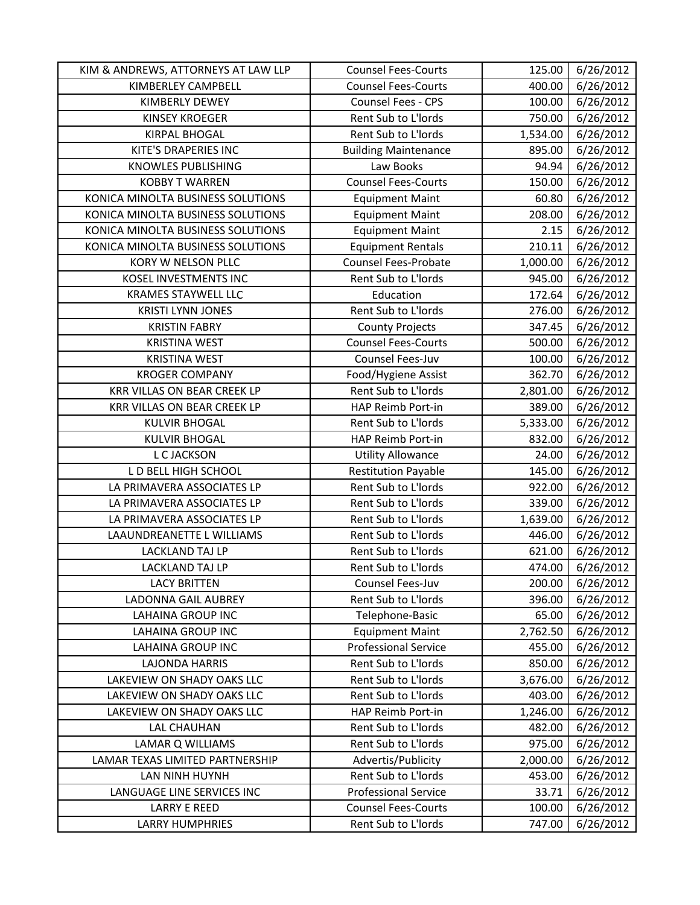| KIM & ANDREWS, ATTORNEYS AT LAW LLP | <b>Counsel Fees-Courts</b>  | 125.00   | 6/26/2012           |
|-------------------------------------|-----------------------------|----------|---------------------|
| KIMBERLEY CAMPBELL                  | <b>Counsel Fees-Courts</b>  | 400.00   | 6/26/2012           |
| <b>KIMBERLY DEWEY</b>               | Counsel Fees - CPS          | 100.00   | 6/26/2012           |
| <b>KINSEY KROEGER</b>               | Rent Sub to L'Iords         | 750.00   | 6/26/2012           |
| <b>KIRPAL BHOGAL</b>                | Rent Sub to L'Iords         | 1,534.00 | 6/26/2012           |
| <b>KITE'S DRAPERIES INC</b>         | <b>Building Maintenance</b> | 895.00   | 6/26/2012           |
| <b>KNOWLES PUBLISHING</b>           | Law Books                   | 94.94    | 6/26/2012           |
| <b>KOBBY T WARREN</b>               | <b>Counsel Fees-Courts</b>  | 150.00   | $\frac{6}{26}/2012$ |
| KONICA MINOLTA BUSINESS SOLUTIONS   | <b>Equipment Maint</b>      | 60.80    | 6/26/2012           |
| KONICA MINOLTA BUSINESS SOLUTIONS   | <b>Equipment Maint</b>      | 208.00   | 6/26/2012           |
| KONICA MINOLTA BUSINESS SOLUTIONS   | <b>Equipment Maint</b>      | 2.15     | 6/26/2012           |
| KONICA MINOLTA BUSINESS SOLUTIONS   | <b>Equipment Rentals</b>    | 210.11   | 6/26/2012           |
| KORY W NELSON PLLC                  | <b>Counsel Fees-Probate</b> | 1,000.00 | 6/26/2012           |
| KOSEL INVESTMENTS INC               | Rent Sub to L'Iords         | 945.00   | 6/26/2012           |
| <b>KRAMES STAYWELL LLC</b>          | Education                   | 172.64   | 6/26/2012           |
| <b>KRISTI LYNN JONES</b>            | Rent Sub to L'Iords         | 276.00   | 6/26/2012           |
| <b>KRISTIN FABRY</b>                | <b>County Projects</b>      | 347.45   | 6/26/2012           |
| <b>KRISTINA WEST</b>                | <b>Counsel Fees-Courts</b>  | 500.00   | 6/26/2012           |
| <b>KRISTINA WEST</b>                | Counsel Fees-Juv            | 100.00   | 6/26/2012           |
| <b>KROGER COMPANY</b>               | Food/Hygiene Assist         | 362.70   | 6/26/2012           |
| <b>KRR VILLAS ON BEAR CREEK LP</b>  | Rent Sub to L'Iords         | 2,801.00 | 6/26/2012           |
| KRR VILLAS ON BEAR CREEK LP         | HAP Reimb Port-in           | 389.00   | 6/26/2012           |
| <b>KULVIR BHOGAL</b>                | Rent Sub to L'Iords         | 5,333.00 | 6/26/2012           |
| <b>KULVIR BHOGAL</b>                | HAP Reimb Port-in           | 832.00   | 6/26/2012           |
| L C JACKSON                         | <b>Utility Allowance</b>    | 24.00    | 6/26/2012           |
| L D BELL HIGH SCHOOL                | <b>Restitution Payable</b>  | 145.00   | 6/26/2012           |
| LA PRIMAVERA ASSOCIATES LP          | Rent Sub to L'Iords         | 922.00   | 6/26/2012           |
| LA PRIMAVERA ASSOCIATES LP          | Rent Sub to L'Iords         | 339.00   | 6/26/2012           |
| LA PRIMAVERA ASSOCIATES LP          | Rent Sub to L'Iords         | 1,639.00 | 6/26/2012           |
| LAAUNDREANETTE L WILLIAMS           | Rent Sub to L'Iords         | 446.00   | 6/26/2012           |
| <b>LACKLAND TAJ LP</b>              | Rent Sub to L'Iords         | 621.00   | 6/26/2012           |
| LACKLAND TAJ LP                     | Rent Sub to L'Iords         | 474.00   | 6/26/2012           |
| <b>LACY BRITTEN</b>                 | Counsel Fees-Juv            | 200.00   | 6/26/2012           |
| <b>LADONNA GAIL AUBREY</b>          | Rent Sub to L'Iords         | 396.00   | 6/26/2012           |
| <b>LAHAINA GROUP INC</b>            | Telephone-Basic             | 65.00    | 6/26/2012           |
| <b>LAHAINA GROUP INC</b>            | <b>Equipment Maint</b>      | 2,762.50 | 6/26/2012           |
| <b>LAHAINA GROUP INC</b>            | <b>Professional Service</b> | 455.00   | 6/26/2012           |
| <b>LAJONDA HARRIS</b>               | Rent Sub to L'Iords         | 850.00   | 6/26/2012           |
| LAKEVIEW ON SHADY OAKS LLC          | Rent Sub to L'Iords         | 3,676.00 | 6/26/2012           |
| LAKEVIEW ON SHADY OAKS LLC          | Rent Sub to L'Iords         | 403.00   | 6/26/2012           |
| LAKEVIEW ON SHADY OAKS LLC          | <b>HAP Reimb Port-in</b>    | 1,246.00 | 6/26/2012           |
| <b>LAL CHAUHAN</b>                  | Rent Sub to L'Iords         | 482.00   | 6/26/2012           |
| LAMAR Q WILLIAMS                    | Rent Sub to L'Iords         | 975.00   | 6/26/2012           |
| LAMAR TEXAS LIMITED PARTNERSHIP     | Advertis/Publicity          | 2,000.00 | 6/26/2012           |
| LAN NINH HUYNH                      | Rent Sub to L'Iords         | 453.00   | 6/26/2012           |
| LANGUAGE LINE SERVICES INC          | <b>Professional Service</b> | 33.71    | 6/26/2012           |
| <b>LARRY E REED</b>                 | <b>Counsel Fees-Courts</b>  | 100.00   | 6/26/2012           |
| <b>LARRY HUMPHRIES</b>              | Rent Sub to L'Iords         | 747.00   | 6/26/2012           |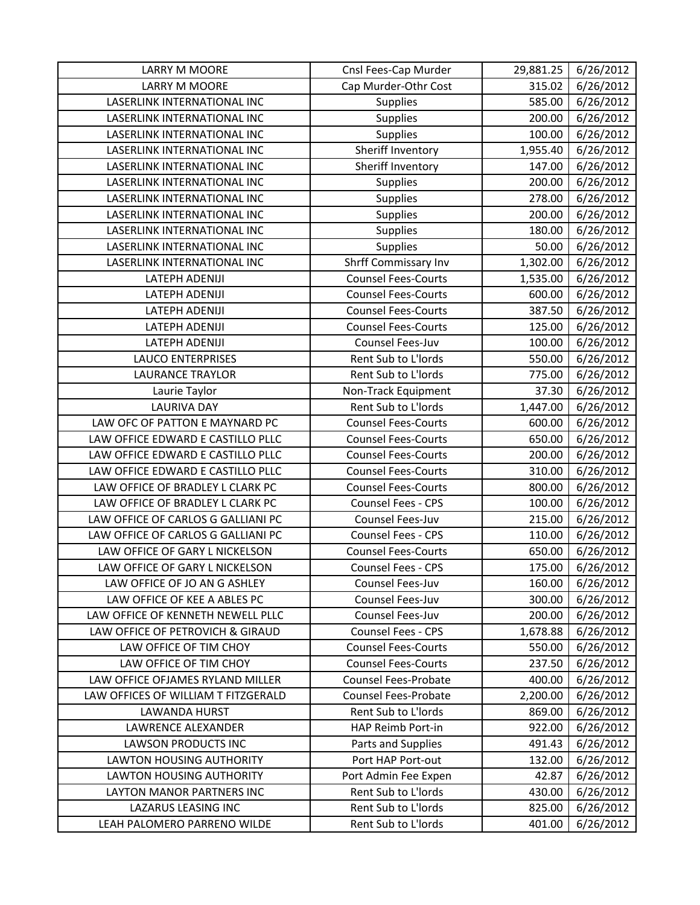| <b>LARRY M MOORE</b>                | Cnsl Fees-Cap Murder        | 29,881.25 | 6/26/2012 |
|-------------------------------------|-----------------------------|-----------|-----------|
| <b>LARRY M MOORE</b>                | Cap Murder-Othr Cost        | 315.02    | 6/26/2012 |
| LASERLINK INTERNATIONAL INC         | Supplies                    | 585.00    | 6/26/2012 |
| LASERLINK INTERNATIONAL INC         | Supplies                    | 200.00    | 6/26/2012 |
| LASERLINK INTERNATIONAL INC         | Supplies                    | 100.00    | 6/26/2012 |
| LASERLINK INTERNATIONAL INC         | Sheriff Inventory           | 1,955.40  | 6/26/2012 |
| LASERLINK INTERNATIONAL INC         | Sheriff Inventory           | 147.00    | 6/26/2012 |
| LASERLINK INTERNATIONAL INC         | Supplies                    | 200.00    | 6/26/2012 |
| LASERLINK INTERNATIONAL INC         | Supplies                    | 278.00    | 6/26/2012 |
| LASERLINK INTERNATIONAL INC         | Supplies                    | 200.00    | 6/26/2012 |
| LASERLINK INTERNATIONAL INC         | Supplies                    | 180.00    | 6/26/2012 |
| LASERLINK INTERNATIONAL INC         | Supplies                    | 50.00     | 6/26/2012 |
| LASERLINK INTERNATIONAL INC         | Shrff Commissary Inv        | 1,302.00  | 6/26/2012 |
| LATEPH ADENIJI                      | <b>Counsel Fees-Courts</b>  | 1,535.00  | 6/26/2012 |
| LATEPH ADENIJI                      | <b>Counsel Fees-Courts</b>  | 600.00    | 6/26/2012 |
| LATEPH ADENIJI                      | <b>Counsel Fees-Courts</b>  | 387.50    | 6/26/2012 |
| LATEPH ADENIJI                      | <b>Counsel Fees-Courts</b>  | 125.00    | 6/26/2012 |
| <b>LATEPH ADENIJI</b>               | Counsel Fees-Juv            | 100.00    | 6/26/2012 |
| <b>LAUCO ENTERPRISES</b>            | Rent Sub to L'Iords         | 550.00    | 6/26/2012 |
| <b>LAURANCE TRAYLOR</b>             | Rent Sub to L'Iords         | 775.00    | 6/26/2012 |
| Laurie Taylor                       | Non-Track Equipment         | 37.30     | 6/26/2012 |
| <b>LAURIVA DAY</b>                  | Rent Sub to L'Iords         | 1,447.00  | 6/26/2012 |
| LAW OFC OF PATTON E MAYNARD PC      | <b>Counsel Fees-Courts</b>  | 600.00    | 6/26/2012 |
| LAW OFFICE EDWARD E CASTILLO PLLC   | <b>Counsel Fees-Courts</b>  | 650.00    | 6/26/2012 |
| LAW OFFICE EDWARD E CASTILLO PLLC   | <b>Counsel Fees-Courts</b>  | 200.00    | 6/26/2012 |
| LAW OFFICE EDWARD E CASTILLO PLLC   | <b>Counsel Fees-Courts</b>  | 310.00    | 6/26/2012 |
| LAW OFFICE OF BRADLEY L CLARK PC    | <b>Counsel Fees-Courts</b>  | 800.00    | 6/26/2012 |
| LAW OFFICE OF BRADLEY L CLARK PC    | Counsel Fees - CPS          | 100.00    | 6/26/2012 |
| LAW OFFICE OF CARLOS G GALLIANI PC  | Counsel Fees-Juv            | 215.00    | 6/26/2012 |
| LAW OFFICE OF CARLOS G GALLIANI PC  | Counsel Fees - CPS          | 110.00    | 6/26/2012 |
| LAW OFFICE OF GARY L NICKELSON      | <b>Counsel Fees-Courts</b>  | 650.00    | 6/26/2012 |
| LAW OFFICE OF GARY L NICKELSON      | <b>Counsel Fees - CPS</b>   | 175.00    | 6/26/2012 |
| LAW OFFICE OF JO AN G ASHLEY        | Counsel Fees-Juv            | 160.00    | 6/26/2012 |
| LAW OFFICE OF KEE A ABLES PC        | Counsel Fees-Juv            | 300.00    | 6/26/2012 |
| LAW OFFICE OF KENNETH NEWELL PLLC   | Counsel Fees-Juv            | 200.00    | 6/26/2012 |
| LAW OFFICE OF PETROVICH & GIRAUD    | Counsel Fees - CPS          | 1,678.88  | 6/26/2012 |
| LAW OFFICE OF TIM CHOY              | <b>Counsel Fees-Courts</b>  | 550.00    | 6/26/2012 |
| LAW OFFICE OF TIM CHOY              | <b>Counsel Fees-Courts</b>  | 237.50    | 6/26/2012 |
| LAW OFFICE OFJAMES RYLAND MILLER    | <b>Counsel Fees-Probate</b> | 400.00    | 6/26/2012 |
| LAW OFFICES OF WILLIAM T FITZGERALD | Counsel Fees-Probate        | 2,200.00  | 6/26/2012 |
| LAWANDA HURST                       | Rent Sub to L'Iords         | 869.00    | 6/26/2012 |
| LAWRENCE ALEXANDER                  | HAP Reimb Port-in           | 922.00    | 6/26/2012 |
| <b>LAWSON PRODUCTS INC</b>          | Parts and Supplies          | 491.43    | 6/26/2012 |
| <b>LAWTON HOUSING AUTHORITY</b>     | Port HAP Port-out           | 132.00    | 6/26/2012 |
| <b>LAWTON HOUSING AUTHORITY</b>     | Port Admin Fee Expen        | 42.87     | 6/26/2012 |
| LAYTON MANOR PARTNERS INC           | Rent Sub to L'Iords         | 430.00    | 6/26/2012 |
| LAZARUS LEASING INC                 | Rent Sub to L'Iords         | 825.00    | 6/26/2012 |
| LEAH PALOMERO PARRENO WILDE         | Rent Sub to L'Iords         | 401.00    | 6/26/2012 |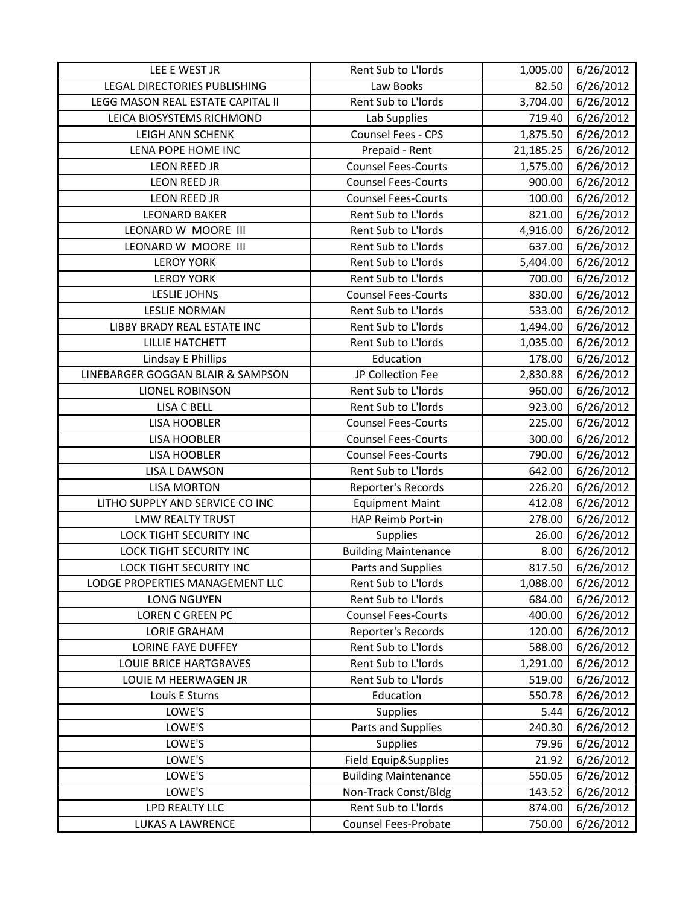| LEE E WEST JR                     | Rent Sub to L'Iords         | 1,005.00  | 6/26/2012 |
|-----------------------------------|-----------------------------|-----------|-----------|
| LEGAL DIRECTORIES PUBLISHING      | Law Books                   | 82.50     | 6/26/2012 |
| LEGG MASON REAL ESTATE CAPITAL II | Rent Sub to L'Iords         | 3,704.00  | 6/26/2012 |
| LEICA BIOSYSTEMS RICHMOND         | Lab Supplies                | 719.40    | 6/26/2012 |
| <b>LEIGH ANN SCHENK</b>           | Counsel Fees - CPS          | 1,875.50  | 6/26/2012 |
| LENA POPE HOME INC                | Prepaid - Rent              | 21,185.25 | 6/26/2012 |
| <b>LEON REED JR</b>               | <b>Counsel Fees-Courts</b>  | 1,575.00  | 6/26/2012 |
| <b>LEON REED JR</b>               | <b>Counsel Fees-Courts</b>  | 900.00    | 6/26/2012 |
| LEON REED JR                      | <b>Counsel Fees-Courts</b>  | 100.00    | 6/26/2012 |
| <b>LEONARD BAKER</b>              | Rent Sub to L'Iords         | 821.00    | 6/26/2012 |
| LEONARD W MOORE III               | Rent Sub to L'Iords         | 4,916.00  | 6/26/2012 |
| LEONARD W MOORE III               | Rent Sub to L'Iords         | 637.00    | 6/26/2012 |
| <b>LEROY YORK</b>                 | Rent Sub to L'Iords         | 5,404.00  | 6/26/2012 |
| <b>LEROY YORK</b>                 | Rent Sub to L'Iords         | 700.00    | 6/26/2012 |
| <b>LESLIE JOHNS</b>               | <b>Counsel Fees-Courts</b>  | 830.00    | 6/26/2012 |
| <b>LESLIE NORMAN</b>              | Rent Sub to L'Iords         | 533.00    | 6/26/2012 |
| LIBBY BRADY REAL ESTATE INC       | Rent Sub to L'Iords         | 1,494.00  | 6/26/2012 |
| <b>LILLIE HATCHETT</b>            | Rent Sub to L'Iords         | 1,035.00  | 6/26/2012 |
| Lindsay E Phillips                | Education                   | 178.00    | 6/26/2012 |
| LINEBARGER GOGGAN BLAIR & SAMPSON | JP Collection Fee           | 2,830.88  | 6/26/2012 |
| LIONEL ROBINSON                   | Rent Sub to L'Iords         | 960.00    | 6/26/2012 |
| <b>LISA C BELL</b>                | Rent Sub to L'Iords         | 923.00    | 6/26/2012 |
| <b>LISA HOOBLER</b>               | <b>Counsel Fees-Courts</b>  | 225.00    | 6/26/2012 |
| <b>LISA HOOBLER</b>               | <b>Counsel Fees-Courts</b>  | 300.00    | 6/26/2012 |
| <b>LISA HOOBLER</b>               | <b>Counsel Fees-Courts</b>  | 790.00    | 6/26/2012 |
| <b>LISA L DAWSON</b>              | Rent Sub to L'Iords         | 642.00    | 6/26/2012 |
| <b>LISA MORTON</b>                | Reporter's Records          | 226.20    | 6/26/2012 |
| LITHO SUPPLY AND SERVICE CO INC   | <b>Equipment Maint</b>      | 412.08    | 6/26/2012 |
| <b>LMW REALTY TRUST</b>           | HAP Reimb Port-in           | 278.00    | 6/26/2012 |
| <b>LOCK TIGHT SECURITY INC</b>    | Supplies                    | 26.00     | 6/26/2012 |
| <b>LOCK TIGHT SECURITY INC</b>    | <b>Building Maintenance</b> | 8.00      | 6/26/2012 |
| <b>LOCK TIGHT SECURITY INC</b>    | Parts and Supplies          | 817.50    | 6/26/2012 |
| LODGE PROPERTIES MANAGEMENT LLC   | Rent Sub to L'Iords         | 1,088.00  | 6/26/2012 |
| <b>LONG NGUYEN</b>                | Rent Sub to L'Iords         | 684.00    | 6/26/2012 |
| LOREN C GREEN PC                  | <b>Counsel Fees-Courts</b>  | 400.00    | 6/26/2012 |
| <b>LORIE GRAHAM</b>               | Reporter's Records          | 120.00    | 6/26/2012 |
| <b>LORINE FAYE DUFFEY</b>         | Rent Sub to L'Iords         | 588.00    | 6/26/2012 |
| <b>LOUIE BRICE HARTGRAVES</b>     | Rent Sub to L'Iords         | 1,291.00  | 6/26/2012 |
| LOUIE M HEERWAGEN JR              | Rent Sub to L'Iords         | 519.00    | 6/26/2012 |
| Louis E Sturns                    | Education                   | 550.78    | 6/26/2012 |
| LOWE'S                            | Supplies                    | 5.44      | 6/26/2012 |
| LOWE'S                            | Parts and Supplies          | 240.30    | 6/26/2012 |
| LOWE'S                            | <b>Supplies</b>             | 79.96     | 6/26/2012 |
| LOWE'S                            | Field Equip&Supplies        | 21.92     | 6/26/2012 |
| LOWE'S                            | <b>Building Maintenance</b> | 550.05    | 6/26/2012 |
| LOWE'S                            | Non-Track Const/Bldg        | 143.52    | 6/26/2012 |
| LPD REALTY LLC                    | Rent Sub to L'Iords         | 874.00    | 6/26/2012 |
| LUKAS A LAWRENCE                  | Counsel Fees-Probate        | 750.00    | 6/26/2012 |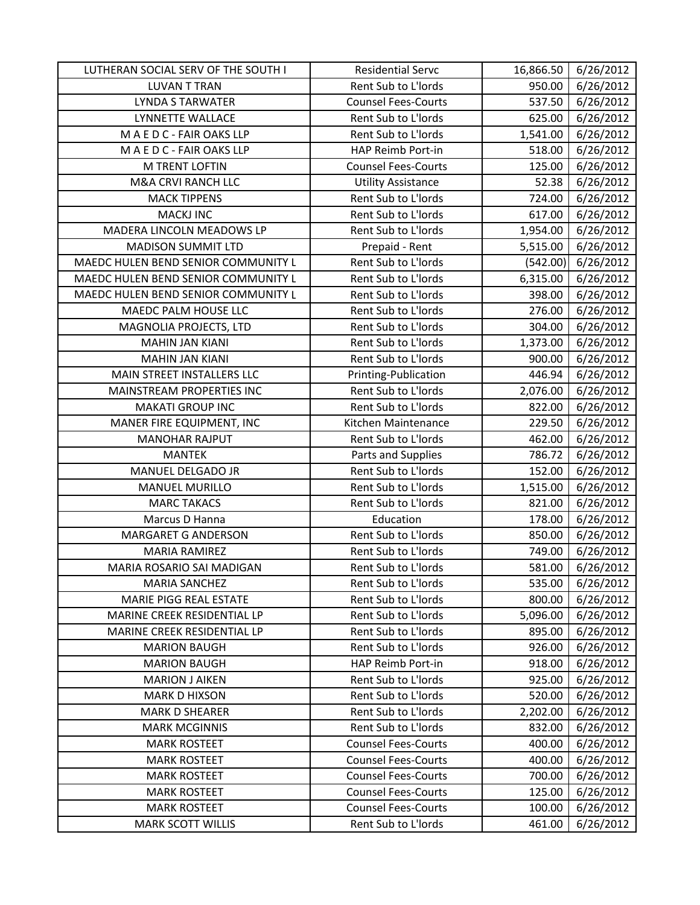| LUTHERAN SOCIAL SERV OF THE SOUTH I | <b>Residential Servc</b>   | 16,866.50 | 6/26/2012 |
|-------------------------------------|----------------------------|-----------|-----------|
| <b>LUVAN T TRAN</b>                 | Rent Sub to L'Iords        | 950.00    | 6/26/2012 |
| <b>LYNDA S TARWATER</b>             | <b>Counsel Fees-Courts</b> | 537.50    | 6/26/2012 |
| LYNNETTE WALLACE                    | Rent Sub to L'Iords        | 625.00    | 6/26/2012 |
| MAEDC-FAIR OAKS LLP                 | Rent Sub to L'Iords        | 1,541.00  | 6/26/2012 |
| MAEDC-FAIR OAKS LLP                 | HAP Reimb Port-in          | 518.00    | 6/26/2012 |
| M TRENT LOFTIN                      | <b>Counsel Fees-Courts</b> | 125.00    | 6/26/2012 |
| <b>M&amp;A CRVI RANCH LLC</b>       | <b>Utility Assistance</b>  | 52.38     | 6/26/2012 |
| <b>MACK TIPPENS</b>                 | Rent Sub to L'Iords        | 724.00    | 6/26/2012 |
| <b>MACKJ INC</b>                    | Rent Sub to L'Iords        | 617.00    | 6/26/2012 |
| MADERA LINCOLN MEADOWS LP           | Rent Sub to L'Iords        | 1,954.00  | 6/26/2012 |
| <b>MADISON SUMMIT LTD</b>           | Prepaid - Rent             | 5,515.00  | 6/26/2012 |
| MAEDC HULEN BEND SENIOR COMMUNITY L | Rent Sub to L'Iords        | (542.00)  | 6/26/2012 |
| MAEDC HULEN BEND SENIOR COMMUNITY L | Rent Sub to L'Iords        | 6,315.00  | 6/26/2012 |
| MAEDC HULEN BEND SENIOR COMMUNITY L | Rent Sub to L'Iords        | 398.00    | 6/26/2012 |
| MAEDC PALM HOUSE LLC                | Rent Sub to L'Iords        | 276.00    | 6/26/2012 |
| MAGNOLIA PROJECTS, LTD              | Rent Sub to L'Iords        | 304.00    | 6/26/2012 |
| <b>MAHIN JAN KIANI</b>              | Rent Sub to L'Iords        | 1,373.00  | 6/26/2012 |
| <b>MAHIN JAN KIANI</b>              | Rent Sub to L'Iords        | 900.00    | 6/26/2012 |
| MAIN STREET INSTALLERS LLC          | Printing-Publication       | 446.94    | 6/26/2012 |
| MAINSTREAM PROPERTIES INC           | Rent Sub to L'Iords        | 2,076.00  | 6/26/2012 |
| <b>MAKATI GROUP INC</b>             | Rent Sub to L'Iords        | 822.00    | 6/26/2012 |
| MANER FIRE EQUIPMENT, INC           | Kitchen Maintenance        | 229.50    | 6/26/2012 |
| <b>MANOHAR RAJPUT</b>               | Rent Sub to L'Iords        | 462.00    | 6/26/2012 |
| <b>MANTEK</b>                       | Parts and Supplies         | 786.72    | 6/26/2012 |
| MANUEL DELGADO JR                   | Rent Sub to L'Iords        | 152.00    | 6/26/2012 |
| <b>MANUEL MURILLO</b>               | Rent Sub to L'Iords        | 1,515.00  | 6/26/2012 |
| <b>MARC TAKACS</b>                  | Rent Sub to L'Iords        | 821.00    | 6/26/2012 |
| Marcus D Hanna                      | Education                  | 178.00    | 6/26/2012 |
| <b>MARGARET G ANDERSON</b>          | Rent Sub to L'Iords        | 850.00    | 6/26/2012 |
| <b>MARIA RAMIREZ</b>                | Rent Sub to L'Iords        | 749.00    | 6/26/2012 |
| MARIA ROSARIO SAI MADIGAN           | Rent Sub to L'Iords        | 581.00    | 6/26/2012 |
| <b>MARIA SANCHEZ</b>                | Rent Sub to L'Iords        | 535.00    | 6/26/2012 |
| MARIE PIGG REAL ESTATE              | Rent Sub to L'Iords        | 800.00    | 6/26/2012 |
| MARINE CREEK RESIDENTIAL LP         | Rent Sub to L'Iords        | 5,096.00  | 6/26/2012 |
| MARINE CREEK RESIDENTIAL LP         | Rent Sub to L'Iords        | 895.00    | 6/26/2012 |
| <b>MARION BAUGH</b>                 | Rent Sub to L'Iords        | 926.00    | 6/26/2012 |
| <b>MARION BAUGH</b>                 | HAP Reimb Port-in          | 918.00    | 6/26/2012 |
| <b>MARION J AIKEN</b>               | Rent Sub to L'Iords        | 925.00    | 6/26/2012 |
| <b>MARK D HIXSON</b>                | Rent Sub to L'Iords        | 520.00    | 6/26/2012 |
| <b>MARK D SHEARER</b>               | Rent Sub to L'Iords        | 2,202.00  | 6/26/2012 |
| <b>MARK MCGINNIS</b>                | Rent Sub to L'Iords        | 832.00    | 6/26/2012 |
| <b>MARK ROSTEET</b>                 | <b>Counsel Fees-Courts</b> | 400.00    | 6/26/2012 |
| <b>MARK ROSTEET</b>                 | <b>Counsel Fees-Courts</b> | 400.00    | 6/26/2012 |
| <b>MARK ROSTEET</b>                 | <b>Counsel Fees-Courts</b> | 700.00    | 6/26/2012 |
| <b>MARK ROSTEET</b>                 | <b>Counsel Fees-Courts</b> | 125.00    | 6/26/2012 |
| <b>MARK ROSTEET</b>                 | <b>Counsel Fees-Courts</b> | 100.00    | 6/26/2012 |
| <b>MARK SCOTT WILLIS</b>            | Rent Sub to L'Iords        | 461.00    | 6/26/2012 |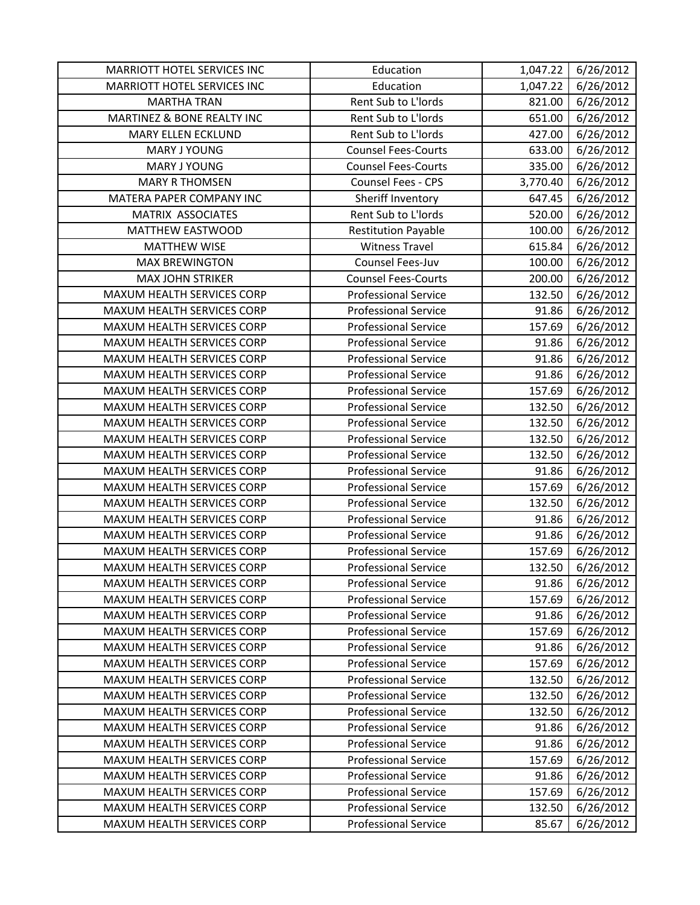| MARRIOTT HOTEL SERVICES INC       | Education                   | 1,047.22 | 6/26/2012 |
|-----------------------------------|-----------------------------|----------|-----------|
| MARRIOTT HOTEL SERVICES INC       | Education                   | 1,047.22 | 6/26/2012 |
| <b>MARTHA TRAN</b>                | Rent Sub to L'Iords         | 821.00   | 6/26/2012 |
| MARTINEZ & BONE REALTY INC        | Rent Sub to L'Iords         | 651.00   | 6/26/2012 |
| <b>MARY ELLEN ECKLUND</b>         | Rent Sub to L'Iords         | 427.00   | 6/26/2012 |
| <b>MARY J YOUNG</b>               | <b>Counsel Fees-Courts</b>  | 633.00   | 6/26/2012 |
| MARY J YOUNG                      | <b>Counsel Fees-Courts</b>  | 335.00   | 6/26/2012 |
| <b>MARY R THOMSEN</b>             | Counsel Fees - CPS          | 3,770.40 | 6/26/2012 |
| MATERA PAPER COMPANY INC          | Sheriff Inventory           | 647.45   | 6/26/2012 |
| MATRIX ASSOCIATES                 | Rent Sub to L'Iords         | 520.00   | 6/26/2012 |
| MATTHEW EASTWOOD                  | <b>Restitution Payable</b>  | 100.00   | 6/26/2012 |
| <b>MATTHEW WISE</b>               | <b>Witness Travel</b>       | 615.84   | 6/26/2012 |
| <b>MAX BREWINGTON</b>             | Counsel Fees-Juv            | 100.00   | 6/26/2012 |
| <b>MAX JOHN STRIKER</b>           | <b>Counsel Fees-Courts</b>  | 200.00   | 6/26/2012 |
| MAXUM HEALTH SERVICES CORP        | <b>Professional Service</b> | 132.50   | 6/26/2012 |
| MAXUM HEALTH SERVICES CORP        | <b>Professional Service</b> | 91.86    | 6/26/2012 |
| MAXUM HEALTH SERVICES CORP        | <b>Professional Service</b> | 157.69   | 6/26/2012 |
| MAXUM HEALTH SERVICES CORP        | <b>Professional Service</b> | 91.86    | 6/26/2012 |
| <b>MAXUM HEALTH SERVICES CORP</b> | <b>Professional Service</b> | 91.86    | 6/26/2012 |
| MAXUM HEALTH SERVICES CORP        | <b>Professional Service</b> | 91.86    | 6/26/2012 |
| MAXUM HEALTH SERVICES CORP        | <b>Professional Service</b> | 157.69   | 6/26/2012 |
| MAXUM HEALTH SERVICES CORP        | <b>Professional Service</b> | 132.50   | 6/26/2012 |
| MAXUM HEALTH SERVICES CORP        | <b>Professional Service</b> | 132.50   | 6/26/2012 |
| MAXUM HEALTH SERVICES CORP        | <b>Professional Service</b> | 132.50   | 6/26/2012 |
| MAXUM HEALTH SERVICES CORP        | <b>Professional Service</b> | 132.50   | 6/26/2012 |
| MAXUM HEALTH SERVICES CORP        | <b>Professional Service</b> | 91.86    | 6/26/2012 |
| MAXUM HEALTH SERVICES CORP        | <b>Professional Service</b> | 157.69   | 6/26/2012 |
| MAXUM HEALTH SERVICES CORP        | <b>Professional Service</b> | 132.50   | 6/26/2012 |
| MAXUM HEALTH SERVICES CORP        | <b>Professional Service</b> | 91.86    | 6/26/2012 |
| MAXUM HEALTH SERVICES CORP        | <b>Professional Service</b> | 91.86    | 6/26/2012 |
| MAXUM HEALTH SERVICES CORP        | <b>Professional Service</b> | 157.69   | 6/26/2012 |
| MAXUM HEALTH SERVICES CORP        | <b>Professional Service</b> | 132.50   | 6/26/2012 |
| MAXUM HEALTH SERVICES CORP        | <b>Professional Service</b> | 91.86    | 6/26/2012 |
| MAXUM HEALTH SERVICES CORP        | <b>Professional Service</b> | 157.69   | 6/26/2012 |
| <b>MAXUM HEALTH SERVICES CORP</b> | <b>Professional Service</b> | 91.86    | 6/26/2012 |
| MAXUM HEALTH SERVICES CORP        | <b>Professional Service</b> | 157.69   | 6/26/2012 |
| MAXUM HEALTH SERVICES CORP        | <b>Professional Service</b> | 91.86    | 6/26/2012 |
| MAXUM HEALTH SERVICES CORP        | <b>Professional Service</b> | 157.69   | 6/26/2012 |
| MAXUM HEALTH SERVICES CORP        | <b>Professional Service</b> | 132.50   | 6/26/2012 |
| MAXUM HEALTH SERVICES CORP        | <b>Professional Service</b> | 132.50   | 6/26/2012 |
| MAXUM HEALTH SERVICES CORP        | <b>Professional Service</b> | 132.50   | 6/26/2012 |
| MAXUM HEALTH SERVICES CORP        | <b>Professional Service</b> | 91.86    | 6/26/2012 |
| MAXUM HEALTH SERVICES CORP        | <b>Professional Service</b> | 91.86    | 6/26/2012 |
| MAXUM HEALTH SERVICES CORP        | <b>Professional Service</b> | 157.69   | 6/26/2012 |
| MAXUM HEALTH SERVICES CORP        | <b>Professional Service</b> | 91.86    | 6/26/2012 |
| MAXUM HEALTH SERVICES CORP        | <b>Professional Service</b> | 157.69   | 6/26/2012 |
| MAXUM HEALTH SERVICES CORP        | <b>Professional Service</b> | 132.50   | 6/26/2012 |
| MAXUM HEALTH SERVICES CORP        | <b>Professional Service</b> | 85.67    | 6/26/2012 |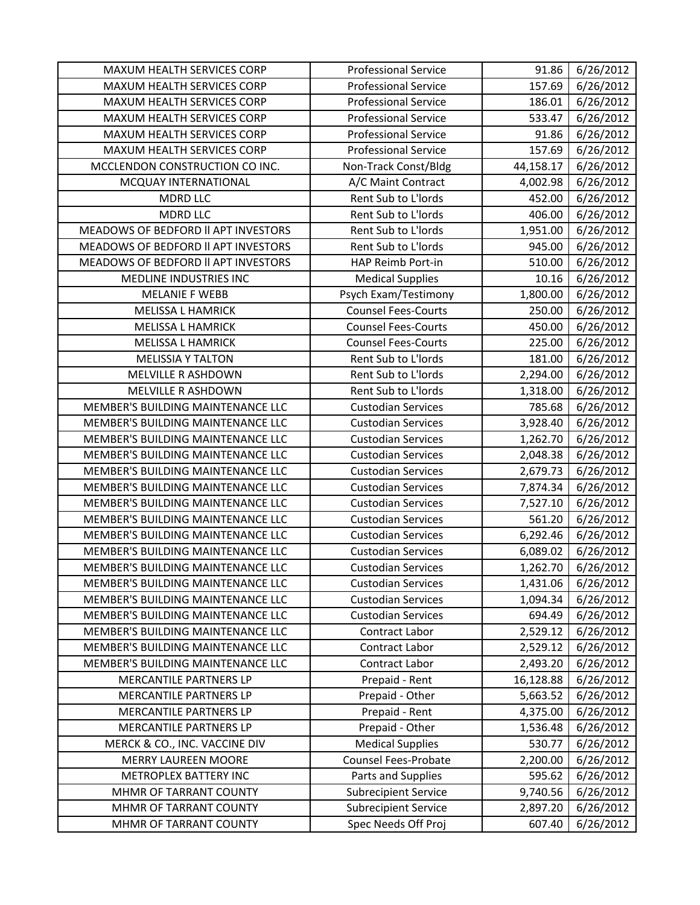| MAXUM HEALTH SERVICES CORP          | <b>Professional Service</b> | 91.86     | 6/26/2012 |
|-------------------------------------|-----------------------------|-----------|-----------|
| MAXUM HEALTH SERVICES CORP          | <b>Professional Service</b> | 157.69    | 6/26/2012 |
| MAXUM HEALTH SERVICES CORP          | <b>Professional Service</b> | 186.01    | 6/26/2012 |
| MAXUM HEALTH SERVICES CORP          | <b>Professional Service</b> | 533.47    | 6/26/2012 |
| MAXUM HEALTH SERVICES CORP          | <b>Professional Service</b> | 91.86     | 6/26/2012 |
| MAXUM HEALTH SERVICES CORP          | <b>Professional Service</b> | 157.69    | 6/26/2012 |
| MCCLENDON CONSTRUCTION CO INC.      | Non-Track Const/Bldg        | 44,158.17 | 6/26/2012 |
| MCQUAY INTERNATIONAL                | A/C Maint Contract          | 4,002.98  | 6/26/2012 |
| <b>MDRD LLC</b>                     | Rent Sub to L'Iords         | 452.00    | 6/26/2012 |
| <b>MDRD LLC</b>                     | Rent Sub to L'Iords         | 406.00    | 6/26/2012 |
| MEADOWS OF BEDFORD II APT INVESTORS | Rent Sub to L'Iords         | 1,951.00  | 6/26/2012 |
| MEADOWS OF BEDFORD II APT INVESTORS | Rent Sub to L'Iords         | 945.00    | 6/26/2012 |
| MEADOWS OF BEDFORD II APT INVESTORS | HAP Reimb Port-in           | 510.00    | 6/26/2012 |
| MEDLINE INDUSTRIES INC              | <b>Medical Supplies</b>     | 10.16     | 6/26/2012 |
| <b>MELANIE F WEBB</b>               | Psych Exam/Testimony        | 1,800.00  | 6/26/2012 |
| <b>MELISSA L HAMRICK</b>            | <b>Counsel Fees-Courts</b>  | 250.00    | 6/26/2012 |
| <b>MELISSA L HAMRICK</b>            | <b>Counsel Fees-Courts</b>  | 450.00    | 6/26/2012 |
| <b>MELISSA L HAMRICK</b>            | <b>Counsel Fees-Courts</b>  | 225.00    | 6/26/2012 |
| <b>MELISSIA Y TALTON</b>            | Rent Sub to L'Iords         | 181.00    | 6/26/2012 |
| MELVILLE R ASHDOWN                  | Rent Sub to L'Iords         | 2,294.00  | 6/26/2012 |
| MELVILLE R ASHDOWN                  | Rent Sub to L'Iords         | 1,318.00  | 6/26/2012 |
| MEMBER'S BUILDING MAINTENANCE LLC   | <b>Custodian Services</b>   | 785.68    | 6/26/2012 |
| MEMBER'S BUILDING MAINTENANCE LLC   | <b>Custodian Services</b>   | 3,928.40  | 6/26/2012 |
| MEMBER'S BUILDING MAINTENANCE LLC   | <b>Custodian Services</b>   | 1,262.70  | 6/26/2012 |
| MEMBER'S BUILDING MAINTENANCE LLC   | <b>Custodian Services</b>   | 2,048.38  | 6/26/2012 |
| MEMBER'S BUILDING MAINTENANCE LLC   | <b>Custodian Services</b>   | 2,679.73  | 6/26/2012 |
| MEMBER'S BUILDING MAINTENANCE LLC   | <b>Custodian Services</b>   | 7,874.34  | 6/26/2012 |
| MEMBER'S BUILDING MAINTENANCE LLC   | <b>Custodian Services</b>   | 7,527.10  | 6/26/2012 |
| MEMBER'S BUILDING MAINTENANCE LLC   | <b>Custodian Services</b>   | 561.20    | 6/26/2012 |
| MEMBER'S BUILDING MAINTENANCE LLC   | <b>Custodian Services</b>   | 6,292.46  | 6/26/2012 |
| MEMBER'S BUILDING MAINTENANCE LLC   | <b>Custodian Services</b>   | 6,089.02  | 6/26/2012 |
| MEMBER'S BUILDING MAINTENANCE LLC   | <b>Custodian Services</b>   | 1,262.70  | 6/26/2012 |
| MEMBER'S BUILDING MAINTENANCE LLC   | <b>Custodian Services</b>   | 1,431.06  | 6/26/2012 |
| MEMBER'S BUILDING MAINTENANCE LLC   | <b>Custodian Services</b>   | 1,094.34  | 6/26/2012 |
| MEMBER'S BUILDING MAINTENANCE LLC   | <b>Custodian Services</b>   | 694.49    | 6/26/2012 |
| MEMBER'S BUILDING MAINTENANCE LLC   | Contract Labor              | 2,529.12  | 6/26/2012 |
| MEMBER'S BUILDING MAINTENANCE LLC   | Contract Labor              | 2,529.12  | 6/26/2012 |
| MEMBER'S BUILDING MAINTENANCE LLC   | Contract Labor              | 2,493.20  | 6/26/2012 |
| MERCANTILE PARTNERS LP              | Prepaid - Rent              | 16,128.88 | 6/26/2012 |
| MERCANTILE PARTNERS LP              | Prepaid - Other             | 5,663.52  | 6/26/2012 |
| MERCANTILE PARTNERS LP              | Prepaid - Rent              | 4,375.00  | 6/26/2012 |
| MERCANTILE PARTNERS LP              | Prepaid - Other             | 1,536.48  | 6/26/2012 |
| MERCK & CO., INC. VACCINE DIV       | <b>Medical Supplies</b>     | 530.77    | 6/26/2012 |
| <b>MERRY LAUREEN MOORE</b>          | Counsel Fees-Probate        | 2,200.00  | 6/26/2012 |
| METROPLEX BATTERY INC               | Parts and Supplies          | 595.62    | 6/26/2012 |
| MHMR OF TARRANT COUNTY              | <b>Subrecipient Service</b> | 9,740.56  | 6/26/2012 |
| MHMR OF TARRANT COUNTY              | <b>Subrecipient Service</b> | 2,897.20  | 6/26/2012 |
| MHMR OF TARRANT COUNTY              | Spec Needs Off Proj         | 607.40    | 6/26/2012 |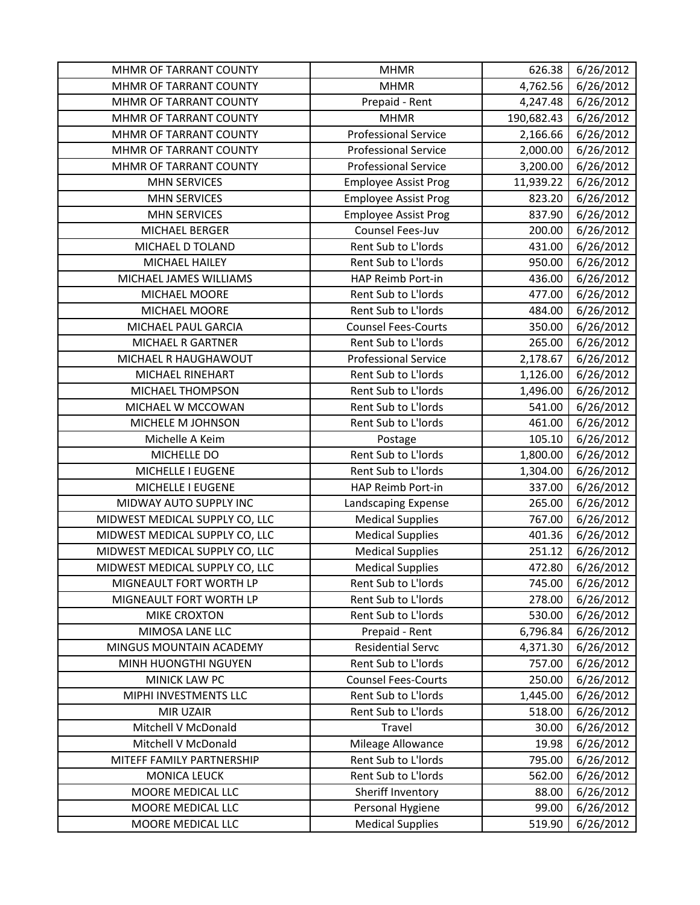| MHMR OF TARRANT COUNTY         | <b>MHMR</b>                 | 626.38     | 6/26/2012 |
|--------------------------------|-----------------------------|------------|-----------|
| MHMR OF TARRANT COUNTY         | <b>MHMR</b>                 | 4,762.56   | 6/26/2012 |
| MHMR OF TARRANT COUNTY         | Prepaid - Rent              | 4,247.48   | 6/26/2012 |
| MHMR OF TARRANT COUNTY         | <b>MHMR</b>                 | 190,682.43 | 6/26/2012 |
| MHMR OF TARRANT COUNTY         | <b>Professional Service</b> | 2,166.66   | 6/26/2012 |
| MHMR OF TARRANT COUNTY         | <b>Professional Service</b> | 2,000.00   | 6/26/2012 |
| MHMR OF TARRANT COUNTY         | <b>Professional Service</b> | 3,200.00   | 6/26/2012 |
| <b>MHN SERVICES</b>            | <b>Employee Assist Prog</b> | 11,939.22  | 6/26/2012 |
| <b>MHN SERVICES</b>            | <b>Employee Assist Prog</b> | 823.20     | 6/26/2012 |
| <b>MHN SERVICES</b>            | <b>Employee Assist Prog</b> | 837.90     | 6/26/2012 |
| MICHAEL BERGER                 | Counsel Fees-Juv            | 200.00     | 6/26/2012 |
| MICHAEL D TOLAND               | Rent Sub to L'Iords         | 431.00     | 6/26/2012 |
| MICHAEL HAILEY                 | Rent Sub to L'Iords         | 950.00     | 6/26/2012 |
| MICHAEL JAMES WILLIAMS         | HAP Reimb Port-in           | 436.00     | 6/26/2012 |
| MICHAEL MOORE                  | Rent Sub to L'Iords         | 477.00     | 6/26/2012 |
| MICHAEL MOORE                  | Rent Sub to L'Iords         | 484.00     | 6/26/2012 |
| MICHAEL PAUL GARCIA            | <b>Counsel Fees-Courts</b>  | 350.00     | 6/26/2012 |
| <b>MICHAEL R GARTNER</b>       | Rent Sub to L'Iords         | 265.00     | 6/26/2012 |
| MICHAEL R HAUGHAWOUT           | <b>Professional Service</b> | 2,178.67   | 6/26/2012 |
| MICHAEL RINEHART               | Rent Sub to L'Iords         | 1,126.00   | 6/26/2012 |
| MICHAEL THOMPSON               | Rent Sub to L'Iords         | 1,496.00   | 6/26/2012 |
| MICHAEL W MCCOWAN              | Rent Sub to L'Iords         | 541.00     | 6/26/2012 |
| MICHELE M JOHNSON              | Rent Sub to L'Iords         | 461.00     | 6/26/2012 |
| Michelle A Keim                | Postage                     | 105.10     | 6/26/2012 |
| MICHELLE DO                    | Rent Sub to L'Iords         | 1,800.00   | 6/26/2012 |
| MICHELLE I EUGENE              | Rent Sub to L'Iords         | 1,304.00   | 6/26/2012 |
| MICHELLE I EUGENE              | HAP Reimb Port-in           | 337.00     | 6/26/2012 |
| MIDWAY AUTO SUPPLY INC         | Landscaping Expense         | 265.00     | 6/26/2012 |
| MIDWEST MEDICAL SUPPLY CO, LLC | <b>Medical Supplies</b>     | 767.00     | 6/26/2012 |
| MIDWEST MEDICAL SUPPLY CO, LLC | <b>Medical Supplies</b>     | 401.36     | 6/26/2012 |
| MIDWEST MEDICAL SUPPLY CO, LLC | <b>Medical Supplies</b>     | 251.12     | 6/26/2012 |
| MIDWEST MEDICAL SUPPLY CO, LLC | <b>Medical Supplies</b>     | 472.80     | 6/26/2012 |
| MIGNEAULT FORT WORTH LP        | Rent Sub to L'Iords         | 745.00     | 6/26/2012 |
| MIGNEAULT FORT WORTH LP        | Rent Sub to L'Iords         | 278.00     | 6/26/2012 |
| <b>MIKE CROXTON</b>            | Rent Sub to L'Iords         | 530.00     | 6/26/2012 |
| MIMOSA LANE LLC                | Prepaid - Rent              | 6,796.84   | 6/26/2012 |
| MINGUS MOUNTAIN ACADEMY        | <b>Residential Servc</b>    | 4,371.30   | 6/26/2012 |
| MINH HUONGTHI NGUYEN           | Rent Sub to L'Iords         | 757.00     | 6/26/2012 |
| <b>MINICK LAW PC</b>           | <b>Counsel Fees-Courts</b>  | 250.00     | 6/26/2012 |
| MIPHI INVESTMENTS LLC          | Rent Sub to L'Iords         | 1,445.00   | 6/26/2012 |
| MIR UZAIR                      | Rent Sub to L'Iords         | 518.00     | 6/26/2012 |
| Mitchell V McDonald            | Travel                      | 30.00      | 6/26/2012 |
| Mitchell V McDonald            | Mileage Allowance           | 19.98      | 6/26/2012 |
| MITEFF FAMILY PARTNERSHIP      | Rent Sub to L'Iords         | 795.00     | 6/26/2012 |
| <b>MONICA LEUCK</b>            | Rent Sub to L'Iords         | 562.00     | 6/26/2012 |
| MOORE MEDICAL LLC              | Sheriff Inventory           | 88.00      | 6/26/2012 |
| MOORE MEDICAL LLC              | Personal Hygiene            | 99.00      | 6/26/2012 |
| MOORE MEDICAL LLC              | <b>Medical Supplies</b>     | 519.90     | 6/26/2012 |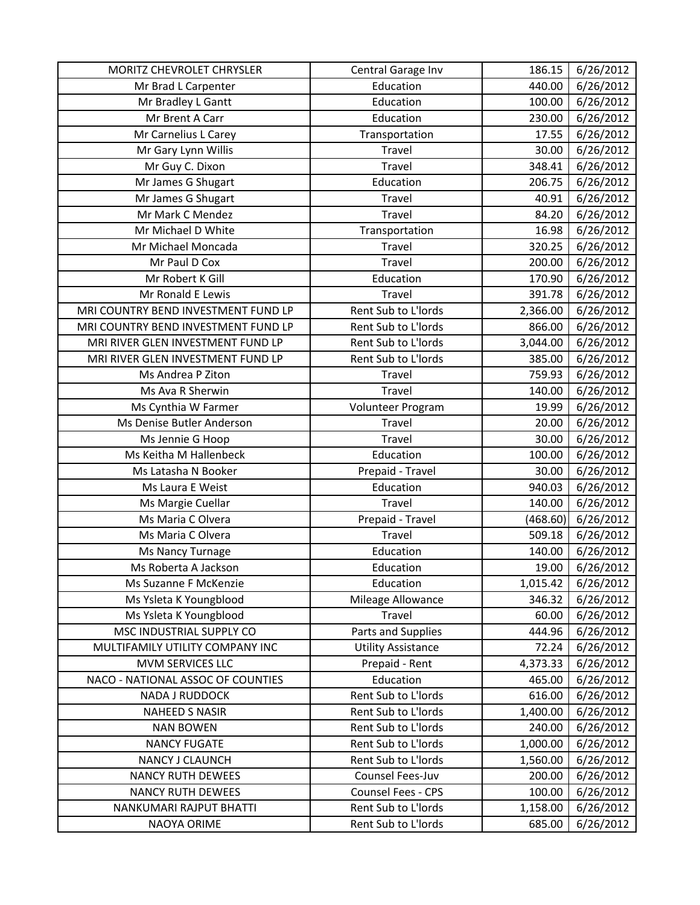| MORITZ CHEVROLET CHRYSLER           | Central Garage Inv        | 186.15   | 6/26/2012 |
|-------------------------------------|---------------------------|----------|-----------|
| Mr Brad L Carpenter                 | Education                 | 440.00   | 6/26/2012 |
| Mr Bradley L Gantt                  | Education                 | 100.00   | 6/26/2012 |
| Mr Brent A Carr                     | Education                 | 230.00   | 6/26/2012 |
| Mr Carnelius L Carey                | Transportation            | 17.55    | 6/26/2012 |
| Mr Gary Lynn Willis                 | Travel                    | 30.00    | 6/26/2012 |
| Mr Guy C. Dixon                     | Travel                    | 348.41   | 6/26/2012 |
| Mr James G Shugart                  | Education                 | 206.75   | 6/26/2012 |
| Mr James G Shugart                  | Travel                    | 40.91    | 6/26/2012 |
| Mr Mark C Mendez                    | Travel                    | 84.20    | 6/26/2012 |
| Mr Michael D White                  | Transportation            | 16.98    | 6/26/2012 |
| Mr Michael Moncada                  | Travel                    | 320.25   | 6/26/2012 |
| Mr Paul D Cox                       | Travel                    | 200.00   | 6/26/2012 |
| Mr Robert K Gill                    | Education                 | 170.90   | 6/26/2012 |
| Mr Ronald E Lewis                   | Travel                    | 391.78   | 6/26/2012 |
| MRI COUNTRY BEND INVESTMENT FUND LP | Rent Sub to L'Iords       | 2,366.00 | 6/26/2012 |
| MRI COUNTRY BEND INVESTMENT FUND LP | Rent Sub to L'Iords       | 866.00   | 6/26/2012 |
| MRI RIVER GLEN INVESTMENT FUND LP   | Rent Sub to L'Iords       | 3,044.00 | 6/26/2012 |
| MRI RIVER GLEN INVESTMENT FUND LP   | Rent Sub to L'Iords       | 385.00   | 6/26/2012 |
| Ms Andrea P Ziton                   | Travel                    | 759.93   | 6/26/2012 |
| Ms Ava R Sherwin                    | Travel                    | 140.00   | 6/26/2012 |
| Ms Cynthia W Farmer                 | Volunteer Program         | 19.99    | 6/26/2012 |
| Ms Denise Butler Anderson           | Travel                    | 20.00    | 6/26/2012 |
| Ms Jennie G Hoop                    | Travel                    | 30.00    | 6/26/2012 |
| Ms Keitha M Hallenbeck              | Education                 | 100.00   | 6/26/2012 |
| Ms Latasha N Booker                 | Prepaid - Travel          | 30.00    | 6/26/2012 |
| Ms Laura E Weist                    | Education                 | 940.03   | 6/26/2012 |
| Ms Margie Cuellar                   | Travel                    | 140.00   | 6/26/2012 |
| Ms Maria C Olvera                   | Prepaid - Travel          | (468.60) | 6/26/2012 |
| Ms Maria C Olvera                   | Travel                    | 509.18   | 6/26/2012 |
| Ms Nancy Turnage                    | Education                 | 140.00   | 6/26/2012 |
| Ms Roberta A Jackson                | Education                 | 19.00    | 6/26/2012 |
| Ms Suzanne F McKenzie               | Education                 | 1,015.42 | 6/26/2012 |
| Ms Ysleta K Youngblood              | Mileage Allowance         | 346.32   | 6/26/2012 |
| Ms Ysleta K Youngblood              | Travel                    | 60.00    | 6/26/2012 |
| MSC INDUSTRIAL SUPPLY CO            | Parts and Supplies        | 444.96   | 6/26/2012 |
| MULTIFAMILY UTILITY COMPANY INC     | <b>Utility Assistance</b> | 72.24    | 6/26/2012 |
| MVM SERVICES LLC                    | Prepaid - Rent            | 4,373.33 | 6/26/2012 |
| NACO - NATIONAL ASSOC OF COUNTIES   | Education                 | 465.00   | 6/26/2012 |
| NADA J RUDDOCK                      | Rent Sub to L'Iords       | 616.00   | 6/26/2012 |
| <b>NAHEED S NASIR</b>               | Rent Sub to L'Iords       | 1,400.00 | 6/26/2012 |
| <b>NAN BOWEN</b>                    | Rent Sub to L'Iords       | 240.00   | 6/26/2012 |
| <b>NANCY FUGATE</b>                 | Rent Sub to L'Iords       | 1,000.00 | 6/26/2012 |
| <b>NANCY J CLAUNCH</b>              | Rent Sub to L'Iords       | 1,560.00 | 6/26/2012 |
| <b>NANCY RUTH DEWEES</b>            | Counsel Fees-Juv          | 200.00   | 6/26/2012 |
| <b>NANCY RUTH DEWEES</b>            | Counsel Fees - CPS        | 100.00   | 6/26/2012 |
| NANKUMARI RAJPUT BHATTI             | Rent Sub to L'Iords       | 1,158.00 | 6/26/2012 |
| NAOYA ORIME                         | Rent Sub to L'Iords       | 685.00   | 6/26/2012 |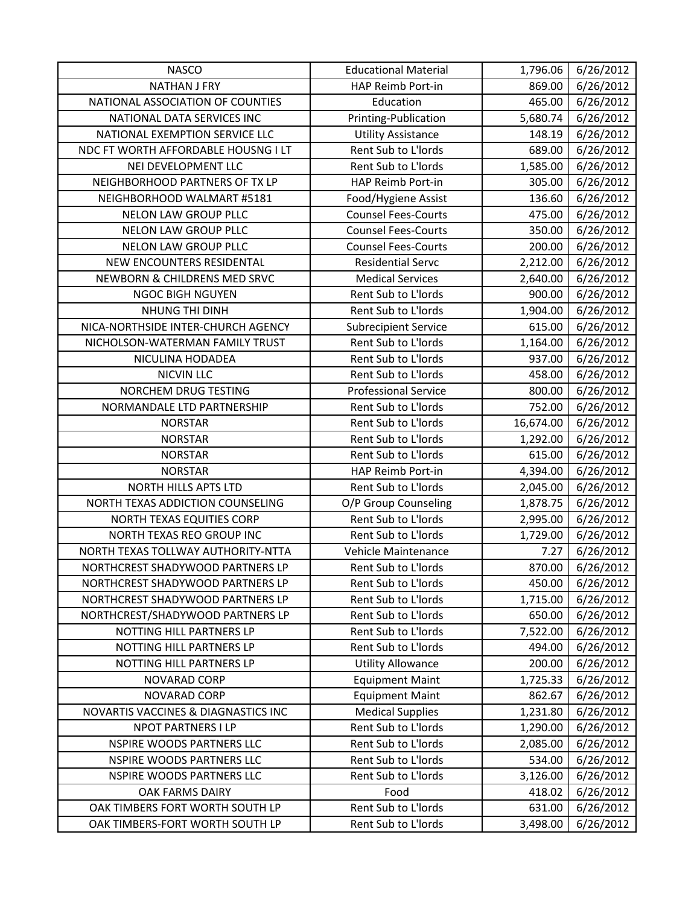| <b>NASCO</b>                        | <b>Educational Material</b> | 1,796.06  | 6/26/2012 |
|-------------------------------------|-----------------------------|-----------|-----------|
| <b>NATHAN J FRY</b>                 | HAP Reimb Port-in           | 869.00    | 6/26/2012 |
| NATIONAL ASSOCIATION OF COUNTIES    | Education                   | 465.00    | 6/26/2012 |
| NATIONAL DATA SERVICES INC          | Printing-Publication        | 5,680.74  | 6/26/2012 |
| NATIONAL EXEMPTION SERVICE LLC      | <b>Utility Assistance</b>   | 148.19    | 6/26/2012 |
| NDC FT WORTH AFFORDABLE HOUSNG I LT | Rent Sub to L'Iords         | 689.00    | 6/26/2012 |
| NEI DEVELOPMENT LLC                 | Rent Sub to L'Iords         | 1,585.00  | 6/26/2012 |
| NEIGHBORHOOD PARTNERS OF TX LP      | HAP Reimb Port-in           | 305.00    | 6/26/2012 |
| NEIGHBORHOOD WALMART #5181          | Food/Hygiene Assist         | 136.60    | 6/26/2012 |
| NELON LAW GROUP PLLC                | <b>Counsel Fees-Courts</b>  | 475.00    | 6/26/2012 |
| <b>NELON LAW GROUP PLLC</b>         | <b>Counsel Fees-Courts</b>  | 350.00    | 6/26/2012 |
| NELON LAW GROUP PLLC                | <b>Counsel Fees-Courts</b>  | 200.00    | 6/26/2012 |
| NEW ENCOUNTERS RESIDENTAL           | <b>Residential Servc</b>    | 2,212.00  | 6/26/2012 |
| NEWBORN & CHILDRENS MED SRVC        | <b>Medical Services</b>     | 2,640.00  | 6/26/2012 |
| NGOC BIGH NGUYEN                    | Rent Sub to L'Iords         | 900.00    | 6/26/2012 |
| NHUNG THI DINH                      | Rent Sub to L'Iords         | 1,904.00  | 6/26/2012 |
| NICA-NORTHSIDE INTER-CHURCH AGENCY  | <b>Subrecipient Service</b> | 615.00    | 6/26/2012 |
| NICHOLSON-WATERMAN FAMILY TRUST     | Rent Sub to L'Iords         | 1,164.00  | 6/26/2012 |
| NICULINA HODADEA                    | Rent Sub to L'Iords         | 937.00    | 6/26/2012 |
| <b>NICVIN LLC</b>                   | Rent Sub to L'Iords         | 458.00    | 6/26/2012 |
| NORCHEM DRUG TESTING                | <b>Professional Service</b> | 800.00    | 6/26/2012 |
| NORMANDALE LTD PARTNERSHIP          | Rent Sub to L'Iords         | 752.00    | 6/26/2012 |
| <b>NORSTAR</b>                      | Rent Sub to L'Iords         | 16,674.00 | 6/26/2012 |
| <b>NORSTAR</b>                      | Rent Sub to L'Iords         | 1,292.00  | 6/26/2012 |
| <b>NORSTAR</b>                      | Rent Sub to L'Iords         | 615.00    | 6/26/2012 |
| <b>NORSTAR</b>                      | HAP Reimb Port-in           | 4,394.00  | 6/26/2012 |
| NORTH HILLS APTS LTD                | Rent Sub to L'Iords         | 2,045.00  | 6/26/2012 |
| NORTH TEXAS ADDICTION COUNSELING    | O/P Group Counseling        | 1,878.75  | 6/26/2012 |
| <b>NORTH TEXAS EQUITIES CORP</b>    | Rent Sub to L'Iords         | 2,995.00  | 6/26/2012 |
| NORTH TEXAS REO GROUP INC           | Rent Sub to L'Iords         | 1,729.00  | 6/26/2012 |
| NORTH TEXAS TOLLWAY AUTHORITY-NTTA  | Vehicle Maintenance         | 7.27      | 6/26/2012 |
| NORTHCREST SHADYWOOD PARTNERS LP    | Rent Sub to L'Iords         | 870.00    | 6/26/2012 |
| NORTHCREST SHADYWOOD PARTNERS LP    | Rent Sub to L'Iords         | 450.00    | 6/26/2012 |
| NORTHCREST SHADYWOOD PARTNERS LP    | Rent Sub to L'Iords         | 1,715.00  | 6/26/2012 |
| NORTHCREST/SHADYWOOD PARTNERS LP    | Rent Sub to L'Iords         | 650.00    | 6/26/2012 |
| NOTTING HILL PARTNERS LP            | Rent Sub to L'Iords         | 7,522.00  | 6/26/2012 |
| NOTTING HILL PARTNERS LP            | Rent Sub to L'Iords         | 494.00    | 6/26/2012 |
| NOTTING HILL PARTNERS LP            | <b>Utility Allowance</b>    | 200.00    | 6/26/2012 |
| <b>NOVARAD CORP</b>                 | <b>Equipment Maint</b>      | 1,725.33  | 6/26/2012 |
| <b>NOVARAD CORP</b>                 | <b>Equipment Maint</b>      | 862.67    | 6/26/2012 |
| NOVARTIS VACCINES & DIAGNASTICS INC | <b>Medical Supplies</b>     | 1,231.80  | 6/26/2012 |
| <b>NPOT PARTNERS I LP</b>           | Rent Sub to L'Iords         | 1,290.00  | 6/26/2012 |
| NSPIRE WOODS PARTNERS LLC           | Rent Sub to L'Iords         | 2,085.00  | 6/26/2012 |
| NSPIRE WOODS PARTNERS LLC           | Rent Sub to L'Iords         | 534.00    | 6/26/2012 |
| NSPIRE WOODS PARTNERS LLC           | Rent Sub to L'Iords         | 3,126.00  | 6/26/2012 |
| OAK FARMS DAIRY                     | Food                        | 418.02    | 6/26/2012 |
| OAK TIMBERS FORT WORTH SOUTH LP     | Rent Sub to L'Iords         | 631.00    | 6/26/2012 |
| OAK TIMBERS-FORT WORTH SOUTH LP     | Rent Sub to L'Iords         | 3,498.00  | 6/26/2012 |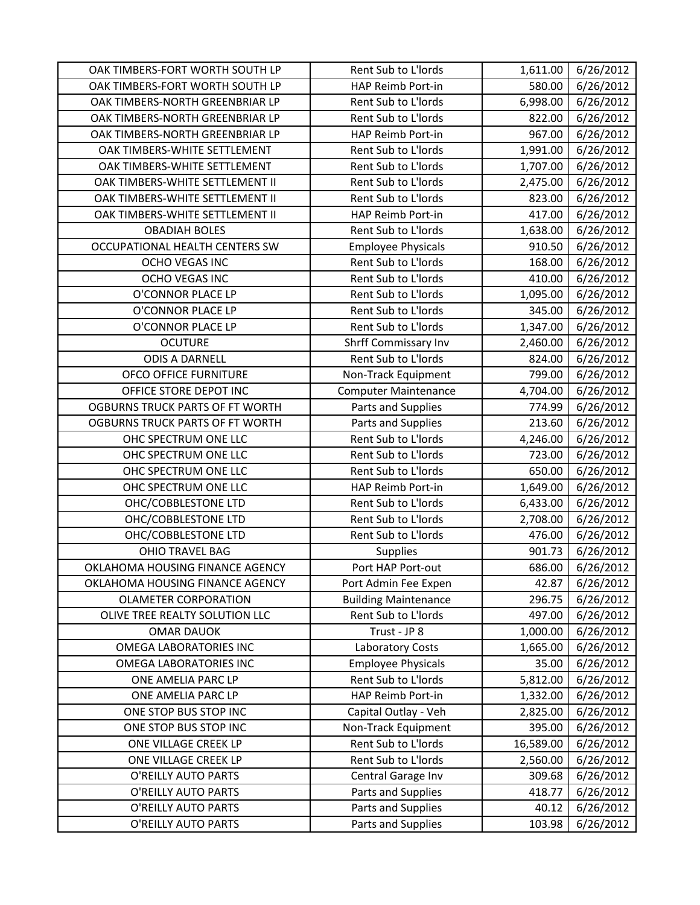| OAK TIMBERS-FORT WORTH SOUTH LP | Rent Sub to L'Iords         | 1,611.00  | 6/26/2012 |
|---------------------------------|-----------------------------|-----------|-----------|
| OAK TIMBERS-FORT WORTH SOUTH LP | HAP Reimb Port-in           | 580.00    | 6/26/2012 |
| OAK TIMBERS-NORTH GREENBRIAR LP | Rent Sub to L'Iords         | 6,998.00  | 6/26/2012 |
| OAK TIMBERS-NORTH GREENBRIAR LP | Rent Sub to L'Iords         | 822.00    | 6/26/2012 |
| OAK TIMBERS-NORTH GREENBRIAR LP | HAP Reimb Port-in           | 967.00    | 6/26/2012 |
| OAK TIMBERS-WHITE SETTLEMENT    | Rent Sub to L'Iords         | 1,991.00  | 6/26/2012 |
| OAK TIMBERS-WHITE SETTLEMENT    | Rent Sub to L'Iords         | 1,707.00  | 6/26/2012 |
| OAK TIMBERS-WHITE SETTLEMENT II | Rent Sub to L'Iords         | 2,475.00  | 6/26/2012 |
| OAK TIMBERS-WHITE SETTLEMENT II | Rent Sub to L'Iords         | 823.00    | 6/26/2012 |
| OAK TIMBERS-WHITE SETTLEMENT II | HAP Reimb Port-in           | 417.00    | 6/26/2012 |
| <b>OBADIAH BOLES</b>            | Rent Sub to L'Iords         | 1,638.00  | 6/26/2012 |
| OCCUPATIONAL HEALTH CENTERS SW  | <b>Employee Physicals</b>   | 910.50    | 6/26/2012 |
| OCHO VEGAS INC                  | Rent Sub to L'Iords         | 168.00    | 6/26/2012 |
| OCHO VEGAS INC                  | Rent Sub to L'Iords         | 410.00    | 6/26/2012 |
| O'CONNOR PLACE LP               | Rent Sub to L'Iords         | 1,095.00  | 6/26/2012 |
| O'CONNOR PLACE LP               | Rent Sub to L'Iords         | 345.00    | 6/26/2012 |
| O'CONNOR PLACE LP               | Rent Sub to L'Iords         | 1,347.00  | 6/26/2012 |
| <b>OCUTURE</b>                  | Shrff Commissary Inv        | 2,460.00  | 6/26/2012 |
| <b>ODIS A DARNELL</b>           | Rent Sub to L'Iords         | 824.00    | 6/26/2012 |
| OFCO OFFICE FURNITURE           | Non-Track Equipment         | 799.00    | 6/26/2012 |
| OFFICE STORE DEPOT INC          | <b>Computer Maintenance</b> | 4,704.00  | 6/26/2012 |
| OGBURNS TRUCK PARTS OF FT WORTH | Parts and Supplies          | 774.99    | 6/26/2012 |
| OGBURNS TRUCK PARTS OF FT WORTH | Parts and Supplies          | 213.60    | 6/26/2012 |
| OHC SPECTRUM ONE LLC            | Rent Sub to L'Iords         | 4,246.00  | 6/26/2012 |
| OHC SPECTRUM ONE LLC            | Rent Sub to L'Iords         | 723.00    | 6/26/2012 |
| OHC SPECTRUM ONE LLC            | Rent Sub to L'Iords         | 650.00    | 6/26/2012 |
| OHC SPECTRUM ONE LLC            | HAP Reimb Port-in           | 1,649.00  | 6/26/2012 |
| OHC/COBBLESTONE LTD             | Rent Sub to L'Iords         | 6,433.00  | 6/26/2012 |
| OHC/COBBLESTONE LTD             | Rent Sub to L'Iords         | 2,708.00  | 6/26/2012 |
| OHC/COBBLESTONE LTD             | Rent Sub to L'Iords         | 476.00    | 6/26/2012 |
| <b>OHIO TRAVEL BAG</b>          | Supplies                    | 901.73    | 6/26/2012 |
| OKLAHOMA HOUSING FINANCE AGENCY | Port HAP Port-out           | 686.00    | 6/26/2012 |
| OKLAHOMA HOUSING FINANCE AGENCY | Port Admin Fee Expen        | 42.87     | 6/26/2012 |
| <b>OLAMETER CORPORATION</b>     | <b>Building Maintenance</b> | 296.75    | 6/26/2012 |
| OLIVE TREE REALTY SOLUTION LLC  | Rent Sub to L'Iords         | 497.00    | 6/26/2012 |
| <b>OMAR DAUOK</b>               | Trust - JP 8                | 1,000.00  | 6/26/2012 |
| <b>OMEGA LABORATORIES INC</b>   | Laboratory Costs            | 1,665.00  | 6/26/2012 |
| OMEGA LABORATORIES INC          | <b>Employee Physicals</b>   | 35.00     | 6/26/2012 |
| ONE AMELIA PARC LP              | Rent Sub to L'Iords         | 5,812.00  | 6/26/2012 |
| ONE AMELIA PARC LP              | HAP Reimb Port-in           | 1,332.00  | 6/26/2012 |
| ONE STOP BUS STOP INC           | Capital Outlay - Veh        | 2,825.00  | 6/26/2012 |
| ONE STOP BUS STOP INC           | Non-Track Equipment         | 395.00    | 6/26/2012 |
| ONE VILLAGE CREEK LP            | Rent Sub to L'Iords         | 16,589.00 | 6/26/2012 |
| ONE VILLAGE CREEK LP            | Rent Sub to L'Iords         | 2,560.00  | 6/26/2012 |
| O'REILLY AUTO PARTS             | Central Garage Inv          | 309.68    | 6/26/2012 |
| O'REILLY AUTO PARTS             | Parts and Supplies          | 418.77    | 6/26/2012 |
| O'REILLY AUTO PARTS             | Parts and Supplies          | 40.12     | 6/26/2012 |
| O'REILLY AUTO PARTS             | Parts and Supplies          | 103.98    | 6/26/2012 |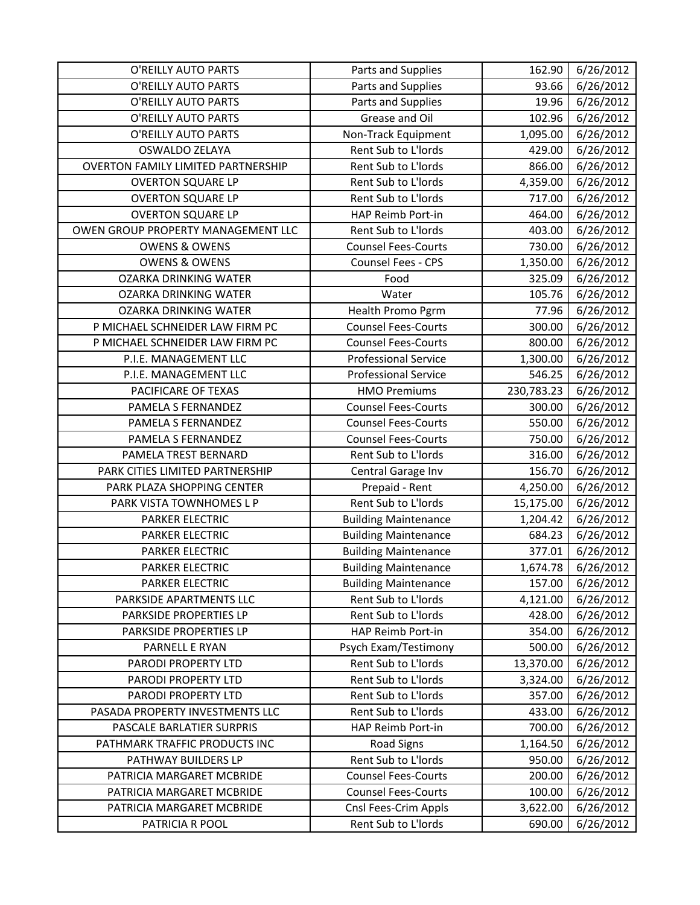| O'REILLY AUTO PARTS                       | Parts and Supplies          | 162.90     | 6/26/2012 |
|-------------------------------------------|-----------------------------|------------|-----------|
| O'REILLY AUTO PARTS                       | Parts and Supplies          | 93.66      | 6/26/2012 |
| O'REILLY AUTO PARTS                       | Parts and Supplies          | 19.96      | 6/26/2012 |
| O'REILLY AUTO PARTS                       | Grease and Oil              | 102.96     | 6/26/2012 |
| O'REILLY AUTO PARTS                       | Non-Track Equipment         | 1,095.00   | 6/26/2012 |
| <b>OSWALDO ZELAYA</b>                     | Rent Sub to L'Iords         | 429.00     | 6/26/2012 |
| <b>OVERTON FAMILY LIMITED PARTNERSHIP</b> | Rent Sub to L'Iords         | 866.00     | 6/26/2012 |
| <b>OVERTON SQUARE LP</b>                  | Rent Sub to L'Iords         | 4,359.00   | 6/26/2012 |
| <b>OVERTON SQUARE LP</b>                  | Rent Sub to L'Iords         | 717.00     | 6/26/2012 |
| <b>OVERTON SQUARE LP</b>                  | HAP Reimb Port-in           | 464.00     | 6/26/2012 |
| OWEN GROUP PROPERTY MANAGEMENT LLC        | Rent Sub to L'Iords         | 403.00     | 6/26/2012 |
| <b>OWENS &amp; OWENS</b>                  | <b>Counsel Fees-Courts</b>  | 730.00     | 6/26/2012 |
| <b>OWENS &amp; OWENS</b>                  | Counsel Fees - CPS          | 1,350.00   | 6/26/2012 |
| <b>OZARKA DRINKING WATER</b>              | Food                        | 325.09     | 6/26/2012 |
| <b>OZARKA DRINKING WATER</b>              | Water                       | 105.76     | 6/26/2012 |
| <b>OZARKA DRINKING WATER</b>              | Health Promo Pgrm           | 77.96      | 6/26/2012 |
| P MICHAEL SCHNEIDER LAW FIRM PC           | <b>Counsel Fees-Courts</b>  | 300.00     | 6/26/2012 |
| P MICHAEL SCHNEIDER LAW FIRM PC           | <b>Counsel Fees-Courts</b>  | 800.00     | 6/26/2012 |
| P.I.E. MANAGEMENT LLC                     | <b>Professional Service</b> | 1,300.00   | 6/26/2012 |
| P.I.E. MANAGEMENT LLC                     | <b>Professional Service</b> | 546.25     | 6/26/2012 |
| PACIFICARE OF TEXAS                       | <b>HMO Premiums</b>         | 230,783.23 | 6/26/2012 |
| PAMELA S FERNANDEZ                        | <b>Counsel Fees-Courts</b>  | 300.00     | 6/26/2012 |
| PAMELA S FERNANDEZ                        | <b>Counsel Fees-Courts</b>  | 550.00     | 6/26/2012 |
| PAMELA S FERNANDEZ                        | <b>Counsel Fees-Courts</b>  | 750.00     | 6/26/2012 |
| PAMELA TREST BERNARD                      | Rent Sub to L'Iords         | 316.00     | 6/26/2012 |
| PARK CITIES LIMITED PARTNERSHIP           | Central Garage Inv          | 156.70     | 6/26/2012 |
| PARK PLAZA SHOPPING CENTER                | Prepaid - Rent              | 4,250.00   | 6/26/2012 |
| PARK VISTA TOWNHOMES L P                  | Rent Sub to L'Iords         | 15,175.00  | 6/26/2012 |
| PARKER ELECTRIC                           | <b>Building Maintenance</b> | 1,204.42   | 6/26/2012 |
| PARKER ELECTRIC                           | <b>Building Maintenance</b> | 684.23     | 6/26/2012 |
| <b>PARKER ELECTRIC</b>                    | <b>Building Maintenance</b> | 377.01     | 6/26/2012 |
| <b>PARKER ELECTRIC</b>                    | <b>Building Maintenance</b> | 1,674.78   | 6/26/2012 |
| PARKER ELECTRIC                           | <b>Building Maintenance</b> | 157.00     | 6/26/2012 |
| PARKSIDE APARTMENTS LLC                   | Rent Sub to L'Iords         | 4,121.00   | 6/26/2012 |
| PARKSIDE PROPERTIES LP                    | Rent Sub to L'Iords         | 428.00     | 6/26/2012 |
| PARKSIDE PROPERTIES LP                    | HAP Reimb Port-in           | 354.00     | 6/26/2012 |
| PARNELL E RYAN                            | Psych Exam/Testimony        | 500.00     | 6/26/2012 |
| PARODI PROPERTY LTD                       | Rent Sub to L'Iords         | 13,370.00  | 6/26/2012 |
| PARODI PROPERTY LTD                       | Rent Sub to L'Iords         | 3,324.00   | 6/26/2012 |
| PARODI PROPERTY LTD                       | Rent Sub to L'Iords         | 357.00     | 6/26/2012 |
| PASADA PROPERTY INVESTMENTS LLC           | Rent Sub to L'Iords         | 433.00     | 6/26/2012 |
| PASCALE BARLATIER SURPRIS                 | HAP Reimb Port-in           | 700.00     | 6/26/2012 |
| PATHMARK TRAFFIC PRODUCTS INC             | <b>Road Signs</b>           | 1,164.50   | 6/26/2012 |
| PATHWAY BUILDERS LP                       | Rent Sub to L'Iords         | 950.00     | 6/26/2012 |
| PATRICIA MARGARET MCBRIDE                 | <b>Counsel Fees-Courts</b>  | 200.00     | 6/26/2012 |
| PATRICIA MARGARET MCBRIDE                 | <b>Counsel Fees-Courts</b>  | 100.00     | 6/26/2012 |
| PATRICIA MARGARET MCBRIDE                 | Cnsl Fees-Crim Appls        | 3,622.00   | 6/26/2012 |
| PATRICIA R POOL                           | Rent Sub to L'Iords         | 690.00     | 6/26/2012 |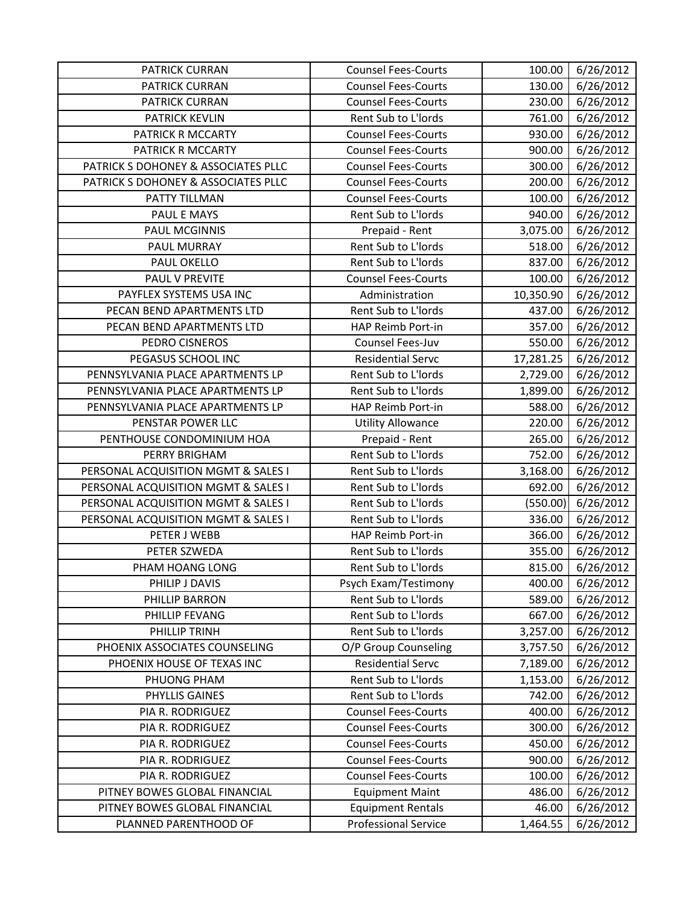| <b>PATRICK CURRAN</b>               | <b>Counsel Fees-Courts</b>  | 100.00    | 6/26/2012 |
|-------------------------------------|-----------------------------|-----------|-----------|
| <b>PATRICK CURRAN</b>               | <b>Counsel Fees-Courts</b>  | 130.00    | 6/26/2012 |
| <b>PATRICK CURRAN</b>               | <b>Counsel Fees-Courts</b>  | 230.00    | 6/26/2012 |
| PATRICK KEVLIN                      | Rent Sub to L'Iords         | 761.00    | 6/26/2012 |
| PATRICK R MCCARTY                   | <b>Counsel Fees-Courts</b>  | 930.00    | 6/26/2012 |
| PATRICK R MCCARTY                   | <b>Counsel Fees-Courts</b>  | 900.00    | 6/26/2012 |
| PATRICK S DOHONEY & ASSOCIATES PLLC | <b>Counsel Fees-Courts</b>  | 300.00    | 6/26/2012 |
| PATRICK S DOHONEY & ASSOCIATES PLLC | <b>Counsel Fees-Courts</b>  | 200.00    | 6/26/2012 |
| PATTY TILLMAN                       | <b>Counsel Fees-Courts</b>  | 100.00    | 6/26/2012 |
| PAUL E MAYS                         | Rent Sub to L'Iords         | 940.00    | 6/26/2012 |
| <b>PAUL MCGINNIS</b>                | Prepaid - Rent              | 3,075.00  | 6/26/2012 |
| PAUL MURRAY                         | Rent Sub to L'Iords         | 518.00    | 6/26/2012 |
| PAUL OKELLO                         | Rent Sub to L'Iords         | 837.00    | 6/26/2012 |
| PAUL V PREVITE                      | <b>Counsel Fees-Courts</b>  | 100.00    | 6/26/2012 |
| PAYFLEX SYSTEMS USA INC             | Administration              | 10,350.90 | 6/26/2012 |
| PECAN BEND APARTMENTS LTD           | Rent Sub to L'Iords         | 437.00    | 6/26/2012 |
| PECAN BEND APARTMENTS LTD           | HAP Reimb Port-in           | 357.00    | 6/26/2012 |
| PEDRO CISNEROS                      | Counsel Fees-Juv            | 550.00    | 6/26/2012 |
| PEGASUS SCHOOL INC                  | <b>Residential Servc</b>    | 17,281.25 | 6/26/2012 |
| PENNSYLVANIA PLACE APARTMENTS LP    | Rent Sub to L'Iords         | 2,729.00  | 6/26/2012 |
| PENNSYLVANIA PLACE APARTMENTS LP    | Rent Sub to L'Iords         | 1,899.00  | 6/26/2012 |
| PENNSYLVANIA PLACE APARTMENTS LP    | HAP Reimb Port-in           | 588.00    | 6/26/2012 |
| PENSTAR POWER LLC                   | <b>Utility Allowance</b>    | 220.00    | 6/26/2012 |
| PENTHOUSE CONDOMINIUM HOA           | Prepaid - Rent              | 265.00    | 6/26/2012 |
| PERRY BRIGHAM                       | Rent Sub to L'Iords         | 752.00    | 6/26/2012 |
| PERSONAL ACQUISITION MGMT & SALES I | Rent Sub to L'Iords         | 3,168.00  | 6/26/2012 |
| PERSONAL ACQUISITION MGMT & SALES I | Rent Sub to L'Iords         | 692.00    | 6/26/2012 |
| PERSONAL ACQUISITION MGMT & SALES I | Rent Sub to L'Iords         | (550.00)  | 6/26/2012 |
| PERSONAL ACQUISITION MGMT & SALES I | Rent Sub to L'Iords         | 336.00    | 6/26/2012 |
| PETER J WEBB                        | HAP Reimb Port-in           | 366.00    | 6/26/2012 |
| PETER SZWEDA                        | Rent Sub to L'Iords         | 355.00    | 6/26/2012 |
| PHAM HOANG LONG                     | Rent Sub to L'Iords         | 815.00    | 6/26/2012 |
| PHILIP J DAVIS                      | Psych Exam/Testimony        | 400.00    | 6/26/2012 |
| PHILLIP BARRON                      | Rent Sub to L'Iords         | 589.00    | 6/26/2012 |
| PHILLIP FEVANG                      | Rent Sub to L'Iords         | 667.00    | 6/26/2012 |
| PHILLIP TRINH                       | Rent Sub to L'Iords         | 3,257.00  | 6/26/2012 |
| PHOENIX ASSOCIATES COUNSELING       | O/P Group Counseling        | 3,757.50  | 6/26/2012 |
| PHOENIX HOUSE OF TEXAS INC          | <b>Residential Servc</b>    | 7,189.00  | 6/26/2012 |
| PHUONG PHAM                         | Rent Sub to L'Iords         | 1,153.00  | 6/26/2012 |
| PHYLLIS GAINES                      | Rent Sub to L'Iords         | 742.00    | 6/26/2012 |
| PIA R. RODRIGUEZ                    | <b>Counsel Fees-Courts</b>  | 400.00    | 6/26/2012 |
| PIA R. RODRIGUEZ                    | <b>Counsel Fees-Courts</b>  | 300.00    | 6/26/2012 |
| PIA R. RODRIGUEZ                    | <b>Counsel Fees-Courts</b>  | 450.00    | 6/26/2012 |
| PIA R. RODRIGUEZ                    | <b>Counsel Fees-Courts</b>  | 900.00    | 6/26/2012 |
| PIA R. RODRIGUEZ                    | <b>Counsel Fees-Courts</b>  | 100.00    | 6/26/2012 |
| PITNEY BOWES GLOBAL FINANCIAL       | <b>Equipment Maint</b>      | 486.00    | 6/26/2012 |
| PITNEY BOWES GLOBAL FINANCIAL       | <b>Equipment Rentals</b>    | 46.00     | 6/26/2012 |
| PLANNED PARENTHOOD OF               | <b>Professional Service</b> | 1,464.55  | 6/26/2012 |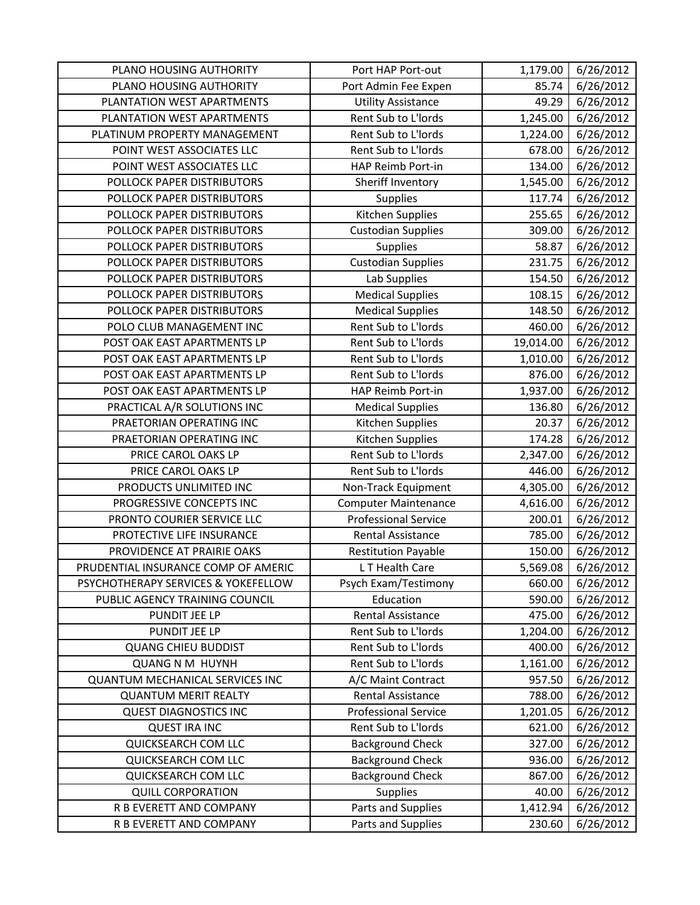| PLANO HOUSING AUTHORITY                | Port HAP Port-out           | 1,179.00  | 6/26/2012 |
|----------------------------------------|-----------------------------|-----------|-----------|
| PLANO HOUSING AUTHORITY                | Port Admin Fee Expen        | 85.74     | 6/26/2012 |
| PLANTATION WEST APARTMENTS             | <b>Utility Assistance</b>   | 49.29     | 6/26/2012 |
| PLANTATION WEST APARTMENTS             | Rent Sub to L'Iords         | 1,245.00  | 6/26/2012 |
| PLATINUM PROPERTY MANAGEMENT           | Rent Sub to L'Iords         | 1,224.00  | 6/26/2012 |
| POINT WEST ASSOCIATES LLC              | Rent Sub to L'Iords         | 678.00    | 6/26/2012 |
| POINT WEST ASSOCIATES LLC              | HAP Reimb Port-in           | 134.00    | 6/26/2012 |
| POLLOCK PAPER DISTRIBUTORS             | Sheriff Inventory           | 1,545.00  | 6/26/2012 |
| POLLOCK PAPER DISTRIBUTORS             | Supplies                    | 117.74    | 6/26/2012 |
| POLLOCK PAPER DISTRIBUTORS             | Kitchen Supplies            | 255.65    | 6/26/2012 |
| POLLOCK PAPER DISTRIBUTORS             | <b>Custodian Supplies</b>   | 309.00    | 6/26/2012 |
| POLLOCK PAPER DISTRIBUTORS             | Supplies                    | 58.87     | 6/26/2012 |
| POLLOCK PAPER DISTRIBUTORS             | <b>Custodian Supplies</b>   | 231.75    | 6/26/2012 |
| POLLOCK PAPER DISTRIBUTORS             | Lab Supplies                | 154.50    | 6/26/2012 |
| POLLOCK PAPER DISTRIBUTORS             | <b>Medical Supplies</b>     | 108.15    | 6/26/2012 |
| POLLOCK PAPER DISTRIBUTORS             | <b>Medical Supplies</b>     | 148.50    | 6/26/2012 |
| POLO CLUB MANAGEMENT INC               | Rent Sub to L'Iords         | 460.00    | 6/26/2012 |
| POST OAK EAST APARTMENTS LP            | Rent Sub to L'Iords         | 19,014.00 | 6/26/2012 |
| POST OAK EAST APARTMENTS LP            | Rent Sub to L'Iords         | 1,010.00  | 6/26/2012 |
| POST OAK EAST APARTMENTS LP            | Rent Sub to L'Iords         | 876.00    | 6/26/2012 |
| POST OAK EAST APARTMENTS LP            | HAP Reimb Port-in           | 1,937.00  | 6/26/2012 |
| PRACTICAL A/R SOLUTIONS INC            | <b>Medical Supplies</b>     | 136.80    | 6/26/2012 |
| PRAETORIAN OPERATING INC               | Kitchen Supplies            | 20.37     | 6/26/2012 |
| PRAETORIAN OPERATING INC               | Kitchen Supplies            | 174.28    | 6/26/2012 |
| PRICE CAROL OAKS LP                    | Rent Sub to L'Iords         | 2,347.00  | 6/26/2012 |
| PRICE CAROL OAKS LP                    | Rent Sub to L'Iords         | 446.00    | 6/26/2012 |
| PRODUCTS UNLIMITED INC                 | Non-Track Equipment         | 4,305.00  | 6/26/2012 |
| PROGRESSIVE CONCEPTS INC               | <b>Computer Maintenance</b> | 4,616.00  | 6/26/2012 |
| PRONTO COURIER SERVICE LLC             | <b>Professional Service</b> | 200.01    | 6/26/2012 |
| PROTECTIVE LIFE INSURANCE              | Rental Assistance           | 785.00    | 6/26/2012 |
| PROVIDENCE AT PRAIRIE OAKS             | <b>Restitution Payable</b>  | 150.00    | 6/26/2012 |
| PRUDENTIAL INSURANCE COMP OF AMERIC    | L T Health Care             | 5,569.08  | 6/26/2012 |
| PSYCHOTHERAPY SERVICES & YOKEFELLOW    | Psych Exam/Testimony        | 660.00    | 6/26/2012 |
| PUBLIC AGENCY TRAINING COUNCIL         | Education                   | 590.00    | 6/26/2012 |
| PUNDIT JEE LP                          | Rental Assistance           | 475.00    | 6/26/2012 |
| PUNDIT JEE LP                          | Rent Sub to L'Iords         | 1,204.00  | 6/26/2012 |
| <b>QUANG CHIEU BUDDIST</b>             | Rent Sub to L'Iords         | 400.00    | 6/26/2012 |
| <b>QUANG N M HUYNH</b>                 | Rent Sub to L'Iords         | 1,161.00  | 6/26/2012 |
| <b>QUANTUM MECHANICAL SERVICES INC</b> | A/C Maint Contract          | 957.50    | 6/26/2012 |
| <b>QUANTUM MERIT REALTY</b>            | Rental Assistance           | 788.00    | 6/26/2012 |
| <b>QUEST DIAGNOSTICS INC</b>           | <b>Professional Service</b> | 1,201.05  | 6/26/2012 |
| <b>QUEST IRA INC</b>                   | Rent Sub to L'Iords         | 621.00    | 6/26/2012 |
| QUICKSEARCH COM LLC                    | <b>Background Check</b>     | 327.00    | 6/26/2012 |
| QUICKSEARCH COM LLC                    | <b>Background Check</b>     | 936.00    | 6/26/2012 |
| QUICKSEARCH COM LLC                    | <b>Background Check</b>     | 867.00    | 6/26/2012 |
| <b>QUILL CORPORATION</b>               | <b>Supplies</b>             | 40.00     | 6/26/2012 |
| R B EVERETT AND COMPANY                | Parts and Supplies          | 1,412.94  | 6/26/2012 |
| R B EVERETT AND COMPANY                | Parts and Supplies          | 230.60    | 6/26/2012 |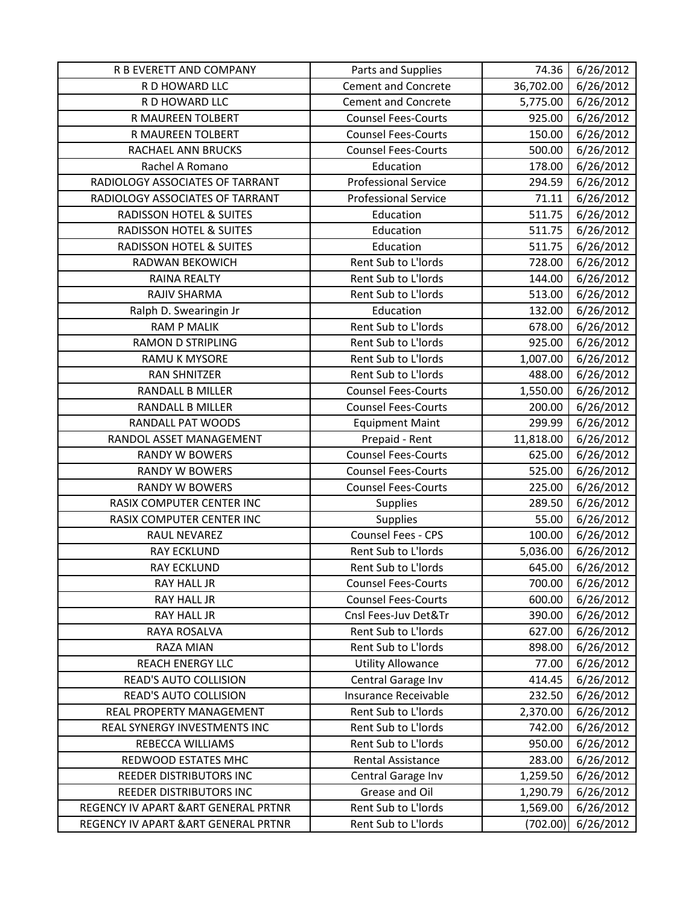| R B EVERETT AND COMPANY              | Parts and Supplies          | 74.36     | 6/26/2012 |
|--------------------------------------|-----------------------------|-----------|-----------|
| R D HOWARD LLC                       | <b>Cement and Concrete</b>  | 36,702.00 | 6/26/2012 |
| R D HOWARD LLC                       | <b>Cement and Concrete</b>  | 5,775.00  | 6/26/2012 |
| R MAUREEN TOLBERT                    | <b>Counsel Fees-Courts</b>  | 925.00    | 6/26/2012 |
| R MAUREEN TOLBERT                    | <b>Counsel Fees-Courts</b>  | 150.00    | 6/26/2012 |
| RACHAEL ANN BRUCKS                   | <b>Counsel Fees-Courts</b>  | 500.00    | 6/26/2012 |
| Rachel A Romano                      | Education                   | 178.00    | 6/26/2012 |
| RADIOLOGY ASSOCIATES OF TARRANT      | <b>Professional Service</b> | 294.59    | 6/26/2012 |
| RADIOLOGY ASSOCIATES OF TARRANT      | <b>Professional Service</b> | 71.11     | 6/26/2012 |
| <b>RADISSON HOTEL &amp; SUITES</b>   | Education                   | 511.75    | 6/26/2012 |
| <b>RADISSON HOTEL &amp; SUITES</b>   | Education                   | 511.75    | 6/26/2012 |
| <b>RADISSON HOTEL &amp; SUITES</b>   | Education                   | 511.75    | 6/26/2012 |
| RADWAN BEKOWICH                      | Rent Sub to L'Iords         | 728.00    | 6/26/2012 |
| <b>RAINA REALTY</b>                  | Rent Sub to L'Iords         | 144.00    | 6/26/2012 |
| RAJIV SHARMA                         | Rent Sub to L'Iords         | 513.00    | 6/26/2012 |
| Ralph D. Swearingin Jr               | Education                   | 132.00    | 6/26/2012 |
| <b>RAM P MALIK</b>                   | Rent Sub to L'Iords         | 678.00    | 6/26/2012 |
| <b>RAMON D STRIPLING</b>             | Rent Sub to L'Iords         | 925.00    | 6/26/2012 |
| RAMU K MYSORE                        | Rent Sub to L'Iords         | 1,007.00  | 6/26/2012 |
| <b>RAN SHNITZER</b>                  | Rent Sub to L'Iords         | 488.00    | 6/26/2012 |
| <b>RANDALL B MILLER</b>              | <b>Counsel Fees-Courts</b>  | 1,550.00  | 6/26/2012 |
| <b>RANDALL B MILLER</b>              | <b>Counsel Fees-Courts</b>  | 200.00    | 6/26/2012 |
| RANDALL PAT WOODS                    | <b>Equipment Maint</b>      | 299.99    | 6/26/2012 |
| RANDOL ASSET MANAGEMENT              | Prepaid - Rent              | 11,818.00 | 6/26/2012 |
| <b>RANDY W BOWERS</b>                | <b>Counsel Fees-Courts</b>  | 625.00    | 6/26/2012 |
| <b>RANDY W BOWERS</b>                | <b>Counsel Fees-Courts</b>  | 525.00    | 6/26/2012 |
| <b>RANDY W BOWERS</b>                | <b>Counsel Fees-Courts</b>  | 225.00    | 6/26/2012 |
| RASIX COMPUTER CENTER INC            | <b>Supplies</b>             | 289.50    | 6/26/2012 |
| RASIX COMPUTER CENTER INC            | Supplies                    | 55.00     | 6/26/2012 |
| <b>RAUL NEVAREZ</b>                  | Counsel Fees - CPS          | 100.00    | 6/26/2012 |
| <b>RAY ECKLUND</b>                   | Rent Sub to L'Iords         | 5,036.00  | 6/26/2012 |
| <b>RAY ECKLUND</b>                   | Rent Sub to L'Iords         | 645.00    | 6/26/2012 |
| RAY HALL JR                          | <b>Counsel Fees-Courts</b>  | 700.00    | 6/26/2012 |
| RAY HALL JR                          | <b>Counsel Fees-Courts</b>  | 600.00    | 6/26/2012 |
| <b>RAY HALL JR</b>                   | Cnsl Fees-Juv Det&Tr        | 390.00    | 6/26/2012 |
| RAYA ROSALVA                         | Rent Sub to L'Iords         | 627.00    | 6/26/2012 |
| <b>RAZA MIAN</b>                     | Rent Sub to L'Iords         | 898.00    | 6/26/2012 |
| <b>REACH ENERGY LLC</b>              | <b>Utility Allowance</b>    | 77.00     | 6/26/2012 |
| <b>READ'S AUTO COLLISION</b>         | Central Garage Inv          | 414.45    | 6/26/2012 |
| <b>READ'S AUTO COLLISION</b>         | Insurance Receivable        | 232.50    | 6/26/2012 |
| REAL PROPERTY MANAGEMENT             | Rent Sub to L'Iords         | 2,370.00  | 6/26/2012 |
| REAL SYNERGY INVESTMENTS INC         | Rent Sub to L'Iords         | 742.00    | 6/26/2012 |
| REBECCA WILLIAMS                     | Rent Sub to L'Iords         | 950.00    | 6/26/2012 |
| REDWOOD ESTATES MHC                  | Rental Assistance           | 283.00    | 6/26/2012 |
| REEDER DISTRIBUTORS INC              | Central Garage Inv          | 1,259.50  | 6/26/2012 |
| REEDER DISTRIBUTORS INC              | Grease and Oil              | 1,290.79  | 6/26/2012 |
| REGENCY IV APART & ART GENERAL PRTNR | Rent Sub to L'Iords         | 1,569.00  | 6/26/2012 |
| REGENCY IV APART & ART GENERAL PRTNR | Rent Sub to L'Iords         | (702.00)  | 6/26/2012 |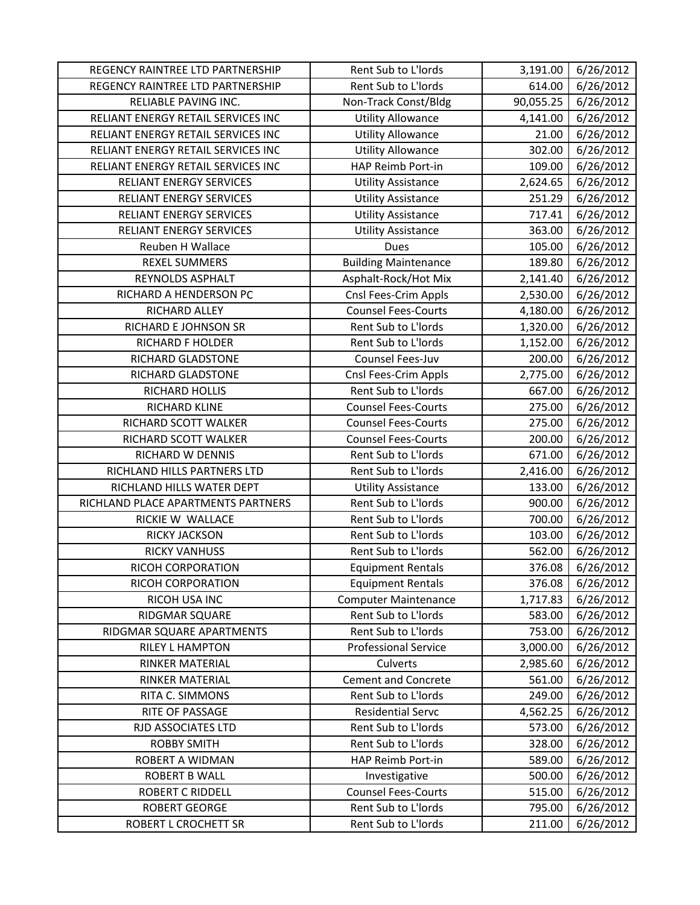| REGENCY RAINTREE LTD PARTNERSHIP   | Rent Sub to L'Iords         | 3,191.00  | 6/26/2012 |
|------------------------------------|-----------------------------|-----------|-----------|
| REGENCY RAINTREE LTD PARTNERSHIP   | Rent Sub to L'Iords         | 614.00    | 6/26/2012 |
| RELIABLE PAVING INC.               | Non-Track Const/Bldg        | 90,055.25 | 6/26/2012 |
| RELIANT ENERGY RETAIL SERVICES INC | <b>Utility Allowance</b>    | 4,141.00  | 6/26/2012 |
| RELIANT ENERGY RETAIL SERVICES INC | <b>Utility Allowance</b>    | 21.00     | 6/26/2012 |
| RELIANT ENERGY RETAIL SERVICES INC | <b>Utility Allowance</b>    | 302.00    | 6/26/2012 |
| RELIANT ENERGY RETAIL SERVICES INC | HAP Reimb Port-in           | 109.00    | 6/26/2012 |
| RELIANT ENERGY SERVICES            | <b>Utility Assistance</b>   | 2,624.65  | 6/26/2012 |
| <b>RELIANT ENERGY SERVICES</b>     | <b>Utility Assistance</b>   | 251.29    | 6/26/2012 |
| RELIANT ENERGY SERVICES            | <b>Utility Assistance</b>   | 717.41    | 6/26/2012 |
| RELIANT ENERGY SERVICES            | <b>Utility Assistance</b>   | 363.00    | 6/26/2012 |
| Reuben H Wallace                   | Dues                        | 105.00    | 6/26/2012 |
| <b>REXEL SUMMERS</b>               | <b>Building Maintenance</b> | 189.80    | 6/26/2012 |
| REYNOLDS ASPHALT                   | Asphalt-Rock/Hot Mix        | 2,141.40  | 6/26/2012 |
| RICHARD A HENDERSON PC             | Cnsl Fees-Crim Appls        | 2,530.00  | 6/26/2012 |
| RICHARD ALLEY                      | <b>Counsel Fees-Courts</b>  | 4,180.00  | 6/26/2012 |
| RICHARD E JOHNSON SR               | Rent Sub to L'Iords         | 1,320.00  | 6/26/2012 |
| RICHARD F HOLDER                   | Rent Sub to L'Iords         | 1,152.00  | 6/26/2012 |
| RICHARD GLADSTONE                  | Counsel Fees-Juv            | 200.00    | 6/26/2012 |
| RICHARD GLADSTONE                  | Cnsl Fees-Crim Appls        | 2,775.00  | 6/26/2012 |
| RICHARD HOLLIS                     | Rent Sub to L'Iords         | 667.00    | 6/26/2012 |
| RICHARD KLINE                      | <b>Counsel Fees-Courts</b>  | 275.00    | 6/26/2012 |
| RICHARD SCOTT WALKER               | <b>Counsel Fees-Courts</b>  | 275.00    | 6/26/2012 |
| RICHARD SCOTT WALKER               | <b>Counsel Fees-Courts</b>  | 200.00    | 6/26/2012 |
| RICHARD W DENNIS                   | Rent Sub to L'Iords         | 671.00    | 6/26/2012 |
| RICHLAND HILLS PARTNERS LTD        | Rent Sub to L'Iords         | 2,416.00  | 6/26/2012 |
| RICHLAND HILLS WATER DEPT          | <b>Utility Assistance</b>   | 133.00    | 6/26/2012 |
| RICHLAND PLACE APARTMENTS PARTNERS | Rent Sub to L'Iords         | 900.00    | 6/26/2012 |
| RICKIE W WALLACE                   | Rent Sub to L'Iords         | 700.00    | 6/26/2012 |
| RICKY JACKSON                      | Rent Sub to L'Iords         | 103.00    | 6/26/2012 |
| <b>RICKY VANHUSS</b>               | Rent Sub to L'Iords         | 562.00    | 6/26/2012 |
| RICOH CORPORATION                  | <b>Equipment Rentals</b>    | 376.08    | 6/26/2012 |
| RICOH CORPORATION                  | <b>Equipment Rentals</b>    | 376.08    | 6/26/2012 |
| RICOH USA INC                      | <b>Computer Maintenance</b> | 1,717.83  | 6/26/2012 |
| RIDGMAR SQUARE                     | Rent Sub to L'Iords         | 583.00    | 6/26/2012 |
| RIDGMAR SQUARE APARTMENTS          | Rent Sub to L'Iords         | 753.00    | 6/26/2012 |
| <b>RILEY L HAMPTON</b>             | <b>Professional Service</b> | 3,000.00  | 6/26/2012 |
| <b>RINKER MATERIAL</b>             | Culverts                    | 2,985.60  | 6/26/2012 |
| <b>RINKER MATERIAL</b>             | <b>Cement and Concrete</b>  | 561.00    | 6/26/2012 |
| RITA C. SIMMONS                    | Rent Sub to L'Iords         | 249.00    | 6/26/2012 |
| RITE OF PASSAGE                    | <b>Residential Servc</b>    | 4,562.25  | 6/26/2012 |
| RJD ASSOCIATES LTD                 | Rent Sub to L'Iords         | 573.00    | 6/26/2012 |
| <b>ROBBY SMITH</b>                 | Rent Sub to L'Iords         | 328.00    | 6/26/2012 |
| ROBERT A WIDMAN                    | HAP Reimb Port-in           | 589.00    | 6/26/2012 |
| <b>ROBERT B WALL</b>               | Investigative               | 500.00    | 6/26/2012 |
| <b>ROBERT C RIDDELL</b>            | <b>Counsel Fees-Courts</b>  | 515.00    | 6/26/2012 |
| <b>ROBERT GEORGE</b>               | Rent Sub to L'Iords         | 795.00    | 6/26/2012 |
| ROBERT L CROCHETT SR               | Rent Sub to L'Iords         | 211.00    | 6/26/2012 |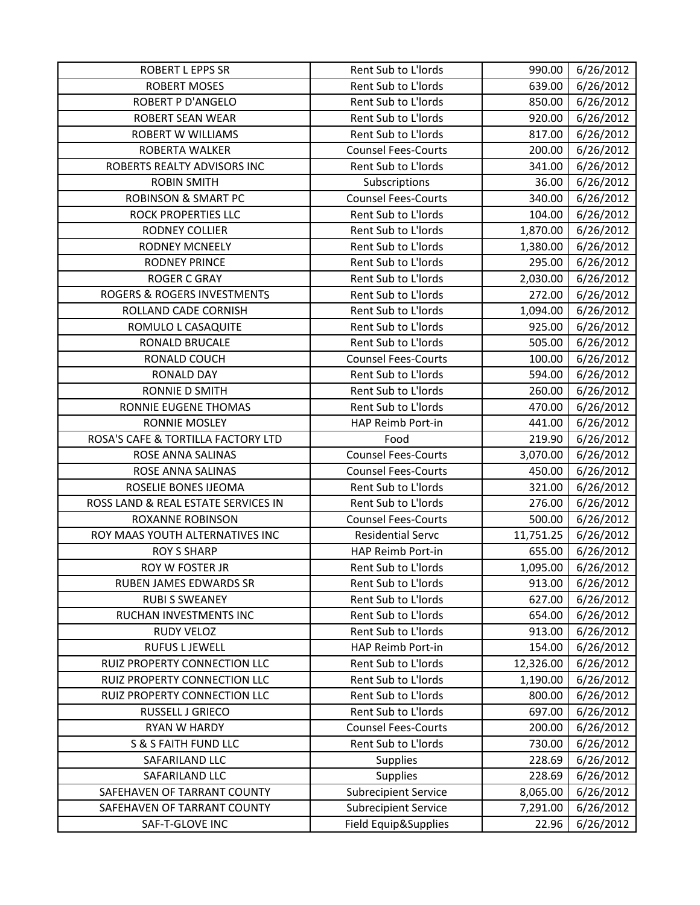| <b>ROBERT L EPPS SR</b>                | Rent Sub to L'Iords         | 990.00    | 6/26/2012 |
|----------------------------------------|-----------------------------|-----------|-----------|
| <b>ROBERT MOSES</b>                    | Rent Sub to L'Iords         | 639.00    | 6/26/2012 |
| <b>ROBERT P D'ANGELO</b>               | Rent Sub to L'Iords         | 850.00    | 6/26/2012 |
| ROBERT SEAN WEAR                       | Rent Sub to L'Iords         | 920.00    | 6/26/2012 |
| <b>ROBERT W WILLIAMS</b>               | Rent Sub to L'Iords         | 817.00    | 6/26/2012 |
| ROBERTA WALKER                         | <b>Counsel Fees-Courts</b>  | 200.00    | 6/26/2012 |
| ROBERTS REALTY ADVISORS INC            | Rent Sub to L'Iords         | 341.00    | 6/26/2012 |
| <b>ROBIN SMITH</b>                     | Subscriptions               | 36.00     | 6/26/2012 |
| <b>ROBINSON &amp; SMART PC</b>         | <b>Counsel Fees-Courts</b>  | 340.00    | 6/26/2012 |
| ROCK PROPERTIES LLC                    | Rent Sub to L'Iords         | 104.00    | 6/26/2012 |
| <b>RODNEY COLLIER</b>                  | Rent Sub to L'Iords         | 1,870.00  | 6/26/2012 |
| <b>RODNEY MCNEELY</b>                  | Rent Sub to L'Iords         | 1,380.00  | 6/26/2012 |
| <b>RODNEY PRINCE</b>                   | Rent Sub to L'Iords         | 295.00    | 6/26/2012 |
| <b>ROGER C GRAY</b>                    | Rent Sub to L'Iords         | 2,030.00  | 6/26/2012 |
| <b>ROGERS &amp; ROGERS INVESTMENTS</b> | Rent Sub to L'Iords         | 272.00    | 6/26/2012 |
| ROLLAND CADE CORNISH                   | Rent Sub to L'Iords         | 1,094.00  | 6/26/2012 |
| ROMULO L CASAQUITE                     | Rent Sub to L'Iords         | 925.00    | 6/26/2012 |
| RONALD BRUCALE                         | Rent Sub to L'Iords         | 505.00    | 6/26/2012 |
| RONALD COUCH                           | <b>Counsel Fees-Courts</b>  | 100.00    | 6/26/2012 |
| <b>RONALD DAY</b>                      | Rent Sub to L'Iords         | 594.00    | 6/26/2012 |
| RONNIE D SMITH                         | Rent Sub to L'Iords         | 260.00    | 6/26/2012 |
| RONNIE EUGENE THOMAS                   | Rent Sub to L'Iords         | 470.00    | 6/26/2012 |
| <b>RONNIE MOSLEY</b>                   | HAP Reimb Port-in           | 441.00    | 6/26/2012 |
| ROSA'S CAFE & TORTILLA FACTORY LTD     | Food                        | 219.90    | 6/26/2012 |
| ROSE ANNA SALINAS                      | <b>Counsel Fees-Courts</b>  | 3,070.00  | 6/26/2012 |
| ROSE ANNA SALINAS                      | <b>Counsel Fees-Courts</b>  | 450.00    | 6/26/2012 |
| ROSELIE BONES IJEOMA                   | Rent Sub to L'Iords         | 321.00    | 6/26/2012 |
| ROSS LAND & REAL ESTATE SERVICES IN    | Rent Sub to L'Iords         | 276.00    | 6/26/2012 |
| <b>ROXANNE ROBINSON</b>                | <b>Counsel Fees-Courts</b>  | 500.00    | 6/26/2012 |
| ROY MAAS YOUTH ALTERNATIVES INC        | <b>Residential Servc</b>    | 11,751.25 | 6/26/2012 |
| <b>ROY S SHARP</b>                     | HAP Reimb Port-in           | 655.00    | 6/26/2012 |
| ROY W FOSTER JR                        | Rent Sub to L'Iords         | 1,095.00  | 6/26/2012 |
| RUBEN JAMES EDWARDS SR                 | Rent Sub to L'Iords         | 913.00    | 6/26/2012 |
| <b>RUBI S SWEANEY</b>                  | Rent Sub to L'Iords         | 627.00    | 6/26/2012 |
| RUCHAN INVESTMENTS INC                 | Rent Sub to L'Iords         | 654.00    | 6/26/2012 |
| RUDY VELOZ                             | Rent Sub to L'Iords         | 913.00    | 6/26/2012 |
| <b>RUFUS L JEWELL</b>                  | HAP Reimb Port-in           | 154.00    | 6/26/2012 |
| RUIZ PROPERTY CONNECTION LLC           | Rent Sub to L'Iords         | 12,326.00 | 6/26/2012 |
| RUIZ PROPERTY CONNECTION LLC           | Rent Sub to L'Iords         | 1,190.00  | 6/26/2012 |
| RUIZ PROPERTY CONNECTION LLC           | Rent Sub to L'Iords         | 800.00    | 6/26/2012 |
| RUSSELL J GRIECO                       | Rent Sub to L'Iords         | 697.00    | 6/26/2012 |
| RYAN W HARDY                           | <b>Counsel Fees-Courts</b>  | 200.00    | 6/26/2012 |
| <b>S &amp; S FAITH FUND LLC</b>        | Rent Sub to L'Iords         | 730.00    | 6/26/2012 |
| SAFARILAND LLC                         | <b>Supplies</b>             | 228.69    | 6/26/2012 |
| SAFARILAND LLC                         | Supplies                    | 228.69    | 6/26/2012 |
| SAFEHAVEN OF TARRANT COUNTY            | <b>Subrecipient Service</b> | 8,065.00  | 6/26/2012 |
| SAFEHAVEN OF TARRANT COUNTY            | <b>Subrecipient Service</b> | 7,291.00  | 6/26/2012 |
| SAF-T-GLOVE INC                        | Field Equip&Supplies        | 22.96     | 6/26/2012 |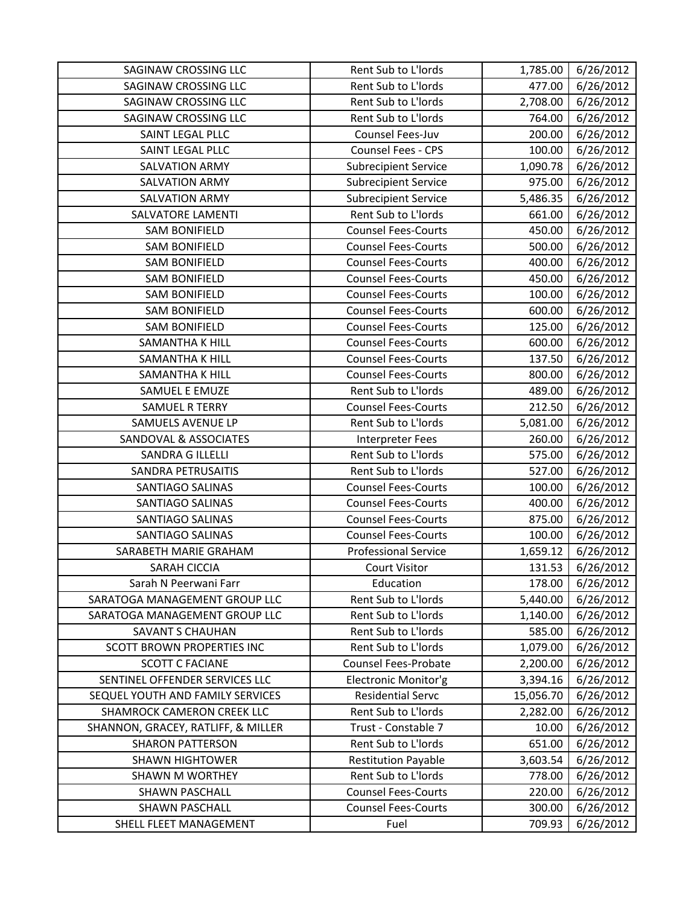| SAGINAW CROSSING LLC               | Rent Sub to L'Iords         | 1,785.00  | 6/26/2012 |
|------------------------------------|-----------------------------|-----------|-----------|
| SAGINAW CROSSING LLC               | Rent Sub to L'Iords         | 477.00    | 6/26/2012 |
| SAGINAW CROSSING LLC               | Rent Sub to L'Iords         | 2,708.00  | 6/26/2012 |
| SAGINAW CROSSING LLC               | Rent Sub to L'Iords         | 764.00    | 6/26/2012 |
| SAINT LEGAL PLLC                   | Counsel Fees-Juv            | 200.00    | 6/26/2012 |
| SAINT LEGAL PLLC                   | Counsel Fees - CPS          | 100.00    | 6/26/2012 |
| <b>SALVATION ARMY</b>              | <b>Subrecipient Service</b> | 1,090.78  | 6/26/2012 |
| <b>SALVATION ARMY</b>              | <b>Subrecipient Service</b> | 975.00    | 6/26/2012 |
| <b>SALVATION ARMY</b>              | <b>Subrecipient Service</b> | 5,486.35  | 6/26/2012 |
| <b>SALVATORE LAMENTI</b>           | Rent Sub to L'Iords         | 661.00    | 6/26/2012 |
| <b>SAM BONIFIELD</b>               | <b>Counsel Fees-Courts</b>  | 450.00    | 6/26/2012 |
| <b>SAM BONIFIELD</b>               | <b>Counsel Fees-Courts</b>  | 500.00    | 6/26/2012 |
| <b>SAM BONIFIELD</b>               | <b>Counsel Fees-Courts</b>  | 400.00    | 6/26/2012 |
| <b>SAM BONIFIELD</b>               | <b>Counsel Fees-Courts</b>  | 450.00    | 6/26/2012 |
| <b>SAM BONIFIELD</b>               | <b>Counsel Fees-Courts</b>  | 100.00    | 6/26/2012 |
| <b>SAM BONIFIELD</b>               | <b>Counsel Fees-Courts</b>  | 600.00    | 6/26/2012 |
| <b>SAM BONIFIELD</b>               | <b>Counsel Fees-Courts</b>  | 125.00    | 6/26/2012 |
| SAMANTHA K HILL                    | <b>Counsel Fees-Courts</b>  | 600.00    | 6/26/2012 |
| SAMANTHA K HILL                    | <b>Counsel Fees-Courts</b>  | 137.50    | 6/26/2012 |
| SAMANTHA K HILL                    | <b>Counsel Fees-Courts</b>  | 800.00    | 6/26/2012 |
| SAMUEL E EMUZE                     | Rent Sub to L'Iords         | 489.00    | 6/26/2012 |
| <b>SAMUEL R TERRY</b>              | <b>Counsel Fees-Courts</b>  | 212.50    | 6/26/2012 |
| SAMUELS AVENUE LP                  | Rent Sub to L'Iords         | 5,081.00  | 6/26/2012 |
| SANDOVAL & ASSOCIATES              | Interpreter Fees            | 260.00    | 6/26/2012 |
| <b>SANDRA G ILLELLI</b>            | Rent Sub to L'Iords         | 575.00    | 6/26/2012 |
| SANDRA PETRUSAITIS                 | Rent Sub to L'Iords         | 527.00    | 6/26/2012 |
| SANTIAGO SALINAS                   | <b>Counsel Fees-Courts</b>  | 100.00    | 6/26/2012 |
| SANTIAGO SALINAS                   | <b>Counsel Fees-Courts</b>  | 400.00    | 6/26/2012 |
| <b>SANTIAGO SALINAS</b>            | <b>Counsel Fees-Courts</b>  | 875.00    | 6/26/2012 |
| <b>SANTIAGO SALINAS</b>            | <b>Counsel Fees-Courts</b>  | 100.00    | 6/26/2012 |
| SARABETH MARIE GRAHAM              | <b>Professional Service</b> | 1,659.12  | 6/26/2012 |
| <b>SARAH CICCIA</b>                | <b>Court Visitor</b>        | 131.53    | 6/26/2012 |
| Sarah N Peerwani Farr              | Education                   | 178.00    | 6/26/2012 |
| SARATOGA MANAGEMENT GROUP LLC      | Rent Sub to L'Iords         | 5,440.00  | 6/26/2012 |
| SARATOGA MANAGEMENT GROUP LLC      | Rent Sub to L'Iords         | 1,140.00  | 6/26/2012 |
| SAVANT S CHAUHAN                   | Rent Sub to L'Iords         | 585.00    | 6/26/2012 |
| <b>SCOTT BROWN PROPERTIES INC</b>  | Rent Sub to L'Iords         | 1,079.00  | 6/26/2012 |
| <b>SCOTT C FACIANE</b>             | <b>Counsel Fees-Probate</b> | 2,200.00  | 6/26/2012 |
| SENTINEL OFFENDER SERVICES LLC     | Electronic Monitor'g        | 3,394.16  | 6/26/2012 |
| SEQUEL YOUTH AND FAMILY SERVICES   | <b>Residential Servc</b>    | 15,056.70 | 6/26/2012 |
| SHAMROCK CAMERON CREEK LLC         | Rent Sub to L'Iords         | 2,282.00  | 6/26/2012 |
| SHANNON, GRACEY, RATLIFF, & MILLER | Trust - Constable 7         | 10.00     | 6/26/2012 |
| <b>SHARON PATTERSON</b>            | Rent Sub to L'Iords         | 651.00    | 6/26/2012 |
| <b>SHAWN HIGHTOWER</b>             | <b>Restitution Payable</b>  | 3,603.54  | 6/26/2012 |
| <b>SHAWN M WORTHEY</b>             | Rent Sub to L'Iords         | 778.00    | 6/26/2012 |
| <b>SHAWN PASCHALL</b>              | <b>Counsel Fees-Courts</b>  | 220.00    | 6/26/2012 |
| <b>SHAWN PASCHALL</b>              | <b>Counsel Fees-Courts</b>  | 300.00    | 6/26/2012 |
| SHELL FLEET MANAGEMENT             | Fuel                        | 709.93    | 6/26/2012 |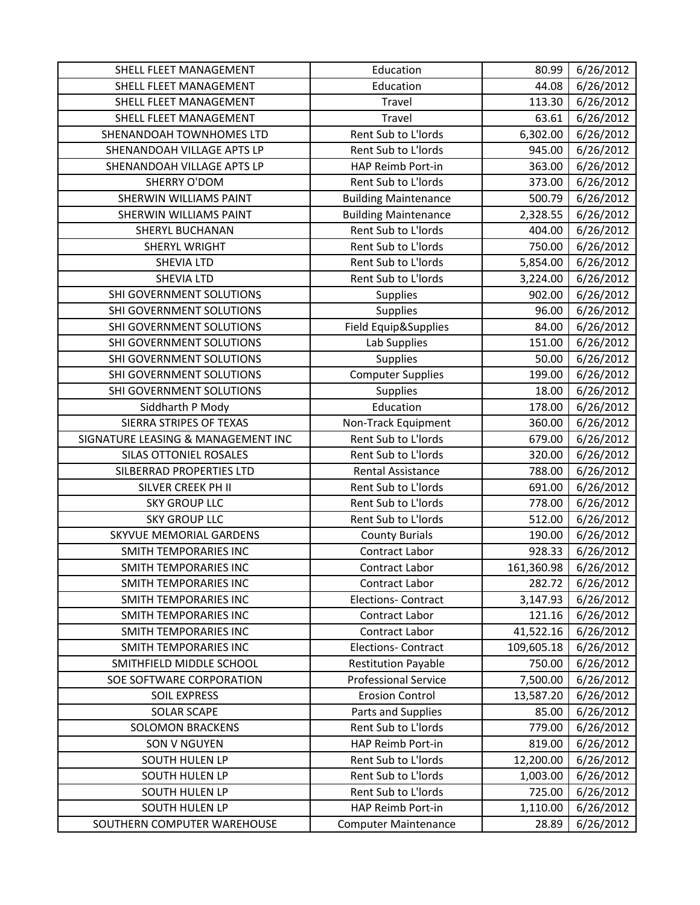| SHELL FLEET MANAGEMENT             | Education                   | 80.99      | 6/26/2012 |
|------------------------------------|-----------------------------|------------|-----------|
| SHELL FLEET MANAGEMENT             | Education                   | 44.08      | 6/26/2012 |
| SHELL FLEET MANAGEMENT             | Travel                      | 113.30     | 6/26/2012 |
| SHELL FLEET MANAGEMENT             | Travel                      | 63.61      | 6/26/2012 |
| SHENANDOAH TOWNHOMES LTD           | Rent Sub to L'Iords         | 6,302.00   | 6/26/2012 |
| SHENANDOAH VILLAGE APTS LP         | Rent Sub to L'Iords         | 945.00     | 6/26/2012 |
| SHENANDOAH VILLAGE APTS LP         | HAP Reimb Port-in           | 363.00     | 6/26/2012 |
| <b>SHERRY O'DOM</b>                | Rent Sub to L'Iords         | 373.00     | 6/26/2012 |
| <b>SHERWIN WILLIAMS PAINT</b>      | <b>Building Maintenance</b> | 500.79     | 6/26/2012 |
| SHERWIN WILLIAMS PAINT             | <b>Building Maintenance</b> | 2,328.55   | 6/26/2012 |
| <b>SHERYL BUCHANAN</b>             | Rent Sub to L'Iords         | 404.00     | 6/26/2012 |
| SHERYL WRIGHT                      | Rent Sub to L'Iords         | 750.00     | 6/26/2012 |
| <b>SHEVIA LTD</b>                  | Rent Sub to L'Iords         | 5,854.00   | 6/26/2012 |
| SHEVIA LTD                         | Rent Sub to L'Iords         | 3,224.00   | 6/26/2012 |
| SHI GOVERNMENT SOLUTIONS           | <b>Supplies</b>             | 902.00     | 6/26/2012 |
| SHI GOVERNMENT SOLUTIONS           | Supplies                    | 96.00      | 6/26/2012 |
| SHI GOVERNMENT SOLUTIONS           | Field Equip&Supplies        | 84.00      | 6/26/2012 |
| SHI GOVERNMENT SOLUTIONS           | Lab Supplies                | 151.00     | 6/26/2012 |
| SHI GOVERNMENT SOLUTIONS           | <b>Supplies</b>             | 50.00      | 6/26/2012 |
| SHI GOVERNMENT SOLUTIONS           | <b>Computer Supplies</b>    | 199.00     | 6/26/2012 |
| SHI GOVERNMENT SOLUTIONS           | Supplies                    | 18.00      | 6/26/2012 |
| Siddharth P Mody                   | Education                   | 178.00     | 6/26/2012 |
| SIERRA STRIPES OF TEXAS            | Non-Track Equipment         | 360.00     | 6/26/2012 |
| SIGNATURE LEASING & MANAGEMENT INC | Rent Sub to L'Iords         | 679.00     | 6/26/2012 |
| SILAS OTTONIEL ROSALES             | Rent Sub to L'Iords         | 320.00     | 6/26/2012 |
| SILBERRAD PROPERTIES LTD           | <b>Rental Assistance</b>    | 788.00     | 6/26/2012 |
| SILVER CREEK PH II                 | Rent Sub to L'Iords         | 691.00     | 6/26/2012 |
| <b>SKY GROUP LLC</b>               | Rent Sub to L'Iords         | 778.00     | 6/26/2012 |
| <b>SKY GROUP LLC</b>               | Rent Sub to L'Iords         | 512.00     | 6/26/2012 |
| <b>SKYVUE MEMORIAL GARDENS</b>     | <b>County Burials</b>       | 190.00     | 6/26/2012 |
| <b>SMITH TEMPORARIES INC</b>       | Contract Labor              | 928.33     | 6/26/2012 |
| <b>SMITH TEMPORARIES INC</b>       | Contract Labor              | 161,360.98 | 6/26/2012 |
| <b>SMITH TEMPORARIES INC</b>       | Contract Labor              | 282.72     | 6/26/2012 |
| <b>SMITH TEMPORARIES INC</b>       | <b>Elections- Contract</b>  | 3,147.93   | 6/26/2012 |
| <b>SMITH TEMPORARIES INC</b>       | Contract Labor              | 121.16     | 6/26/2012 |
| SMITH TEMPORARIES INC              | Contract Labor              | 41,522.16  | 6/26/2012 |
| SMITH TEMPORARIES INC              | <b>Elections- Contract</b>  | 109,605.18 | 6/26/2012 |
| SMITHFIELD MIDDLE SCHOOL           | <b>Restitution Payable</b>  | 750.00     | 6/26/2012 |
| SOE SOFTWARE CORPORATION           | <b>Professional Service</b> | 7,500.00   | 6/26/2012 |
| <b>SOIL EXPRESS</b>                | <b>Erosion Control</b>      | 13,587.20  | 6/26/2012 |
| <b>SOLAR SCAPE</b>                 | Parts and Supplies          | 85.00      | 6/26/2012 |
| <b>SOLOMON BRACKENS</b>            | Rent Sub to L'Iords         | 779.00     | 6/26/2012 |
| <b>SON V NGUYEN</b>                | HAP Reimb Port-in           | 819.00     | 6/26/2012 |
| SOUTH HULEN LP                     | Rent Sub to L'Iords         | 12,200.00  | 6/26/2012 |
| <b>SOUTH HULEN LP</b>              | Rent Sub to L'Iords         | 1,003.00   | 6/26/2012 |
| SOUTH HULEN LP                     | Rent Sub to L'Iords         | 725.00     | 6/26/2012 |
| SOUTH HULEN LP                     | HAP Reimb Port-in           | 1,110.00   | 6/26/2012 |
| SOUTHERN COMPUTER WAREHOUSE        | <b>Computer Maintenance</b> | 28.89      | 6/26/2012 |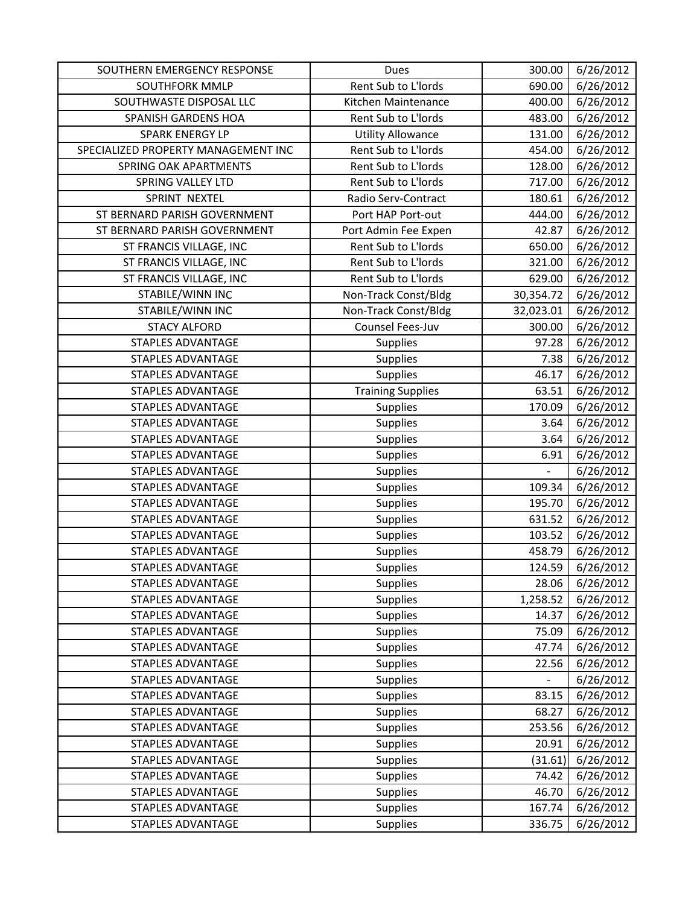| SOUTHERN EMERGENCY RESPONSE         | Dues                     | 300.00                   | 6/26/2012 |
|-------------------------------------|--------------------------|--------------------------|-----------|
| <b>SOUTHFORK MMLP</b>               | Rent Sub to L'Iords      | 690.00                   | 6/26/2012 |
| SOUTHWASTE DISPOSAL LLC             | Kitchen Maintenance      | 400.00                   | 6/26/2012 |
| SPANISH GARDENS HOA                 | Rent Sub to L'Iords      | 483.00                   | 6/26/2012 |
| <b>SPARK ENERGY LP</b>              | <b>Utility Allowance</b> | 131.00                   | 6/26/2012 |
| SPECIALIZED PROPERTY MANAGEMENT INC | Rent Sub to L'Iords      | 454.00                   | 6/26/2012 |
| SPRING OAK APARTMENTS               | Rent Sub to L'Iords      | 128.00                   | 6/26/2012 |
| <b>SPRING VALLEY LTD</b>            | Rent Sub to L'Iords      | 717.00                   | 6/26/2012 |
| SPRINT NEXTEL                       | Radio Serv-Contract      | 180.61                   | 6/26/2012 |
| ST BERNARD PARISH GOVERNMENT        | Port HAP Port-out        | 444.00                   | 6/26/2012 |
| ST BERNARD PARISH GOVERNMENT        | Port Admin Fee Expen     | 42.87                    | 6/26/2012 |
| ST FRANCIS VILLAGE, INC             | Rent Sub to L'Iords      | 650.00                   | 6/26/2012 |
| ST FRANCIS VILLAGE, INC             | Rent Sub to L'Iords      | 321.00                   | 6/26/2012 |
| ST FRANCIS VILLAGE, INC             | Rent Sub to L'Iords      | 629.00                   | 6/26/2012 |
| STABILE/WINN INC                    | Non-Track Const/Bldg     | 30,354.72                | 6/26/2012 |
| STABILE/WINN INC                    | Non-Track Const/Bldg     | 32,023.01                | 6/26/2012 |
| <b>STACY ALFORD</b>                 | Counsel Fees-Juv         | 300.00                   | 6/26/2012 |
| <b>STAPLES ADVANTAGE</b>            | Supplies                 | 97.28                    | 6/26/2012 |
| <b>STAPLES ADVANTAGE</b>            | Supplies                 | 7.38                     | 6/26/2012 |
| STAPLES ADVANTAGE                   | Supplies                 | 46.17                    | 6/26/2012 |
| <b>STAPLES ADVANTAGE</b>            | <b>Training Supplies</b> | 63.51                    | 6/26/2012 |
| <b>STAPLES ADVANTAGE</b>            | Supplies                 | 170.09                   | 6/26/2012 |
| <b>STAPLES ADVANTAGE</b>            | Supplies                 | 3.64                     | 6/26/2012 |
| <b>STAPLES ADVANTAGE</b>            | Supplies                 | 3.64                     | 6/26/2012 |
| <b>STAPLES ADVANTAGE</b>            | Supplies                 | 6.91                     | 6/26/2012 |
| STAPLES ADVANTAGE                   | Supplies                 | $\overline{\phantom{a}}$ | 6/26/2012 |
| <b>STAPLES ADVANTAGE</b>            | Supplies                 | 109.34                   | 6/26/2012 |
| <b>STAPLES ADVANTAGE</b>            | Supplies                 | 195.70                   | 6/26/2012 |
| STAPLES ADVANTAGE                   | Supplies                 | 631.52                   | 6/26/2012 |
| <b>STAPLES ADVANTAGE</b>            | Supplies                 | 103.52                   | 6/26/2012 |
| <b>STAPLES ADVANTAGE</b>            | Supplies                 | 458.79                   | 6/26/2012 |
| <b>STAPLES ADVANTAGE</b>            | Supplies                 | 124.59                   | 6/26/2012 |
| STAPLES ADVANTAGE                   | Supplies                 | 28.06                    | 6/26/2012 |
| <b>STAPLES ADVANTAGE</b>            | <b>Supplies</b>          | 1,258.52                 | 6/26/2012 |
| <b>STAPLES ADVANTAGE</b>            | <b>Supplies</b>          | 14.37                    | 6/26/2012 |
| <b>STAPLES ADVANTAGE</b>            | Supplies                 | 75.09                    | 6/26/2012 |
| <b>STAPLES ADVANTAGE</b>            | Supplies                 | 47.74                    | 6/26/2012 |
| STAPLES ADVANTAGE                   | Supplies                 | 22.56                    | 6/26/2012 |
| <b>STAPLES ADVANTAGE</b>            | Supplies                 |                          | 6/26/2012 |
| <b>STAPLES ADVANTAGE</b>            | <b>Supplies</b>          | 83.15                    | 6/26/2012 |
| STAPLES ADVANTAGE                   | Supplies                 | 68.27                    | 6/26/2012 |
| STAPLES ADVANTAGE                   | Supplies                 | 253.56                   | 6/26/2012 |
| <b>STAPLES ADVANTAGE</b>            | Supplies                 | 20.91                    | 6/26/2012 |
| <b>STAPLES ADVANTAGE</b>            | Supplies                 | (31.61)                  | 6/26/2012 |
| STAPLES ADVANTAGE                   | Supplies                 | 74.42                    | 6/26/2012 |
| <b>STAPLES ADVANTAGE</b>            | <b>Supplies</b>          | 46.70                    | 6/26/2012 |
| <b>STAPLES ADVANTAGE</b>            | <b>Supplies</b>          | 167.74                   | 6/26/2012 |
| STAPLES ADVANTAGE                   | Supplies                 | 336.75                   | 6/26/2012 |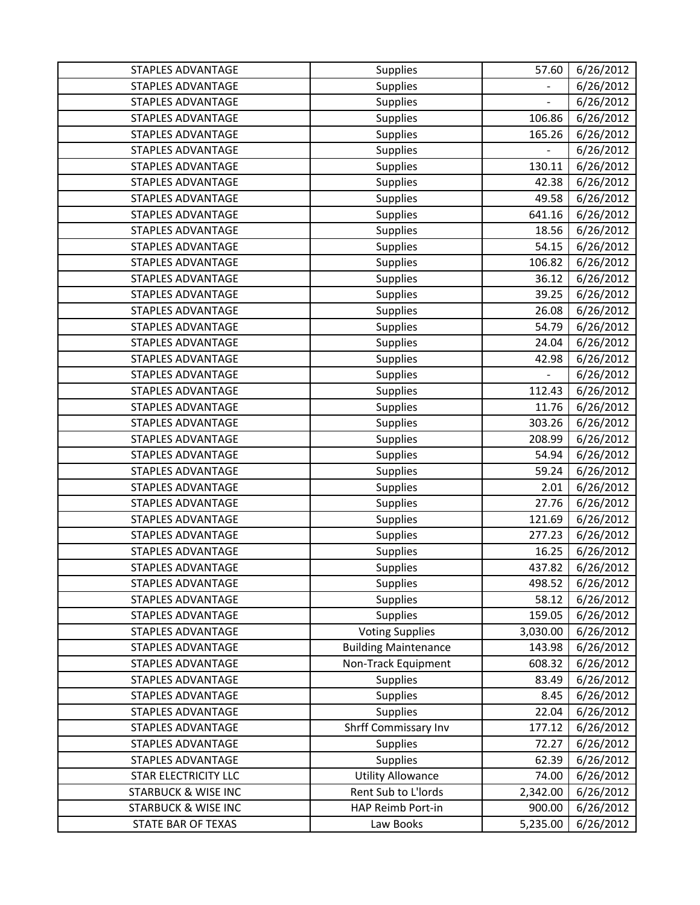| <b>STAPLES ADVANTAGE</b>       | <b>Supplies</b>             | 57.60                    | 6/26/2012 |
|--------------------------------|-----------------------------|--------------------------|-----------|
| <b>STAPLES ADVANTAGE</b>       | <b>Supplies</b>             |                          | 6/26/2012 |
| <b>STAPLES ADVANTAGE</b>       | <b>Supplies</b>             |                          | 6/26/2012 |
| STAPLES ADVANTAGE              | Supplies                    | 106.86                   | 6/26/2012 |
| <b>STAPLES ADVANTAGE</b>       | Supplies                    | 165.26                   | 6/26/2012 |
| <b>STAPLES ADVANTAGE</b>       | <b>Supplies</b>             |                          | 6/26/2012 |
| STAPLES ADVANTAGE              | Supplies                    | 130.11                   | 6/26/2012 |
| <b>STAPLES ADVANTAGE</b>       | Supplies                    | 42.38                    | 6/26/2012 |
| <b>STAPLES ADVANTAGE</b>       | Supplies                    | 49.58                    | 6/26/2012 |
| <b>STAPLES ADVANTAGE</b>       | Supplies                    | 641.16                   | 6/26/2012 |
| <b>STAPLES ADVANTAGE</b>       | Supplies                    | 18.56                    | 6/26/2012 |
| <b>STAPLES ADVANTAGE</b>       | Supplies                    | 54.15                    | 6/26/2012 |
| STAPLES ADVANTAGE              | <b>Supplies</b>             | 106.82                   | 6/26/2012 |
| <b>STAPLES ADVANTAGE</b>       | Supplies                    | 36.12                    | 6/26/2012 |
| <b>STAPLES ADVANTAGE</b>       | Supplies                    | 39.25                    | 6/26/2012 |
| <b>STAPLES ADVANTAGE</b>       | Supplies                    | 26.08                    | 6/26/2012 |
| <b>STAPLES ADVANTAGE</b>       | Supplies                    | 54.79                    | 6/26/2012 |
| <b>STAPLES ADVANTAGE</b>       | Supplies                    | 24.04                    | 6/26/2012 |
| <b>STAPLES ADVANTAGE</b>       | <b>Supplies</b>             | 42.98                    | 6/26/2012 |
| <b>STAPLES ADVANTAGE</b>       | Supplies                    | $\overline{\phantom{a}}$ | 6/26/2012 |
| <b>STAPLES ADVANTAGE</b>       | <b>Supplies</b>             | 112.43                   | 6/26/2012 |
| <b>STAPLES ADVANTAGE</b>       | Supplies                    | 11.76                    | 6/26/2012 |
| <b>STAPLES ADVANTAGE</b>       | Supplies                    | 303.26                   | 6/26/2012 |
| <b>STAPLES ADVANTAGE</b>       | <b>Supplies</b>             | 208.99                   | 6/26/2012 |
| <b>STAPLES ADVANTAGE</b>       | <b>Supplies</b>             | 54.94                    | 6/26/2012 |
| <b>STAPLES ADVANTAGE</b>       | Supplies                    | 59.24                    | 6/26/2012 |
| <b>STAPLES ADVANTAGE</b>       | Supplies                    | 2.01                     | 6/26/2012 |
| <b>STAPLES ADVANTAGE</b>       | Supplies                    | 27.76                    | 6/26/2012 |
| <b>STAPLES ADVANTAGE</b>       | Supplies                    | 121.69                   | 6/26/2012 |
| <b>STAPLES ADVANTAGE</b>       | <b>Supplies</b>             | 277.23                   | 6/26/2012 |
| STAPLES ADVANTAGE              | <b>Supplies</b>             | 16.25                    | 6/26/2012 |
| <b>STAPLES ADVANTAGE</b>       | <b>Supplies</b>             | 437.82                   | 6/26/2012 |
| STAPLES ADVANTAGE              | <b>Supplies</b>             | 498.52                   | 6/26/2012 |
| STAPLES ADVANTAGE              | Supplies                    | 58.12                    | 6/26/2012 |
| STAPLES ADVANTAGE              | <b>Supplies</b>             | 159.05                   | 6/26/2012 |
| STAPLES ADVANTAGE              | <b>Voting Supplies</b>      | 3,030.00                 | 6/26/2012 |
| <b>STAPLES ADVANTAGE</b>       | <b>Building Maintenance</b> | 143.98                   | 6/26/2012 |
| <b>STAPLES ADVANTAGE</b>       | Non-Track Equipment         | 608.32                   | 6/26/2012 |
| <b>STAPLES ADVANTAGE</b>       | Supplies                    | 83.49                    | 6/26/2012 |
| <b>STAPLES ADVANTAGE</b>       | Supplies                    | 8.45                     | 6/26/2012 |
| STAPLES ADVANTAGE              | <b>Supplies</b>             | 22.04                    | 6/26/2012 |
| STAPLES ADVANTAGE              | Shrff Commissary Inv        | 177.12                   | 6/26/2012 |
| <b>STAPLES ADVANTAGE</b>       | <b>Supplies</b>             | 72.27                    | 6/26/2012 |
| <b>STAPLES ADVANTAGE</b>       | Supplies                    | 62.39                    | 6/26/2012 |
| <b>STAR ELECTRICITY LLC</b>    | <b>Utility Allowance</b>    | 74.00                    | 6/26/2012 |
| <b>STARBUCK &amp; WISE INC</b> | Rent Sub to L'Iords         | 2,342.00                 | 6/26/2012 |
| <b>STARBUCK &amp; WISE INC</b> | HAP Reimb Port-in           | 900.00                   | 6/26/2012 |
| STATE BAR OF TEXAS             | Law Books                   | 5,235.00                 | 6/26/2012 |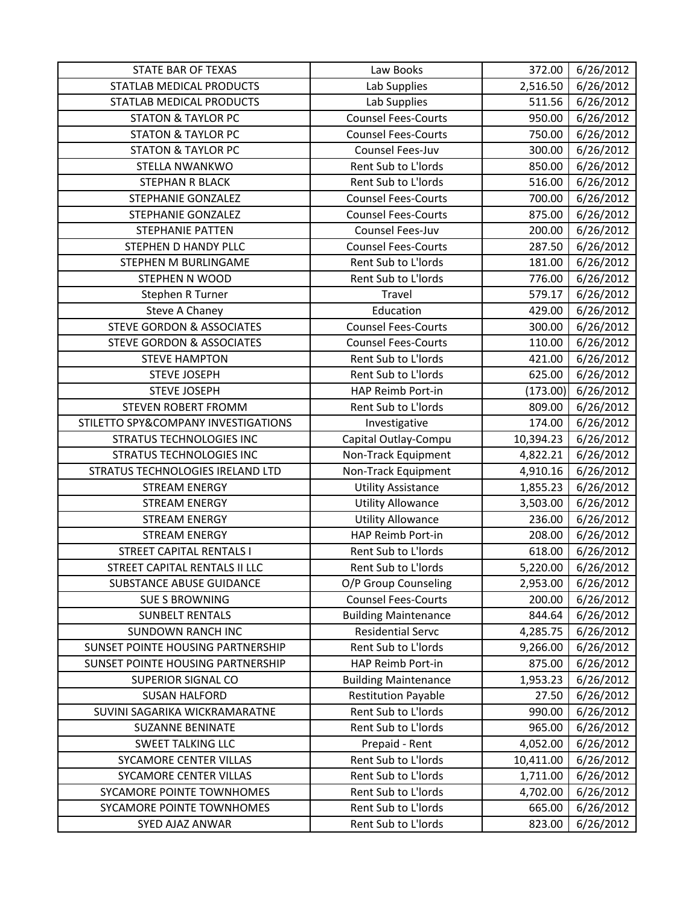| <b>STATE BAR OF TEXAS</b>            | Law Books                   | 372.00    | 6/26/2012 |
|--------------------------------------|-----------------------------|-----------|-----------|
| STATLAB MEDICAL PRODUCTS             | Lab Supplies                | 2,516.50  | 6/26/2012 |
| STATLAB MEDICAL PRODUCTS             | Lab Supplies                | 511.56    | 6/26/2012 |
| <b>STATON &amp; TAYLOR PC</b>        | <b>Counsel Fees-Courts</b>  | 950.00    | 6/26/2012 |
| <b>STATON &amp; TAYLOR PC</b>        | <b>Counsel Fees-Courts</b>  | 750.00    | 6/26/2012 |
| <b>STATON &amp; TAYLOR PC</b>        | Counsel Fees-Juv            | 300.00    | 6/26/2012 |
| STELLA NWANKWO                       | Rent Sub to L'Iords         | 850.00    | 6/26/2012 |
| STEPHAN R BLACK                      | Rent Sub to L'Iords         | 516.00    | 6/26/2012 |
| STEPHANIE GONZALEZ                   | <b>Counsel Fees-Courts</b>  | 700.00    | 6/26/2012 |
| <b>STEPHANIE GONZALEZ</b>            | <b>Counsel Fees-Courts</b>  | 875.00    | 6/26/2012 |
| <b>STEPHANIE PATTEN</b>              | Counsel Fees-Juv            | 200.00    | 6/26/2012 |
| STEPHEN D HANDY PLLC                 | <b>Counsel Fees-Courts</b>  | 287.50    | 6/26/2012 |
| STEPHEN M BURLINGAME                 | Rent Sub to L'Iords         | 181.00    | 6/26/2012 |
| <b>STEPHEN N WOOD</b>                | Rent Sub to L'Iords         | 776.00    | 6/26/2012 |
| Stephen R Turner                     | Travel                      | 579.17    | 6/26/2012 |
| Steve A Chaney                       | Education                   | 429.00    | 6/26/2012 |
| <b>STEVE GORDON &amp; ASSOCIATES</b> | <b>Counsel Fees-Courts</b>  | 300.00    | 6/26/2012 |
| <b>STEVE GORDON &amp; ASSOCIATES</b> | <b>Counsel Fees-Courts</b>  | 110.00    | 6/26/2012 |
| <b>STEVE HAMPTON</b>                 | Rent Sub to L'Iords         | 421.00    | 6/26/2012 |
| <b>STEVE JOSEPH</b>                  | Rent Sub to L'Iords         | 625.00    | 6/26/2012 |
| <b>STEVE JOSEPH</b>                  | HAP Reimb Port-in           | (173.00)  | 6/26/2012 |
| STEVEN ROBERT FROMM                  | Rent Sub to L'Iords         | 809.00    | 6/26/2012 |
| STILETTO SPY&COMPANY INVESTIGATIONS  | Investigative               | 174.00    | 6/26/2012 |
| <b>STRATUS TECHNOLOGIES INC</b>      | Capital Outlay-Compu        | 10,394.23 | 6/26/2012 |
| <b>STRATUS TECHNOLOGIES INC</b>      | Non-Track Equipment         | 4,822.21  | 6/26/2012 |
| STRATUS TECHNOLOGIES IRELAND LTD     | Non-Track Equipment         | 4,910.16  | 6/26/2012 |
| <b>STREAM ENERGY</b>                 | <b>Utility Assistance</b>   | 1,855.23  | 6/26/2012 |
| <b>STREAM ENERGY</b>                 | <b>Utility Allowance</b>    | 3,503.00  | 6/26/2012 |
| <b>STREAM ENERGY</b>                 | <b>Utility Allowance</b>    | 236.00    | 6/26/2012 |
| <b>STREAM ENERGY</b>                 | HAP Reimb Port-in           | 208.00    | 6/26/2012 |
| <b>STREET CAPITAL RENTALS I</b>      | Rent Sub to L'Iords         | 618.00    | 6/26/2012 |
| STREET CAPITAL RENTALS II LLC        | Rent Sub to L'Iords         | 5,220.00  | 6/26/2012 |
| SUBSTANCE ABUSE GUIDANCE             | O/P Group Counseling        | 2,953.00  | 6/26/2012 |
| <b>SUE S BROWNING</b>                | <b>Counsel Fees-Courts</b>  | 200.00    | 6/26/2012 |
| <b>SUNBELT RENTALS</b>               | <b>Building Maintenance</b> | 844.64    | 6/26/2012 |
| <b>SUNDOWN RANCH INC</b>             | <b>Residential Servc</b>    | 4,285.75  | 6/26/2012 |
| SUNSET POINTE HOUSING PARTNERSHIP    | Rent Sub to L'Iords         | 9,266.00  | 6/26/2012 |
| SUNSET POINTE HOUSING PARTNERSHIP    | HAP Reimb Port-in           | 875.00    | 6/26/2012 |
| <b>SUPERIOR SIGNAL CO</b>            | <b>Building Maintenance</b> | 1,953.23  | 6/26/2012 |
| <b>SUSAN HALFORD</b>                 | <b>Restitution Payable</b>  | 27.50     | 6/26/2012 |
| SUVINI SAGARIKA WICKRAMARATNE        | Rent Sub to L'Iords         | 990.00    | 6/26/2012 |
| <b>SUZANNE BENINATE</b>              | Rent Sub to L'Iords         | 965.00    | 6/26/2012 |
| <b>SWEET TALKING LLC</b>             | Prepaid - Rent              | 4,052.00  | 6/26/2012 |
| SYCAMORE CENTER VILLAS               | Rent Sub to L'Iords         | 10,411.00 | 6/26/2012 |
| SYCAMORE CENTER VILLAS               | Rent Sub to L'Iords         | 1,711.00  | 6/26/2012 |
| SYCAMORE POINTE TOWNHOMES            | Rent Sub to L'Iords         | 4,702.00  | 6/26/2012 |
| SYCAMORE POINTE TOWNHOMES            | Rent Sub to L'Iords         | 665.00    | 6/26/2012 |
| SYED AJAZ ANWAR                      | Rent Sub to L'Iords         | 823.00    | 6/26/2012 |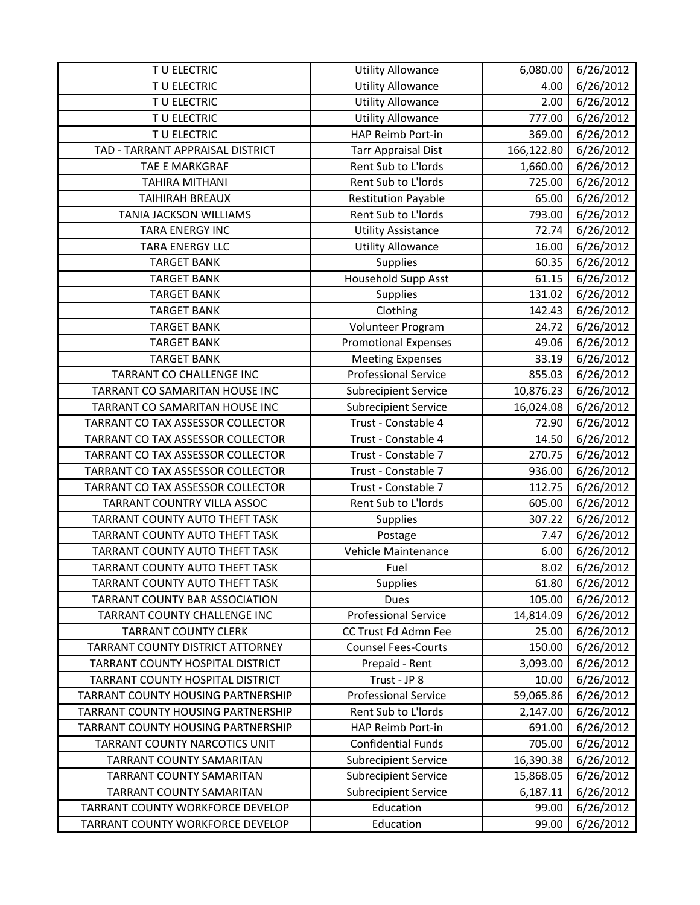| TU ELECTRIC                           | <b>Utility Allowance</b>    | 6,080.00   | 6/26/2012 |
|---------------------------------------|-----------------------------|------------|-----------|
| TU ELECTRIC                           | <b>Utility Allowance</b>    | 4.00       | 6/26/2012 |
| TU ELECTRIC                           | <b>Utility Allowance</b>    | 2.00       | 6/26/2012 |
| TU ELECTRIC                           | <b>Utility Allowance</b>    | 777.00     | 6/26/2012 |
| TU ELECTRIC                           | HAP Reimb Port-in           | 369.00     | 6/26/2012 |
| TAD - TARRANT APPRAISAL DISTRICT      | <b>Tarr Appraisal Dist</b>  | 166,122.80 | 6/26/2012 |
| TAE E MARKGRAF                        | Rent Sub to L'Iords         | 1,660.00   | 6/26/2012 |
| <b>TAHIRA MITHANI</b>                 | Rent Sub to L'Iords         | 725.00     | 6/26/2012 |
| <b>TAIHIRAH BREAUX</b>                | <b>Restitution Payable</b>  | 65.00      | 6/26/2012 |
| TANIA JACKSON WILLIAMS                | Rent Sub to L'Iords         | 793.00     | 6/26/2012 |
| TARA ENERGY INC                       | Utility Assistance          | 72.74      | 6/26/2012 |
| <b>TARA ENERGY LLC</b>                | <b>Utility Allowance</b>    | 16.00      | 6/26/2012 |
| <b>TARGET BANK</b>                    | Supplies                    | 60.35      | 6/26/2012 |
| <b>TARGET BANK</b>                    | Household Supp Asst         | 61.15      | 6/26/2012 |
| <b>TARGET BANK</b>                    | <b>Supplies</b>             | 131.02     | 6/26/2012 |
| <b>TARGET BANK</b>                    | Clothing                    | 142.43     | 6/26/2012 |
| <b>TARGET BANK</b>                    | Volunteer Program           | 24.72      | 6/26/2012 |
| <b>TARGET BANK</b>                    | <b>Promotional Expenses</b> | 49.06      | 6/26/2012 |
| <b>TARGET BANK</b>                    | <b>Meeting Expenses</b>     | 33.19      | 6/26/2012 |
| TARRANT CO CHALLENGE INC              | <b>Professional Service</b> | 855.03     | 6/26/2012 |
| TARRANT CO SAMARITAN HOUSE INC        | <b>Subrecipient Service</b> | 10,876.23  | 6/26/2012 |
| TARRANT CO SAMARITAN HOUSE INC        | <b>Subrecipient Service</b> | 16,024.08  | 6/26/2012 |
| TARRANT CO TAX ASSESSOR COLLECTOR     | Trust - Constable 4         | 72.90      | 6/26/2012 |
| TARRANT CO TAX ASSESSOR COLLECTOR     | Trust - Constable 4         | 14.50      | 6/26/2012 |
| TARRANT CO TAX ASSESSOR COLLECTOR     | Trust - Constable 7         | 270.75     | 6/26/2012 |
| TARRANT CO TAX ASSESSOR COLLECTOR     | Trust - Constable 7         | 936.00     | 6/26/2012 |
| TARRANT CO TAX ASSESSOR COLLECTOR     | Trust - Constable 7         | 112.75     | 6/26/2012 |
| TARRANT COUNTRY VILLA ASSOC           | Rent Sub to L'Iords         | 605.00     | 6/26/2012 |
| TARRANT COUNTY AUTO THEFT TASK        | Supplies                    | 307.22     | 6/26/2012 |
| TARRANT COUNTY AUTO THEFT TASK        | Postage                     | 7.47       | 6/26/2012 |
| TARRANT COUNTY AUTO THEFT TASK        | Vehicle Maintenance         | 6.00       | 6/26/2012 |
| TARRANT COUNTY AUTO THEFT TASK        | Fuel                        | 8.02       | 6/26/2012 |
| <b>TARRANT COUNTY AUTO THEFT TASK</b> | <b>Supplies</b>             | 61.80      | 6/26/2012 |
| TARRANT COUNTY BAR ASSOCIATION        | <b>Dues</b>                 | 105.00     | 6/26/2012 |
| TARRANT COUNTY CHALLENGE INC          | <b>Professional Service</b> | 14,814.09  | 6/26/2012 |
| <b>TARRANT COUNTY CLERK</b>           | CC Trust Fd Admn Fee        | 25.00      | 6/26/2012 |
| TARRANT COUNTY DISTRICT ATTORNEY      | <b>Counsel Fees-Courts</b>  | 150.00     | 6/26/2012 |
| TARRANT COUNTY HOSPITAL DISTRICT      | Prepaid - Rent              | 3,093.00   | 6/26/2012 |
| TARRANT COUNTY HOSPITAL DISTRICT      | Trust - JP 8                | 10.00      | 6/26/2012 |
| TARRANT COUNTY HOUSING PARTNERSHIP    | <b>Professional Service</b> | 59,065.86  | 6/26/2012 |
| TARRANT COUNTY HOUSING PARTNERSHIP    | Rent Sub to L'Iords         | 2,147.00   | 6/26/2012 |
| TARRANT COUNTY HOUSING PARTNERSHIP    | HAP Reimb Port-in           | 691.00     | 6/26/2012 |
| TARRANT COUNTY NARCOTICS UNIT         | <b>Confidential Funds</b>   | 705.00     | 6/26/2012 |
| <b>TARRANT COUNTY SAMARITAN</b>       | <b>Subrecipient Service</b> | 16,390.38  | 6/26/2012 |
| <b>TARRANT COUNTY SAMARITAN</b>       | <b>Subrecipient Service</b> | 15,868.05  | 6/26/2012 |
| <b>TARRANT COUNTY SAMARITAN</b>       | <b>Subrecipient Service</b> | 6,187.11   | 6/26/2012 |
| TARRANT COUNTY WORKFORCE DEVELOP      | Education                   | 99.00      | 6/26/2012 |
| TARRANT COUNTY WORKFORCE DEVELOP      | Education                   | 99.00      | 6/26/2012 |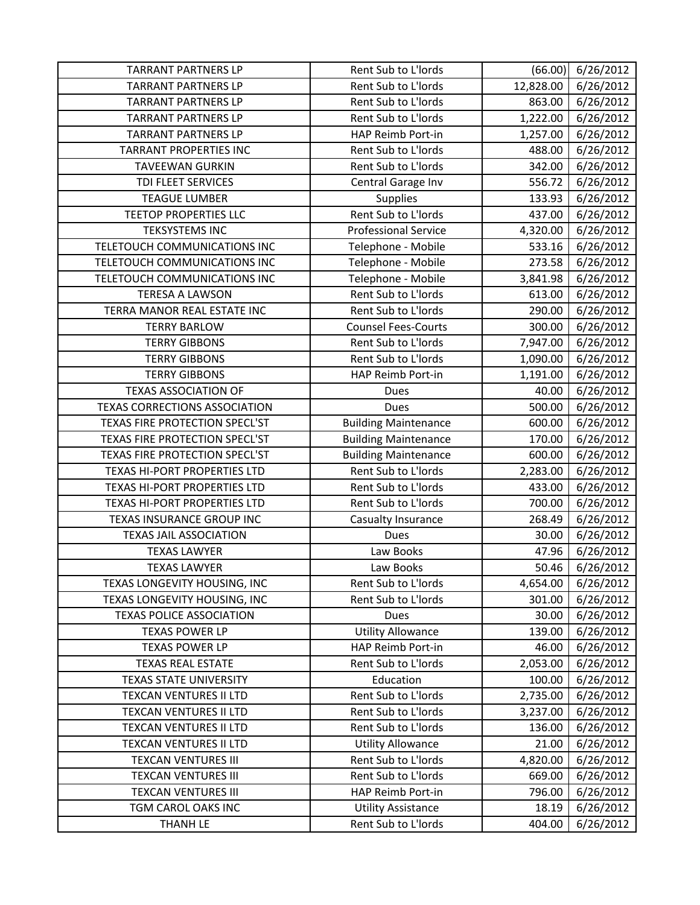| <b>TARRANT PARTNERS LP</b>           | Rent Sub to L'Iords         | (66.00)   | 6/26/2012              |
|--------------------------------------|-----------------------------|-----------|------------------------|
| <b>TARRANT PARTNERS LP</b>           | Rent Sub to L'Iords         | 12,828.00 | 6/26/2012              |
| <b>TARRANT PARTNERS LP</b>           | Rent Sub to L'Iords         | 863.00    | 6/26/2012              |
| <b>TARRANT PARTNERS LP</b>           | Rent Sub to L'Iords         | 1,222.00  | 6/26/2012              |
| <b>TARRANT PARTNERS LP</b>           | HAP Reimb Port-in           | 1,257.00  | 6/26/2012              |
| <b>TARRANT PROPERTIES INC</b>        | Rent Sub to L'Iords         | 488.00    | 6/26/2012              |
| <b>TAVEEWAN GURKIN</b>               | Rent Sub to L'Iords         | 342.00    | 6/26/2012              |
| TDI FLEET SERVICES                   | Central Garage Inv          | 556.72    | 6/26/2012              |
| <b>TEAGUE LUMBER</b>                 | Supplies                    | 133.93    | $\frac{1}{6}$ /26/2012 |
| <b>TEETOP PROPERTIES LLC</b>         | Rent Sub to L'Iords         | 437.00    | 6/26/2012              |
| <b>TEKSYSTEMS INC</b>                | <b>Professional Service</b> | 4,320.00  | 6/26/2012              |
| TELETOUCH COMMUNICATIONS INC         | Telephone - Mobile          | 533.16    | 6/26/2012              |
| TELETOUCH COMMUNICATIONS INC         | Telephone - Mobile          | 273.58    | 6/26/2012              |
| TELETOUCH COMMUNICATIONS INC         | Telephone - Mobile          | 3,841.98  | 6/26/2012              |
| <b>TERESA A LAWSON</b>               | Rent Sub to L'Iords         | 613.00    | 6/26/2012              |
| TERRA MANOR REAL ESTATE INC          | Rent Sub to L'Iords         | 290.00    | 6/26/2012              |
| <b>TERRY BARLOW</b>                  | <b>Counsel Fees-Courts</b>  | 300.00    | 6/26/2012              |
| <b>TERRY GIBBONS</b>                 | Rent Sub to L'Iords         | 7,947.00  | 6/26/2012              |
| <b>TERRY GIBBONS</b>                 | Rent Sub to L'Iords         | 1,090.00  | 6/26/2012              |
| <b>TERRY GIBBONS</b>                 | HAP Reimb Port-in           | 1,191.00  | 6/26/2012              |
| <b>TEXAS ASSOCIATION OF</b>          | Dues                        | 40.00     | 6/26/2012              |
| <b>TEXAS CORRECTIONS ASSOCIATION</b> | Dues                        | 500.00    | 6/26/2012              |
| TEXAS FIRE PROTECTION SPECL'ST       | <b>Building Maintenance</b> | 600.00    | 6/26/2012              |
| TEXAS FIRE PROTECTION SPECL'ST       | <b>Building Maintenance</b> | 170.00    | 6/26/2012              |
| TEXAS FIRE PROTECTION SPECL'ST       | <b>Building Maintenance</b> | 600.00    | 6/26/2012              |
| TEXAS HI-PORT PROPERTIES LTD         | Rent Sub to L'Iords         | 2,283.00  | 6/26/2012              |
| TEXAS HI-PORT PROPERTIES LTD         | Rent Sub to L'Iords         | 433.00    | 6/26/2012              |
| TEXAS HI-PORT PROPERTIES LTD         | Rent Sub to L'Iords         | 700.00    | 6/26/2012              |
| TEXAS INSURANCE GROUP INC            | Casualty Insurance          | 268.49    | 6/26/2012              |
| <b>TEXAS JAIL ASSOCIATION</b>        | Dues                        | 30.00     | 6/26/2012              |
| <b>TEXAS LAWYER</b>                  | Law Books                   | 47.96     | 6/26/2012              |
| <b>TEXAS LAWYER</b>                  | Law Books                   | 50.46     | 6/26/2012              |
| TEXAS LONGEVITY HOUSING, INC         | Rent Sub to L'Iords         | 4,654.00  | 6/26/2012              |
| TEXAS LONGEVITY HOUSING, INC         | Rent Sub to L'Iords         | 301.00    | 6/26/2012              |
| <b>TEXAS POLICE ASSOCIATION</b>      | Dues                        | 30.00     | 6/26/2012              |
| <b>TEXAS POWER LP</b>                | <b>Utility Allowance</b>    | 139.00    | 6/26/2012              |
| <b>TEXAS POWER LP</b>                | HAP Reimb Port-in           | 46.00     | 6/26/2012              |
| <b>TEXAS REAL ESTATE</b>             | Rent Sub to L'Iords         | 2,053.00  | 6/26/2012              |
| TEXAS STATE UNIVERSITY               | Education                   | 100.00    | 6/26/2012              |
| TEXCAN VENTURES II LTD               | Rent Sub to L'Iords         | 2,735.00  | 6/26/2012              |
| <b>TEXCAN VENTURES II LTD</b>        | Rent Sub to L'Iords         | 3,237.00  | 6/26/2012              |
| TEXCAN VENTURES II LTD               | Rent Sub to L'Iords         | 136.00    | 6/26/2012              |
| TEXCAN VENTURES II LTD               | <b>Utility Allowance</b>    | 21.00     | 6/26/2012              |
| <b>TEXCAN VENTURES III</b>           | Rent Sub to L'Iords         | 4,820.00  | 6/26/2012              |
| <b>TEXCAN VENTURES III</b>           | Rent Sub to L'Iords         | 669.00    | 6/26/2012              |
| <b>TEXCAN VENTURES III</b>           | HAP Reimb Port-in           | 796.00    | 6/26/2012              |
| TGM CAROL OAKS INC                   | <b>Utility Assistance</b>   | 18.19     | 6/26/2012              |
| <b>THANH LE</b>                      | Rent Sub to L'Iords         | 404.00    | 6/26/2012              |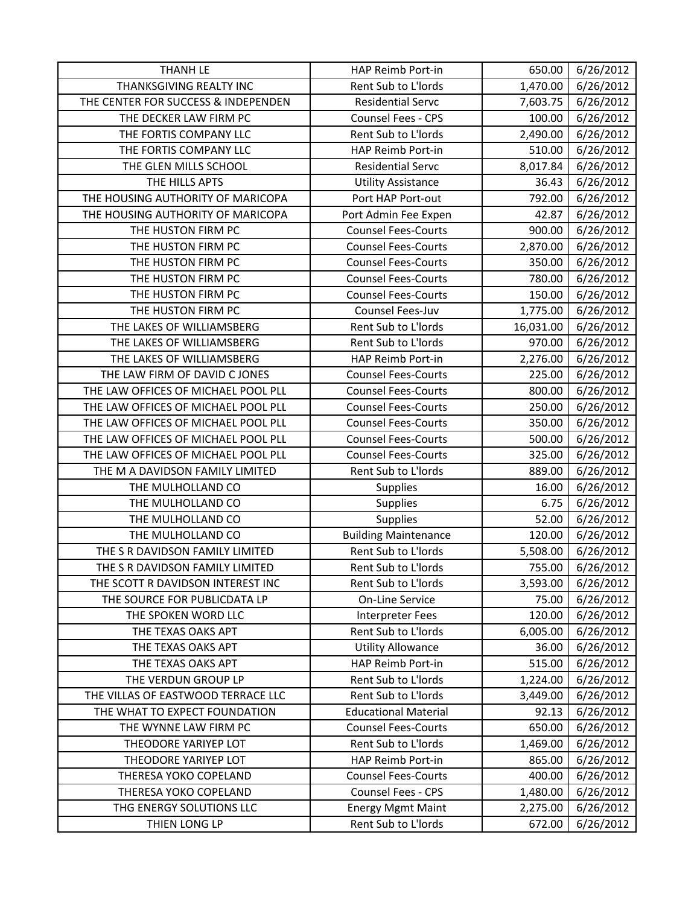| <b>THANH LE</b>                     | HAP Reimb Port-in           | 650.00    | 6/26/2012 |
|-------------------------------------|-----------------------------|-----------|-----------|
| THANKSGIVING REALTY INC             | Rent Sub to L'Iords         | 1,470.00  | 6/26/2012 |
| THE CENTER FOR SUCCESS & INDEPENDEN | <b>Residential Servc</b>    | 7,603.75  | 6/26/2012 |
| THE DECKER LAW FIRM PC              | Counsel Fees - CPS          | 100.00    | 6/26/2012 |
| THE FORTIS COMPANY LLC              | Rent Sub to L'Iords         | 2,490.00  | 6/26/2012 |
| THE FORTIS COMPANY LLC              | HAP Reimb Port-in           | 510.00    | 6/26/2012 |
| THE GLEN MILLS SCHOOL               | <b>Residential Servc</b>    | 8,017.84  | 6/26/2012 |
| THE HILLS APTS                      | <b>Utility Assistance</b>   | 36.43     | 6/26/2012 |
| THE HOUSING AUTHORITY OF MARICOPA   | Port HAP Port-out           | 792.00    | 6/26/2012 |
| THE HOUSING AUTHORITY OF MARICOPA   | Port Admin Fee Expen        | 42.87     | 6/26/2012 |
| THE HUSTON FIRM PC                  | <b>Counsel Fees-Courts</b>  | 900.00    | 6/26/2012 |
| THE HUSTON FIRM PC                  | <b>Counsel Fees-Courts</b>  | 2,870.00  | 6/26/2012 |
| THE HUSTON FIRM PC                  | <b>Counsel Fees-Courts</b>  | 350.00    | 6/26/2012 |
| THE HUSTON FIRM PC                  | <b>Counsel Fees-Courts</b>  | 780.00    | 6/26/2012 |
| THE HUSTON FIRM PC                  | <b>Counsel Fees-Courts</b>  | 150.00    | 6/26/2012 |
| THE HUSTON FIRM PC                  | Counsel Fees-Juv            | 1,775.00  | 6/26/2012 |
| THE LAKES OF WILLIAMSBERG           | Rent Sub to L'Iords         | 16,031.00 | 6/26/2012 |
| THE LAKES OF WILLIAMSBERG           | Rent Sub to L'Iords         | 970.00    | 6/26/2012 |
| THE LAKES OF WILLIAMSBERG           | HAP Reimb Port-in           | 2,276.00  | 6/26/2012 |
| THE LAW FIRM OF DAVID C JONES       | <b>Counsel Fees-Courts</b>  | 225.00    | 6/26/2012 |
| THE LAW OFFICES OF MICHAEL POOL PLL | <b>Counsel Fees-Courts</b>  | 800.00    | 6/26/2012 |
| THE LAW OFFICES OF MICHAEL POOL PLL | <b>Counsel Fees-Courts</b>  | 250.00    | 6/26/2012 |
| THE LAW OFFICES OF MICHAEL POOL PLL | <b>Counsel Fees-Courts</b>  | 350.00    | 6/26/2012 |
| THE LAW OFFICES OF MICHAEL POOL PLL | <b>Counsel Fees-Courts</b>  | 500.00    | 6/26/2012 |
| THE LAW OFFICES OF MICHAEL POOL PLL | <b>Counsel Fees-Courts</b>  | 325.00    | 6/26/2012 |
| THE M A DAVIDSON FAMILY LIMITED     | Rent Sub to L'Iords         | 889.00    | 6/26/2012 |
| THE MULHOLLAND CO                   | <b>Supplies</b>             | 16.00     | 6/26/2012 |
| THE MULHOLLAND CO                   | <b>Supplies</b>             | 6.75      | 6/26/2012 |
| THE MULHOLLAND CO                   | Supplies                    | 52.00     | 6/26/2012 |
| THE MULHOLLAND CO                   | <b>Building Maintenance</b> | 120.00    | 6/26/2012 |
| THE S R DAVIDSON FAMILY LIMITED     | Rent Sub to L'Iords         | 5,508.00  | 6/26/2012 |
| THE S R DAVIDSON FAMILY LIMITED     | Rent Sub to L'Iords         | 755.00    | 6/26/2012 |
| THE SCOTT R DAVIDSON INTEREST INC   | Rent Sub to L'Iords         | 3,593.00  | 6/26/2012 |
| THE SOURCE FOR PUBLICDATA LP        | On-Line Service             | 75.00     | 6/26/2012 |
| THE SPOKEN WORD LLC                 | <b>Interpreter Fees</b>     | 120.00    | 6/26/2012 |
| THE TEXAS OAKS APT                  | Rent Sub to L'Iords         | 6,005.00  | 6/26/2012 |
| THE TEXAS OAKS APT                  | <b>Utility Allowance</b>    | 36.00     | 6/26/2012 |
| THE TEXAS OAKS APT                  | HAP Reimb Port-in           | 515.00    | 6/26/2012 |
| THE VERDUN GROUP LP                 | Rent Sub to L'Iords         | 1,224.00  | 6/26/2012 |
| THE VILLAS OF EASTWOOD TERRACE LLC  | Rent Sub to L'Iords         | 3,449.00  | 6/26/2012 |
| THE WHAT TO EXPECT FOUNDATION       | <b>Educational Material</b> | 92.13     | 6/26/2012 |
| THE WYNNE LAW FIRM PC               | <b>Counsel Fees-Courts</b>  | 650.00    | 6/26/2012 |
| THEODORE YARIYEP LOT                | Rent Sub to L'Iords         | 1,469.00  | 6/26/2012 |
| THEODORE YARIYEP LOT                | HAP Reimb Port-in           | 865.00    | 6/26/2012 |
| THERESA YOKO COPELAND               | <b>Counsel Fees-Courts</b>  | 400.00    | 6/26/2012 |
| THERESA YOKO COPELAND               | Counsel Fees - CPS          | 1,480.00  | 6/26/2012 |
| THG ENERGY SOLUTIONS LLC            | <b>Energy Mgmt Maint</b>    | 2,275.00  | 6/26/2012 |
| THIEN LONG LP                       | Rent Sub to L'Iords         | 672.00    | 6/26/2012 |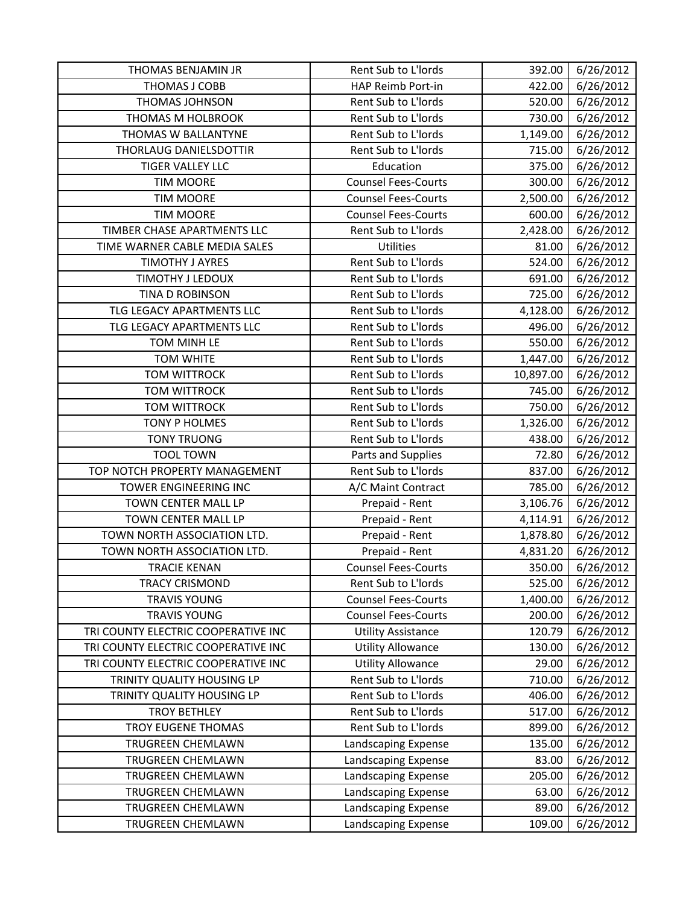| THOMAS BENJAMIN JR                  | Rent Sub to L'Iords        | 392.00    | 6/26/2012 |
|-------------------------------------|----------------------------|-----------|-----------|
| THOMAS J COBB                       | HAP Reimb Port-in          | 422.00    | 6/26/2012 |
| THOMAS JOHNSON                      | Rent Sub to L'Iords        | 520.00    | 6/26/2012 |
| THOMAS M HOLBROOK                   | Rent Sub to L'Iords        | 730.00    | 6/26/2012 |
| THOMAS W BALLANTYNE                 | <b>Rent Sub to L'Iords</b> | 1,149.00  | 6/26/2012 |
| THORLAUG DANIELSDOTTIR              | Rent Sub to L'Iords        | 715.00    | 6/26/2012 |
| <b>TIGER VALLEY LLC</b>             | Education                  | 375.00    | 6/26/2012 |
| <b>TIM MOORE</b>                    | <b>Counsel Fees-Courts</b> | 300.00    | 6/26/2012 |
| <b>TIM MOORE</b>                    | <b>Counsel Fees-Courts</b> | 2,500.00  | 6/26/2012 |
| <b>TIM MOORE</b>                    | <b>Counsel Fees-Courts</b> | 600.00    | 6/26/2012 |
| TIMBER CHASE APARTMENTS LLC         | Rent Sub to L'Iords        | 2,428.00  | 6/26/2012 |
| TIME WARNER CABLE MEDIA SALES       | Utilities                  | 81.00     | 6/26/2012 |
| <b>TIMOTHY J AYRES</b>              | Rent Sub to L'Iords        | 524.00    | 6/26/2012 |
| TIMOTHY J LEDOUX                    | Rent Sub to L'Iords        | 691.00    | 6/26/2012 |
| TINA D ROBINSON                     | Rent Sub to L'Iords        | 725.00    | 6/26/2012 |
| TLG LEGACY APARTMENTS LLC           | Rent Sub to L'Iords        | 4,128.00  | 6/26/2012 |
| TLG LEGACY APARTMENTS LLC           | Rent Sub to L'Iords        | 496.00    | 6/26/2012 |
| TOM MINH LE                         | Rent Sub to L'Iords        | 550.00    | 6/26/2012 |
| <b>TOM WHITE</b>                    | Rent Sub to L'Iords        | 1,447.00  | 6/26/2012 |
| <b>TOM WITTROCK</b>                 | Rent Sub to L'Iords        | 10,897.00 | 6/26/2012 |
| <b>TOM WITTROCK</b>                 | Rent Sub to L'Iords        | 745.00    | 6/26/2012 |
| <b>TOM WITTROCK</b>                 | Rent Sub to L'Iords        | 750.00    | 6/26/2012 |
| <b>TONY P HOLMES</b>                | Rent Sub to L'Iords        | 1,326.00  | 6/26/2012 |
| <b>TONY TRUONG</b>                  | Rent Sub to L'Iords        | 438.00    | 6/26/2012 |
| <b>TOOL TOWN</b>                    | Parts and Supplies         | 72.80     | 6/26/2012 |
| TOP NOTCH PROPERTY MANAGEMENT       | Rent Sub to L'Iords        | 837.00    | 6/26/2012 |
| TOWER ENGINEERING INC               | A/C Maint Contract         | 785.00    | 6/26/2012 |
| TOWN CENTER MALL LP                 | Prepaid - Rent             | 3,106.76  | 6/26/2012 |
| TOWN CENTER MALL LP                 | Prepaid - Rent             | 4,114.91  | 6/26/2012 |
| TOWN NORTH ASSOCIATION LTD.         | Prepaid - Rent             | 1,878.80  | 6/26/2012 |
| TOWN NORTH ASSOCIATION LTD.         | Prepaid - Rent             | 4,831.20  | 6/26/2012 |
| <b>TRACIE KENAN</b>                 | <b>Counsel Fees-Courts</b> | 350.00    | 6/26/2012 |
| <b>TRACY CRISMOND</b>               | Rent Sub to L'Iords        | 525.00    | 6/26/2012 |
| <b>TRAVIS YOUNG</b>                 | <b>Counsel Fees-Courts</b> | 1,400.00  | 6/26/2012 |
| <b>TRAVIS YOUNG</b>                 | <b>Counsel Fees-Courts</b> | 200.00    | 6/26/2012 |
| TRI COUNTY ELECTRIC COOPERATIVE INC | <b>Utility Assistance</b>  | 120.79    | 6/26/2012 |
| TRI COUNTY ELECTRIC COOPERATIVE INC | <b>Utility Allowance</b>   | 130.00    | 6/26/2012 |
| TRI COUNTY ELECTRIC COOPERATIVE INC | <b>Utility Allowance</b>   | 29.00     | 6/26/2012 |
| TRINITY QUALITY HOUSING LP          | Rent Sub to L'Iords        | 710.00    | 6/26/2012 |
| TRINITY QUALITY HOUSING LP          | Rent Sub to L'Iords        | 406.00    | 6/26/2012 |
| <b>TROY BETHLEY</b>                 | Rent Sub to L'Iords        | 517.00    | 6/26/2012 |
| TROY EUGENE THOMAS                  | Rent Sub to L'Iords        | 899.00    | 6/26/2012 |
| TRUGREEN CHEMLAWN                   | Landscaping Expense        | 135.00    | 6/26/2012 |
| <b>TRUGREEN CHEMLAWN</b>            | Landscaping Expense        | 83.00     | 6/26/2012 |
| TRUGREEN CHEMLAWN                   | Landscaping Expense        | 205.00    | 6/26/2012 |
| TRUGREEN CHEMLAWN                   | Landscaping Expense        | 63.00     | 6/26/2012 |
| TRUGREEN CHEMLAWN                   | Landscaping Expense        | 89.00     | 6/26/2012 |
| TRUGREEN CHEMLAWN                   | Landscaping Expense        | 109.00    | 6/26/2012 |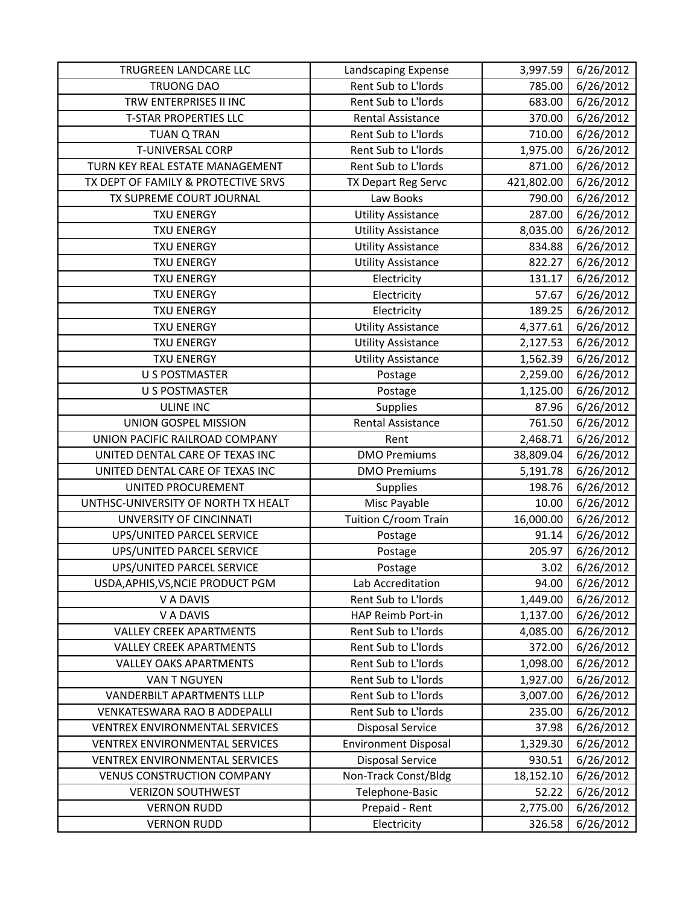| TRUGREEN LANDCARE LLC                 | Landscaping Expense         | 3,997.59   | 6/26/2012 |
|---------------------------------------|-----------------------------|------------|-----------|
| <b>TRUONG DAO</b>                     | Rent Sub to L'Iords         | 785.00     | 6/26/2012 |
| TRW ENTERPRISES II INC                | Rent Sub to L'Iords         | 683.00     | 6/26/2012 |
| <b>T-STAR PROPERTIES LLC</b>          | Rental Assistance           | 370.00     | 6/26/2012 |
| <b>TUAN Q TRAN</b>                    | Rent Sub to L'Iords         | 710.00     | 6/26/2012 |
| <b>T-UNIVERSAL CORP</b>               | Rent Sub to L'Iords         | 1,975.00   | 6/26/2012 |
| TURN KEY REAL ESTATE MANAGEMENT       | Rent Sub to L'Iords         | 871.00     | 6/26/2012 |
| TX DEPT OF FAMILY & PROTECTIVE SRVS   | TX Depart Reg Servc         | 421,802.00 | 6/26/2012 |
| TX SUPREME COURT JOURNAL              | Law Books                   | 790.00     | 6/26/2012 |
| <b>TXU ENERGY</b>                     | <b>Utility Assistance</b>   | 287.00     | 6/26/2012 |
| <b>TXU ENERGY</b>                     | <b>Utility Assistance</b>   | 8,035.00   | 6/26/2012 |
| <b>TXU ENERGY</b>                     | <b>Utility Assistance</b>   | 834.88     | 6/26/2012 |
| <b>TXU ENERGY</b>                     | <b>Utility Assistance</b>   | 822.27     | 6/26/2012 |
| <b>TXU ENERGY</b>                     | Electricity                 | 131.17     | 6/26/2012 |
| <b>TXU ENERGY</b>                     | Electricity                 | 57.67      | 6/26/2012 |
| <b>TXU ENERGY</b>                     | Electricity                 | 189.25     | 6/26/2012 |
| <b>TXU ENERGY</b>                     | <b>Utility Assistance</b>   | 4,377.61   | 6/26/2012 |
| <b>TXU ENERGY</b>                     | <b>Utility Assistance</b>   | 2,127.53   | 6/26/2012 |
| <b>TXU ENERGY</b>                     | <b>Utility Assistance</b>   | 1,562.39   | 6/26/2012 |
| <b>U S POSTMASTER</b>                 | Postage                     | 2,259.00   | 6/26/2012 |
| <b>U S POSTMASTER</b>                 | Postage                     | 1,125.00   | 6/26/2012 |
| <b>ULINE INC</b>                      | Supplies                    | 87.96      | 6/26/2012 |
| UNION GOSPEL MISSION                  | <b>Rental Assistance</b>    | 761.50     | 6/26/2012 |
| UNION PACIFIC RAILROAD COMPANY        | Rent                        | 2,468.71   | 6/26/2012 |
| UNITED DENTAL CARE OF TEXAS INC       | <b>DMO Premiums</b>         | 38,809.04  | 6/26/2012 |
| UNITED DENTAL CARE OF TEXAS INC       | <b>DMO Premiums</b>         | 5,191.78   | 6/26/2012 |
| UNITED PROCUREMENT                    | Supplies                    | 198.76     | 6/26/2012 |
| UNTHSC-UNIVERSITY OF NORTH TX HEALT   | Misc Payable                | 10.00      | 6/26/2012 |
| UNVERSITY OF CINCINNATI               | Tuition C/room Train        | 16,000.00  | 6/26/2012 |
| UPS/UNITED PARCEL SERVICE             | Postage                     | 91.14      | 6/26/2012 |
| UPS/UNITED PARCEL SERVICE             | Postage                     | 205.97     | 6/26/2012 |
| UPS/UNITED PARCEL SERVICE             | Postage                     | 3.02       | 6/26/2012 |
| USDA, APHIS, VS, NCIE PRODUCT PGM     | Lab Accreditation           | 94.00      | 6/26/2012 |
| V A DAVIS                             | Rent Sub to L'Iords         | 1,449.00   | 6/26/2012 |
| V A DAVIS                             | HAP Reimb Port-in           | 1,137.00   | 6/26/2012 |
| <b>VALLEY CREEK APARTMENTS</b>        | Rent Sub to L'Iords         | 4,085.00   | 6/26/2012 |
| <b>VALLEY CREEK APARTMENTS</b>        | Rent Sub to L'Iords         | 372.00     | 6/26/2012 |
| <b>VALLEY OAKS APARTMENTS</b>         | Rent Sub to L'Iords         | 1,098.00   | 6/26/2012 |
| <b>VAN T NGUYEN</b>                   | Rent Sub to L'Iords         | 1,927.00   | 6/26/2012 |
| <b>VANDERBILT APARTMENTS LLLP</b>     | Rent Sub to L'Iords         | 3,007.00   | 6/26/2012 |
| VENKATESWARA RAO B ADDEPALLI          | Rent Sub to L'Iords         | 235.00     | 6/26/2012 |
| VENTREX ENVIRONMENTAL SERVICES        | <b>Disposal Service</b>     | 37.98      | 6/26/2012 |
| <b>VENTREX ENVIRONMENTAL SERVICES</b> | <b>Environment Disposal</b> | 1,329.30   | 6/26/2012 |
| <b>VENTREX ENVIRONMENTAL SERVICES</b> | <b>Disposal Service</b>     | 930.51     | 6/26/2012 |
| <b>VENUS CONSTRUCTION COMPANY</b>     | Non-Track Const/Bldg        | 18,152.10  | 6/26/2012 |
| <b>VERIZON SOUTHWEST</b>              | Telephone-Basic             | 52.22      | 6/26/2012 |
| <b>VERNON RUDD</b>                    | Prepaid - Rent              | 2,775.00   | 6/26/2012 |
| <b>VERNON RUDD</b>                    | Electricity                 | 326.58     | 6/26/2012 |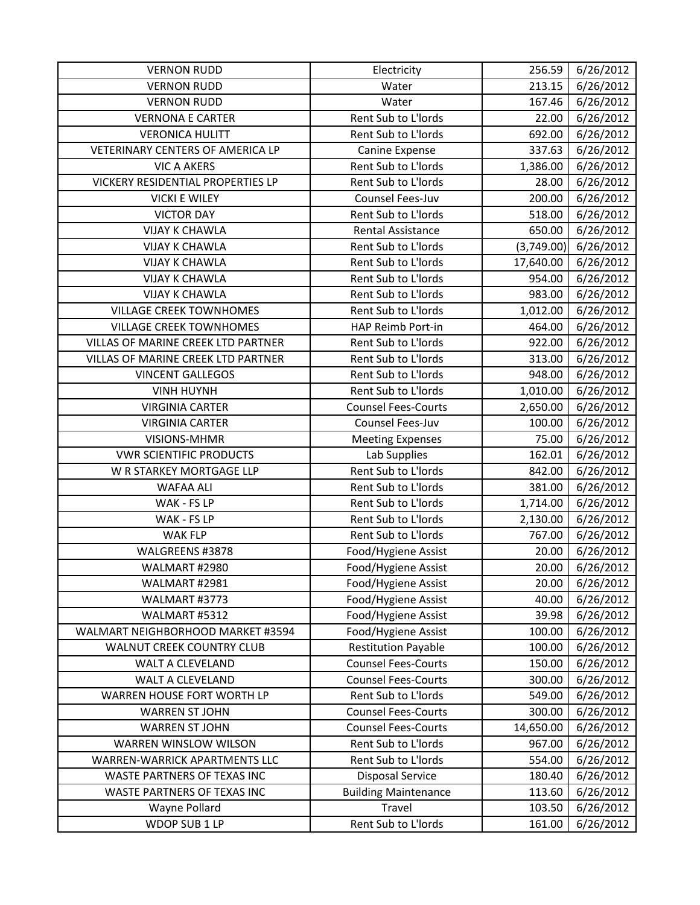| <b>VERNON RUDD</b>                        | Electricity                 | 256.59     | 6/26/2012 |
|-------------------------------------------|-----------------------------|------------|-----------|
| <b>VERNON RUDD</b>                        | Water                       | 213.15     | 6/26/2012 |
| <b>VERNON RUDD</b>                        | Water                       | 167.46     | 6/26/2012 |
| <b>VERNONA E CARTER</b>                   | Rent Sub to L'Iords         | 22.00      | 6/26/2012 |
| <b>VERONICA HULITT</b>                    | Rent Sub to L'Iords         | 692.00     | 6/26/2012 |
| VETERINARY CENTERS OF AMERICA LP          | Canine Expense              | 337.63     | 6/26/2012 |
| <b>VIC A AKERS</b>                        | Rent Sub to L'Iords         | 1,386.00   | 6/26/2012 |
| VICKERY RESIDENTIAL PROPERTIES LP         | Rent Sub to L'Iords         | 28.00      | 6/26/2012 |
| <b>VICKI E WILEY</b>                      | Counsel Fees-Juv            | 200.00     | 6/26/2012 |
| <b>VICTOR DAY</b>                         | Rent Sub to L'Iords         | 518.00     | 6/26/2012 |
| <b>VIJAY K CHAWLA</b>                     | <b>Rental Assistance</b>    | 650.00     | 6/26/2012 |
| <b>VIJAY K CHAWLA</b>                     | Rent Sub to L'Iords         | (3,749.00) | 6/26/2012 |
| <b>VIJAY K CHAWLA</b>                     | Rent Sub to L'Iords         | 17,640.00  | 6/26/2012 |
| <b>VIJAY K CHAWLA</b>                     | Rent Sub to L'Iords         | 954.00     | 6/26/2012 |
| <b>VIJAY K CHAWLA</b>                     | Rent Sub to L'Iords         | 983.00     | 6/26/2012 |
| <b>VILLAGE CREEK TOWNHOMES</b>            | Rent Sub to L'Iords         | 1,012.00   | 6/26/2012 |
| <b>VILLAGE CREEK TOWNHOMES</b>            | HAP Reimb Port-in           | 464.00     | 6/26/2012 |
| VILLAS OF MARINE CREEK LTD PARTNER        | Rent Sub to L'Iords         | 922.00     | 6/26/2012 |
| <b>VILLAS OF MARINE CREEK LTD PARTNER</b> | Rent Sub to L'Iords         | 313.00     | 6/26/2012 |
| <b>VINCENT GALLEGOS</b>                   | Rent Sub to L'Iords         | 948.00     | 6/26/2012 |
| <b>VINH HUYNH</b>                         | Rent Sub to L'Iords         | 1,010.00   | 6/26/2012 |
| <b>VIRGINIA CARTER</b>                    | <b>Counsel Fees-Courts</b>  | 2,650.00   | 6/26/2012 |
| <b>VIRGINIA CARTER</b>                    | Counsel Fees-Juv            | 100.00     | 6/26/2012 |
| VISIONS-MHMR                              | <b>Meeting Expenses</b>     | 75.00      | 6/26/2012 |
| <b>VWR SCIENTIFIC PRODUCTS</b>            | Lab Supplies                | 162.01     | 6/26/2012 |
| W R STARKEY MORTGAGE LLP                  | Rent Sub to L'Iords         | 842.00     | 6/26/2012 |
| <b>WAFAA ALI</b>                          | Rent Sub to L'Iords         | 381.00     | 6/26/2012 |
| WAK - FS LP                               | Rent Sub to L'Iords         | 1,714.00   | 6/26/2012 |
| WAK - FS LP                               | Rent Sub to L'Iords         | 2,130.00   | 6/26/2012 |
| <b>WAK FLP</b>                            | Rent Sub to L'Iords         | 767.00     | 6/26/2012 |
| WALGREENS #3878                           | Food/Hygiene Assist         | 20.00      | 6/26/2012 |
| WALMART #2980                             | Food/Hygiene Assist         | 20.00      | 6/26/2012 |
| WALMART #2981                             | Food/Hygiene Assist         | 20.00      | 6/26/2012 |
| WALMART #3773                             | Food/Hygiene Assist         | 40.00      | 6/26/2012 |
| WALMART #5312                             | Food/Hygiene Assist         | 39.98      | 6/26/2012 |
| WALMART NEIGHBORHOOD MARKET #3594         | Food/Hygiene Assist         | 100.00     | 6/26/2012 |
| <b>WALNUT CREEK COUNTRY CLUB</b>          | <b>Restitution Payable</b>  | 100.00     | 6/26/2012 |
| <b>WALT A CLEVELAND</b>                   | <b>Counsel Fees-Courts</b>  | 150.00     | 6/26/2012 |
| <b>WALT A CLEVELAND</b>                   | <b>Counsel Fees-Courts</b>  | 300.00     | 6/26/2012 |
| WARREN HOUSE FORT WORTH LP                | Rent Sub to L'Iords         | 549.00     | 6/26/2012 |
| <b>WARREN ST JOHN</b>                     | <b>Counsel Fees-Courts</b>  | 300.00     | 6/26/2012 |
| <b>WARREN ST JOHN</b>                     | <b>Counsel Fees-Courts</b>  | 14,650.00  | 6/26/2012 |
| WARREN WINSLOW WILSON                     | Rent Sub to L'Iords         | 967.00     | 6/26/2012 |
| WARREN-WARRICK APARTMENTS LLC             | Rent Sub to L'Iords         | 554.00     | 6/26/2012 |
| WASTE PARTNERS OF TEXAS INC               | <b>Disposal Service</b>     | 180.40     | 6/26/2012 |
| WASTE PARTNERS OF TEXAS INC               | <b>Building Maintenance</b> | 113.60     | 6/26/2012 |
| Wayne Pollard                             | Travel                      | 103.50     | 6/26/2012 |
| WDOP SUB 1 LP                             | Rent Sub to L'Iords         | 161.00     | 6/26/2012 |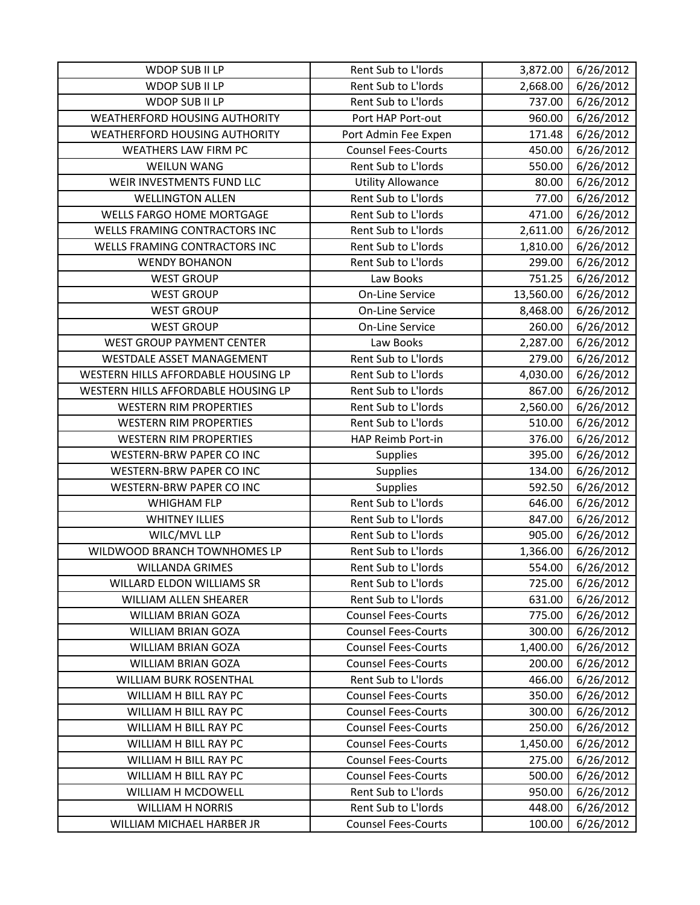| WDOP SUB II LP                       | Rent Sub to L'Iords        | 3,872.00  | 6/26/2012 |
|--------------------------------------|----------------------------|-----------|-----------|
| WDOP SUB II LP                       | Rent Sub to L'Iords        | 2,668.00  | 6/26/2012 |
| WDOP SUB II LP                       | Rent Sub to L'Iords        | 737.00    | 6/26/2012 |
| WEATHERFORD HOUSING AUTHORITY        | Port HAP Port-out          | 960.00    | 6/26/2012 |
| <b>WEATHERFORD HOUSING AUTHORITY</b> | Port Admin Fee Expen       | 171.48    | 6/26/2012 |
| <b>WEATHERS LAW FIRM PC</b>          | <b>Counsel Fees-Courts</b> | 450.00    | 6/26/2012 |
| <b>WEILUN WANG</b>                   | Rent Sub to L'Iords        | 550.00    | 6/26/2012 |
| WEIR INVESTMENTS FUND LLC            | <b>Utility Allowance</b>   | 80.00     | 6/26/2012 |
| <b>WELLINGTON ALLEN</b>              | Rent Sub to L'Iords        | 77.00     | 6/26/2012 |
| <b>WELLS FARGO HOME MORTGAGE</b>     | Rent Sub to L'Iords        | 471.00    | 6/26/2012 |
| WELLS FRAMING CONTRACTORS INC        | Rent Sub to L'Iords        | 2,611.00  | 6/26/2012 |
| WELLS FRAMING CONTRACTORS INC        | Rent Sub to L'Iords        | 1,810.00  | 6/26/2012 |
| <b>WENDY BOHANON</b>                 | Rent Sub to L'Iords        | 299.00    | 6/26/2012 |
| <b>WEST GROUP</b>                    | Law Books                  | 751.25    | 6/26/2012 |
| <b>WEST GROUP</b>                    | On-Line Service            | 13,560.00 | 6/26/2012 |
| <b>WEST GROUP</b>                    | On-Line Service            | 8,468.00  | 6/26/2012 |
| <b>WEST GROUP</b>                    | On-Line Service            | 260.00    | 6/26/2012 |
| WEST GROUP PAYMENT CENTER            | Law Books                  | 2,287.00  | 6/26/2012 |
| WESTDALE ASSET MANAGEMENT            | Rent Sub to L'Iords        | 279.00    | 6/26/2012 |
| WESTERN HILLS AFFORDABLE HOUSING LP  | Rent Sub to L'Iords        | 4,030.00  | 6/26/2012 |
| WESTERN HILLS AFFORDABLE HOUSING LP  | Rent Sub to L'Iords        | 867.00    | 6/26/2012 |
| <b>WESTERN RIM PROPERTIES</b>        | Rent Sub to L'Iords        | 2,560.00  | 6/26/2012 |
| <b>WESTERN RIM PROPERTIES</b>        | Rent Sub to L'Iords        | 510.00    | 6/26/2012 |
| <b>WESTERN RIM PROPERTIES</b>        | HAP Reimb Port-in          | 376.00    | 6/26/2012 |
| <b>WESTERN-BRW PAPER CO INC</b>      | <b>Supplies</b>            | 395.00    | 6/26/2012 |
| WESTERN-BRW PAPER CO INC             | Supplies                   | 134.00    | 6/26/2012 |
| WESTERN-BRW PAPER CO INC             | <b>Supplies</b>            | 592.50    | 6/26/2012 |
| <b>WHIGHAM FLP</b>                   | Rent Sub to L'Iords        | 646.00    | 6/26/2012 |
| <b>WHITNEY ILLIES</b>                | Rent Sub to L'Iords        | 847.00    | 6/26/2012 |
| WILC/MVL LLP                         | Rent Sub to L'Iords        | 905.00    | 6/26/2012 |
| WILDWOOD BRANCH TOWNHOMES LP         | Rent Sub to L'Iords        | 1,366.00  | 6/26/2012 |
| <b>WILLANDA GRIMES</b>               | Rent Sub to L'Iords        | 554.00    | 6/26/2012 |
| WILLARD ELDON WILLIAMS SR            | Rent Sub to L'Iords        | 725.00    | 6/26/2012 |
| <b>WILLIAM ALLEN SHEARER</b>         | Rent Sub to L'Iords        | 631.00    | 6/26/2012 |
| <b>WILLIAM BRIAN GOZA</b>            | <b>Counsel Fees-Courts</b> | 775.00    | 6/26/2012 |
| <b>WILLIAM BRIAN GOZA</b>            | <b>Counsel Fees-Courts</b> | 300.00    | 6/26/2012 |
| <b>WILLIAM BRIAN GOZA</b>            | <b>Counsel Fees-Courts</b> | 1,400.00  | 6/26/2012 |
| <b>WILLIAM BRIAN GOZA</b>            | <b>Counsel Fees-Courts</b> | 200.00    | 6/26/2012 |
| <b>WILLIAM BURK ROSENTHAL</b>        | Rent Sub to L'Iords        | 466.00    | 6/26/2012 |
| WILLIAM H BILL RAY PC                | <b>Counsel Fees-Courts</b> | 350.00    | 6/26/2012 |
| WILLIAM H BILL RAY PC                | <b>Counsel Fees-Courts</b> | 300.00    | 6/26/2012 |
| WILLIAM H BILL RAY PC                | <b>Counsel Fees-Courts</b> | 250.00    | 6/26/2012 |
| WILLIAM H BILL RAY PC                | <b>Counsel Fees-Courts</b> | 1,450.00  | 6/26/2012 |
| WILLIAM H BILL RAY PC                | <b>Counsel Fees-Courts</b> | 275.00    | 6/26/2012 |
| WILLIAM H BILL RAY PC                | <b>Counsel Fees-Courts</b> | 500.00    | 6/26/2012 |
| WILLIAM H MCDOWELL                   | Rent Sub to L'Iords        | 950.00    | 6/26/2012 |
| <b>WILLIAM H NORRIS</b>              | Rent Sub to L'Iords        | 448.00    | 6/26/2012 |
| WILLIAM MICHAEL HARBER JR            | <b>Counsel Fees-Courts</b> | 100.00    | 6/26/2012 |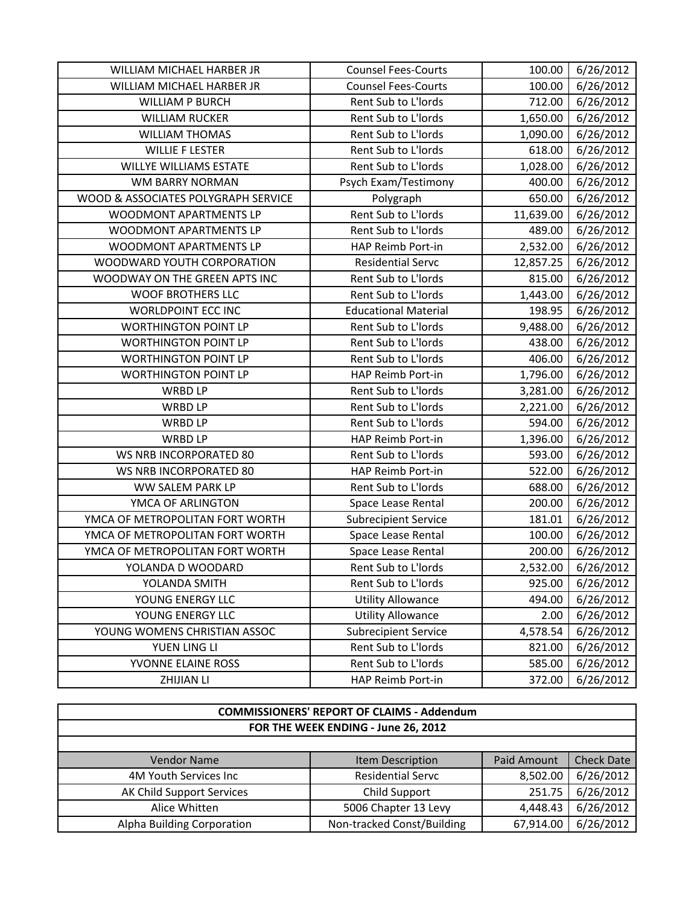| WILLIAM MICHAEL HARBER JR           | <b>Counsel Fees-Courts</b>  | 100.00    | 6/26/2012 |
|-------------------------------------|-----------------------------|-----------|-----------|
| WILLIAM MICHAEL HARBER JR           | <b>Counsel Fees-Courts</b>  | 100.00    | 6/26/2012 |
| <b>WILLIAM P BURCH</b>              | Rent Sub to L'Iords         | 712.00    | 6/26/2012 |
| <b>WILLIAM RUCKER</b>               | Rent Sub to L'Iords         | 1,650.00  | 6/26/2012 |
| <b>WILLIAM THOMAS</b>               | Rent Sub to L'Iords         | 1,090.00  | 6/26/2012 |
| <b>WILLIE F LESTER</b>              | Rent Sub to L'Iords         | 618.00    | 6/26/2012 |
| <b>WILLYE WILLIAMS ESTATE</b>       | Rent Sub to L'Iords         | 1,028.00  | 6/26/2012 |
| <b>WM BARRY NORMAN</b>              | Psych Exam/Testimony        | 400.00    | 6/26/2012 |
| WOOD & ASSOCIATES POLYGRAPH SERVICE | Polygraph                   | 650.00    | 6/26/2012 |
| WOODMONT APARTMENTS LP              | Rent Sub to L'Iords         | 11,639.00 | 6/26/2012 |
| WOODMONT APARTMENTS LP              | Rent Sub to L'Iords         | 489.00    | 6/26/2012 |
| WOODMONT APARTMENTS LP              | HAP Reimb Port-in           | 2,532.00  | 6/26/2012 |
| WOODWARD YOUTH CORPORATION          | <b>Residential Servc</b>    | 12,857.25 | 6/26/2012 |
| WOODWAY ON THE GREEN APTS INC       | Rent Sub to L'Iords         | 815.00    | 6/26/2012 |
| <b>WOOF BROTHERS LLC</b>            | Rent Sub to L'Iords         | 1,443.00  | 6/26/2012 |
| <b>WORLDPOINT ECC INC</b>           | <b>Educational Material</b> | 198.95    | 6/26/2012 |
| <b>WORTHINGTON POINT LP</b>         | Rent Sub to L'Iords         | 9,488.00  | 6/26/2012 |
| <b>WORTHINGTON POINT LP</b>         | Rent Sub to L'Iords         | 438.00    | 6/26/2012 |
| <b>WORTHINGTON POINT LP</b>         | Rent Sub to L'Iords         | 406.00    | 6/26/2012 |
| <b>WORTHINGTON POINT LP</b>         | HAP Reimb Port-in           | 1,796.00  | 6/26/2012 |
| WRBD LP                             | Rent Sub to L'Iords         | 3,281.00  | 6/26/2012 |
| <b>WRBD LP</b>                      | Rent Sub to L'Iords         | 2,221.00  | 6/26/2012 |
| <b>WRBD LP</b>                      | Rent Sub to L'Iords         | 594.00    | 6/26/2012 |
| <b>WRBD LP</b>                      | HAP Reimb Port-in           | 1,396.00  | 6/26/2012 |
| WS NRB INCORPORATED 80              | Rent Sub to L'Iords         | 593.00    | 6/26/2012 |
| WS NRB INCORPORATED 80              | HAP Reimb Port-in           | 522.00    | 6/26/2012 |
| WW SALEM PARK LP                    | Rent Sub to L'Iords         | 688.00    | 6/26/2012 |
| YMCA OF ARLINGTON                   | Space Lease Rental          | 200.00    | 6/26/2012 |
| YMCA OF METROPOLITAN FORT WORTH     | <b>Subrecipient Service</b> | 181.01    | 6/26/2012 |
| YMCA OF METROPOLITAN FORT WORTH     | Space Lease Rental          | 100.00    | 6/26/2012 |
| YMCA OF METROPOLITAN FORT WORTH     | Space Lease Rental          | 200.00    | 6/26/2012 |
| YOLANDA D WOODARD                   | Rent Sub to L'Iords         | 2,532.00  | 6/26/2012 |
| YOLANDA SMITH                       | Rent Sub to L'Iords         | 925.00    | 6/26/2012 |
| YOUNG ENERGY LLC                    | <b>Utility Allowance</b>    | 494.00    | 6/26/2012 |
| YOUNG ENERGY LLC                    | <b>Utility Allowance</b>    | 2.00      | 6/26/2012 |
| YOUNG WOMENS CHRISTIAN ASSOC        | <b>Subrecipient Service</b> | 4,578.54  | 6/26/2012 |
| YUEN LING LI                        | Rent Sub to L'Iords         | 821.00    | 6/26/2012 |
| YVONNE ELAINE ROSS                  | Rent Sub to L'Iords         | 585.00    | 6/26/2012 |
| <b>ZHIJIAN LI</b>                   | HAP Reimb Port-in           | 372.00    | 6/26/2012 |

| <b>COMMISSIONERS' REPORT OF CLAIMS - Addendum</b> |                            |             |                   |
|---------------------------------------------------|----------------------------|-------------|-------------------|
| FOR THE WEEK ENDING - June 26, 2012               |                            |             |                   |
|                                                   |                            |             |                   |
| <b>Vendor Name</b>                                | Item Description           | Paid Amount | <b>Check Date</b> |
| 4M Youth Services Inc                             | <b>Residential Servc</b>   | 8,502.00    | 6/26/2012         |
| AK Child Support Services                         | Child Support              | 251.75      | 6/26/2012         |
| Alice Whitten                                     | 5006 Chapter 13 Levy       | 4,448.43    | 6/26/2012         |
| Alpha Building Corporation                        | Non-tracked Const/Building | 67,914.00   | 6/26/2012         |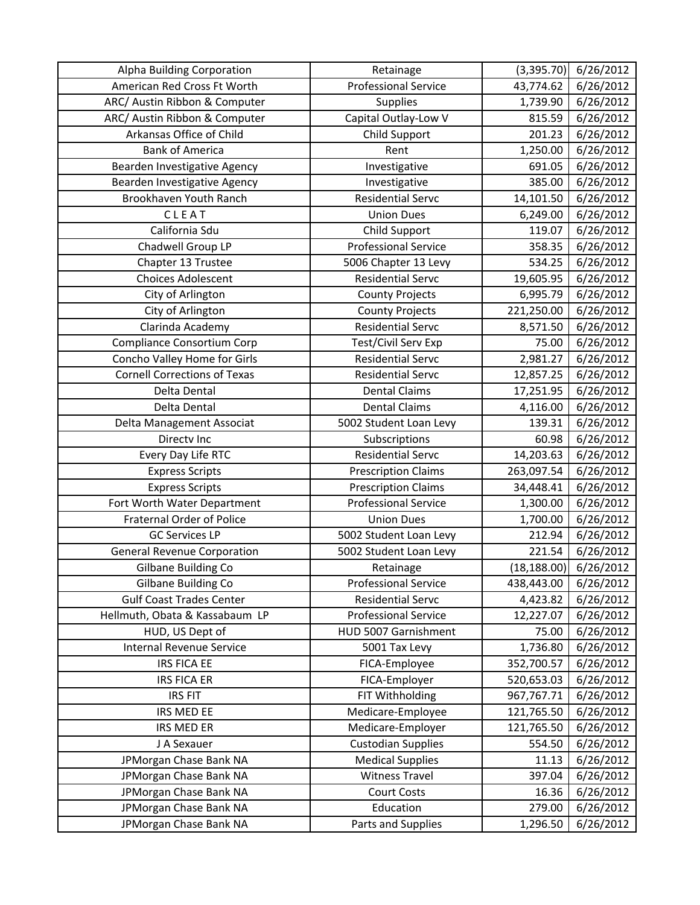| Alpha Building Corporation          | Retainage                   | (3,395.70)   | 6/26/2012 |
|-------------------------------------|-----------------------------|--------------|-----------|
| American Red Cross Ft Worth         | <b>Professional Service</b> | 43,774.62    | 6/26/2012 |
| ARC/ Austin Ribbon & Computer       | Supplies                    | 1,739.90     | 6/26/2012 |
| ARC/ Austin Ribbon & Computer       | Capital Outlay-Low V        | 815.59       | 6/26/2012 |
| Arkansas Office of Child            | Child Support               | 201.23       | 6/26/2012 |
| <b>Bank of America</b>              | Rent                        | 1,250.00     | 6/26/2012 |
| Bearden Investigative Agency        | Investigative               | 691.05       | 6/26/2012 |
| Bearden Investigative Agency        | Investigative               | 385.00       | 6/26/2012 |
| Brookhaven Youth Ranch              | <b>Residential Servc</b>    | 14,101.50    | 6/26/2012 |
| CLEAT                               | <b>Union Dues</b>           | 6,249.00     | 6/26/2012 |
| California Sdu                      | Child Support               | 119.07       | 6/26/2012 |
| Chadwell Group LP                   | <b>Professional Service</b> | 358.35       | 6/26/2012 |
| Chapter 13 Trustee                  | 5006 Chapter 13 Levy        | 534.25       | 6/26/2012 |
| <b>Choices Adolescent</b>           | <b>Residential Servc</b>    | 19,605.95    | 6/26/2012 |
| City of Arlington                   | <b>County Projects</b>      | 6,995.79     | 6/26/2012 |
| City of Arlington                   | <b>County Projects</b>      | 221,250.00   | 6/26/2012 |
| Clarinda Academy                    | <b>Residential Servc</b>    | 8,571.50     | 6/26/2012 |
| <b>Compliance Consortium Corp</b>   | Test/Civil Serv Exp         | 75.00        | 6/26/2012 |
| Concho Valley Home for Girls        | <b>Residential Servc</b>    | 2,981.27     | 6/26/2012 |
| <b>Cornell Corrections of Texas</b> | <b>Residential Servc</b>    | 12,857.25    | 6/26/2012 |
| Delta Dental                        | <b>Dental Claims</b>        | 17,251.95    | 6/26/2012 |
| Delta Dental                        | <b>Dental Claims</b>        | 4,116.00     | 6/26/2012 |
| Delta Management Associat           | 5002 Student Loan Levy      | 139.31       | 6/26/2012 |
| Directv Inc                         | Subscriptions               | 60.98        | 6/26/2012 |
| Every Day Life RTC                  | <b>Residential Servc</b>    | 14,203.63    | 6/26/2012 |
| <b>Express Scripts</b>              | <b>Prescription Claims</b>  | 263,097.54   | 6/26/2012 |
| <b>Express Scripts</b>              | <b>Prescription Claims</b>  | 34,448.41    | 6/26/2012 |
| Fort Worth Water Department         | <b>Professional Service</b> | 1,300.00     | 6/26/2012 |
| <b>Fraternal Order of Police</b>    | <b>Union Dues</b>           | 1,700.00     | 6/26/2012 |
| <b>GC Services LP</b>               | 5002 Student Loan Levy      | 212.94       | 6/26/2012 |
| <b>General Revenue Corporation</b>  | 5002 Student Loan Levy      | 221.54       | 6/26/2012 |
| Gilbane Building Co                 | Retainage                   | (18, 188.00) | 6/26/2012 |
| Gilbane Building Co                 | <b>Professional Service</b> | 438,443.00   | 6/26/2012 |
| <b>Gulf Coast Trades Center</b>     | <b>Residential Servc</b>    | 4,423.82     | 6/26/2012 |
| Hellmuth, Obata & Kassabaum LP      | <b>Professional Service</b> | 12,227.07    | 6/26/2012 |
| HUD, US Dept of                     | HUD 5007 Garnishment        | 75.00        | 6/26/2012 |
| Internal Revenue Service            | 5001 Tax Levy               | 1,736.80     | 6/26/2012 |
| <b>IRS FICA EE</b>                  | FICA-Employee               | 352,700.57   | 6/26/2012 |
| <b>IRS FICA ER</b>                  | FICA-Employer               | 520,653.03   | 6/26/2012 |
| <b>IRS FIT</b>                      | FIT Withholding             | 967,767.71   | 6/26/2012 |
| IRS MED EE                          | Medicare-Employee           | 121,765.50   | 6/26/2012 |
| IRS MED ER                          | Medicare-Employer           | 121,765.50   | 6/26/2012 |
| J A Sexauer                         | <b>Custodian Supplies</b>   | 554.50       | 6/26/2012 |
| JPMorgan Chase Bank NA              | <b>Medical Supplies</b>     | 11.13        | 6/26/2012 |
| JPMorgan Chase Bank NA              | <b>Witness Travel</b>       | 397.04       | 6/26/2012 |
| JPMorgan Chase Bank NA              | <b>Court Costs</b>          | 16.36        | 6/26/2012 |
| JPMorgan Chase Bank NA              | Education                   | 279.00       | 6/26/2012 |
| JPMorgan Chase Bank NA              | Parts and Supplies          | 1,296.50     | 6/26/2012 |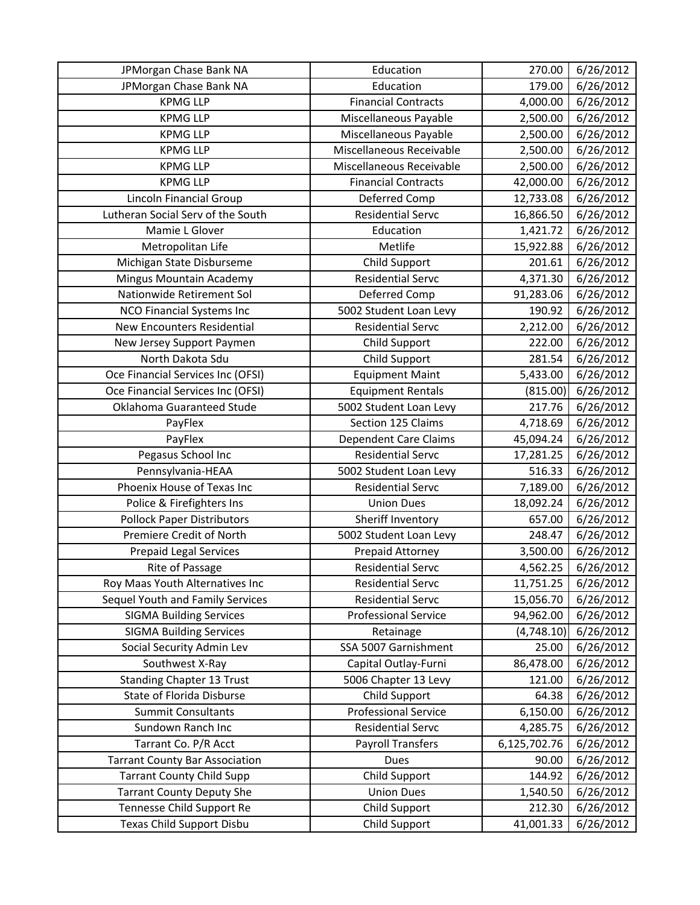| JPMorgan Chase Bank NA                | Education                    | 270.00       | 6/26/2012           |
|---------------------------------------|------------------------------|--------------|---------------------|
| JPMorgan Chase Bank NA                | Education                    | 179.00       | 6/26/2012           |
| <b>KPMG LLP</b>                       | <b>Financial Contracts</b>   | 4,000.00     | 6/26/2012           |
| <b>KPMG LLP</b>                       | Miscellaneous Payable        | 2,500.00     | 6/26/2012           |
| <b>KPMG LLP</b>                       | Miscellaneous Payable        | 2,500.00     | 6/26/2012           |
| <b>KPMG LLP</b>                       | Miscellaneous Receivable     | 2,500.00     | $\frac{6}{26}/2012$ |
| <b>KPMG LLP</b>                       | Miscellaneous Receivable     | 2,500.00     | 6/26/2012           |
| <b>KPMG LLP</b>                       | <b>Financial Contracts</b>   | 42,000.00    | 6/26/2012           |
| Lincoln Financial Group               | Deferred Comp                | 12,733.08    | 6/26/2012           |
| Lutheran Social Serv of the South     | <b>Residential Servc</b>     | 16,866.50    | 6/26/2012           |
| Mamie L Glover                        | Education                    | 1,421.72     | 6/26/2012           |
| Metropolitan Life                     | Metlife                      | 15,922.88    | 6/26/2012           |
| Michigan State Disburseme             | Child Support                | 201.61       | 6/26/2012           |
| Mingus Mountain Academy               | <b>Residential Servc</b>     | 4,371.30     | 6/26/2012           |
| Nationwide Retirement Sol             | Deferred Comp                | 91,283.06    | 6/26/2012           |
| NCO Financial Systems Inc             | 5002 Student Loan Levy       | 190.92       | 6/26/2012           |
| <b>New Encounters Residential</b>     | <b>Residential Servc</b>     | 2,212.00     | 6/26/2012           |
| New Jersey Support Paymen             | Child Support                | 222.00       | 6/26/2012           |
| North Dakota Sdu                      | Child Support                | 281.54       | 6/26/2012           |
| Oce Financial Services Inc (OFSI)     | <b>Equipment Maint</b>       | 5,433.00     | 6/26/2012           |
| Oce Financial Services Inc (OFSI)     | <b>Equipment Rentals</b>     | (815.00)     | 6/26/2012           |
| Oklahoma Guaranteed Stude             | 5002 Student Loan Levy       | 217.76       | 6/26/2012           |
| PayFlex                               | Section 125 Claims           | 4,718.69     | 6/26/2012           |
| PayFlex                               | <b>Dependent Care Claims</b> | 45,094.24    | 6/26/2012           |
| Pegasus School Inc                    | <b>Residential Servc</b>     | 17,281.25    | 6/26/2012           |
| Pennsylvania-HEAA                     | 5002 Student Loan Levy       | 516.33       | 6/26/2012           |
| Phoenix House of Texas Inc            | <b>Residential Servc</b>     | 7,189.00     | 6/26/2012           |
| Police & Firefighters Ins             | <b>Union Dues</b>            | 18,092.24    | 6/26/2012           |
| Pollock Paper Distributors            | Sheriff Inventory            | 657.00       | 6/26/2012           |
| Premiere Credit of North              | 5002 Student Loan Levy       | 248.47       | 6/26/2012           |
| <b>Prepaid Legal Services</b>         | Prepaid Attorney             | 3,500.00     | 6/26/2012           |
| Rite of Passage                       | <b>Residential Servc</b>     | 4,562.25     | 6/26/2012           |
| Roy Maas Youth Alternatives Inc       | <b>Residential Servc</b>     | 11,751.25    | 6/26/2012           |
| Sequel Youth and Family Services      | <b>Residential Servc</b>     | 15,056.70    | 6/26/2012           |
| <b>SIGMA Building Services</b>        | <b>Professional Service</b>  | 94,962.00    | 6/26/2012           |
| <b>SIGMA Building Services</b>        | Retainage                    | (4,748.10)   | 6/26/2012           |
| Social Security Admin Lev             | SSA 5007 Garnishment         | 25.00        | 6/26/2012           |
| Southwest X-Ray                       | Capital Outlay-Furni         | 86,478.00    | 6/26/2012           |
| <b>Standing Chapter 13 Trust</b>      | 5006 Chapter 13 Levy         | 121.00       | 6/26/2012           |
| State of Florida Disburse             | Child Support                | 64.38        | 6/26/2012           |
| <b>Summit Consultants</b>             | <b>Professional Service</b>  | 6,150.00     | 6/26/2012           |
| Sundown Ranch Inc                     | <b>Residential Servc</b>     | 4,285.75     | 6/26/2012           |
| Tarrant Co. P/R Acct                  | <b>Payroll Transfers</b>     | 6,125,702.76 | 6/26/2012           |
| <b>Tarrant County Bar Association</b> | <b>Dues</b>                  | 90.00        | 6/26/2012           |
| <b>Tarrant County Child Supp</b>      | Child Support                | 144.92       | 6/26/2012           |
| <b>Tarrant County Deputy She</b>      | <b>Union Dues</b>            | 1,540.50     | 6/26/2012           |
| Tennesse Child Support Re             | Child Support                | 212.30       | 6/26/2012           |
| Texas Child Support Disbu             | Child Support                | 41,001.33    | 6/26/2012           |